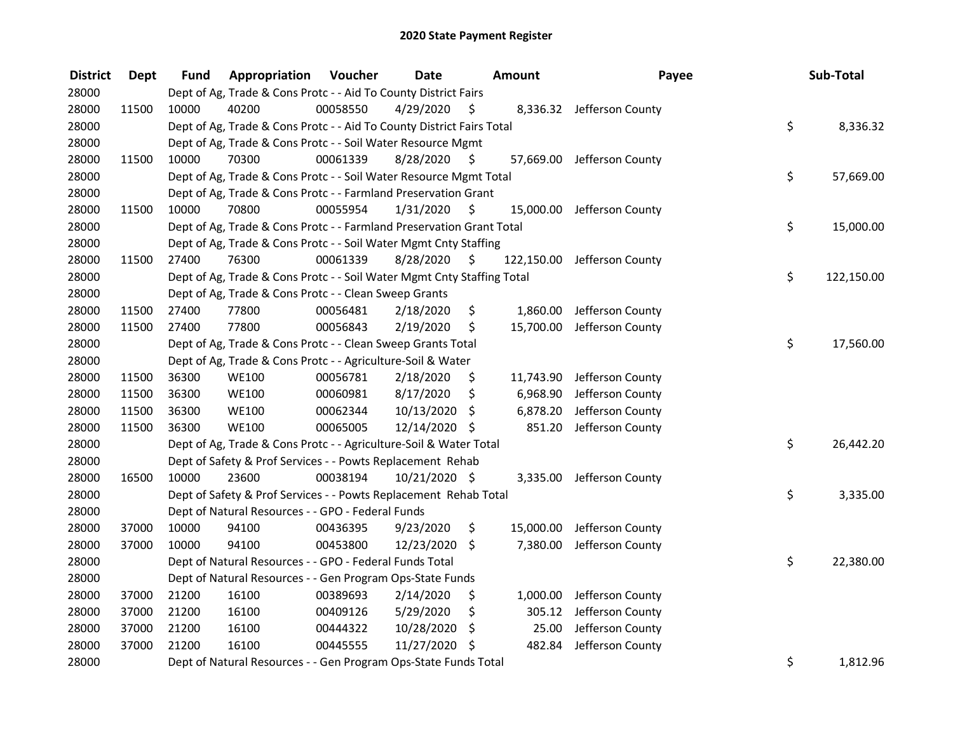| <b>District</b> | <b>Dept</b> | Fund  | Appropriation                                                          | Voucher  | <b>Date</b>   |      | Amount     | Payee                      | Sub-Total        |
|-----------------|-------------|-------|------------------------------------------------------------------------|----------|---------------|------|------------|----------------------------|------------------|
| 28000           |             |       | Dept of Ag, Trade & Cons Protc - - Aid To County District Fairs        |          |               |      |            |                            |                  |
| 28000           | 11500       | 10000 | 40200                                                                  | 00058550 | 4/29/2020     | \$   |            | 8,336.32 Jefferson County  |                  |
| 28000           |             |       | Dept of Ag, Trade & Cons Protc - - Aid To County District Fairs Total  |          |               |      |            |                            | \$<br>8,336.32   |
| 28000           |             |       | Dept of Ag, Trade & Cons Protc - - Soil Water Resource Mgmt            |          |               |      |            |                            |                  |
| 28000           | 11500       | 10000 | 70300                                                                  | 00061339 | 8/28/2020     | \$   |            | 57,669.00 Jefferson County |                  |
| 28000           |             |       | Dept of Ag, Trade & Cons Protc - - Soil Water Resource Mgmt Total      |          |               |      |            |                            | \$<br>57,669.00  |
| 28000           |             |       | Dept of Ag, Trade & Cons Protc - - Farmland Preservation Grant         |          |               |      |            |                            |                  |
| 28000           | 11500       | 10000 | 70800                                                                  | 00055954 | 1/31/2020     | - \$ |            | 15,000.00 Jefferson County |                  |
| 28000           |             |       | Dept of Ag, Trade & Cons Protc - - Farmland Preservation Grant Total   |          |               |      |            |                            | \$<br>15,000.00  |
| 28000           |             |       | Dept of Ag, Trade & Cons Protc - - Soil Water Mgmt Cnty Staffing       |          |               |      |            |                            |                  |
| 28000           | 11500       | 27400 | 76300                                                                  | 00061339 | 8/28/2020     | -S   | 122,150.00 | Jefferson County           |                  |
| 28000           |             |       | Dept of Ag, Trade & Cons Protc - - Soil Water Mgmt Cnty Staffing Total |          |               |      |            |                            | \$<br>122,150.00 |
| 28000           |             |       | Dept of Ag, Trade & Cons Protc - - Clean Sweep Grants                  |          |               |      |            |                            |                  |
| 28000           | 11500       | 27400 | 77800                                                                  | 00056481 | 2/18/2020     | \$   | 1,860.00   | Jefferson County           |                  |
| 28000           | 11500       | 27400 | 77800                                                                  | 00056843 | 2/19/2020     | \$   | 15,700.00  | Jefferson County           |                  |
| 28000           |             |       | Dept of Ag, Trade & Cons Protc - - Clean Sweep Grants Total            |          |               |      |            |                            | \$<br>17,560.00  |
| 28000           |             |       | Dept of Ag, Trade & Cons Protc - - Agriculture-Soil & Water            |          |               |      |            |                            |                  |
| 28000           | 11500       | 36300 | <b>WE100</b>                                                           | 00056781 | 2/18/2020     | \$.  | 11,743.90  | Jefferson County           |                  |
| 28000           | 11500       | 36300 | <b>WE100</b>                                                           | 00060981 | 8/17/2020     | \$   | 6,968.90   | Jefferson County           |                  |
| 28000           | 11500       | 36300 | <b>WE100</b>                                                           | 00062344 | 10/13/2020    | \$   | 6,878.20   | Jefferson County           |                  |
| 28000           | 11500       | 36300 | <b>WE100</b>                                                           | 00065005 | 12/14/2020 \$ |      | 851.20     | Jefferson County           |                  |
| 28000           |             |       | Dept of Ag, Trade & Cons Protc - - Agriculture-Soil & Water Total      |          |               |      |            |                            | \$<br>26,442.20  |
| 28000           |             |       | Dept of Safety & Prof Services - - Powts Replacement Rehab             |          |               |      |            |                            |                  |
| 28000           | 16500       | 10000 | 23600                                                                  | 00038194 | 10/21/2020 \$ |      | 3,335.00   | Jefferson County           |                  |
| 28000           |             |       | Dept of Safety & Prof Services - - Powts Replacement Rehab Total       |          |               |      |            |                            | \$<br>3,335.00   |
| 28000           |             |       | Dept of Natural Resources - - GPO - Federal Funds                      |          |               |      |            |                            |                  |
| 28000           | 37000       | 10000 | 94100                                                                  | 00436395 | 9/23/2020     | \$   | 15,000.00  | Jefferson County           |                  |
| 28000           | 37000       | 10000 | 94100                                                                  | 00453800 | 12/23/2020    | \$   | 7,380.00   | Jefferson County           |                  |
| 28000           |             |       | Dept of Natural Resources - - GPO - Federal Funds Total                |          |               |      |            |                            | \$<br>22,380.00  |
| 28000           |             |       | Dept of Natural Resources - - Gen Program Ops-State Funds              |          |               |      |            |                            |                  |
| 28000           | 37000       | 21200 | 16100                                                                  | 00389693 | 2/14/2020     | \$   | 1,000.00   | Jefferson County           |                  |
| 28000           | 37000       | 21200 | 16100                                                                  | 00409126 | 5/29/2020     | \$   | 305.12     | Jefferson County           |                  |
| 28000           | 37000       | 21200 | 16100                                                                  | 00444322 | 10/28/2020    | \$   | 25.00      | Jefferson County           |                  |
| 28000           | 37000       | 21200 | 16100                                                                  | 00445555 | 11/27/2020 \$ |      | 482.84     | Jefferson County           |                  |
| 28000           |             |       | Dept of Natural Resources - - Gen Program Ops-State Funds Total        |          |               |      |            |                            | \$<br>1,812.96   |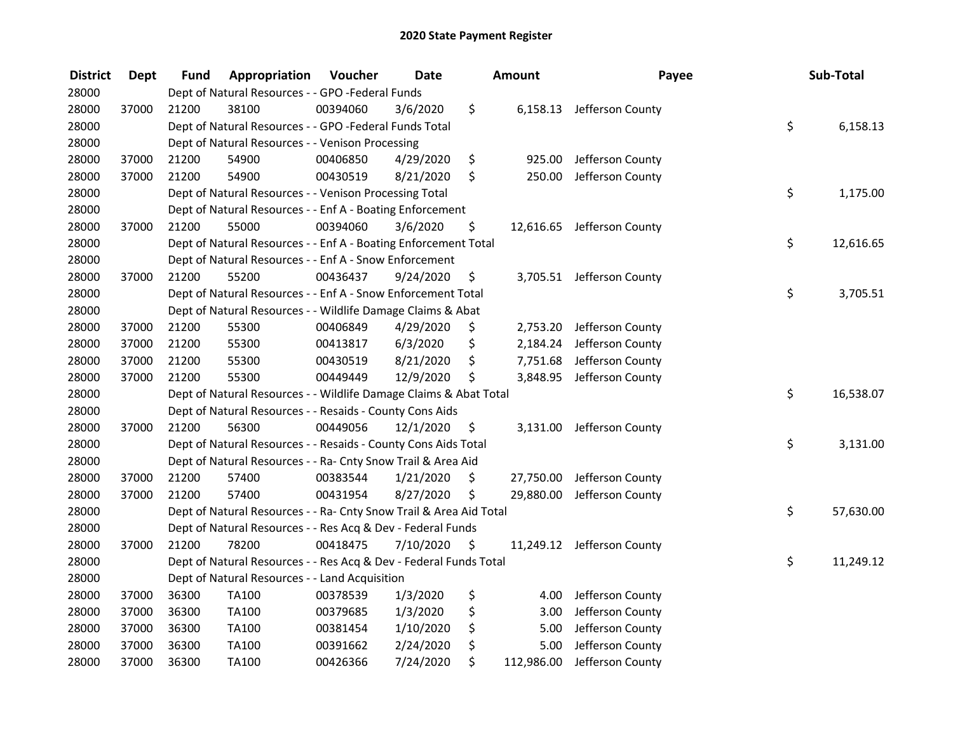| <b>District</b> | <b>Dept</b> | Fund  | Appropriation                                                      | Voucher  | <b>Date</b> | Amount           | Payee                      | Sub-Total       |
|-----------------|-------------|-------|--------------------------------------------------------------------|----------|-------------|------------------|----------------------------|-----------------|
| 28000           |             |       | Dept of Natural Resources - - GPO -Federal Funds                   |          |             |                  |                            |                 |
| 28000           | 37000       | 21200 | 38100                                                              | 00394060 | 3/6/2020    | \$               | 6,158.13 Jefferson County  |                 |
| 28000           |             |       | Dept of Natural Resources - - GPO -Federal Funds Total             |          |             |                  |                            | \$<br>6,158.13  |
| 28000           |             |       | Dept of Natural Resources - - Venison Processing                   |          |             |                  |                            |                 |
| 28000           | 37000       | 21200 | 54900                                                              | 00406850 | 4/29/2020   | \$<br>925.00     | Jefferson County           |                 |
| 28000           | 37000       | 21200 | 54900                                                              | 00430519 | 8/21/2020   | \$<br>250.00     | Jefferson County           |                 |
| 28000           |             |       | Dept of Natural Resources - - Venison Processing Total             |          |             |                  |                            | \$<br>1,175.00  |
| 28000           |             |       | Dept of Natural Resources - - Enf A - Boating Enforcement          |          |             |                  |                            |                 |
| 28000           | 37000       | 21200 | 55000                                                              | 00394060 | 3/6/2020    | \$               | 12,616.65 Jefferson County |                 |
| 28000           |             |       | Dept of Natural Resources - - Enf A - Boating Enforcement Total    |          |             |                  |                            | \$<br>12,616.65 |
| 28000           |             |       | Dept of Natural Resources - - Enf A - Snow Enforcement             |          |             |                  |                            |                 |
| 28000           | 37000       | 21200 | 55200                                                              | 00436437 | 9/24/2020   | \$<br>3,705.51   | Jefferson County           |                 |
| 28000           |             |       | Dept of Natural Resources - - Enf A - Snow Enforcement Total       |          |             |                  |                            | \$<br>3,705.51  |
| 28000           |             |       | Dept of Natural Resources - - Wildlife Damage Claims & Abat        |          |             |                  |                            |                 |
| 28000           | 37000       | 21200 | 55300                                                              | 00406849 | 4/29/2020   | \$<br>2,753.20   | Jefferson County           |                 |
| 28000           | 37000       | 21200 | 55300                                                              | 00413817 | 6/3/2020    | \$               | 2,184.24 Jefferson County  |                 |
| 28000           | 37000       | 21200 | 55300                                                              | 00430519 | 8/21/2020   | \$<br>7,751.68   | Jefferson County           |                 |
| 28000           | 37000       | 21200 | 55300                                                              | 00449449 | 12/9/2020   | \$<br>3,848.95   | Jefferson County           |                 |
| 28000           |             |       | Dept of Natural Resources - - Wildlife Damage Claims & Abat Total  |          |             |                  |                            | \$<br>16,538.07 |
| 28000           |             |       | Dept of Natural Resources - - Resaids - County Cons Aids           |          |             |                  |                            |                 |
| 28000           | 37000       | 21200 | 56300                                                              | 00449056 | 12/1/2020   | \$<br>3,131.00   | Jefferson County           |                 |
| 28000           |             |       | Dept of Natural Resources - - Resaids - County Cons Aids Total     |          |             |                  |                            | \$<br>3,131.00  |
| 28000           |             |       | Dept of Natural Resources - - Ra- Cnty Snow Trail & Area Aid       |          |             |                  |                            |                 |
| 28000           | 37000       | 21200 | 57400                                                              | 00383544 | 1/21/2020   | \$<br>27,750.00  | Jefferson County           |                 |
| 28000           | 37000       | 21200 | 57400                                                              | 00431954 | 8/27/2020   | \$<br>29,880.00  | Jefferson County           |                 |
| 28000           |             |       | Dept of Natural Resources - - Ra- Cnty Snow Trail & Area Aid Total |          |             |                  |                            | \$<br>57,630.00 |
| 28000           |             |       | Dept of Natural Resources - - Res Acq & Dev - Federal Funds        |          |             |                  |                            |                 |
| 28000           | 37000       | 21200 | 78200                                                              | 00418475 | 7/10/2020   | \$               | 11,249.12 Jefferson County |                 |
| 28000           |             |       | Dept of Natural Resources - - Res Acq & Dev - Federal Funds Total  |          |             |                  |                            | \$<br>11,249.12 |
| 28000           |             |       | Dept of Natural Resources - - Land Acquisition                     |          |             |                  |                            |                 |
| 28000           | 37000       | 36300 | TA100                                                              | 00378539 | 1/3/2020    | \$<br>4.00       | Jefferson County           |                 |
| 28000           | 37000       | 36300 | TA100                                                              | 00379685 | 1/3/2020    | \$<br>3.00       | Jefferson County           |                 |
| 28000           | 37000       | 36300 | TA100                                                              | 00381454 | 1/10/2020   | \$<br>5.00       | Jefferson County           |                 |
| 28000           | 37000       | 36300 | TA100                                                              | 00391662 | 2/24/2020   | \$<br>5.00       | Jefferson County           |                 |
| 28000           | 37000       | 36300 | TA100                                                              | 00426366 | 7/24/2020   | \$<br>112,986.00 | Jefferson County           |                 |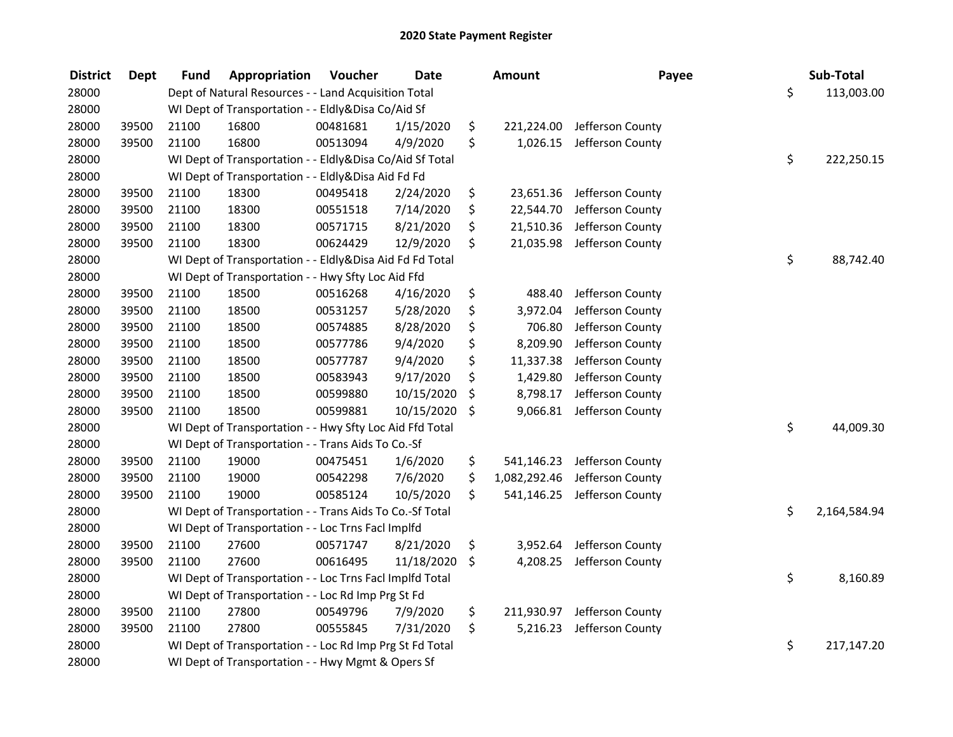| <b>District</b> | Dept  | <b>Fund</b> | Appropriation                                            | Voucher  | <b>Date</b> | Amount             | Payee                       | Sub-Total          |
|-----------------|-------|-------------|----------------------------------------------------------|----------|-------------|--------------------|-----------------------------|--------------------|
| 28000           |       |             | Dept of Natural Resources - - Land Acquisition Total     |          |             |                    |                             | \$<br>113,003.00   |
| 28000           |       |             | WI Dept of Transportation - - Eldly&Disa Co/Aid Sf       |          |             |                    |                             |                    |
| 28000           | 39500 | 21100       | 16800                                                    | 00481681 | 1/15/2020   | \$<br>221,224.00   | Jefferson County            |                    |
| 28000           | 39500 | 21100       | 16800                                                    | 00513094 | 4/9/2020    | \$<br>1,026.15     | Jefferson County            |                    |
| 28000           |       |             | WI Dept of Transportation - - Eldly&Disa Co/Aid Sf Total |          |             |                    |                             | \$<br>222,250.15   |
| 28000           |       |             | WI Dept of Transportation - - Eldly&Disa Aid Fd Fd       |          |             |                    |                             |                    |
| 28000           | 39500 | 21100       | 18300                                                    | 00495418 | 2/24/2020   | \$                 | 23,651.36 Jefferson County  |                    |
| 28000           | 39500 | 21100       | 18300                                                    | 00551518 | 7/14/2020   | \$<br>22,544.70    | Jefferson County            |                    |
| 28000           | 39500 | 21100       | 18300                                                    | 00571715 | 8/21/2020   | \$<br>21,510.36    | Jefferson County            |                    |
| 28000           | 39500 | 21100       | 18300                                                    | 00624429 | 12/9/2020   | \$<br>21,035.98    | Jefferson County            |                    |
| 28000           |       |             | WI Dept of Transportation - - Eldly&Disa Aid Fd Fd Total |          |             |                    |                             | \$<br>88,742.40    |
| 28000           |       |             | WI Dept of Transportation - - Hwy Sfty Loc Aid Ffd       |          |             |                    |                             |                    |
| 28000           | 39500 | 21100       | 18500                                                    | 00516268 | 4/16/2020   | \$<br>488.40       | Jefferson County            |                    |
| 28000           | 39500 | 21100       | 18500                                                    | 00531257 | 5/28/2020   | \$<br>3,972.04     | Jefferson County            |                    |
| 28000           | 39500 | 21100       | 18500                                                    | 00574885 | 8/28/2020   | \$<br>706.80       | Jefferson County            |                    |
| 28000           | 39500 | 21100       | 18500                                                    | 00577786 | 9/4/2020    | \$<br>8,209.90     | Jefferson County            |                    |
| 28000           | 39500 | 21100       | 18500                                                    | 00577787 | 9/4/2020    | \$<br>11,337.38    | Jefferson County            |                    |
| 28000           | 39500 | 21100       | 18500                                                    | 00583943 | 9/17/2020   | \$<br>1,429.80     | Jefferson County            |                    |
| 28000           | 39500 | 21100       | 18500                                                    | 00599880 | 10/15/2020  | \$<br>8,798.17     | Jefferson County            |                    |
| 28000           | 39500 | 21100       | 18500                                                    | 00599881 | 10/15/2020  | \$<br>9,066.81     | Jefferson County            |                    |
| 28000           |       |             | WI Dept of Transportation - - Hwy Sfty Loc Aid Ffd Total |          |             |                    |                             | \$<br>44,009.30    |
| 28000           |       |             | WI Dept of Transportation - - Trans Aids To Co.-Sf       |          |             |                    |                             |                    |
| 28000           | 39500 | 21100       | 19000                                                    | 00475451 | 1/6/2020    | \$<br>541,146.23   | Jefferson County            |                    |
| 28000           | 39500 | 21100       | 19000                                                    | 00542298 | 7/6/2020    | \$<br>1,082,292.46 | Jefferson County            |                    |
| 28000           | 39500 | 21100       | 19000                                                    | 00585124 | 10/5/2020   | \$<br>541,146.25   | Jefferson County            |                    |
| 28000           |       |             | WI Dept of Transportation - - Trans Aids To Co.-Sf Total |          |             |                    |                             | \$<br>2,164,584.94 |
| 28000           |       |             | WI Dept of Transportation - - Loc Trns Facl Implfd       |          |             |                    |                             |                    |
| 28000           | 39500 | 21100       | 27600                                                    | 00571747 | 8/21/2020   | \$<br>3,952.64     | Jefferson County            |                    |
| 28000           | 39500 | 21100       | 27600                                                    | 00616495 | 11/18/2020  | \$<br>4,208.25     | Jefferson County            |                    |
| 28000           |       |             | WI Dept of Transportation - - Loc Trns Facl Implfd Total |          |             |                    |                             | \$<br>8,160.89     |
| 28000           |       |             | WI Dept of Transportation - - Loc Rd Imp Prg St Fd       |          |             |                    |                             |                    |
| 28000           | 39500 | 21100       | 27800                                                    | 00549796 | 7/9/2020    | \$                 | 211,930.97 Jefferson County |                    |
| 28000           | 39500 | 21100       | 27800                                                    | 00555845 | 7/31/2020   | \$<br>5,216.23     | Jefferson County            |                    |
| 28000           |       |             | WI Dept of Transportation - - Loc Rd Imp Prg St Fd Total |          |             |                    |                             | \$<br>217,147.20   |
| 28000           |       |             | WI Dept of Transportation - - Hwy Mgmt & Opers Sf        |          |             |                    |                             |                    |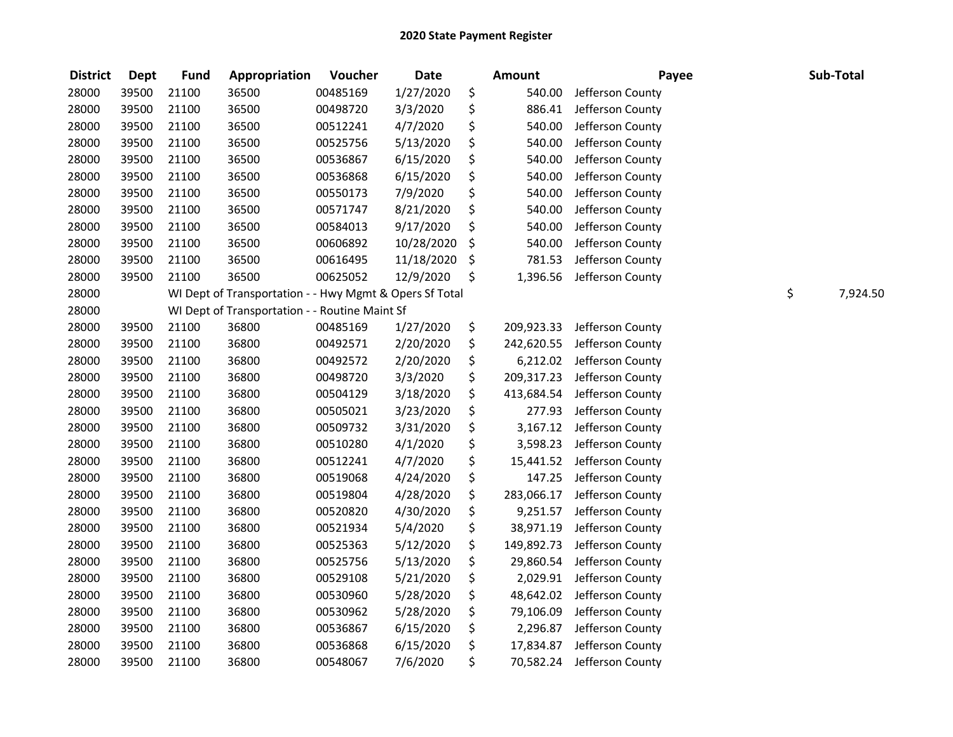| <b>District</b> | <b>Dept</b> | <b>Fund</b> | Appropriation                                           | Voucher  | <b>Date</b> | <b>Amount</b>    | Payee            |    | Sub-Total |
|-----------------|-------------|-------------|---------------------------------------------------------|----------|-------------|------------------|------------------|----|-----------|
| 28000           | 39500       | 21100       | 36500                                                   | 00485169 | 1/27/2020   | \$<br>540.00     | Jefferson County |    |           |
| 28000           | 39500       | 21100       | 36500                                                   | 00498720 | 3/3/2020    | \$<br>886.41     | Jefferson County |    |           |
| 28000           | 39500       | 21100       | 36500                                                   | 00512241 | 4/7/2020    | \$<br>540.00     | Jefferson County |    |           |
| 28000           | 39500       | 21100       | 36500                                                   | 00525756 | 5/13/2020   | \$<br>540.00     | Jefferson County |    |           |
| 28000           | 39500       | 21100       | 36500                                                   | 00536867 | 6/15/2020   | \$<br>540.00     | Jefferson County |    |           |
| 28000           | 39500       | 21100       | 36500                                                   | 00536868 | 6/15/2020   | \$<br>540.00     | Jefferson County |    |           |
| 28000           | 39500       | 21100       | 36500                                                   | 00550173 | 7/9/2020    | \$<br>540.00     | Jefferson County |    |           |
| 28000           | 39500       | 21100       | 36500                                                   | 00571747 | 8/21/2020   | \$<br>540.00     | Jefferson County |    |           |
| 28000           | 39500       | 21100       | 36500                                                   | 00584013 | 9/17/2020   | \$<br>540.00     | Jefferson County |    |           |
| 28000           | 39500       | 21100       | 36500                                                   | 00606892 | 10/28/2020  | \$<br>540.00     | Jefferson County |    |           |
| 28000           | 39500       | 21100       | 36500                                                   | 00616495 | 11/18/2020  | \$<br>781.53     | Jefferson County |    |           |
| 28000           | 39500       | 21100       | 36500                                                   | 00625052 | 12/9/2020   | \$<br>1,396.56   | Jefferson County |    |           |
| 28000           |             |             | WI Dept of Transportation - - Hwy Mgmt & Opers Sf Total |          |             |                  |                  | \$ | 7,924.50  |
| 28000           |             |             | WI Dept of Transportation - - Routine Maint Sf          |          |             |                  |                  |    |           |
| 28000           | 39500       | 21100       | 36800                                                   | 00485169 | 1/27/2020   | \$<br>209,923.33 | Jefferson County |    |           |
| 28000           | 39500       | 21100       | 36800                                                   | 00492571 | 2/20/2020   | \$<br>242,620.55 | Jefferson County |    |           |
| 28000           | 39500       | 21100       | 36800                                                   | 00492572 | 2/20/2020   | \$<br>6,212.02   | Jefferson County |    |           |
| 28000           | 39500       | 21100       | 36800                                                   | 00498720 | 3/3/2020    | \$<br>209,317.23 | Jefferson County |    |           |
| 28000           | 39500       | 21100       | 36800                                                   | 00504129 | 3/18/2020   | \$<br>413,684.54 | Jefferson County |    |           |
| 28000           | 39500       | 21100       | 36800                                                   | 00505021 | 3/23/2020   | \$<br>277.93     | Jefferson County |    |           |
| 28000           | 39500       | 21100       | 36800                                                   | 00509732 | 3/31/2020   | \$<br>3,167.12   | Jefferson County |    |           |
| 28000           | 39500       | 21100       | 36800                                                   | 00510280 | 4/1/2020    | \$<br>3,598.23   | Jefferson County |    |           |
| 28000           | 39500       | 21100       | 36800                                                   | 00512241 | 4/7/2020    | \$<br>15,441.52  | Jefferson County |    |           |
| 28000           | 39500       | 21100       | 36800                                                   | 00519068 | 4/24/2020   | \$<br>147.25     | Jefferson County |    |           |
| 28000           | 39500       | 21100       | 36800                                                   | 00519804 | 4/28/2020   | \$<br>283,066.17 | Jefferson County |    |           |
| 28000           | 39500       | 21100       | 36800                                                   | 00520820 | 4/30/2020   | \$<br>9,251.57   | Jefferson County |    |           |
| 28000           | 39500       | 21100       | 36800                                                   | 00521934 | 5/4/2020    | \$<br>38,971.19  | Jefferson County |    |           |
| 28000           | 39500       | 21100       | 36800                                                   | 00525363 | 5/12/2020   | \$<br>149,892.73 | Jefferson County |    |           |
| 28000           | 39500       | 21100       | 36800                                                   | 00525756 | 5/13/2020   | \$<br>29,860.54  | Jefferson County |    |           |
| 28000           | 39500       | 21100       | 36800                                                   | 00529108 | 5/21/2020   | \$<br>2,029.91   | Jefferson County |    |           |
| 28000           | 39500       | 21100       | 36800                                                   | 00530960 | 5/28/2020   | \$<br>48,642.02  | Jefferson County |    |           |
| 28000           | 39500       | 21100       | 36800                                                   | 00530962 | 5/28/2020   | \$<br>79,106.09  | Jefferson County |    |           |
| 28000           | 39500       | 21100       | 36800                                                   | 00536867 | 6/15/2020   | \$<br>2,296.87   | Jefferson County |    |           |
| 28000           | 39500       | 21100       | 36800                                                   | 00536868 | 6/15/2020   | \$<br>17,834.87  | Jefferson County |    |           |
| 28000           | 39500       | 21100       | 36800                                                   | 00548067 | 7/6/2020    | \$<br>70,582.24  | Jefferson County |    |           |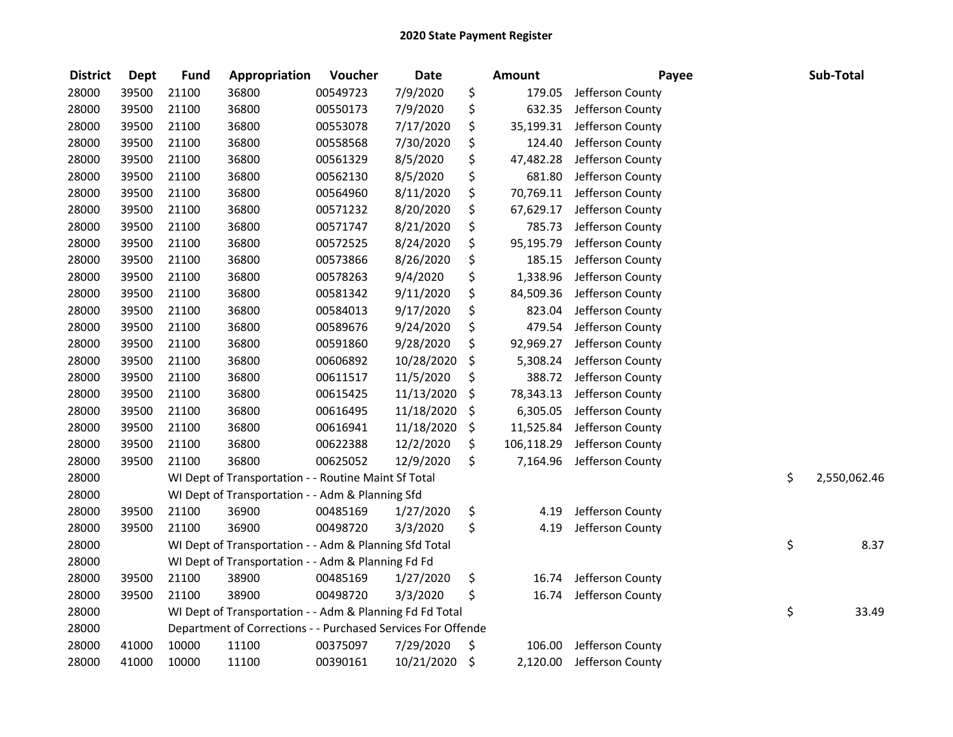| <b>District</b> | <b>Dept</b> | <b>Fund</b> | Appropriation                                                | Voucher  | Date       | <b>Amount</b>    | Payee            | Sub-Total          |
|-----------------|-------------|-------------|--------------------------------------------------------------|----------|------------|------------------|------------------|--------------------|
| 28000           | 39500       | 21100       | 36800                                                        | 00549723 | 7/9/2020   | \$<br>179.05     | Jefferson County |                    |
| 28000           | 39500       | 21100       | 36800                                                        | 00550173 | 7/9/2020   | \$<br>632.35     | Jefferson County |                    |
| 28000           | 39500       | 21100       | 36800                                                        | 00553078 | 7/17/2020  | \$<br>35,199.31  | Jefferson County |                    |
| 28000           | 39500       | 21100       | 36800                                                        | 00558568 | 7/30/2020  | \$<br>124.40     | Jefferson County |                    |
| 28000           | 39500       | 21100       | 36800                                                        | 00561329 | 8/5/2020   | \$<br>47,482.28  | Jefferson County |                    |
| 28000           | 39500       | 21100       | 36800                                                        | 00562130 | 8/5/2020   | \$<br>681.80     | Jefferson County |                    |
| 28000           | 39500       | 21100       | 36800                                                        | 00564960 | 8/11/2020  | \$<br>70,769.11  | Jefferson County |                    |
| 28000           | 39500       | 21100       | 36800                                                        | 00571232 | 8/20/2020  | \$<br>67,629.17  | Jefferson County |                    |
| 28000           | 39500       | 21100       | 36800                                                        | 00571747 | 8/21/2020  | \$<br>785.73     | Jefferson County |                    |
| 28000           | 39500       | 21100       | 36800                                                        | 00572525 | 8/24/2020  | \$<br>95,195.79  | Jefferson County |                    |
| 28000           | 39500       | 21100       | 36800                                                        | 00573866 | 8/26/2020  | \$<br>185.15     | Jefferson County |                    |
| 28000           | 39500       | 21100       | 36800                                                        | 00578263 | 9/4/2020   | \$<br>1,338.96   | Jefferson County |                    |
| 28000           | 39500       | 21100       | 36800                                                        | 00581342 | 9/11/2020  | \$<br>84,509.36  | Jefferson County |                    |
| 28000           | 39500       | 21100       | 36800                                                        | 00584013 | 9/17/2020  | \$<br>823.04     | Jefferson County |                    |
| 28000           | 39500       | 21100       | 36800                                                        | 00589676 | 9/24/2020  | \$<br>479.54     | Jefferson County |                    |
| 28000           | 39500       | 21100       | 36800                                                        | 00591860 | 9/28/2020  | \$<br>92,969.27  | Jefferson County |                    |
| 28000           | 39500       | 21100       | 36800                                                        | 00606892 | 10/28/2020 | \$<br>5,308.24   | Jefferson County |                    |
| 28000           | 39500       | 21100       | 36800                                                        | 00611517 | 11/5/2020  | \$<br>388.72     | Jefferson County |                    |
| 28000           | 39500       | 21100       | 36800                                                        | 00615425 | 11/13/2020 | \$<br>78,343.13  | Jefferson County |                    |
| 28000           | 39500       | 21100       | 36800                                                        | 00616495 | 11/18/2020 | \$<br>6,305.05   | Jefferson County |                    |
| 28000           | 39500       | 21100       | 36800                                                        | 00616941 | 11/18/2020 | \$<br>11,525.84  | Jefferson County |                    |
| 28000           | 39500       | 21100       | 36800                                                        | 00622388 | 12/2/2020  | \$<br>106,118.29 | Jefferson County |                    |
| 28000           | 39500       | 21100       | 36800                                                        | 00625052 | 12/9/2020  | \$<br>7,164.96   | Jefferson County |                    |
| 28000           |             |             | WI Dept of Transportation - - Routine Maint Sf Total         |          |            |                  |                  | \$<br>2,550,062.46 |
| 28000           |             |             | WI Dept of Transportation - - Adm & Planning Sfd             |          |            |                  |                  |                    |
| 28000           | 39500       | 21100       | 36900                                                        | 00485169 | 1/27/2020  | \$<br>4.19       | Jefferson County |                    |
| 28000           | 39500       | 21100       | 36900                                                        | 00498720 | 3/3/2020   | \$<br>4.19       | Jefferson County |                    |
| 28000           |             |             | WI Dept of Transportation - - Adm & Planning Sfd Total       |          |            |                  |                  | \$<br>8.37         |
| 28000           |             |             | WI Dept of Transportation - - Adm & Planning Fd Fd           |          |            |                  |                  |                    |
| 28000           | 39500       | 21100       | 38900                                                        | 00485169 | 1/27/2020  | \$<br>16.74      | Jefferson County |                    |
| 28000           | 39500       | 21100       | 38900                                                        | 00498720 | 3/3/2020   | \$<br>16.74      | Jefferson County |                    |
| 28000           |             |             | WI Dept of Transportation - - Adm & Planning Fd Fd Total     |          |            |                  |                  | \$<br>33.49        |
| 28000           |             |             | Department of Corrections - - Purchased Services For Offende |          |            |                  |                  |                    |
| 28000           | 41000       | 10000       | 11100                                                        | 00375097 | 7/29/2020  | \$<br>106.00     | Jefferson County |                    |
| 28000           | 41000       | 10000       | 11100                                                        | 00390161 | 10/21/2020 | \$<br>2,120.00   | Jefferson County |                    |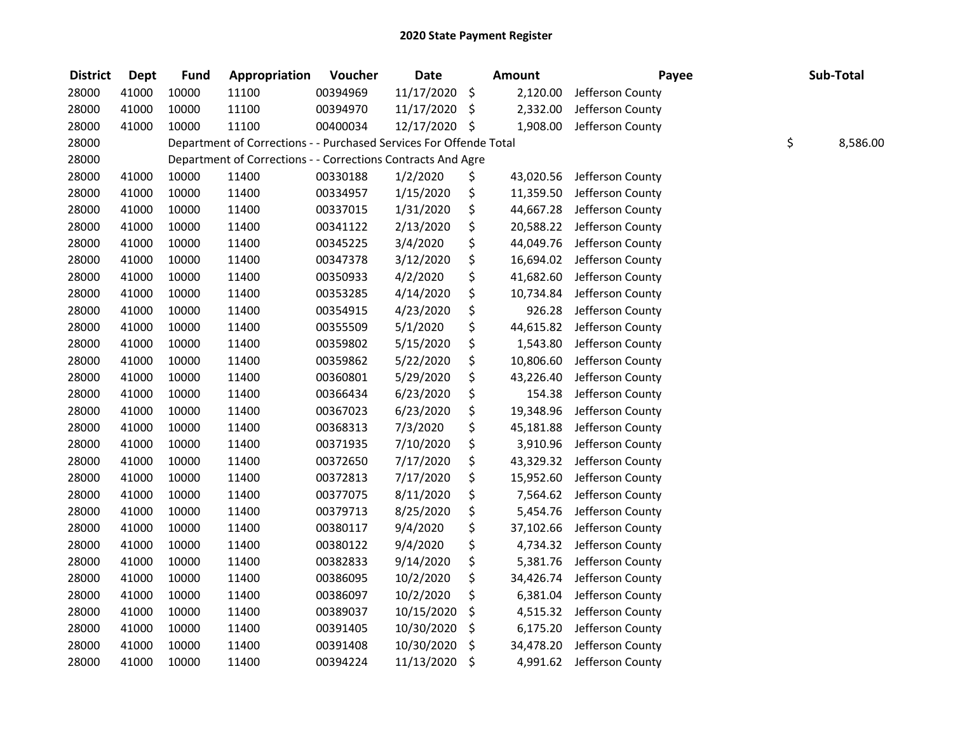| <b>District</b> | <b>Dept</b> | <b>Fund</b> | Appropriation                                                      | Voucher  | <b>Date</b>   | <b>Amount</b>   | Payee            | Sub-Total      |
|-----------------|-------------|-------------|--------------------------------------------------------------------|----------|---------------|-----------------|------------------|----------------|
| 28000           | 41000       | 10000       | 11100                                                              | 00394969 | 11/17/2020    | \$<br>2,120.00  | Jefferson County |                |
| 28000           | 41000       | 10000       | 11100                                                              | 00394970 | 11/17/2020    | \$<br>2,332.00  | Jefferson County |                |
| 28000           | 41000       | 10000       | 11100                                                              | 00400034 | 12/17/2020 \$ | 1,908.00        | Jefferson County |                |
| 28000           |             |             | Department of Corrections - - Purchased Services For Offende Total |          |               |                 |                  | \$<br>8,586.00 |
| 28000           |             |             | Department of Corrections - - Corrections Contracts And Agre       |          |               |                 |                  |                |
| 28000           | 41000       | 10000       | 11400                                                              | 00330188 | 1/2/2020      | \$<br>43,020.56 | Jefferson County |                |
| 28000           | 41000       | 10000       | 11400                                                              | 00334957 | 1/15/2020     | \$<br>11,359.50 | Jefferson County |                |
| 28000           | 41000       | 10000       | 11400                                                              | 00337015 | 1/31/2020     | \$<br>44,667.28 | Jefferson County |                |
| 28000           | 41000       | 10000       | 11400                                                              | 00341122 | 2/13/2020     | \$<br>20,588.22 | Jefferson County |                |
| 28000           | 41000       | 10000       | 11400                                                              | 00345225 | 3/4/2020      | \$<br>44,049.76 | Jefferson County |                |
| 28000           | 41000       | 10000       | 11400                                                              | 00347378 | 3/12/2020     | \$<br>16,694.02 | Jefferson County |                |
| 28000           | 41000       | 10000       | 11400                                                              | 00350933 | 4/2/2020      | \$<br>41,682.60 | Jefferson County |                |
| 28000           | 41000       | 10000       | 11400                                                              | 00353285 | 4/14/2020     | \$<br>10,734.84 | Jefferson County |                |
| 28000           | 41000       | 10000       | 11400                                                              | 00354915 | 4/23/2020     | \$<br>926.28    | Jefferson County |                |
| 28000           | 41000       | 10000       | 11400                                                              | 00355509 | 5/1/2020      | \$<br>44,615.82 | Jefferson County |                |
| 28000           | 41000       | 10000       | 11400                                                              | 00359802 | 5/15/2020     | \$<br>1,543.80  | Jefferson County |                |
| 28000           | 41000       | 10000       | 11400                                                              | 00359862 | 5/22/2020     | \$<br>10,806.60 | Jefferson County |                |
| 28000           | 41000       | 10000       | 11400                                                              | 00360801 | 5/29/2020     | \$<br>43,226.40 | Jefferson County |                |
| 28000           | 41000       | 10000       | 11400                                                              | 00366434 | 6/23/2020     | \$<br>154.38    | Jefferson County |                |
| 28000           | 41000       | 10000       | 11400                                                              | 00367023 | 6/23/2020     | \$<br>19,348.96 | Jefferson County |                |
| 28000           | 41000       | 10000       | 11400                                                              | 00368313 | 7/3/2020      | \$<br>45,181.88 | Jefferson County |                |
| 28000           | 41000       | 10000       | 11400                                                              | 00371935 | 7/10/2020     | \$<br>3,910.96  | Jefferson County |                |
| 28000           | 41000       | 10000       | 11400                                                              | 00372650 | 7/17/2020     | \$<br>43,329.32 | Jefferson County |                |
| 28000           | 41000       | 10000       | 11400                                                              | 00372813 | 7/17/2020     | \$<br>15,952.60 | Jefferson County |                |
| 28000           | 41000       | 10000       | 11400                                                              | 00377075 | 8/11/2020     | \$<br>7,564.62  | Jefferson County |                |
| 28000           | 41000       | 10000       | 11400                                                              | 00379713 | 8/25/2020     | \$<br>5,454.76  | Jefferson County |                |
| 28000           | 41000       | 10000       | 11400                                                              | 00380117 | 9/4/2020      | \$<br>37,102.66 | Jefferson County |                |
| 28000           | 41000       | 10000       | 11400                                                              | 00380122 | 9/4/2020      | \$<br>4,734.32  | Jefferson County |                |
| 28000           | 41000       | 10000       | 11400                                                              | 00382833 | 9/14/2020     | \$<br>5,381.76  | Jefferson County |                |
| 28000           | 41000       | 10000       | 11400                                                              | 00386095 | 10/2/2020     | \$<br>34,426.74 | Jefferson County |                |
| 28000           | 41000       | 10000       | 11400                                                              | 00386097 | 10/2/2020     | \$<br>6,381.04  | Jefferson County |                |
| 28000           | 41000       | 10000       | 11400                                                              | 00389037 | 10/15/2020    | \$<br>4,515.32  | Jefferson County |                |
| 28000           | 41000       | 10000       | 11400                                                              | 00391405 | 10/30/2020    | \$<br>6,175.20  | Jefferson County |                |
| 28000           | 41000       | 10000       | 11400                                                              | 00391408 | 10/30/2020    | \$<br>34,478.20 | Jefferson County |                |
| 28000           | 41000       | 10000       | 11400                                                              | 00394224 | 11/13/2020    | \$<br>4,991.62  | Jefferson County |                |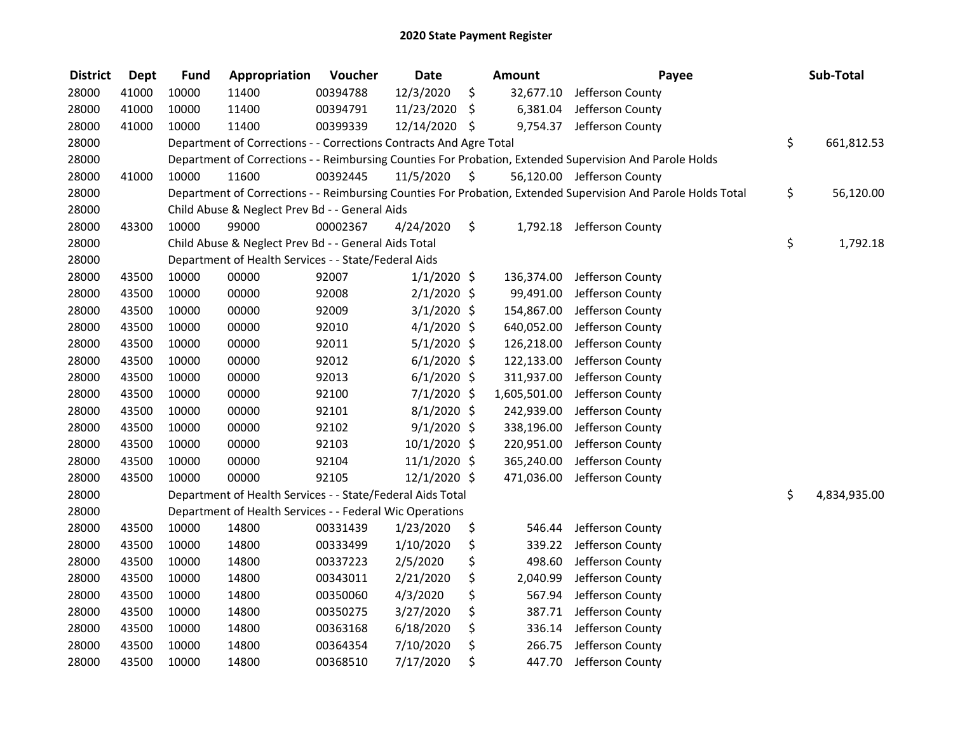| <b>District</b> | <b>Dept</b> | <b>Fund</b> | Appropriation                                                      | Voucher  | <b>Date</b>    |         | Amount       | Payee                                                                                                         | Sub-Total          |
|-----------------|-------------|-------------|--------------------------------------------------------------------|----------|----------------|---------|--------------|---------------------------------------------------------------------------------------------------------------|--------------------|
| 28000           | 41000       | 10000       | 11400                                                              | 00394788 | 12/3/2020      | \$      | 32,677.10    | Jefferson County                                                                                              |                    |
| 28000           | 41000       | 10000       | 11400                                                              | 00394791 | 11/23/2020     | $\zeta$ | 6,381.04     | Jefferson County                                                                                              |                    |
| 28000           | 41000       | 10000       | 11400                                                              | 00399339 | 12/14/2020 \$  |         | 9,754.37     | Jefferson County                                                                                              |                    |
| 28000           |             |             | Department of Corrections - - Corrections Contracts And Agre Total |          |                |         |              |                                                                                                               | \$<br>661,812.53   |
| 28000           |             |             |                                                                    |          |                |         |              | Department of Corrections - - Reimbursing Counties For Probation, Extended Supervision And Parole Holds       |                    |
| 28000           | 41000       | 10000       | 11600                                                              | 00392445 | 11/5/2020      | - \$    |              | 56,120.00 Jefferson County                                                                                    |                    |
| 28000           |             |             |                                                                    |          |                |         |              | Department of Corrections - - Reimbursing Counties For Probation, Extended Supervision And Parole Holds Total | \$<br>56,120.00    |
| 28000           |             |             | Child Abuse & Neglect Prev Bd - - General Aids                     |          |                |         |              |                                                                                                               |                    |
| 28000           | 43300       | 10000       | 99000                                                              | 00002367 | 4/24/2020      | \$      |              | 1,792.18 Jefferson County                                                                                     |                    |
| 28000           |             |             | Child Abuse & Neglect Prev Bd - - General Aids Total               |          |                |         |              |                                                                                                               | \$<br>1,792.18     |
| 28000           |             |             | Department of Health Services - - State/Federal Aids               |          |                |         |              |                                                                                                               |                    |
| 28000           | 43500       | 10000       | 00000                                                              | 92007    | $1/1/2020$ \$  |         | 136,374.00   | Jefferson County                                                                                              |                    |
| 28000           | 43500       | 10000       | 00000                                                              | 92008    | $2/1/2020$ \$  |         | 99,491.00    | Jefferson County                                                                                              |                    |
| 28000           | 43500       | 10000       | 00000                                                              | 92009    | $3/1/2020$ \$  |         | 154,867.00   | Jefferson County                                                                                              |                    |
| 28000           | 43500       | 10000       | 00000                                                              | 92010    | $4/1/2020$ \$  |         | 640,052.00   | Jefferson County                                                                                              |                    |
| 28000           | 43500       | 10000       | 00000                                                              | 92011    | $5/1/2020$ \$  |         | 126,218.00   | Jefferson County                                                                                              |                    |
| 28000           | 43500       | 10000       | 00000                                                              | 92012    | $6/1/2020$ \$  |         | 122,133.00   | Jefferson County                                                                                              |                    |
| 28000           | 43500       | 10000       | 00000                                                              | 92013    | $6/1/2020$ \$  |         | 311,937.00   | Jefferson County                                                                                              |                    |
| 28000           | 43500       | 10000       | 00000                                                              | 92100    | 7/1/2020 \$    |         | 1,605,501.00 | Jefferson County                                                                                              |                    |
| 28000           | 43500       | 10000       | 00000                                                              | 92101    | 8/1/2020 \$    |         | 242,939.00   | Jefferson County                                                                                              |                    |
| 28000           | 43500       | 10000       | 00000                                                              | 92102    | $9/1/2020$ \$  |         | 338,196.00   | Jefferson County                                                                                              |                    |
| 28000           | 43500       | 10000       | 00000                                                              | 92103    | 10/1/2020 \$   |         | 220,951.00   | Jefferson County                                                                                              |                    |
| 28000           | 43500       | 10000       | 00000                                                              | 92104    | $11/1/2020$ \$ |         | 365,240.00   | Jefferson County                                                                                              |                    |
| 28000           | 43500       | 10000       | 00000                                                              | 92105    | 12/1/2020 \$   |         | 471,036.00   | Jefferson County                                                                                              |                    |
| 28000           |             |             | Department of Health Services - - State/Federal Aids Total         |          |                |         |              |                                                                                                               | \$<br>4,834,935.00 |
| 28000           |             |             | Department of Health Services - - Federal Wic Operations           |          |                |         |              |                                                                                                               |                    |
| 28000           | 43500       | 10000       | 14800                                                              | 00331439 | 1/23/2020      | \$      | 546.44       | Jefferson County                                                                                              |                    |
| 28000           | 43500       | 10000       | 14800                                                              | 00333499 | 1/10/2020      | \$      | 339.22       | Jefferson County                                                                                              |                    |
| 28000           | 43500       | 10000       | 14800                                                              | 00337223 | 2/5/2020       | \$      | 498.60       | Jefferson County                                                                                              |                    |
| 28000           | 43500       | 10000       | 14800                                                              | 00343011 | 2/21/2020      | \$      | 2,040.99     | Jefferson County                                                                                              |                    |
| 28000           | 43500       | 10000       | 14800                                                              | 00350060 | 4/3/2020       | \$      | 567.94       | Jefferson County                                                                                              |                    |
| 28000           | 43500       | 10000       | 14800                                                              | 00350275 | 3/27/2020      | \$      | 387.71       | Jefferson County                                                                                              |                    |
| 28000           | 43500       | 10000       | 14800                                                              | 00363168 | 6/18/2020      | \$      | 336.14       | Jefferson County                                                                                              |                    |
| 28000           | 43500       | 10000       | 14800                                                              | 00364354 | 7/10/2020      | \$      | 266.75       | Jefferson County                                                                                              |                    |
| 28000           | 43500       | 10000       | 14800                                                              | 00368510 | 7/17/2020      | \$      | 447.70       | Jefferson County                                                                                              |                    |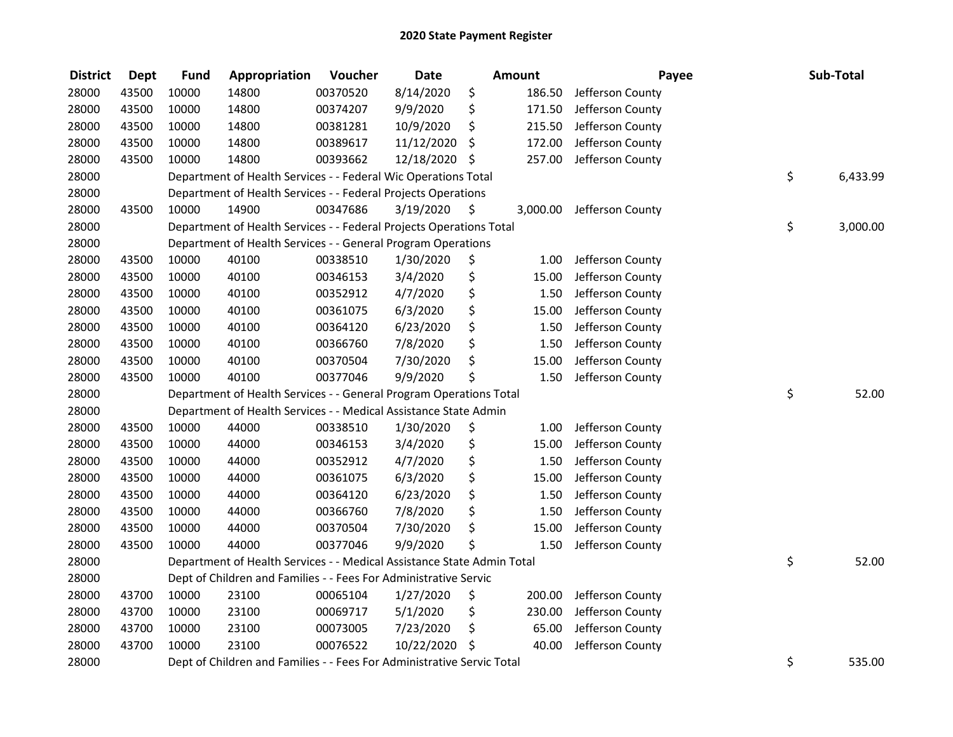| <b>District</b> | <b>Dept</b> | <b>Fund</b> | Appropriation                                                          | Voucher  | <b>Date</b>   |      | Amount   | Payee            | Sub-Total      |
|-----------------|-------------|-------------|------------------------------------------------------------------------|----------|---------------|------|----------|------------------|----------------|
| 28000           | 43500       | 10000       | 14800                                                                  | 00370520 | 8/14/2020     | \$   | 186.50   | Jefferson County |                |
| 28000           | 43500       | 10000       | 14800                                                                  | 00374207 | 9/9/2020      | \$   | 171.50   | Jefferson County |                |
| 28000           | 43500       | 10000       | 14800                                                                  | 00381281 | 10/9/2020     | \$   | 215.50   | Jefferson County |                |
| 28000           | 43500       | 10000       | 14800                                                                  | 00389617 | 11/12/2020    | \$   | 172.00   | Jefferson County |                |
| 28000           | 43500       | 10000       | 14800                                                                  | 00393662 | 12/18/2020 \$ |      | 257.00   | Jefferson County |                |
| 28000           |             |             | Department of Health Services - - Federal Wic Operations Total         |          |               |      |          |                  | \$<br>6,433.99 |
| 28000           |             |             | Department of Health Services - - Federal Projects Operations          |          |               |      |          |                  |                |
| 28000           | 43500       | 10000       | 14900                                                                  | 00347686 | 3/19/2020     | - \$ | 3,000.00 | Jefferson County |                |
| 28000           |             |             | Department of Health Services - - Federal Projects Operations Total    |          |               |      |          |                  | \$<br>3,000.00 |
| 28000           |             |             | Department of Health Services - - General Program Operations           |          |               |      |          |                  |                |
| 28000           | 43500       | 10000       | 40100                                                                  | 00338510 | 1/30/2020     | \$   | 1.00     | Jefferson County |                |
| 28000           | 43500       | 10000       | 40100                                                                  | 00346153 | 3/4/2020      | \$   | 15.00    | Jefferson County |                |
| 28000           | 43500       | 10000       | 40100                                                                  | 00352912 | 4/7/2020      | \$   | 1.50     | Jefferson County |                |
| 28000           | 43500       | 10000       | 40100                                                                  | 00361075 | 6/3/2020      | \$   | 15.00    | Jefferson County |                |
| 28000           | 43500       | 10000       | 40100                                                                  | 00364120 | 6/23/2020     | \$   | 1.50     | Jefferson County |                |
| 28000           | 43500       | 10000       | 40100                                                                  | 00366760 | 7/8/2020      | \$   | 1.50     | Jefferson County |                |
| 28000           | 43500       | 10000       | 40100                                                                  | 00370504 | 7/30/2020     | \$   | 15.00    | Jefferson County |                |
| 28000           | 43500       | 10000       | 40100                                                                  | 00377046 | 9/9/2020      | Ś    | 1.50     | Jefferson County |                |
| 28000           |             |             | Department of Health Services - - General Program Operations Total     |          |               |      |          |                  | \$<br>52.00    |
| 28000           |             |             | Department of Health Services - - Medical Assistance State Admin       |          |               |      |          |                  |                |
| 28000           | 43500       | 10000       | 44000                                                                  | 00338510 | 1/30/2020     | \$   | 1.00     | Jefferson County |                |
| 28000           | 43500       | 10000       | 44000                                                                  | 00346153 | 3/4/2020      | \$   | 15.00    | Jefferson County |                |
| 28000           | 43500       | 10000       | 44000                                                                  | 00352912 | 4/7/2020      | \$   | 1.50     | Jefferson County |                |
| 28000           | 43500       | 10000       | 44000                                                                  | 00361075 | 6/3/2020      | \$   | 15.00    | Jefferson County |                |
| 28000           | 43500       | 10000       | 44000                                                                  | 00364120 | 6/23/2020     | \$   | 1.50     | Jefferson County |                |
| 28000           | 43500       | 10000       | 44000                                                                  | 00366760 | 7/8/2020      | \$   | 1.50     | Jefferson County |                |
| 28000           | 43500       | 10000       | 44000                                                                  | 00370504 | 7/30/2020     | \$   | 15.00    | Jefferson County |                |
| 28000           | 43500       | 10000       | 44000                                                                  | 00377046 | 9/9/2020      | \$   | 1.50     | Jefferson County |                |
| 28000           |             |             | Department of Health Services - - Medical Assistance State Admin Total |          |               |      |          |                  | \$<br>52.00    |
| 28000           |             |             | Dept of Children and Families - - Fees For Administrative Servic       |          |               |      |          |                  |                |
| 28000           | 43700       | 10000       | 23100                                                                  | 00065104 | 1/27/2020     | \$   | 200.00   | Jefferson County |                |
| 28000           | 43700       | 10000       | 23100                                                                  | 00069717 | 5/1/2020      | \$   | 230.00   | Jefferson County |                |
| 28000           | 43700       | 10000       | 23100                                                                  | 00073005 | 7/23/2020     | \$   | 65.00    | Jefferson County |                |
| 28000           | 43700       | 10000       | 23100                                                                  | 00076522 | 10/22/2020    | \$   | 40.00    | Jefferson County |                |
| 28000           |             |             | Dept of Children and Families - - Fees For Administrative Servic Total |          |               |      |          |                  | \$<br>535.00   |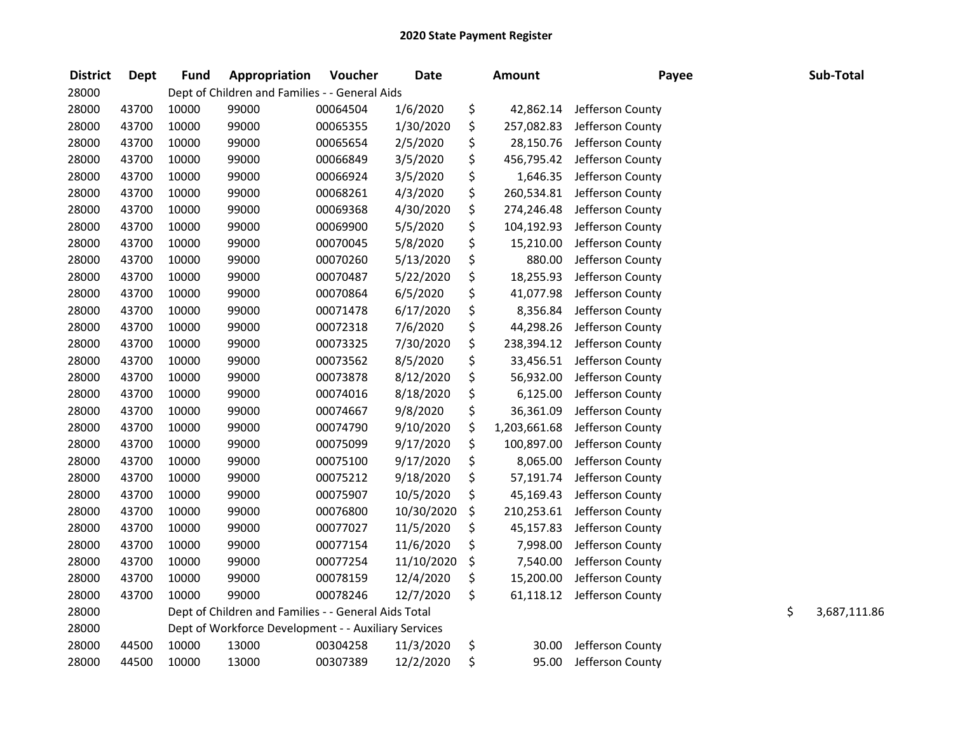| <b>District</b> | <b>Dept</b> | <b>Fund</b> | Appropriation                                        | Voucher  | <b>Date</b> | <b>Amount</b>      | Payee            | Sub-Total          |
|-----------------|-------------|-------------|------------------------------------------------------|----------|-------------|--------------------|------------------|--------------------|
| 28000           |             |             | Dept of Children and Families - - General Aids       |          |             |                    |                  |                    |
| 28000           | 43700       | 10000       | 99000                                                | 00064504 | 1/6/2020    | \$<br>42,862.14    | Jefferson County |                    |
| 28000           | 43700       | 10000       | 99000                                                | 00065355 | 1/30/2020   | \$<br>257,082.83   | Jefferson County |                    |
| 28000           | 43700       | 10000       | 99000                                                | 00065654 | 2/5/2020    | \$<br>28,150.76    | Jefferson County |                    |
| 28000           | 43700       | 10000       | 99000                                                | 00066849 | 3/5/2020    | \$<br>456,795.42   | Jefferson County |                    |
| 28000           | 43700       | 10000       | 99000                                                | 00066924 | 3/5/2020    | \$<br>1,646.35     | Jefferson County |                    |
| 28000           | 43700       | 10000       | 99000                                                | 00068261 | 4/3/2020    | \$<br>260,534.81   | Jefferson County |                    |
| 28000           | 43700       | 10000       | 99000                                                | 00069368 | 4/30/2020   | \$<br>274,246.48   | Jefferson County |                    |
| 28000           | 43700       | 10000       | 99000                                                | 00069900 | 5/5/2020    | \$<br>104,192.93   | Jefferson County |                    |
| 28000           | 43700       | 10000       | 99000                                                | 00070045 | 5/8/2020    | \$<br>15,210.00    | Jefferson County |                    |
| 28000           | 43700       | 10000       | 99000                                                | 00070260 | 5/13/2020   | \$<br>880.00       | Jefferson County |                    |
| 28000           | 43700       | 10000       | 99000                                                | 00070487 | 5/22/2020   | \$<br>18,255.93    | Jefferson County |                    |
| 28000           | 43700       | 10000       | 99000                                                | 00070864 | 6/5/2020    | \$<br>41,077.98    | Jefferson County |                    |
| 28000           | 43700       | 10000       | 99000                                                | 00071478 | 6/17/2020   | \$<br>8,356.84     | Jefferson County |                    |
| 28000           | 43700       | 10000       | 99000                                                | 00072318 | 7/6/2020    | \$<br>44,298.26    | Jefferson County |                    |
| 28000           | 43700       | 10000       | 99000                                                | 00073325 | 7/30/2020   | \$<br>238,394.12   | Jefferson County |                    |
| 28000           | 43700       | 10000       | 99000                                                | 00073562 | 8/5/2020    | \$<br>33,456.51    | Jefferson County |                    |
| 28000           | 43700       | 10000       | 99000                                                | 00073878 | 8/12/2020   | \$<br>56,932.00    | Jefferson County |                    |
| 28000           | 43700       | 10000       | 99000                                                | 00074016 | 8/18/2020   | \$<br>6,125.00     | Jefferson County |                    |
| 28000           | 43700       | 10000       | 99000                                                | 00074667 | 9/8/2020    | \$<br>36,361.09    | Jefferson County |                    |
| 28000           | 43700       | 10000       | 99000                                                | 00074790 | 9/10/2020   | \$<br>1,203,661.68 | Jefferson County |                    |
| 28000           | 43700       | 10000       | 99000                                                | 00075099 | 9/17/2020   | \$<br>100,897.00   | Jefferson County |                    |
| 28000           | 43700       | 10000       | 99000                                                | 00075100 | 9/17/2020   | \$<br>8,065.00     | Jefferson County |                    |
| 28000           | 43700       | 10000       | 99000                                                | 00075212 | 9/18/2020   | \$<br>57,191.74    | Jefferson County |                    |
| 28000           | 43700       | 10000       | 99000                                                | 00075907 | 10/5/2020   | \$<br>45,169.43    | Jefferson County |                    |
| 28000           | 43700       | 10000       | 99000                                                | 00076800 | 10/30/2020  | \$<br>210,253.61   | Jefferson County |                    |
| 28000           | 43700       | 10000       | 99000                                                | 00077027 | 11/5/2020   | \$<br>45,157.83    | Jefferson County |                    |
| 28000           | 43700       | 10000       | 99000                                                | 00077154 | 11/6/2020   | \$<br>7,998.00     | Jefferson County |                    |
| 28000           | 43700       | 10000       | 99000                                                | 00077254 | 11/10/2020  | \$<br>7,540.00     | Jefferson County |                    |
| 28000           | 43700       | 10000       | 99000                                                | 00078159 | 12/4/2020   | \$<br>15,200.00    | Jefferson County |                    |
| 28000           | 43700       | 10000       | 99000                                                | 00078246 | 12/7/2020   | \$<br>61,118.12    | Jefferson County |                    |
| 28000           |             |             | Dept of Children and Families - - General Aids Total |          |             |                    |                  | \$<br>3,687,111.86 |
| 28000           |             |             | Dept of Workforce Development - - Auxiliary Services |          |             |                    |                  |                    |
| 28000           | 44500       | 10000       | 13000                                                | 00304258 | 11/3/2020   | \$<br>30.00        | Jefferson County |                    |
| 28000           | 44500       | 10000       | 13000                                                | 00307389 | 12/2/2020   | \$<br>95.00        | Jefferson County |                    |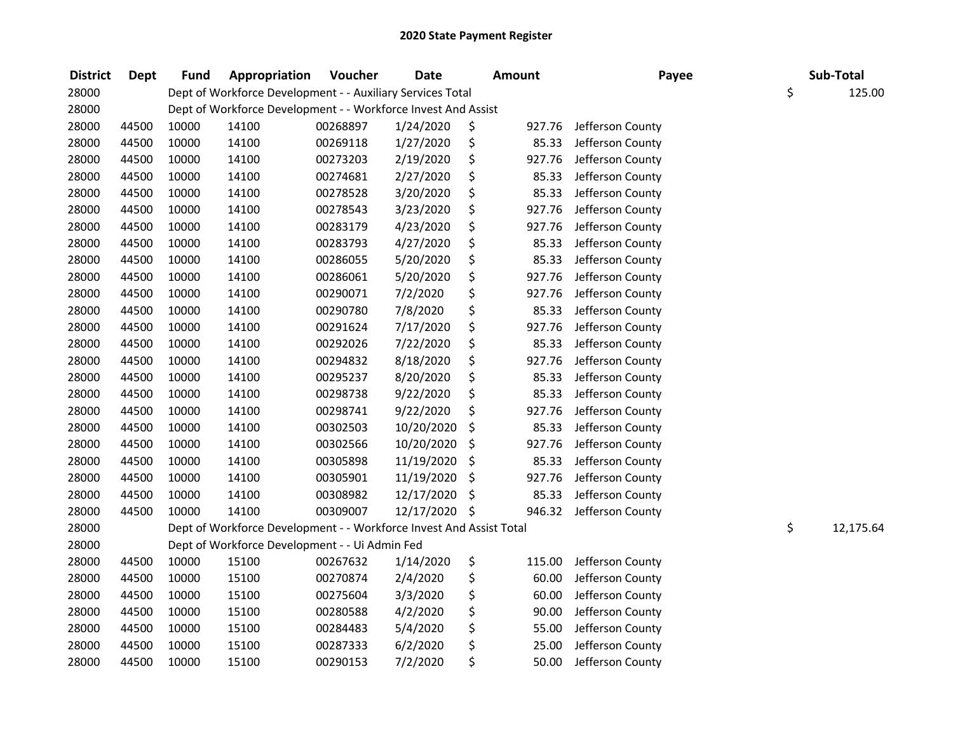| <b>District</b> | <b>Dept</b> | <b>Fund</b> | Appropriation                                                       | Voucher  | <b>Date</b> | <b>Amount</b> | Payee            | Sub-Total       |
|-----------------|-------------|-------------|---------------------------------------------------------------------|----------|-------------|---------------|------------------|-----------------|
| 28000           |             |             | Dept of Workforce Development - - Auxiliary Services Total          |          |             |               |                  | \$<br>125.00    |
| 28000           |             |             | Dept of Workforce Development - - Workforce Invest And Assist       |          |             |               |                  |                 |
| 28000           | 44500       | 10000       | 14100                                                               | 00268897 | 1/24/2020   | \$<br>927.76  | Jefferson County |                 |
| 28000           | 44500       | 10000       | 14100                                                               | 00269118 | 1/27/2020   | \$<br>85.33   | Jefferson County |                 |
| 28000           | 44500       | 10000       | 14100                                                               | 00273203 | 2/19/2020   | \$<br>927.76  | Jefferson County |                 |
| 28000           | 44500       | 10000       | 14100                                                               | 00274681 | 2/27/2020   | \$<br>85.33   | Jefferson County |                 |
| 28000           | 44500       | 10000       | 14100                                                               | 00278528 | 3/20/2020   | \$<br>85.33   | Jefferson County |                 |
| 28000           | 44500       | 10000       | 14100                                                               | 00278543 | 3/23/2020   | \$<br>927.76  | Jefferson County |                 |
| 28000           | 44500       | 10000       | 14100                                                               | 00283179 | 4/23/2020   | \$<br>927.76  | Jefferson County |                 |
| 28000           | 44500       | 10000       | 14100                                                               | 00283793 | 4/27/2020   | \$<br>85.33   | Jefferson County |                 |
| 28000           | 44500       | 10000       | 14100                                                               | 00286055 | 5/20/2020   | \$<br>85.33   | Jefferson County |                 |
| 28000           | 44500       | 10000       | 14100                                                               | 00286061 | 5/20/2020   | \$<br>927.76  | Jefferson County |                 |
| 28000           | 44500       | 10000       | 14100                                                               | 00290071 | 7/2/2020    | \$<br>927.76  | Jefferson County |                 |
| 28000           | 44500       | 10000       | 14100                                                               | 00290780 | 7/8/2020    | \$<br>85.33   | Jefferson County |                 |
| 28000           | 44500       | 10000       | 14100                                                               | 00291624 | 7/17/2020   | \$<br>927.76  | Jefferson County |                 |
| 28000           | 44500       | 10000       | 14100                                                               | 00292026 | 7/22/2020   | \$<br>85.33   | Jefferson County |                 |
| 28000           | 44500       | 10000       | 14100                                                               | 00294832 | 8/18/2020   | \$<br>927.76  | Jefferson County |                 |
| 28000           | 44500       | 10000       | 14100                                                               | 00295237 | 8/20/2020   | \$<br>85.33   | Jefferson County |                 |
| 28000           | 44500       | 10000       | 14100                                                               | 00298738 | 9/22/2020   | \$<br>85.33   | Jefferson County |                 |
| 28000           | 44500       | 10000       | 14100                                                               | 00298741 | 9/22/2020   | \$<br>927.76  | Jefferson County |                 |
| 28000           | 44500       | 10000       | 14100                                                               | 00302503 | 10/20/2020  | \$<br>85.33   | Jefferson County |                 |
| 28000           | 44500       | 10000       | 14100                                                               | 00302566 | 10/20/2020  | \$<br>927.76  | Jefferson County |                 |
| 28000           | 44500       | 10000       | 14100                                                               | 00305898 | 11/19/2020  | \$<br>85.33   | Jefferson County |                 |
| 28000           | 44500       | 10000       | 14100                                                               | 00305901 | 11/19/2020  | \$<br>927.76  | Jefferson County |                 |
| 28000           | 44500       | 10000       | 14100                                                               | 00308982 | 12/17/2020  | \$<br>85.33   | Jefferson County |                 |
| 28000           | 44500       | 10000       | 14100                                                               | 00309007 | 12/17/2020  | \$<br>946.32  | Jefferson County |                 |
| 28000           |             |             | Dept of Workforce Development - - Workforce Invest And Assist Total |          |             |               |                  | \$<br>12,175.64 |
| 28000           |             |             | Dept of Workforce Development - - Ui Admin Fed                      |          |             |               |                  |                 |
| 28000           | 44500       | 10000       | 15100                                                               | 00267632 | 1/14/2020   | \$<br>115.00  | Jefferson County |                 |
| 28000           | 44500       | 10000       | 15100                                                               | 00270874 | 2/4/2020    | \$<br>60.00   | Jefferson County |                 |
| 28000           | 44500       | 10000       | 15100                                                               | 00275604 | 3/3/2020    | \$<br>60.00   | Jefferson County |                 |
| 28000           | 44500       | 10000       | 15100                                                               | 00280588 | 4/2/2020    | \$<br>90.00   | Jefferson County |                 |
| 28000           | 44500       | 10000       | 15100                                                               | 00284483 | 5/4/2020    | \$<br>55.00   | Jefferson County |                 |
| 28000           | 44500       | 10000       | 15100                                                               | 00287333 | 6/2/2020    | \$<br>25.00   | Jefferson County |                 |
| 28000           | 44500       | 10000       | 15100                                                               | 00290153 | 7/2/2020    | \$<br>50.00   | Jefferson County |                 |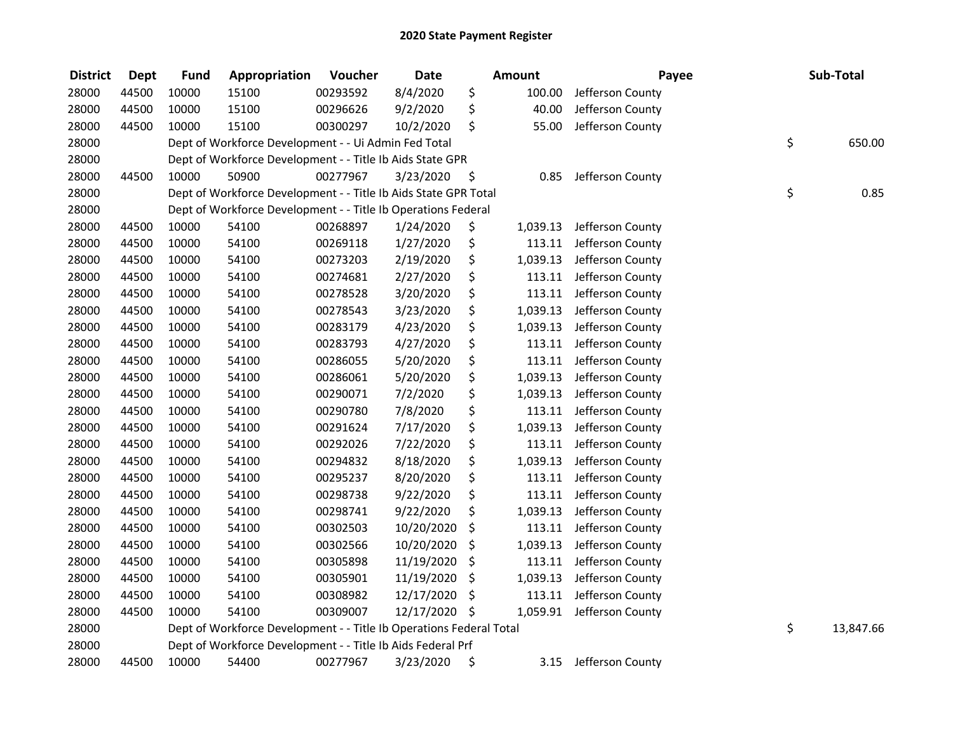| <b>District</b> | <b>Dept</b> | <b>Fund</b> | Appropriation                                                       | Voucher  | <b>Date</b> |     | <b>Amount</b> | Payee            | Sub-Total       |
|-----------------|-------------|-------------|---------------------------------------------------------------------|----------|-------------|-----|---------------|------------------|-----------------|
| 28000           | 44500       | 10000       | 15100                                                               | 00293592 | 8/4/2020    | \$  | 100.00        | Jefferson County |                 |
| 28000           | 44500       | 10000       | 15100                                                               | 00296626 | 9/2/2020    | \$  | 40.00         | Jefferson County |                 |
| 28000           | 44500       | 10000       | 15100                                                               | 00300297 | 10/2/2020   | \$  | 55.00         | Jefferson County |                 |
| 28000           |             |             | Dept of Workforce Development - - Ui Admin Fed Total                |          |             |     |               |                  | \$<br>650.00    |
| 28000           |             |             | Dept of Workforce Development - - Title Ib Aids State GPR           |          |             |     |               |                  |                 |
| 28000           | 44500       | 10000       | 50900                                                               | 00277967 | 3/23/2020   | \$  | 0.85          | Jefferson County |                 |
| 28000           |             |             | Dept of Workforce Development - - Title Ib Aids State GPR Total     |          |             |     |               |                  | \$<br>0.85      |
| 28000           |             |             | Dept of Workforce Development - - Title Ib Operations Federal       |          |             |     |               |                  |                 |
| 28000           | 44500       | 10000       | 54100                                                               | 00268897 | 1/24/2020   | \$  | 1,039.13      | Jefferson County |                 |
| 28000           | 44500       | 10000       | 54100                                                               | 00269118 | 1/27/2020   | \$  | 113.11        | Jefferson County |                 |
| 28000           | 44500       | 10000       | 54100                                                               | 00273203 | 2/19/2020   | \$  | 1,039.13      | Jefferson County |                 |
| 28000           | 44500       | 10000       | 54100                                                               | 00274681 | 2/27/2020   | \$  | 113.11        | Jefferson County |                 |
| 28000           | 44500       | 10000       | 54100                                                               | 00278528 | 3/20/2020   | \$  | 113.11        | Jefferson County |                 |
| 28000           | 44500       | 10000       | 54100                                                               | 00278543 | 3/23/2020   | \$  | 1,039.13      | Jefferson County |                 |
| 28000           | 44500       | 10000       | 54100                                                               | 00283179 | 4/23/2020   | \$  | 1,039.13      | Jefferson County |                 |
| 28000           | 44500       | 10000       | 54100                                                               | 00283793 | 4/27/2020   | \$  | 113.11        | Jefferson County |                 |
| 28000           | 44500       | 10000       | 54100                                                               | 00286055 | 5/20/2020   | \$  | 113.11        | Jefferson County |                 |
| 28000           | 44500       | 10000       | 54100                                                               | 00286061 | 5/20/2020   | \$  | 1,039.13      | Jefferson County |                 |
| 28000           | 44500       | 10000       | 54100                                                               | 00290071 | 7/2/2020    | \$  | 1,039.13      | Jefferson County |                 |
| 28000           | 44500       | 10000       | 54100                                                               | 00290780 | 7/8/2020    | \$  | 113.11        | Jefferson County |                 |
| 28000           | 44500       | 10000       | 54100                                                               | 00291624 | 7/17/2020   | \$  | 1,039.13      | Jefferson County |                 |
| 28000           | 44500       | 10000       | 54100                                                               | 00292026 | 7/22/2020   | \$  | 113.11        | Jefferson County |                 |
| 28000           | 44500       | 10000       | 54100                                                               | 00294832 | 8/18/2020   | \$  | 1,039.13      | Jefferson County |                 |
| 28000           | 44500       | 10000       | 54100                                                               | 00295237 | 8/20/2020   | \$  | 113.11        | Jefferson County |                 |
| 28000           | 44500       | 10000       | 54100                                                               | 00298738 | 9/22/2020   | \$  | 113.11        | Jefferson County |                 |
| 28000           | 44500       | 10000       | 54100                                                               | 00298741 | 9/22/2020   | \$  | 1,039.13      | Jefferson County |                 |
| 28000           | 44500       | 10000       | 54100                                                               | 00302503 | 10/20/2020  | \$  | 113.11        | Jefferson County |                 |
| 28000           | 44500       | 10000       | 54100                                                               | 00302566 | 10/20/2020  | \$  | 1,039.13      | Jefferson County |                 |
| 28000           | 44500       | 10000       | 54100                                                               | 00305898 | 11/19/2020  | \$  | 113.11        | Jefferson County |                 |
| 28000           | 44500       | 10000       | 54100                                                               | 00305901 | 11/19/2020  | \$  | 1,039.13      | Jefferson County |                 |
| 28000           | 44500       | 10000       | 54100                                                               | 00308982 | 12/17/2020  | \$  | 113.11        | Jefferson County |                 |
| 28000           | 44500       | 10000       | 54100                                                               | 00309007 | 12/17/2020  | -\$ | 1,059.91      | Jefferson County |                 |
| 28000           |             |             | Dept of Workforce Development - - Title Ib Operations Federal Total |          |             |     |               |                  | \$<br>13,847.66 |
| 28000           |             |             | Dept of Workforce Development - - Title Ib Aids Federal Prf         |          |             |     |               |                  |                 |
| 28000           | 44500       | 10000       | 54400                                                               | 00277967 | 3/23/2020   | \$  | 3.15          | Jefferson County |                 |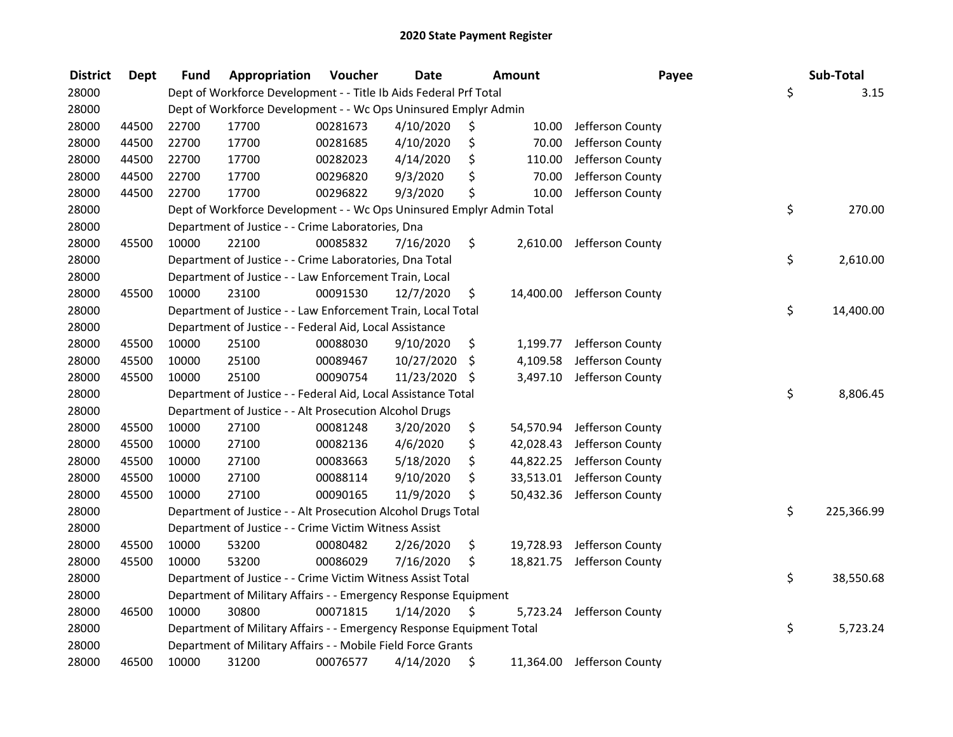| <b>District</b> | <b>Dept</b> | Fund  | Appropriation                                                         | Voucher  | <b>Date</b> |     | <b>Amount</b> | Payee                      | Sub-Total        |
|-----------------|-------------|-------|-----------------------------------------------------------------------|----------|-------------|-----|---------------|----------------------------|------------------|
| 28000           |             |       | Dept of Workforce Development - - Title Ib Aids Federal Prf Total     |          |             |     |               |                            | \$<br>3.15       |
| 28000           |             |       | Dept of Workforce Development - - Wc Ops Uninsured Emplyr Admin       |          |             |     |               |                            |                  |
| 28000           | 44500       | 22700 | 17700                                                                 | 00281673 | 4/10/2020   | \$. | 10.00         | Jefferson County           |                  |
| 28000           | 44500       | 22700 | 17700                                                                 | 00281685 | 4/10/2020   | \$  | 70.00         | Jefferson County           |                  |
| 28000           | 44500       | 22700 | 17700                                                                 | 00282023 | 4/14/2020   | \$  | 110.00        | Jefferson County           |                  |
| 28000           | 44500       | 22700 | 17700                                                                 | 00296820 | 9/3/2020    | \$  | 70.00         | Jefferson County           |                  |
| 28000           | 44500       | 22700 | 17700                                                                 | 00296822 | 9/3/2020    | \$  | 10.00         | Jefferson County           |                  |
| 28000           |             |       | Dept of Workforce Development - - Wc Ops Uninsured Emplyr Admin Total |          |             |     |               |                            | \$<br>270.00     |
| 28000           |             |       | Department of Justice - - Crime Laboratories, Dna                     |          |             |     |               |                            |                  |
| 28000           | 45500       | 10000 | 22100                                                                 | 00085832 | 7/16/2020   | \$  |               | 2,610.00 Jefferson County  |                  |
| 28000           |             |       | Department of Justice - - Crime Laboratories, Dna Total               |          |             |     |               |                            | \$<br>2,610.00   |
| 28000           |             |       | Department of Justice - - Law Enforcement Train, Local                |          |             |     |               |                            |                  |
| 28000           | 45500       | 10000 | 23100                                                                 | 00091530 | 12/7/2020   | \$  | 14,400.00     | Jefferson County           |                  |
| 28000           |             |       | Department of Justice - - Law Enforcement Train, Local Total          |          |             |     |               |                            | \$<br>14,400.00  |
| 28000           |             |       | Department of Justice - - Federal Aid, Local Assistance               |          |             |     |               |                            |                  |
| 28000           | 45500       | 10000 | 25100                                                                 | 00088030 | 9/10/2020   | \$  | 1,199.77      | Jefferson County           |                  |
| 28000           | 45500       | 10000 | 25100                                                                 | 00089467 | 10/27/2020  | \$  | 4,109.58      | Jefferson County           |                  |
| 28000           | 45500       | 10000 | 25100                                                                 | 00090754 | 11/23/2020  | \$  | 3,497.10      | Jefferson County           |                  |
| 28000           |             |       | Department of Justice - - Federal Aid, Local Assistance Total         |          |             |     |               |                            | \$<br>8,806.45   |
| 28000           |             |       | Department of Justice - - Alt Prosecution Alcohol Drugs               |          |             |     |               |                            |                  |
| 28000           | 45500       | 10000 | 27100                                                                 | 00081248 | 3/20/2020   | \$  | 54,570.94     | Jefferson County           |                  |
| 28000           | 45500       | 10000 | 27100                                                                 | 00082136 | 4/6/2020    | \$  | 42,028.43     | Jefferson County           |                  |
| 28000           | 45500       | 10000 | 27100                                                                 | 00083663 | 5/18/2020   | \$  | 44,822.25     | Jefferson County           |                  |
| 28000           | 45500       | 10000 | 27100                                                                 | 00088114 | 9/10/2020   | \$  | 33,513.01     | Jefferson County           |                  |
| 28000           | 45500       | 10000 | 27100                                                                 | 00090165 | 11/9/2020   | \$  | 50,432.36     | Jefferson County           |                  |
| 28000           |             |       | Department of Justice - - Alt Prosecution Alcohol Drugs Total         |          |             |     |               |                            | \$<br>225,366.99 |
| 28000           |             |       | Department of Justice - - Crime Victim Witness Assist                 |          |             |     |               |                            |                  |
| 28000           | 45500       | 10000 | 53200                                                                 | 00080482 | 2/26/2020   | \$  | 19,728.93     | Jefferson County           |                  |
| 28000           | 45500       | 10000 | 53200                                                                 | 00086029 | 7/16/2020   | \$  |               | 18,821.75 Jefferson County |                  |
| 28000           |             |       | Department of Justice - - Crime Victim Witness Assist Total           |          |             |     |               |                            | \$<br>38,550.68  |
| 28000           |             |       | Department of Military Affairs - - Emergency Response Equipment       |          |             |     |               |                            |                  |
| 28000           | 46500       | 10000 | 30800                                                                 | 00071815 | 1/14/2020   | \$  | 5,723.24      | Jefferson County           |                  |
| 28000           |             |       | Department of Military Affairs - - Emergency Response Equipment Total |          |             |     |               |                            | \$<br>5,723.24   |
| 28000           |             |       | Department of Military Affairs - - Mobile Field Force Grants          |          |             |     |               |                            |                  |
| 28000           | 46500       | 10000 | 31200                                                                 | 00076577 | 4/14/2020   | \$  |               | 11,364.00 Jefferson County |                  |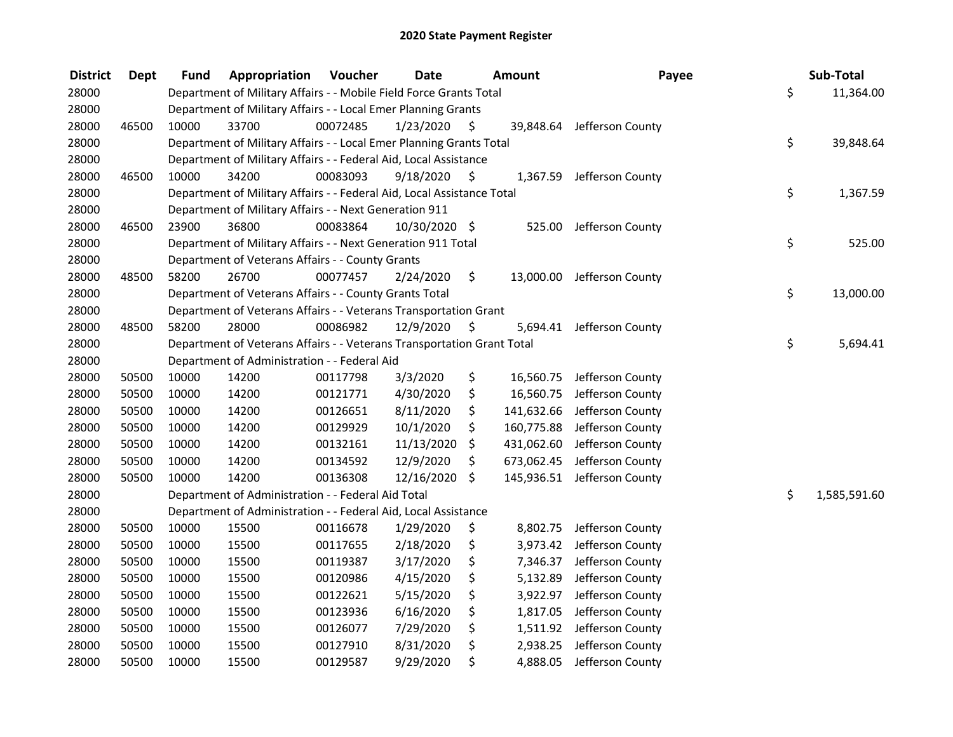| <b>District</b> | <b>Dept</b> | Fund  | Appropriation                                                          | Voucher  | <b>Date</b>   | Amount           | Payee                      | Sub-Total          |
|-----------------|-------------|-------|------------------------------------------------------------------------|----------|---------------|------------------|----------------------------|--------------------|
| 28000           |             |       | Department of Military Affairs - - Mobile Field Force Grants Total     |          |               |                  |                            | \$<br>11,364.00    |
| 28000           |             |       | Department of Military Affairs - - Local Emer Planning Grants          |          |               |                  |                            |                    |
| 28000           | 46500       | 10000 | 33700                                                                  | 00072485 | 1/23/2020     | \$               | 39,848.64 Jefferson County |                    |
| 28000           |             |       | Department of Military Affairs - - Local Emer Planning Grants Total    |          |               |                  |                            | \$<br>39,848.64    |
| 28000           |             |       | Department of Military Affairs - - Federal Aid, Local Assistance       |          |               |                  |                            |                    |
| 28000           | 46500       | 10000 | 34200                                                                  | 00083093 | 9/18/2020     | \$<br>1,367.59   | Jefferson County           |                    |
| 28000           |             |       | Department of Military Affairs - - Federal Aid, Local Assistance Total |          |               |                  |                            | \$<br>1,367.59     |
| 28000           |             |       | Department of Military Affairs - - Next Generation 911                 |          |               |                  |                            |                    |
| 28000           | 46500       | 23900 | 36800                                                                  | 00083864 | 10/30/2020 \$ | 525.00           | Jefferson County           |                    |
| 28000           |             |       | Department of Military Affairs - - Next Generation 911 Total           |          |               |                  |                            | \$<br>525.00       |
| 28000           |             |       | Department of Veterans Affairs - - County Grants                       |          |               |                  |                            |                    |
| 28000           | 48500       | 58200 | 26700                                                                  | 00077457 | 2/24/2020     | \$<br>13,000.00  | Jefferson County           |                    |
| 28000           |             |       | Department of Veterans Affairs - - County Grants Total                 |          |               |                  |                            | \$<br>13,000.00    |
| 28000           |             |       | Department of Veterans Affairs - - Veterans Transportation Grant       |          |               |                  |                            |                    |
| 28000           | 48500       | 58200 | 28000                                                                  | 00086982 | 12/9/2020     | \$<br>5,694.41   | Jefferson County           |                    |
| 28000           |             |       | Department of Veterans Affairs - - Veterans Transportation Grant Total |          |               |                  |                            | \$<br>5,694.41     |
| 28000           |             |       | Department of Administration - - Federal Aid                           |          |               |                  |                            |                    |
| 28000           | 50500       | 10000 | 14200                                                                  | 00117798 | 3/3/2020      | \$<br>16,560.75  | Jefferson County           |                    |
| 28000           | 50500       | 10000 | 14200                                                                  | 00121771 | 4/30/2020     | \$<br>16,560.75  | Jefferson County           |                    |
| 28000           | 50500       | 10000 | 14200                                                                  | 00126651 | 8/11/2020     | \$<br>141,632.66 | Jefferson County           |                    |
| 28000           | 50500       | 10000 | 14200                                                                  | 00129929 | 10/1/2020     | \$<br>160,775.88 | Jefferson County           |                    |
| 28000           | 50500       | 10000 | 14200                                                                  | 00132161 | 11/13/2020    | \$<br>431,062.60 | Jefferson County           |                    |
| 28000           | 50500       | 10000 | 14200                                                                  | 00134592 | 12/9/2020     | \$<br>673,062.45 | Jefferson County           |                    |
| 28000           | 50500       | 10000 | 14200                                                                  | 00136308 | 12/16/2020    | \$<br>145,936.51 | Jefferson County           |                    |
| 28000           |             |       | Department of Administration - - Federal Aid Total                     |          |               |                  |                            | \$<br>1,585,591.60 |
| 28000           |             |       | Department of Administration - - Federal Aid, Local Assistance         |          |               |                  |                            |                    |
| 28000           | 50500       | 10000 | 15500                                                                  | 00116678 | 1/29/2020     | \$<br>8,802.75   | Jefferson County           |                    |
| 28000           | 50500       | 10000 | 15500                                                                  | 00117655 | 2/18/2020     | \$<br>3,973.42   | Jefferson County           |                    |
| 28000           | 50500       | 10000 | 15500                                                                  | 00119387 | 3/17/2020     | \$<br>7,346.37   | Jefferson County           |                    |
| 28000           | 50500       | 10000 | 15500                                                                  | 00120986 | 4/15/2020     | \$<br>5,132.89   | Jefferson County           |                    |
| 28000           | 50500       | 10000 | 15500                                                                  | 00122621 | 5/15/2020     | \$<br>3,922.97   | Jefferson County           |                    |
| 28000           | 50500       | 10000 | 15500                                                                  | 00123936 | 6/16/2020     | \$<br>1,817.05   | Jefferson County           |                    |
| 28000           | 50500       | 10000 | 15500                                                                  | 00126077 | 7/29/2020     | \$               | 1,511.92 Jefferson County  |                    |
| 28000           | 50500       | 10000 | 15500                                                                  | 00127910 | 8/31/2020     | \$<br>2,938.25   | Jefferson County           |                    |
| 28000           | 50500       | 10000 | 15500                                                                  | 00129587 | 9/29/2020     | \$<br>4,888.05   | Jefferson County           |                    |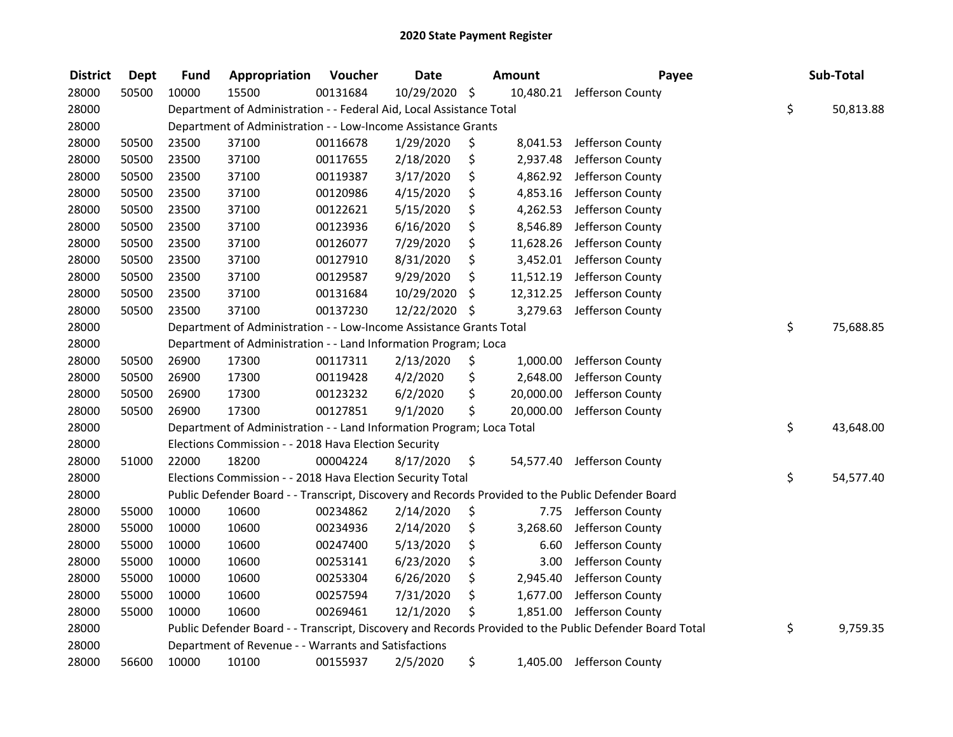| <b>District</b> | <b>Dept</b> | <b>Fund</b> | Appropriation                                                         | Voucher  | <b>Date</b>   | Amount          | Payee                                                                                                   | Sub-Total       |
|-----------------|-------------|-------------|-----------------------------------------------------------------------|----------|---------------|-----------------|---------------------------------------------------------------------------------------------------------|-----------------|
| 28000           | 50500       | 10000       | 15500                                                                 | 00131684 | 10/29/2020 \$ |                 | 10,480.21 Jefferson County                                                                              |                 |
| 28000           |             |             | Department of Administration - - Federal Aid, Local Assistance Total  |          |               |                 |                                                                                                         | \$<br>50,813.88 |
| 28000           |             |             | Department of Administration - - Low-Income Assistance Grants         |          |               |                 |                                                                                                         |                 |
| 28000           | 50500       | 23500       | 37100                                                                 | 00116678 | 1/29/2020     | \$<br>8,041.53  | Jefferson County                                                                                        |                 |
| 28000           | 50500       | 23500       | 37100                                                                 | 00117655 | 2/18/2020     | \$<br>2,937.48  | Jefferson County                                                                                        |                 |
| 28000           | 50500       | 23500       | 37100                                                                 | 00119387 | 3/17/2020     | \$<br>4,862.92  | Jefferson County                                                                                        |                 |
| 28000           | 50500       | 23500       | 37100                                                                 | 00120986 | 4/15/2020     | \$<br>4,853.16  | Jefferson County                                                                                        |                 |
| 28000           | 50500       | 23500       | 37100                                                                 | 00122621 | 5/15/2020     | \$<br>4,262.53  | Jefferson County                                                                                        |                 |
| 28000           | 50500       | 23500       | 37100                                                                 | 00123936 | 6/16/2020     | \$<br>8,546.89  | Jefferson County                                                                                        |                 |
| 28000           | 50500       | 23500       | 37100                                                                 | 00126077 | 7/29/2020     | \$<br>11,628.26 | Jefferson County                                                                                        |                 |
| 28000           | 50500       | 23500       | 37100                                                                 | 00127910 | 8/31/2020     | \$<br>3,452.01  | Jefferson County                                                                                        |                 |
| 28000           | 50500       | 23500       | 37100                                                                 | 00129587 | 9/29/2020     | \$<br>11,512.19 | Jefferson County                                                                                        |                 |
| 28000           | 50500       | 23500       | 37100                                                                 | 00131684 | 10/29/2020    | \$<br>12,312.25 | Jefferson County                                                                                        |                 |
| 28000           | 50500       | 23500       | 37100                                                                 | 00137230 | 12/22/2020    | \$<br>3,279.63  | Jefferson County                                                                                        |                 |
| 28000           |             |             | Department of Administration - - Low-Income Assistance Grants Total   |          |               |                 |                                                                                                         | \$<br>75,688.85 |
| 28000           |             |             | Department of Administration - - Land Information Program; Loca       |          |               |                 |                                                                                                         |                 |
| 28000           | 50500       | 26900       | 17300                                                                 | 00117311 | 2/13/2020     | \$<br>1,000.00  | Jefferson County                                                                                        |                 |
| 28000           | 50500       | 26900       | 17300                                                                 | 00119428 | 4/2/2020      | \$<br>2,648.00  | Jefferson County                                                                                        |                 |
| 28000           | 50500       | 26900       | 17300                                                                 | 00123232 | 6/2/2020      | \$<br>20,000.00 | Jefferson County                                                                                        |                 |
| 28000           | 50500       | 26900       | 17300                                                                 | 00127851 | 9/1/2020      | \$<br>20,000.00 | Jefferson County                                                                                        |                 |
| 28000           |             |             | Department of Administration - - Land Information Program; Loca Total |          |               |                 |                                                                                                         | \$<br>43,648.00 |
| 28000           |             |             | Elections Commission - - 2018 Hava Election Security                  |          |               |                 |                                                                                                         |                 |
| 28000           | 51000       | 22000       | 18200                                                                 | 00004224 | 8/17/2020     | \$<br>54,577.40 | Jefferson County                                                                                        |                 |
| 28000           |             |             | Elections Commission - - 2018 Hava Election Security Total            |          |               |                 |                                                                                                         | \$<br>54,577.40 |
| 28000           |             |             |                                                                       |          |               |                 | Public Defender Board - - Transcript, Discovery and Records Provided to the Public Defender Board       |                 |
| 28000           | 55000       | 10000       | 10600                                                                 | 00234862 | 2/14/2020     | \$<br>7.75      | Jefferson County                                                                                        |                 |
| 28000           | 55000       | 10000       | 10600                                                                 | 00234936 | 2/14/2020     | \$<br>3,268.60  | Jefferson County                                                                                        |                 |
| 28000           | 55000       | 10000       | 10600                                                                 | 00247400 | 5/13/2020     | \$<br>6.60      | Jefferson County                                                                                        |                 |
| 28000           | 55000       | 10000       | 10600                                                                 | 00253141 | 6/23/2020     | \$<br>3.00      | Jefferson County                                                                                        |                 |
| 28000           | 55000       | 10000       | 10600                                                                 | 00253304 | 6/26/2020     | \$<br>2,945.40  | Jefferson County                                                                                        |                 |
| 28000           | 55000       | 10000       | 10600                                                                 | 00257594 | 7/31/2020     | \$<br>1,677.00  | Jefferson County                                                                                        |                 |
| 28000           | 55000       | 10000       | 10600                                                                 | 00269461 | 12/1/2020     | \$              | 1,851.00 Jefferson County                                                                               |                 |
| 28000           |             |             |                                                                       |          |               |                 | Public Defender Board - - Transcript, Discovery and Records Provided to the Public Defender Board Total | \$<br>9,759.35  |
| 28000           |             |             | Department of Revenue - - Warrants and Satisfactions                  |          |               |                 |                                                                                                         |                 |
| 28000           | 56600       | 10000       | 10100                                                                 | 00155937 | 2/5/2020      | \$<br>1,405.00  | Jefferson County                                                                                        |                 |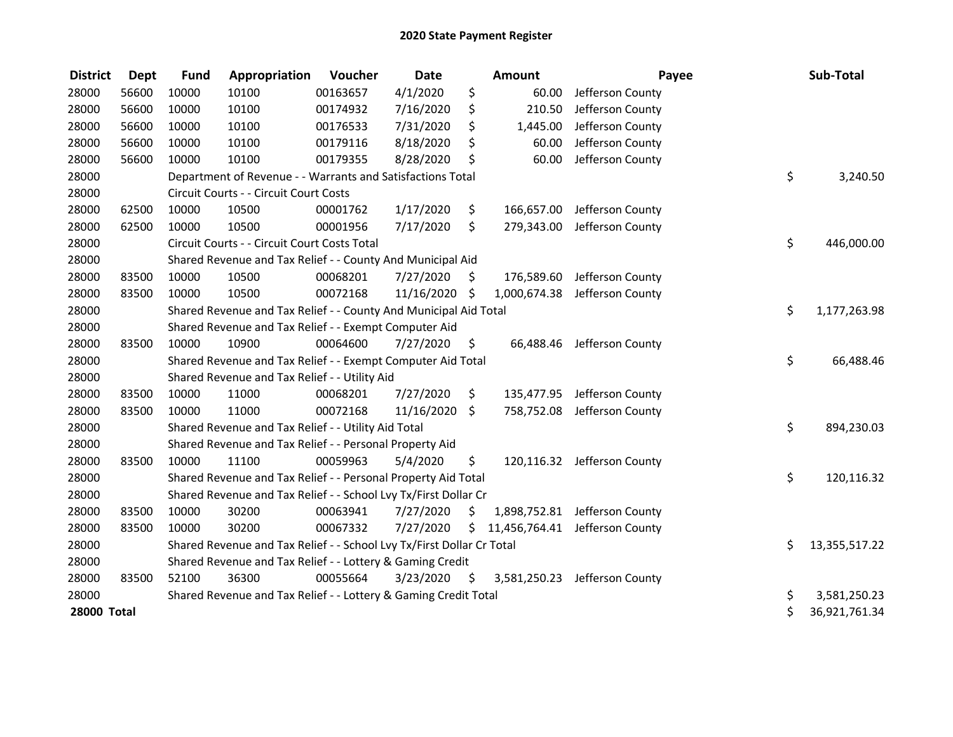| <b>District</b>    | <b>Dept</b> | <b>Fund</b> | Appropriation                                                         | Voucher  | <b>Date</b>   |     | <b>Amount</b> | Payee                          | Sub-Total           |
|--------------------|-------------|-------------|-----------------------------------------------------------------------|----------|---------------|-----|---------------|--------------------------------|---------------------|
| 28000              | 56600       | 10000       | 10100                                                                 | 00163657 | 4/1/2020      | \$  | 60.00         | Jefferson County               |                     |
| 28000              | 56600       | 10000       | 10100                                                                 | 00174932 | 7/16/2020     | \$  | 210.50        | Jefferson County               |                     |
| 28000              | 56600       | 10000       | 10100                                                                 | 00176533 | 7/31/2020     | Ś.  | 1,445.00      | Jefferson County               |                     |
| 28000              | 56600       | 10000       | 10100                                                                 | 00179116 | 8/18/2020     | \$  | 60.00         | Jefferson County               |                     |
| 28000              | 56600       | 10000       | 10100                                                                 | 00179355 | 8/28/2020     | \$  | 60.00         | Jefferson County               |                     |
| 28000              |             |             | Department of Revenue - - Warrants and Satisfactions Total            |          |               |     |               |                                | \$<br>3,240.50      |
| 28000              |             |             | Circuit Courts - - Circuit Court Costs                                |          |               |     |               |                                |                     |
| 28000              | 62500       | 10000       | 10500                                                                 | 00001762 | 1/17/2020     | \$  | 166,657.00    | Jefferson County               |                     |
| 28000              | 62500       | 10000       | 10500                                                                 | 00001956 | 7/17/2020     | \$  | 279,343.00    | Jefferson County               |                     |
| 28000              |             |             | Circuit Courts - - Circuit Court Costs Total                          |          |               |     |               |                                | \$<br>446,000.00    |
| 28000              |             |             | Shared Revenue and Tax Relief - - County And Municipal Aid            |          |               |     |               |                                |                     |
| 28000              | 83500       | 10000       | 10500                                                                 | 00068201 | 7/27/2020     | S.  |               | 176,589.60 Jefferson County    |                     |
| 28000              | 83500       | 10000       | 10500                                                                 | 00072168 | 11/16/2020 \$ |     |               | 1,000,674.38 Jefferson County  |                     |
| 28000              |             |             | Shared Revenue and Tax Relief - - County And Municipal Aid Total      |          |               |     |               |                                | \$<br>1,177,263.98  |
| 28000              |             |             | Shared Revenue and Tax Relief - - Exempt Computer Aid                 |          |               |     |               |                                |                     |
| 28000              | 83500       | 10000       | 10900                                                                 | 00064600 | 7/27/2020     | \$  |               | 66,488.46 Jefferson County     |                     |
| 28000              |             |             | Shared Revenue and Tax Relief - - Exempt Computer Aid Total           |          |               |     |               |                                | \$<br>66,488.46     |
| 28000              |             |             | Shared Revenue and Tax Relief - - Utility Aid                         |          |               |     |               |                                |                     |
| 28000              | 83500       | 10000       | 11000                                                                 | 00068201 | 7/27/2020     | \$  |               | 135,477.95 Jefferson County    |                     |
| 28000              | 83500       | 10000       | 11000                                                                 | 00072168 | 11/16/2020    | \$  |               | 758,752.08 Jefferson County    |                     |
| 28000              |             |             | Shared Revenue and Tax Relief - - Utility Aid Total                   |          |               |     |               |                                | \$<br>894,230.03    |
| 28000              |             |             | Shared Revenue and Tax Relief - - Personal Property Aid               |          |               |     |               |                                |                     |
| 28000              | 83500       | 10000       | 11100                                                                 | 00059963 | 5/4/2020      | \$  |               | 120,116.32 Jefferson County    |                     |
| 28000              |             |             | Shared Revenue and Tax Relief - - Personal Property Aid Total         |          |               |     |               |                                | \$<br>120,116.32    |
| 28000              |             |             | Shared Revenue and Tax Relief - - School Lvy Tx/First Dollar Cr       |          |               |     |               |                                |                     |
| 28000              | 83500       | 10000       | 30200                                                                 | 00063941 | 7/27/2020     | \$  |               | 1,898,752.81 Jefferson County  |                     |
| 28000              | 83500       | 10000       | 30200                                                                 | 00067332 | 7/27/2020     | \$  |               | 11,456,764.41 Jefferson County |                     |
| 28000              |             |             | Shared Revenue and Tax Relief - - School Lvy Tx/First Dollar Cr Total |          |               |     |               |                                | \$<br>13,355,517.22 |
| 28000              |             |             | Shared Revenue and Tax Relief - - Lottery & Gaming Credit             |          |               |     |               |                                |                     |
| 28000              | 83500       | 52100       | 36300                                                                 | 00055664 | 3/23/2020     | \$. |               | 3,581,250.23 Jefferson County  |                     |
| 28000              |             |             | Shared Revenue and Tax Relief - - Lottery & Gaming Credit Total       |          |               |     |               |                                | \$<br>3,581,250.23  |
| <b>28000 Total</b> |             |             |                                                                       |          |               |     |               |                                | \$<br>36,921,761.34 |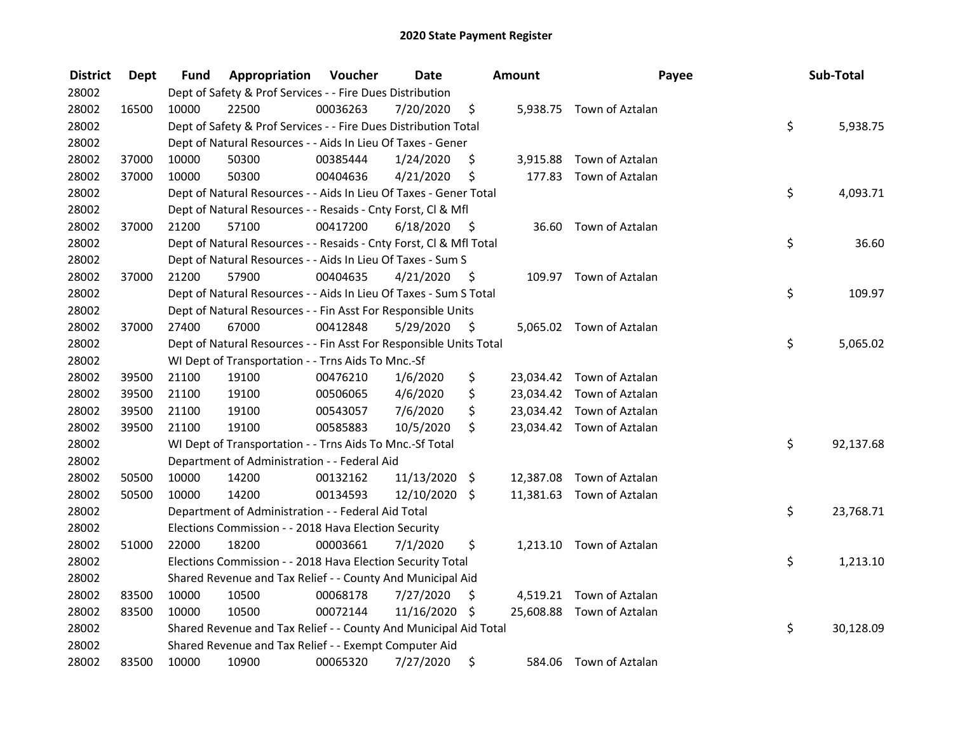| <b>District</b> | Dept  | Fund  | Appropriation                                                      | Voucher  | <b>Date</b> |      | Amount    | Payee                     | Sub-Total       |
|-----------------|-------|-------|--------------------------------------------------------------------|----------|-------------|------|-----------|---------------------------|-----------------|
| 28002           |       |       | Dept of Safety & Prof Services - - Fire Dues Distribution          |          |             |      |           |                           |                 |
| 28002           | 16500 | 10000 | 22500                                                              | 00036263 | 7/20/2020   | \$   |           | 5,938.75 Town of Aztalan  |                 |
| 28002           |       |       | Dept of Safety & Prof Services - - Fire Dues Distribution Total    |          |             |      |           |                           | \$<br>5,938.75  |
| 28002           |       |       | Dept of Natural Resources - - Aids In Lieu Of Taxes - Gener        |          |             |      |           |                           |                 |
| 28002           | 37000 | 10000 | 50300                                                              | 00385444 | 1/24/2020   | \$   | 3,915.88  | Town of Aztalan           |                 |
| 28002           | 37000 | 10000 | 50300                                                              | 00404636 | 4/21/2020   | \$   | 177.83    | Town of Aztalan           |                 |
| 28002           |       |       | Dept of Natural Resources - - Aids In Lieu Of Taxes - Gener Total  |          |             |      |           |                           | \$<br>4,093.71  |
| 28002           |       |       | Dept of Natural Resources - - Resaids - Cnty Forst, Cl & Mfl       |          |             |      |           |                           |                 |
| 28002           | 37000 | 21200 | 57100                                                              | 00417200 | 6/18/2020   | - \$ |           | 36.60 Town of Aztalan     |                 |
| 28002           |       |       | Dept of Natural Resources - - Resaids - Cnty Forst, Cl & Mfl Total |          |             |      |           |                           | \$<br>36.60     |
| 28002           |       |       | Dept of Natural Resources - - Aids In Lieu Of Taxes - Sum S        |          |             |      |           |                           |                 |
| 28002           | 37000 | 21200 | 57900                                                              | 00404635 | 4/21/2020   | -\$  |           | 109.97 Town of Aztalan    |                 |
| 28002           |       |       | Dept of Natural Resources - - Aids In Lieu Of Taxes - Sum S Total  |          |             |      |           |                           | \$<br>109.97    |
| 28002           |       |       | Dept of Natural Resources - - Fin Asst For Responsible Units       |          |             |      |           |                           |                 |
| 28002           | 37000 | 27400 | 67000                                                              | 00412848 | 5/29/2020   | \$   |           | 5,065.02 Town of Aztalan  |                 |
| 28002           |       |       | Dept of Natural Resources - - Fin Asst For Responsible Units Total |          |             |      |           |                           | \$<br>5,065.02  |
| 28002           |       |       | WI Dept of Transportation - - Trns Aids To Mnc.-Sf                 |          |             |      |           |                           |                 |
| 28002           | 39500 | 21100 | 19100                                                              | 00476210 | 1/6/2020    | \$   |           | 23,034.42 Town of Aztalan |                 |
| 28002           | 39500 | 21100 | 19100                                                              | 00506065 | 4/6/2020    | \$   |           | 23,034.42 Town of Aztalan |                 |
| 28002           | 39500 | 21100 | 19100                                                              | 00543057 | 7/6/2020    | \$   |           | 23,034.42 Town of Aztalan |                 |
| 28002           | 39500 | 21100 | 19100                                                              | 00585883 | 10/5/2020   | \$   |           | 23,034.42 Town of Aztalan |                 |
| 28002           |       |       | WI Dept of Transportation - - Trns Aids To Mnc.-Sf Total           |          |             |      |           |                           | \$<br>92,137.68 |
| 28002           |       |       | Department of Administration - - Federal Aid                       |          |             |      |           |                           |                 |
| 28002           | 50500 | 10000 | 14200                                                              | 00132162 | 11/13/2020  | \$   | 12,387.08 | Town of Aztalan           |                 |
| 28002           | 50500 | 10000 | 14200                                                              | 00134593 | 12/10/2020  | \$   |           | 11,381.63 Town of Aztalan |                 |
| 28002           |       |       | Department of Administration - - Federal Aid Total                 |          |             |      |           |                           | \$<br>23,768.71 |
| 28002           |       |       | Elections Commission - - 2018 Hava Election Security               |          |             |      |           |                           |                 |
| 28002           | 51000 | 22000 | 18200                                                              | 00003661 | 7/1/2020    | \$   |           | 1,213.10 Town of Aztalan  |                 |
| 28002           |       |       | Elections Commission - - 2018 Hava Election Security Total         |          |             |      |           |                           | \$<br>1,213.10  |
| 28002           |       |       | Shared Revenue and Tax Relief - - County And Municipal Aid         |          |             |      |           |                           |                 |
| 28002           | 83500 | 10000 | 10500                                                              | 00068178 | 7/27/2020   | \$   |           | 4,519.21 Town of Aztalan  |                 |
| 28002           | 83500 | 10000 | 10500                                                              | 00072144 | 11/16/2020  | - \$ |           | 25,608.88 Town of Aztalan |                 |
| 28002           |       |       | Shared Revenue and Tax Relief - - County And Municipal Aid Total   |          |             |      |           |                           | \$<br>30,128.09 |
| 28002           |       |       | Shared Revenue and Tax Relief - - Exempt Computer Aid              |          |             |      |           |                           |                 |
| 28002           | 83500 | 10000 | 10900                                                              | 00065320 | 7/27/2020   | \$   |           | 584.06 Town of Aztalan    |                 |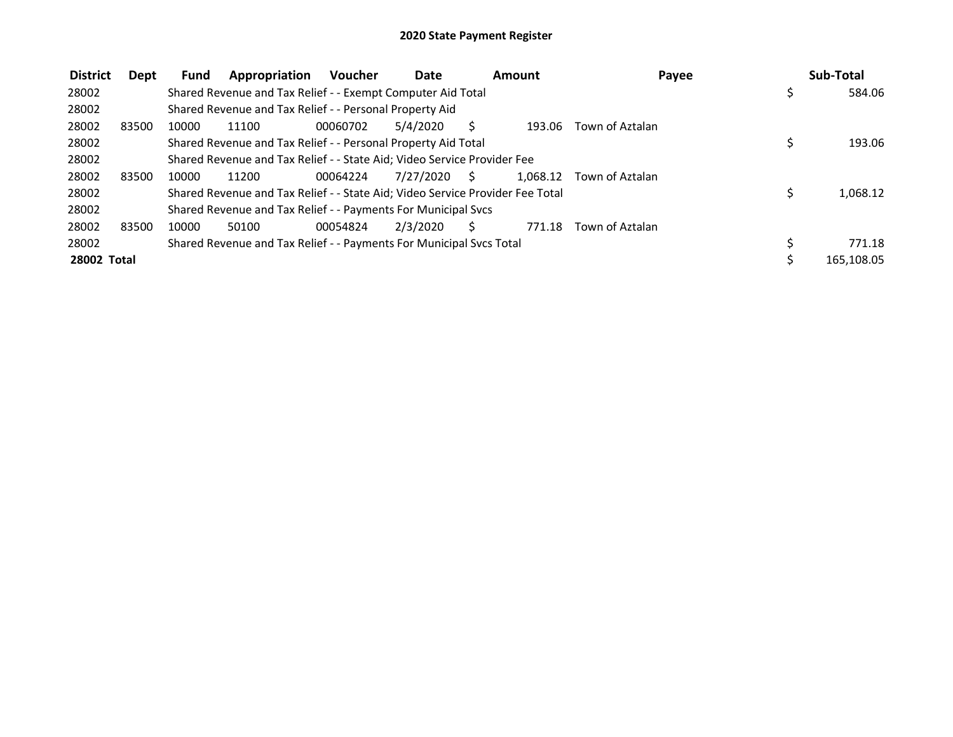| <b>District</b> | Dept  | Fund  | Appropriation                                                                 | <b>Voucher</b> | <b>Date</b> |    | Amount   | Payee           | Sub-Total    |
|-----------------|-------|-------|-------------------------------------------------------------------------------|----------------|-------------|----|----------|-----------------|--------------|
| 28002           |       |       | Shared Revenue and Tax Relief - - Exempt Computer Aid Total                   |                |             |    |          |                 | \$<br>584.06 |
| 28002           |       |       | Shared Revenue and Tax Relief - - Personal Property Aid                       |                |             |    |          |                 |              |
| 28002           | 83500 | 10000 | 11100                                                                         | 00060702       | 5/4/2020    | S  | 193.06   | Town of Aztalan |              |
| 28002           |       |       | Shared Revenue and Tax Relief - - Personal Property Aid Total                 |                |             |    |          |                 | 193.06       |
| 28002           |       |       | Shared Revenue and Tax Relief - - State Aid; Video Service Provider Fee       |                |             |    |          |                 |              |
| 28002           | 83500 | 10000 | 11200                                                                         | 00064224       | 7/27/2020   | S. | 1.068.12 | Town of Aztalan |              |
| 28002           |       |       | Shared Revenue and Tax Relief - - State Aid; Video Service Provider Fee Total |                |             |    |          |                 | 1.068.12     |
| 28002           |       |       | Shared Revenue and Tax Relief - - Payments For Municipal Svcs                 |                |             |    |          |                 |              |
| 28002           | 83500 | 10000 | 50100                                                                         | 00054824       | 2/3/2020    |    | 771.18   | Town of Aztalan |              |
| 28002           |       |       | Shared Revenue and Tax Relief - - Payments For Municipal Svcs Total           |                |             |    |          |                 | 771.18       |
| 28002 Total     |       |       |                                                                               |                |             |    |          |                 | 165,108.05   |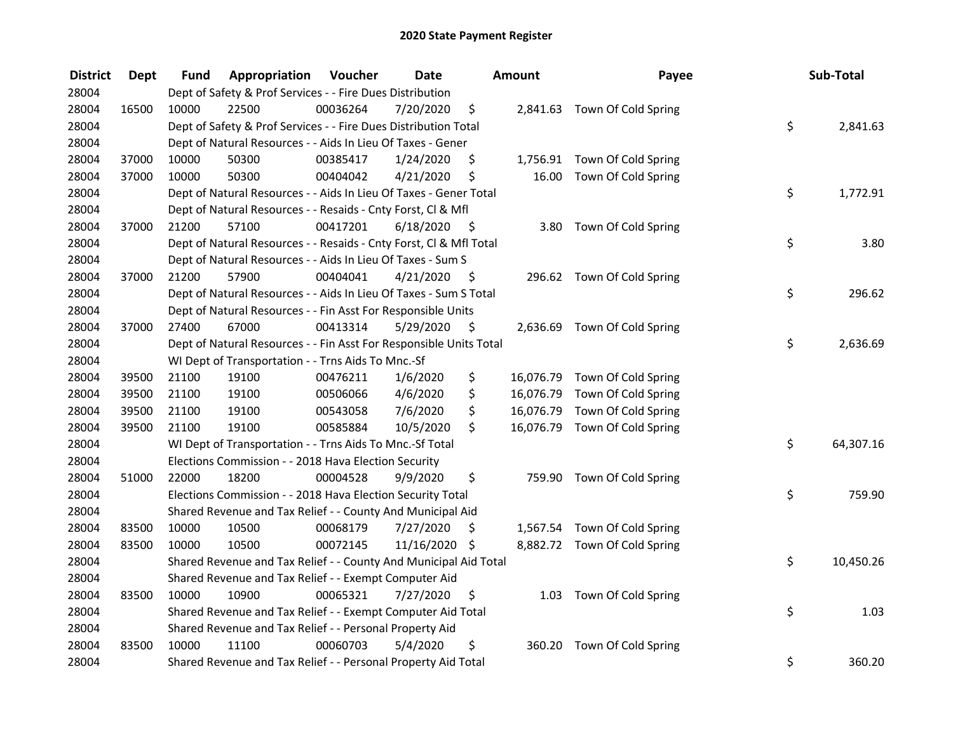| <b>District</b> | <b>Dept</b> | Fund  | Appropriation                                                      | Voucher  | <b>Date</b>   |      | <b>Amount</b> | Payee                         | Sub-Total       |
|-----------------|-------------|-------|--------------------------------------------------------------------|----------|---------------|------|---------------|-------------------------------|-----------------|
| 28004           |             |       | Dept of Safety & Prof Services - - Fire Dues Distribution          |          |               |      |               |                               |                 |
| 28004           | 16500       | 10000 | 22500                                                              | 00036264 | 7/20/2020     | \$   |               | 2,841.63 Town Of Cold Spring  |                 |
| 28004           |             |       | Dept of Safety & Prof Services - - Fire Dues Distribution Total    |          |               |      |               |                               | \$<br>2,841.63  |
| 28004           |             |       | Dept of Natural Resources - - Aids In Lieu Of Taxes - Gener        |          |               |      |               |                               |                 |
| 28004           | 37000       | 10000 | 50300                                                              | 00385417 | 1/24/2020     | \$   |               | 1,756.91 Town Of Cold Spring  |                 |
| 28004           | 37000       | 10000 | 50300                                                              | 00404042 | 4/21/2020     | \$   | 16.00         | Town Of Cold Spring           |                 |
| 28004           |             |       | Dept of Natural Resources - - Aids In Lieu Of Taxes - Gener Total  |          |               |      |               |                               | \$<br>1,772.91  |
| 28004           |             |       | Dept of Natural Resources - - Resaids - Cnty Forst, CI & Mfl       |          |               |      |               |                               |                 |
| 28004           | 37000       | 21200 | 57100                                                              | 00417201 | 6/18/2020     | - \$ | 3.80          | Town Of Cold Spring           |                 |
| 28004           |             |       | Dept of Natural Resources - - Resaids - Cnty Forst, Cl & Mfl Total |          |               |      |               |                               | \$<br>3.80      |
| 28004           |             |       | Dept of Natural Resources - - Aids In Lieu Of Taxes - Sum S        |          |               |      |               |                               |                 |
| 28004           | 37000       | 21200 | 57900                                                              | 00404041 | 4/21/2020     | -\$  |               | 296.62 Town Of Cold Spring    |                 |
| 28004           |             |       | Dept of Natural Resources - - Aids In Lieu Of Taxes - Sum S Total  |          |               |      |               |                               | \$<br>296.62    |
| 28004           |             |       | Dept of Natural Resources - - Fin Asst For Responsible Units       |          |               |      |               |                               |                 |
| 28004           | 37000       | 27400 | 67000                                                              | 00413314 | 5/29/2020     | \$   |               | 2,636.69 Town Of Cold Spring  |                 |
| 28004           |             |       | Dept of Natural Resources - - Fin Asst For Responsible Units Total |          |               |      |               |                               | \$<br>2,636.69  |
| 28004           |             |       | WI Dept of Transportation - - Trns Aids To Mnc.-Sf                 |          |               |      |               |                               |                 |
| 28004           | 39500       | 21100 | 19100                                                              | 00476211 | 1/6/2020      | \$   | 16,076.79     | Town Of Cold Spring           |                 |
| 28004           | 39500       | 21100 | 19100                                                              | 00506066 | 4/6/2020      | \$   |               | 16,076.79 Town Of Cold Spring |                 |
| 28004           | 39500       | 21100 | 19100                                                              | 00543058 | 7/6/2020      | \$   |               | 16,076.79 Town Of Cold Spring |                 |
| 28004           | 39500       | 21100 | 19100                                                              | 00585884 | 10/5/2020     | \$   |               | 16,076.79 Town Of Cold Spring |                 |
| 28004           |             |       | WI Dept of Transportation - - Trns Aids To Mnc.-Sf Total           |          |               |      |               |                               | \$<br>64,307.16 |
| 28004           |             |       | Elections Commission - - 2018 Hava Election Security               |          |               |      |               |                               |                 |
| 28004           | 51000       | 22000 | 18200                                                              | 00004528 | 9/9/2020      | \$   |               | 759.90 Town Of Cold Spring    |                 |
| 28004           |             |       | Elections Commission - - 2018 Hava Election Security Total         |          |               |      |               |                               | \$<br>759.90    |
| 28004           |             |       | Shared Revenue and Tax Relief - - County And Municipal Aid         |          |               |      |               |                               |                 |
| 28004           | 83500       | 10000 | 10500                                                              | 00068179 | 7/27/2020     | \$   |               | 1,567.54 Town Of Cold Spring  |                 |
| 28004           | 83500       | 10000 | 10500                                                              | 00072145 | 11/16/2020 \$ |      |               | 8,882.72 Town Of Cold Spring  |                 |
| 28004           |             |       | Shared Revenue and Tax Relief - - County And Municipal Aid Total   |          |               |      |               |                               | \$<br>10,450.26 |
| 28004           |             |       | Shared Revenue and Tax Relief - - Exempt Computer Aid              |          |               |      |               |                               |                 |
| 28004           | 83500       | 10000 | 10900                                                              | 00065321 | 7/27/2020     | \$   |               | 1.03 Town Of Cold Spring      |                 |
| 28004           |             |       | Shared Revenue and Tax Relief - - Exempt Computer Aid Total        |          |               |      |               |                               | \$<br>1.03      |
| 28004           |             |       | Shared Revenue and Tax Relief - - Personal Property Aid            |          |               |      |               |                               |                 |
| 28004           | 83500       | 10000 | 11100                                                              | 00060703 | 5/4/2020      | \$   | 360.20        | Town Of Cold Spring           |                 |
| 28004           |             |       | Shared Revenue and Tax Relief - - Personal Property Aid Total      |          |               |      |               |                               | \$<br>360.20    |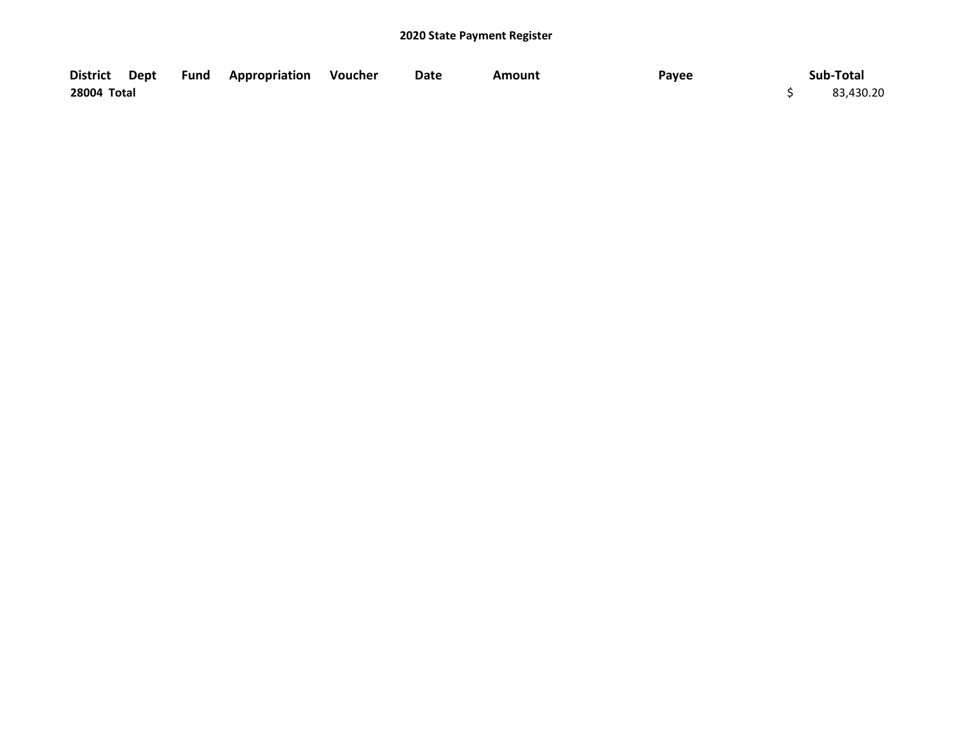|             |  | District Dept Fund Appropriation Voucher | Date | Amount | Payee | Sub-Total |
|-------------|--|------------------------------------------|------|--------|-------|-----------|
| 28004 Total |  |                                          |      |        |       | 83,430.20 |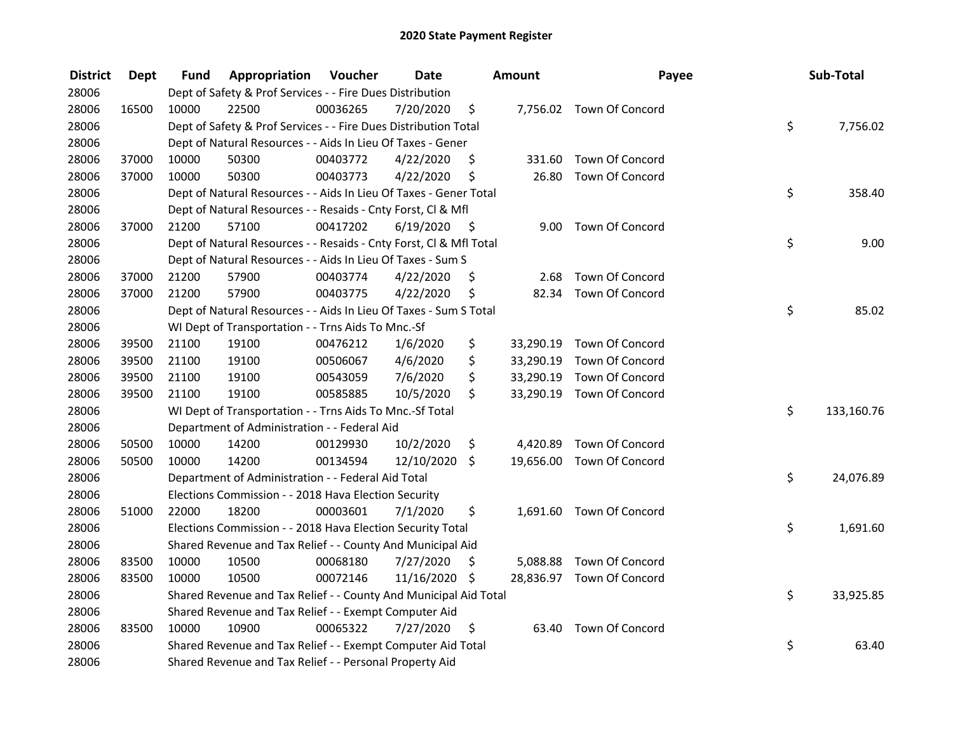| <b>District</b> | Dept  | Fund  | Appropriation                                                      | Voucher  | <b>Date</b>   |      | <b>Amount</b> | Payee                     | Sub-Total        |
|-----------------|-------|-------|--------------------------------------------------------------------|----------|---------------|------|---------------|---------------------------|------------------|
| 28006           |       |       | Dept of Safety & Prof Services - - Fire Dues Distribution          |          |               |      |               |                           |                  |
| 28006           | 16500 | 10000 | 22500                                                              | 00036265 | 7/20/2020     | \$   |               | 7,756.02 Town Of Concord  |                  |
| 28006           |       |       | Dept of Safety & Prof Services - - Fire Dues Distribution Total    |          |               |      |               |                           | \$<br>7,756.02   |
| 28006           |       |       | Dept of Natural Resources - - Aids In Lieu Of Taxes - Gener        |          |               |      |               |                           |                  |
| 28006           | 37000 | 10000 | 50300                                                              | 00403772 | 4/22/2020     | \$   | 331.60        | Town Of Concord           |                  |
| 28006           | 37000 | 10000 | 50300                                                              | 00403773 | 4/22/2020     | \$   | 26.80         | Town Of Concord           |                  |
| 28006           |       |       | Dept of Natural Resources - - Aids In Lieu Of Taxes - Gener Total  |          |               |      |               |                           | \$<br>358.40     |
| 28006           |       |       | Dept of Natural Resources - - Resaids - Cnty Forst, Cl & Mfl       |          |               |      |               |                           |                  |
| 28006           | 37000 | 21200 | 57100                                                              | 00417202 | 6/19/2020     | - \$ |               | 9.00 Town Of Concord      |                  |
| 28006           |       |       | Dept of Natural Resources - - Resaids - Cnty Forst, Cl & Mfl Total |          |               |      |               |                           | \$<br>9.00       |
| 28006           |       |       | Dept of Natural Resources - - Aids In Lieu Of Taxes - Sum S        |          |               |      |               |                           |                  |
| 28006           | 37000 | 21200 | 57900                                                              | 00403774 | 4/22/2020     | \$   | 2.68          | Town Of Concord           |                  |
| 28006           | 37000 | 21200 | 57900                                                              | 00403775 | 4/22/2020     | \$   |               | 82.34 Town Of Concord     |                  |
| 28006           |       |       | Dept of Natural Resources - - Aids In Lieu Of Taxes - Sum S Total  |          |               |      |               |                           | \$<br>85.02      |
| 28006           |       |       | WI Dept of Transportation - - Trns Aids To Mnc.-Sf                 |          |               |      |               |                           |                  |
| 28006           | 39500 | 21100 | 19100                                                              | 00476212 | 1/6/2020      | \$   | 33,290.19     | Town Of Concord           |                  |
| 28006           | 39500 | 21100 | 19100                                                              | 00506067 | 4/6/2020      | \$   |               | 33,290.19 Town Of Concord |                  |
| 28006           | 39500 | 21100 | 19100                                                              | 00543059 | 7/6/2020      | \$   | 33,290.19     | Town Of Concord           |                  |
| 28006           | 39500 | 21100 | 19100                                                              | 00585885 | 10/5/2020     | \$   |               | 33,290.19 Town Of Concord |                  |
| 28006           |       |       | WI Dept of Transportation - - Trns Aids To Mnc.-Sf Total           |          |               |      |               |                           | \$<br>133,160.76 |
| 28006           |       |       | Department of Administration - - Federal Aid                       |          |               |      |               |                           |                  |
| 28006           | 50500 | 10000 | 14200                                                              | 00129930 | 10/2/2020     | \$   |               | 4,420.89 Town Of Concord  |                  |
| 28006           | 50500 | 10000 | 14200                                                              | 00134594 | 12/10/2020    | \$   |               | 19,656.00 Town Of Concord |                  |
| 28006           |       |       | Department of Administration - - Federal Aid Total                 |          |               |      |               |                           | \$<br>24,076.89  |
| 28006           |       |       | Elections Commission - - 2018 Hava Election Security               |          |               |      |               |                           |                  |
| 28006           | 51000 | 22000 | 18200                                                              | 00003601 | 7/1/2020      | \$   |               | 1,691.60 Town Of Concord  |                  |
| 28006           |       |       | Elections Commission - - 2018 Hava Election Security Total         |          |               |      |               |                           | \$<br>1,691.60   |
| 28006           |       |       | Shared Revenue and Tax Relief - - County And Municipal Aid         |          |               |      |               |                           |                  |
| 28006           | 83500 | 10000 | 10500                                                              | 00068180 | 7/27/2020     | \$   |               | 5,088.88 Town Of Concord  |                  |
| 28006           | 83500 | 10000 | 10500                                                              | 00072146 | 11/16/2020 \$ |      |               | 28,836.97 Town Of Concord |                  |
| 28006           |       |       | Shared Revenue and Tax Relief - - County And Municipal Aid Total   |          |               |      |               |                           | \$<br>33,925.85  |
| 28006           |       |       | Shared Revenue and Tax Relief - - Exempt Computer Aid              |          |               |      |               |                           |                  |
| 28006           | 83500 | 10000 | 10900                                                              | 00065322 | 7/27/2020     | \$   | 63.40         | Town Of Concord           |                  |
| 28006           |       |       | Shared Revenue and Tax Relief - - Exempt Computer Aid Total        |          |               |      |               |                           | \$<br>63.40      |
| 28006           |       |       | Shared Revenue and Tax Relief - - Personal Property Aid            |          |               |      |               |                           |                  |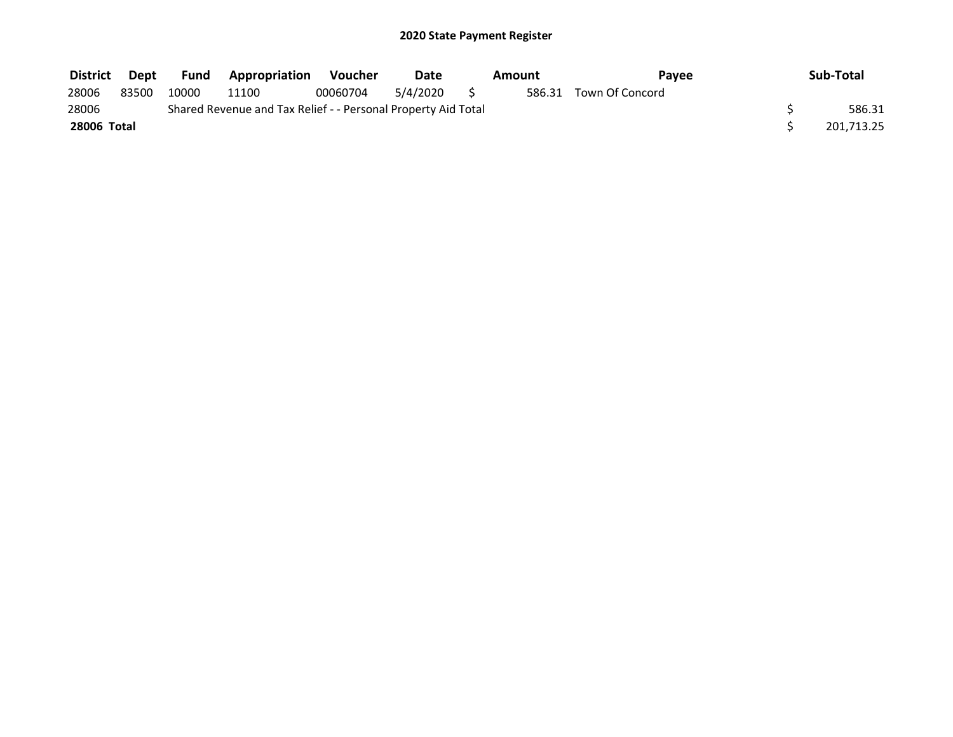| <b>District</b> | Dept  | <b>Fund</b> | <b>Appropriation</b>                                          | Voucher  | Date     | Amount | Pavee                  | Sub-Total  |
|-----------------|-------|-------------|---------------------------------------------------------------|----------|----------|--------|------------------------|------------|
| 28006           | 83500 | 10000       | 11100                                                         | 00060704 | 5/4/2020 |        | 586.31 Town Of Concord |            |
| 28006           |       |             | Shared Revenue and Tax Relief - - Personal Property Aid Total |          |          |        |                        | 586.31     |
| 28006 Total     |       |             |                                                               |          |          |        |                        | 201,713.25 |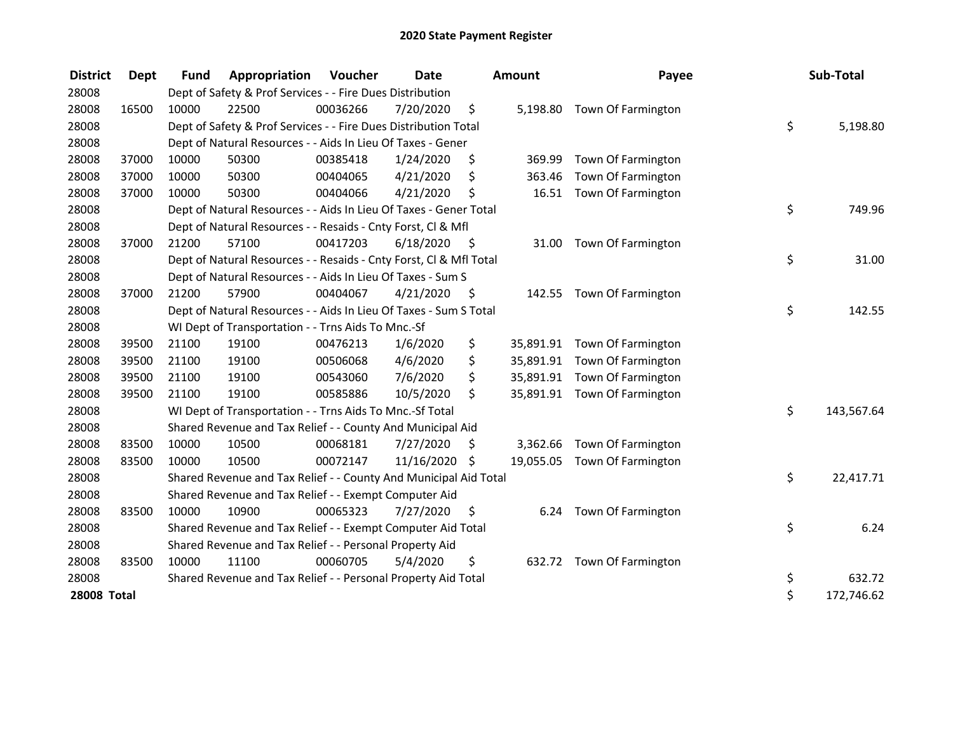| <b>District</b>    | <b>Dept</b> | <b>Fund</b> | Appropriation                                                      | Voucher  | <b>Date</b>   |      | Amount   | Payee                        | Sub-Total        |
|--------------------|-------------|-------------|--------------------------------------------------------------------|----------|---------------|------|----------|------------------------------|------------------|
| 28008              |             |             | Dept of Safety & Prof Services - - Fire Dues Distribution          |          |               |      |          |                              |                  |
| 28008              | 16500       | 10000       | 22500                                                              | 00036266 | 7/20/2020     | \$   |          | 5,198.80 Town Of Farmington  |                  |
| 28008              |             |             | Dept of Safety & Prof Services - - Fire Dues Distribution Total    |          |               |      |          |                              | \$<br>5,198.80   |
| 28008              |             |             | Dept of Natural Resources - - Aids In Lieu Of Taxes - Gener        |          |               |      |          |                              |                  |
| 28008              | 37000       | 10000       | 50300                                                              | 00385418 | 1/24/2020     | \$   | 369.99   | Town Of Farmington           |                  |
| 28008              | 37000       | 10000       | 50300                                                              | 00404065 | 4/21/2020     | \$   | 363.46   | Town Of Farmington           |                  |
| 28008              | 37000       | 10000       | 50300                                                              | 00404066 | 4/21/2020     | \$   | 16.51    | Town Of Farmington           |                  |
| 28008              |             |             | Dept of Natural Resources - - Aids In Lieu Of Taxes - Gener Total  |          |               |      |          |                              | \$<br>749.96     |
| 28008              |             |             | Dept of Natural Resources - - Resaids - Cnty Forst, Cl & Mfl       |          |               |      |          |                              |                  |
| 28008              | 37000       | 21200       | 57100                                                              | 00417203 | 6/18/2020     | - \$ | 31.00    | Town Of Farmington           |                  |
| 28008              |             |             | Dept of Natural Resources - - Resaids - Cnty Forst, Cl & Mfl Total |          |               |      |          |                              | \$<br>31.00      |
| 28008              |             |             | Dept of Natural Resources - - Aids In Lieu Of Taxes - Sum S        |          |               |      |          |                              |                  |
| 28008              | 37000       | 21200       | 57900                                                              | 00404067 | 4/21/2020     | - \$ |          | 142.55 Town Of Farmington    |                  |
| 28008              |             |             | Dept of Natural Resources - - Aids In Lieu Of Taxes - Sum S Total  |          |               |      |          |                              | \$<br>142.55     |
| 28008              |             |             | WI Dept of Transportation - - Trns Aids To Mnc.-Sf                 |          |               |      |          |                              |                  |
| 28008              | 39500       | 21100       | 19100                                                              | 00476213 | 1/6/2020      | \$   |          | 35,891.91 Town Of Farmington |                  |
| 28008              | 39500       | 21100       | 19100                                                              | 00506068 | 4/6/2020      | \$   |          | 35,891.91 Town Of Farmington |                  |
| 28008              | 39500       | 21100       | 19100                                                              | 00543060 | 7/6/2020      | \$   |          | 35,891.91 Town Of Farmington |                  |
| 28008              | 39500       | 21100       | 19100                                                              | 00585886 | 10/5/2020     | \$   |          | 35,891.91 Town Of Farmington |                  |
| 28008              |             |             | WI Dept of Transportation - - Trns Aids To Mnc.-Sf Total           |          |               |      |          |                              | \$<br>143,567.64 |
| 28008              |             |             | Shared Revenue and Tax Relief - - County And Municipal Aid         |          |               |      |          |                              |                  |
| 28008              | 83500       | 10000       | 10500                                                              | 00068181 | 7/27/2020     | \$   | 3,362.66 | Town Of Farmington           |                  |
| 28008              | 83500       | 10000       | 10500                                                              | 00072147 | 11/16/2020 \$ |      |          | 19,055.05 Town Of Farmington |                  |
| 28008              |             |             | Shared Revenue and Tax Relief - - County And Municipal Aid Total   |          |               |      |          |                              | \$<br>22,417.71  |
| 28008              |             |             | Shared Revenue and Tax Relief - - Exempt Computer Aid              |          |               |      |          |                              |                  |
| 28008              | 83500       | 10000       | 10900                                                              | 00065323 | 7/27/2020     | \$   |          | 6.24 Town Of Farmington      |                  |
| 28008              |             |             | Shared Revenue and Tax Relief - - Exempt Computer Aid Total        |          |               |      |          |                              | \$<br>6.24       |
| 28008              |             |             | Shared Revenue and Tax Relief - - Personal Property Aid            |          |               |      |          |                              |                  |
| 28008              | 83500       | 10000       | 11100                                                              | 00060705 | 5/4/2020      | \$   |          | 632.72 Town Of Farmington    |                  |
| 28008              |             |             | Shared Revenue and Tax Relief - - Personal Property Aid Total      |          |               |      |          |                              | \$<br>632.72     |
| <b>28008 Total</b> |             |             |                                                                    |          |               |      |          |                              | \$<br>172,746.62 |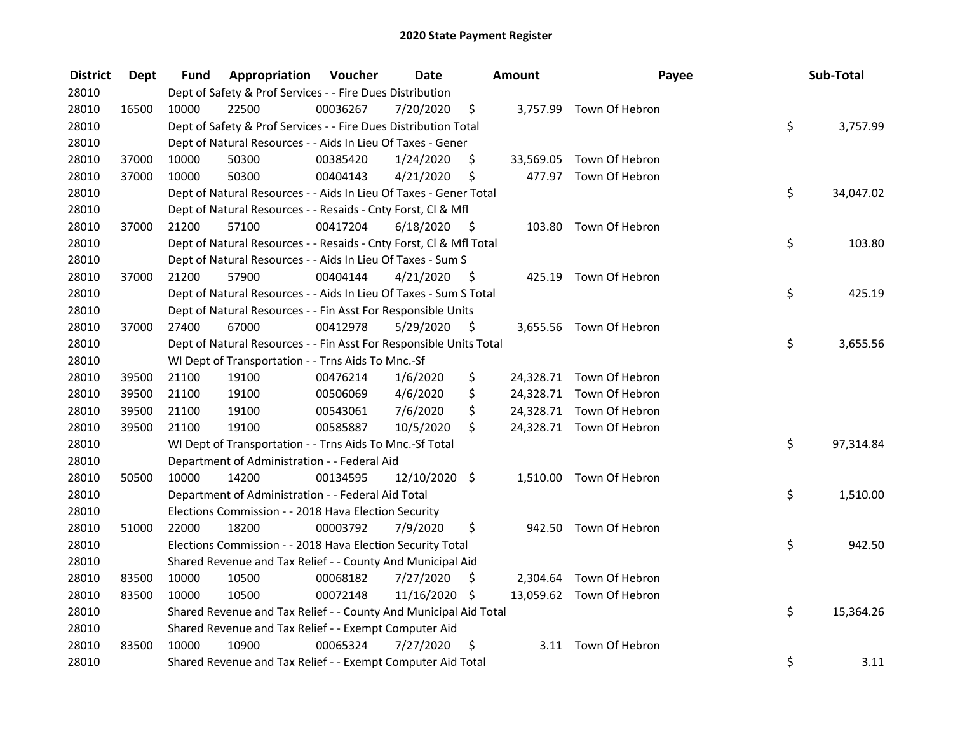| <b>District</b> | Dept  | Fund  | Appropriation                                                      | Voucher  | <b>Date</b>     |      | Amount | Payee                    | Sub-Total       |
|-----------------|-------|-------|--------------------------------------------------------------------|----------|-----------------|------|--------|--------------------------|-----------------|
| 28010           |       |       | Dept of Safety & Prof Services - - Fire Dues Distribution          |          |                 |      |        |                          |                 |
| 28010           | 16500 | 10000 | 22500                                                              | 00036267 | 7/20/2020       | \$   |        | 3,757.99 Town Of Hebron  |                 |
| 28010           |       |       | Dept of Safety & Prof Services - - Fire Dues Distribution Total    |          |                 |      |        |                          | \$<br>3,757.99  |
| 28010           |       |       | Dept of Natural Resources - - Aids In Lieu Of Taxes - Gener        |          |                 |      |        |                          |                 |
| 28010           | 37000 | 10000 | 50300                                                              | 00385420 | 1/24/2020       | \$   |        | 33,569.05 Town Of Hebron |                 |
| 28010           | 37000 | 10000 | 50300                                                              | 00404143 | 4/21/2020       | \$   |        | 477.97 Town Of Hebron    |                 |
| 28010           |       |       | Dept of Natural Resources - - Aids In Lieu Of Taxes - Gener Total  |          |                 |      |        |                          | \$<br>34,047.02 |
| 28010           |       |       | Dept of Natural Resources - - Resaids - Cnty Forst, Cl & Mfl       |          |                 |      |        |                          |                 |
| 28010           | 37000 | 21200 | 57100                                                              | 00417204 | 6/18/2020       | - \$ |        | 103.80 Town Of Hebron    |                 |
| 28010           |       |       | Dept of Natural Resources - - Resaids - Cnty Forst, Cl & Mfl Total |          |                 |      |        |                          | \$<br>103.80    |
| 28010           |       |       | Dept of Natural Resources - - Aids In Lieu Of Taxes - Sum S        |          |                 |      |        |                          |                 |
| 28010           | 37000 | 21200 | 57900                                                              | 00404144 | 4/21/2020       | - \$ |        | 425.19 Town Of Hebron    |                 |
| 28010           |       |       | Dept of Natural Resources - - Aids In Lieu Of Taxes - Sum S Total  |          |                 |      |        |                          | \$<br>425.19    |
| 28010           |       |       | Dept of Natural Resources - - Fin Asst For Responsible Units       |          |                 |      |        |                          |                 |
| 28010           | 37000 | 27400 | 67000                                                              | 00412978 | 5/29/2020       | \$   |        | 3,655.56 Town Of Hebron  |                 |
| 28010           |       |       | Dept of Natural Resources - - Fin Asst For Responsible Units Total |          |                 |      |        |                          | \$<br>3,655.56  |
| 28010           |       |       | WI Dept of Transportation - - Trns Aids To Mnc.-Sf                 |          |                 |      |        |                          |                 |
| 28010           | 39500 | 21100 | 19100                                                              | 00476214 | 1/6/2020        | \$   |        | 24,328.71 Town Of Hebron |                 |
| 28010           | 39500 | 21100 | 19100                                                              | 00506069 | 4/6/2020        | \$   |        | 24,328.71 Town Of Hebron |                 |
| 28010           | 39500 | 21100 | 19100                                                              | 00543061 | 7/6/2020        | \$   |        | 24,328.71 Town Of Hebron |                 |
| 28010           | 39500 | 21100 | 19100                                                              | 00585887 | 10/5/2020       | \$   |        | 24,328.71 Town Of Hebron |                 |
| 28010           |       |       | WI Dept of Transportation - - Trns Aids To Mnc.-Sf Total           |          |                 |      |        |                          | \$<br>97,314.84 |
| 28010           |       |       | Department of Administration - - Federal Aid                       |          |                 |      |        |                          |                 |
| 28010           | 50500 | 10000 | 14200                                                              | 00134595 | $12/10/2020$ \$ |      |        | 1,510.00 Town Of Hebron  |                 |
| 28010           |       |       | Department of Administration - - Federal Aid Total                 |          |                 |      |        |                          | \$<br>1,510.00  |
| 28010           |       |       | Elections Commission - - 2018 Hava Election Security               |          |                 |      |        |                          |                 |
| 28010           | 51000 | 22000 | 18200                                                              | 00003792 | 7/9/2020        | \$   |        | 942.50 Town Of Hebron    |                 |
| 28010           |       |       | Elections Commission - - 2018 Hava Election Security Total         |          |                 |      |        |                          | \$<br>942.50    |
| 28010           |       |       | Shared Revenue and Tax Relief - - County And Municipal Aid         |          |                 |      |        |                          |                 |
| 28010           | 83500 | 10000 | 10500                                                              | 00068182 | 7/27/2020       | \$   |        | 2,304.64 Town Of Hebron  |                 |
| 28010           | 83500 | 10000 | 10500                                                              | 00072148 | 11/16/2020 \$   |      |        | 13,059.62 Town Of Hebron |                 |
| 28010           |       |       | Shared Revenue and Tax Relief - - County And Municipal Aid Total   |          |                 |      |        |                          | \$<br>15,364.26 |
| 28010           |       |       | Shared Revenue and Tax Relief - - Exempt Computer Aid              |          |                 |      |        |                          |                 |
| 28010           | 83500 | 10000 | 10900                                                              | 00065324 | 7/27/2020       | \$   |        | 3.11 Town Of Hebron      |                 |
| 28010           |       |       | Shared Revenue and Tax Relief - - Exempt Computer Aid Total        |          |                 |      |        |                          | \$<br>3.11      |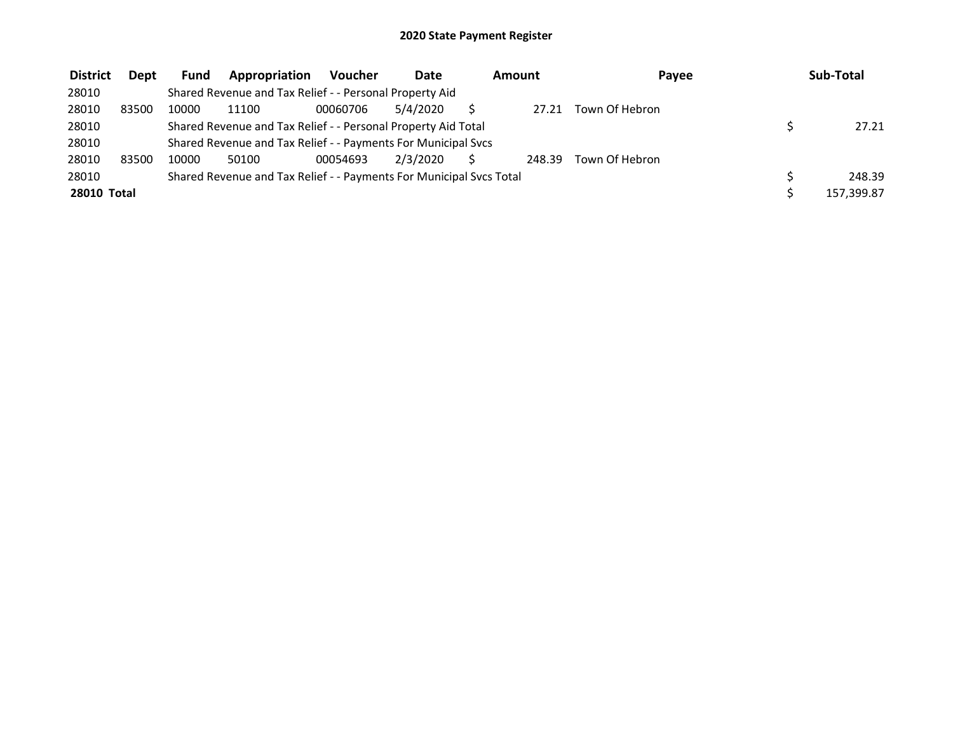| <b>District</b>    | <b>Dept</b> | <b>Fund</b> | Appropriation                                                       | <b>Voucher</b> | <b>Date</b> | Amount |        | Payee          | Sub-Total  |
|--------------------|-------------|-------------|---------------------------------------------------------------------|----------------|-------------|--------|--------|----------------|------------|
| 28010              |             |             | Shared Revenue and Tax Relief - - Personal Property Aid             |                |             |        |        |                |            |
| 28010              | 83500       | 10000       | 11100                                                               | 00060706       | 5/4/2020    |        | 27.21  | Town Of Hebron |            |
| 28010              |             |             | Shared Revenue and Tax Relief - - Personal Property Aid Total       |                |             |        |        |                | 27.21      |
| 28010              |             |             | Shared Revenue and Tax Relief - - Payments For Municipal Svcs       |                |             |        |        |                |            |
| 28010              | 83500       | 10000       | 50100                                                               | 00054693       | 2/3/2020    |        | 248.39 | Town Of Hebron |            |
| 28010              |             |             | Shared Revenue and Tax Relief - - Payments For Municipal Svcs Total |                |             |        |        |                | 248.39     |
| <b>28010 Total</b> |             |             |                                                                     |                |             |        |        |                | 157,399.87 |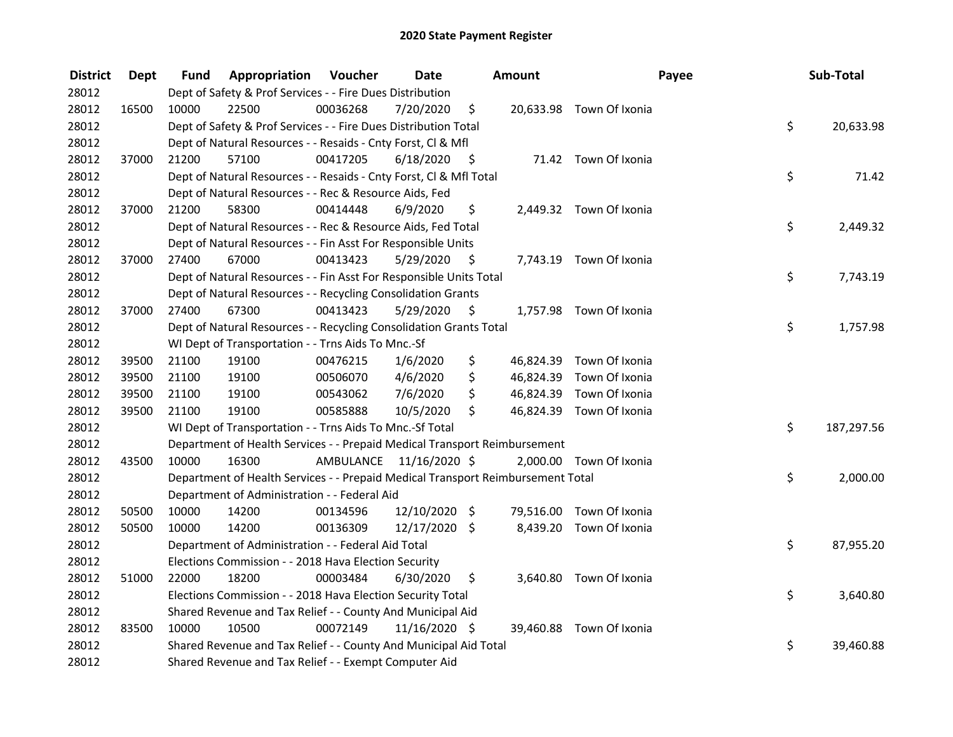| <b>District</b> | <b>Dept</b> | Fund  | <b>Appropriation Voucher</b>                                                    |          | <b>Date</b>             |      | Amount    |                          | Payee | Sub-Total  |
|-----------------|-------------|-------|---------------------------------------------------------------------------------|----------|-------------------------|------|-----------|--------------------------|-------|------------|
| 28012           |             |       | Dept of Safety & Prof Services - - Fire Dues Distribution                       |          |                         |      |           |                          |       |            |
| 28012           | 16500       | 10000 | 22500                                                                           | 00036268 | 7/20/2020               | \$   |           | 20,633.98 Town Of Ixonia |       |            |
| 28012           |             |       | Dept of Safety & Prof Services - - Fire Dues Distribution Total                 |          |                         |      |           |                          | \$    | 20,633.98  |
| 28012           |             |       | Dept of Natural Resources - - Resaids - Cnty Forst, Cl & Mfl                    |          |                         |      |           |                          |       |            |
| 28012           | 37000       | 21200 | 57100                                                                           | 00417205 | 6/18/2020               | - \$ |           | 71.42 Town Of Ixonia     |       |            |
| 28012           |             |       | Dept of Natural Resources - - Resaids - Cnty Forst, CI & Mfl Total              |          |                         |      |           |                          | \$    | 71.42      |
| 28012           |             |       | Dept of Natural Resources - - Rec & Resource Aids, Fed                          |          |                         |      |           |                          |       |            |
| 28012           | 37000       | 21200 | 58300                                                                           | 00414448 | 6/9/2020                | \$   |           | 2,449.32 Town Of Ixonia  |       |            |
| 28012           |             |       | Dept of Natural Resources - - Rec & Resource Aids, Fed Total                    |          |                         |      |           |                          | \$    | 2,449.32   |
| 28012           |             |       | Dept of Natural Resources - - Fin Asst For Responsible Units                    |          |                         |      |           |                          |       |            |
| 28012           | 37000       | 27400 | 67000                                                                           | 00413423 | 5/29/2020               | \$   |           | 7,743.19 Town Of Ixonia  |       |            |
| 28012           |             |       | Dept of Natural Resources - - Fin Asst For Responsible Units Total              |          |                         |      |           |                          | \$    | 7,743.19   |
| 28012           |             |       | Dept of Natural Resources - - Recycling Consolidation Grants                    |          |                         |      |           |                          |       |            |
| 28012           | 37000       | 27400 | 67300                                                                           | 00413423 | 5/29/2020               | \$.  |           | 1,757.98 Town Of Ixonia  |       |            |
| 28012           |             |       | Dept of Natural Resources - - Recycling Consolidation Grants Total              |          |                         |      |           |                          | \$    | 1,757.98   |
| 28012           |             |       | WI Dept of Transportation - - Trns Aids To Mnc.-Sf                              |          |                         |      |           |                          |       |            |
| 28012           | 39500       | 21100 | 19100                                                                           | 00476215 | 1/6/2020                | \$   | 46,824.39 | Town Of Ixonia           |       |            |
| 28012           | 39500       | 21100 | 19100                                                                           | 00506070 | 4/6/2020                | \$   |           | 46,824.39 Town Of Ixonia |       |            |
| 28012           | 39500       | 21100 | 19100                                                                           | 00543062 | 7/6/2020                | \$   |           | 46,824.39 Town Of Ixonia |       |            |
| 28012           | 39500       | 21100 | 19100                                                                           | 00585888 | 10/5/2020               | \$   |           | 46,824.39 Town Of Ixonia |       |            |
| 28012           |             |       | WI Dept of Transportation - - Trns Aids To Mnc.-Sf Total                        |          |                         |      |           |                          | \$    | 187,297.56 |
| 28012           |             |       | Department of Health Services - - Prepaid Medical Transport Reimbursement       |          |                         |      |           |                          |       |            |
| 28012           | 43500       | 10000 | 16300                                                                           |          | AMBULANCE 11/16/2020 \$ |      |           | 2,000.00 Town Of Ixonia  |       |            |
| 28012           |             |       | Department of Health Services - - Prepaid Medical Transport Reimbursement Total |          |                         |      |           |                          | \$    | 2,000.00   |
| 28012           |             |       | Department of Administration - - Federal Aid                                    |          |                         |      |           |                          |       |            |
| 28012           | 50500       | 10000 | 14200                                                                           | 00134596 | 12/10/2020 \$           |      |           | 79,516.00 Town Of Ixonia |       |            |
| 28012           | 50500       | 10000 | 14200                                                                           | 00136309 | 12/17/2020 \$           |      |           | 8,439.20 Town Of Ixonia  |       |            |
| 28012           |             |       | Department of Administration - - Federal Aid Total                              |          |                         |      |           |                          | \$    | 87,955.20  |
| 28012           |             |       | Elections Commission - - 2018 Hava Election Security                            |          |                         |      |           |                          |       |            |
| 28012           | 51000       | 22000 | 18200                                                                           | 00003484 | 6/30/2020               | \$   |           | 3,640.80 Town Of Ixonia  |       |            |
| 28012           |             |       | Elections Commission - - 2018 Hava Election Security Total                      |          |                         |      |           |                          | \$    | 3,640.80   |
| 28012           |             |       | Shared Revenue and Tax Relief - - County And Municipal Aid                      |          |                         |      |           |                          |       |            |
| 28012           | 83500       | 10000 | 10500                                                                           | 00072149 | 11/16/2020 \$           |      |           | 39,460.88 Town Of Ixonia |       |            |
| 28012           |             |       | Shared Revenue and Tax Relief - - County And Municipal Aid Total                |          |                         |      |           |                          | \$    | 39,460.88  |
| 28012           |             |       | Shared Revenue and Tax Relief - - Exempt Computer Aid                           |          |                         |      |           |                          |       |            |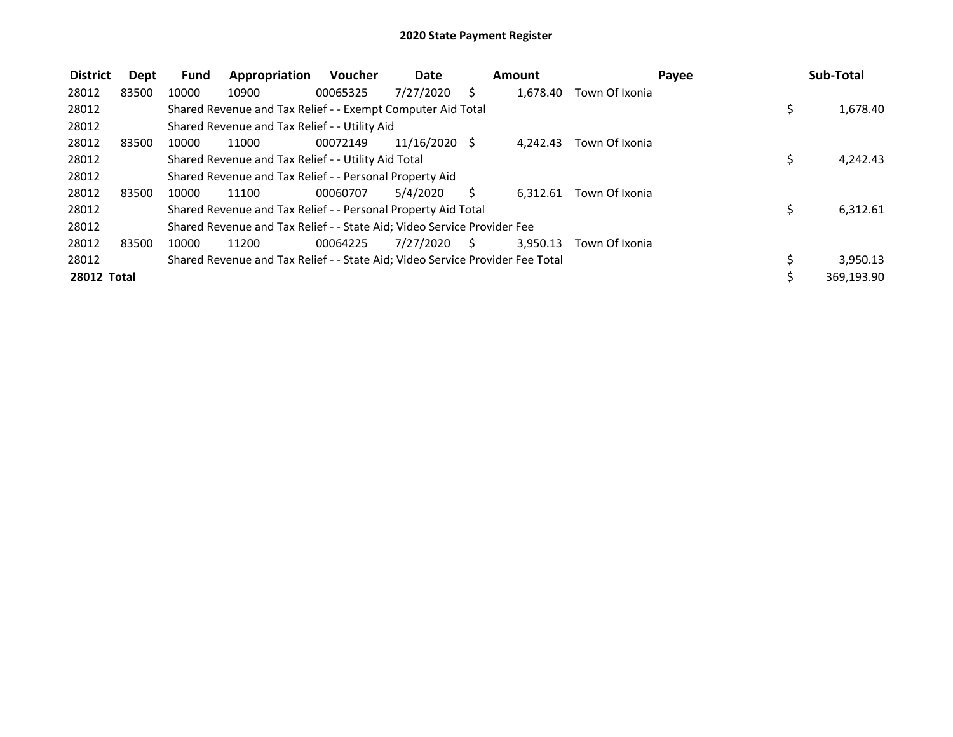| <b>District</b>    | Dept  | <b>Fund</b> | Appropriation                                                                 | <b>Voucher</b> | Date          |    | Amount   |                | Payee | Sub-Total  |
|--------------------|-------|-------------|-------------------------------------------------------------------------------|----------------|---------------|----|----------|----------------|-------|------------|
| 28012              | 83500 | 10000       | 10900                                                                         | 00065325       | 7/27/2020     | S  | 1,678.40 | Town Of Ixonia |       |            |
| 28012              |       |             | Shared Revenue and Tax Relief - - Exempt Computer Aid Total                   |                |               |    |          |                | \$    | 1,678.40   |
| 28012              |       |             | Shared Revenue and Tax Relief - - Utility Aid                                 |                |               |    |          |                |       |            |
| 28012              | 83500 | 10000       | 11000                                                                         | 00072149       | 11/16/2020 \$ |    | 4.242.43 | Town Of Ixonia |       |            |
| 28012              |       |             | Shared Revenue and Tax Relief - - Utility Aid Total                           |                |               |    |          |                | Ś     | 4,242.43   |
| 28012              |       |             | Shared Revenue and Tax Relief - - Personal Property Aid                       |                |               |    |          |                |       |            |
| 28012              | 83500 | 10000       | 11100                                                                         | 00060707       | 5/4/2020      | S  | 6.312.61 | Town Of Ixonia |       |            |
| 28012              |       |             | Shared Revenue and Tax Relief - - Personal Property Aid Total                 |                |               |    |          |                | \$    | 6,312.61   |
| 28012              |       |             | Shared Revenue and Tax Relief - - State Aid; Video Service Provider Fee       |                |               |    |          |                |       |            |
| 28012              | 83500 | 10000       | 11200                                                                         | 00064225       | 7/27/2020     | S. | 3.950.13 | Town Of Ixonia |       |            |
| 28012              |       |             | Shared Revenue and Tax Relief - - State Aid; Video Service Provider Fee Total |                |               |    |          |                |       | 3,950.13   |
| <b>28012 Total</b> |       |             |                                                                               |                |               |    |          |                |       | 369,193.90 |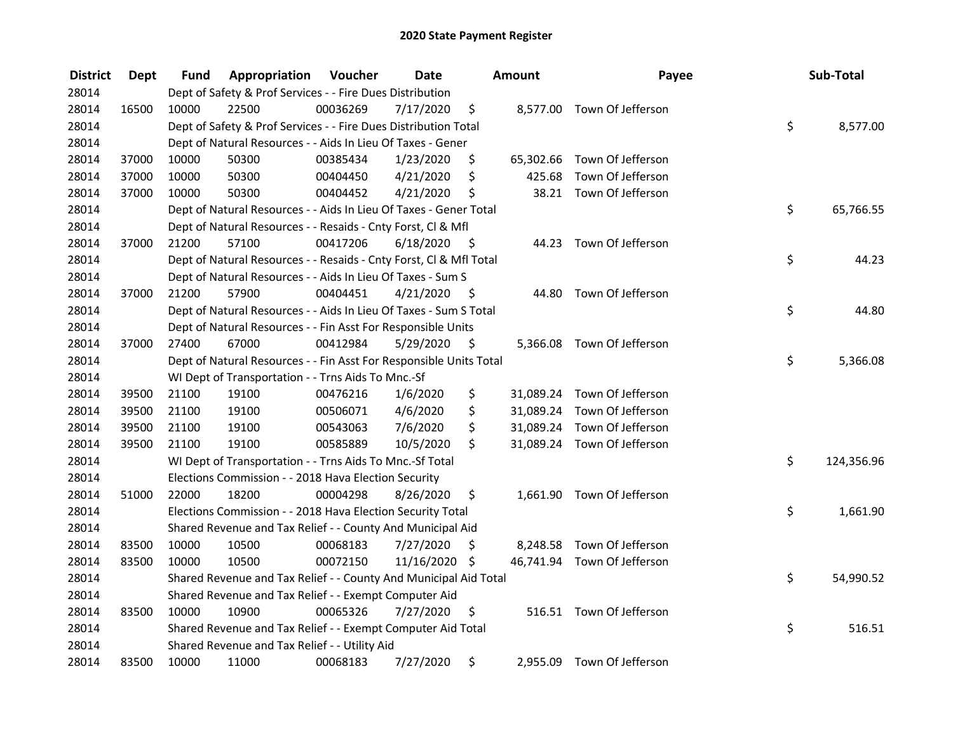| <b>District</b> | <b>Dept</b> | Fund  | Appropriation                                                      | Voucher  | <b>Date</b>   |      | <b>Amount</b> | Payee                       | Sub-Total        |
|-----------------|-------------|-------|--------------------------------------------------------------------|----------|---------------|------|---------------|-----------------------------|------------------|
| 28014           |             |       | Dept of Safety & Prof Services - - Fire Dues Distribution          |          |               |      |               |                             |                  |
| 28014           | 16500       | 10000 | 22500                                                              | 00036269 | 7/17/2020     | \$   |               | 8,577.00 Town Of Jefferson  |                  |
| 28014           |             |       | Dept of Safety & Prof Services - - Fire Dues Distribution Total    |          |               |      |               |                             | \$<br>8,577.00   |
| 28014           |             |       | Dept of Natural Resources - - Aids In Lieu Of Taxes - Gener        |          |               |      |               |                             |                  |
| 28014           | 37000       | 10000 | 50300                                                              | 00385434 | 1/23/2020     | \$   |               | 65,302.66 Town Of Jefferson |                  |
| 28014           | 37000       | 10000 | 50300                                                              | 00404450 | 4/21/2020     | \$   | 425.68        | Town Of Jefferson           |                  |
| 28014           | 37000       | 10000 | 50300                                                              | 00404452 | 4/21/2020     | \$   |               | 38.21 Town Of Jefferson     |                  |
| 28014           |             |       | Dept of Natural Resources - - Aids In Lieu Of Taxes - Gener Total  |          |               |      |               |                             | \$<br>65,766.55  |
| 28014           |             |       | Dept of Natural Resources - - Resaids - Cnty Forst, Cl & Mfl       |          |               |      |               |                             |                  |
| 28014           | 37000       | 21200 | 57100                                                              | 00417206 | 6/18/2020     | - \$ |               | 44.23 Town Of Jefferson     |                  |
| 28014           |             |       | Dept of Natural Resources - - Resaids - Cnty Forst, Cl & Mfl Total |          |               |      |               |                             | \$<br>44.23      |
| 28014           |             |       | Dept of Natural Resources - - Aids In Lieu Of Taxes - Sum S        |          |               |      |               |                             |                  |
| 28014           | 37000       | 21200 | 57900                                                              | 00404451 | 4/21/2020     | - \$ | 44.80         | Town Of Jefferson           |                  |
| 28014           |             |       | Dept of Natural Resources - - Aids In Lieu Of Taxes - Sum S Total  |          |               |      |               |                             | \$<br>44.80      |
| 28014           |             |       | Dept of Natural Resources - - Fin Asst For Responsible Units       |          |               |      |               |                             |                  |
| 28014           | 37000       | 27400 | 67000                                                              | 00412984 | 5/29/2020     | \$   |               | 5,366.08 Town Of Jefferson  |                  |
| 28014           |             |       | Dept of Natural Resources - - Fin Asst For Responsible Units Total |          |               |      |               |                             | \$<br>5,366.08   |
| 28014           |             |       | WI Dept of Transportation - - Trns Aids To Mnc.-Sf                 |          |               |      |               |                             |                  |
| 28014           | 39500       | 21100 | 19100                                                              | 00476216 | 1/6/2020      | \$   |               | 31,089.24 Town Of Jefferson |                  |
| 28014           | 39500       | 21100 | 19100                                                              | 00506071 | 4/6/2020      | \$   |               | 31,089.24 Town Of Jefferson |                  |
| 28014           | 39500       | 21100 | 19100                                                              | 00543063 | 7/6/2020      | \$   |               | 31,089.24 Town Of Jefferson |                  |
| 28014           | 39500       | 21100 | 19100                                                              | 00585889 | 10/5/2020     | \$   |               | 31,089.24 Town Of Jefferson |                  |
| 28014           |             |       | WI Dept of Transportation - - Trns Aids To Mnc.-Sf Total           |          |               |      |               |                             | \$<br>124,356.96 |
| 28014           |             |       | Elections Commission - - 2018 Hava Election Security               |          |               |      |               |                             |                  |
| 28014           | 51000       | 22000 | 18200                                                              | 00004298 | 8/26/2020     | \$   |               | 1,661.90 Town Of Jefferson  |                  |
| 28014           |             |       | Elections Commission - - 2018 Hava Election Security Total         |          |               |      |               |                             | \$<br>1,661.90   |
| 28014           |             |       | Shared Revenue and Tax Relief - - County And Municipal Aid         |          |               |      |               |                             |                  |
| 28014           | 83500       | 10000 | 10500                                                              | 00068183 | 7/27/2020     | \$   |               | 8,248.58 Town Of Jefferson  |                  |
| 28014           | 83500       | 10000 | 10500                                                              | 00072150 | 11/16/2020 \$ |      |               | 46,741.94 Town Of Jefferson |                  |
| 28014           |             |       | Shared Revenue and Tax Relief - - County And Municipal Aid Total   |          |               |      |               |                             | \$<br>54,990.52  |
| 28014           |             |       | Shared Revenue and Tax Relief - - Exempt Computer Aid              |          |               |      |               |                             |                  |
| 28014           | 83500       | 10000 | 10900                                                              | 00065326 | 7/27/2020     | \$   |               | 516.51 Town Of Jefferson    |                  |
| 28014           |             |       | Shared Revenue and Tax Relief - - Exempt Computer Aid Total        |          |               |      |               |                             | \$<br>516.51     |
| 28014           |             |       | Shared Revenue and Tax Relief - - Utility Aid                      |          |               |      |               |                             |                  |
| 28014           | 83500       | 10000 | 11000                                                              | 00068183 | 7/27/2020     | \$   |               | 2,955.09 Town Of Jefferson  |                  |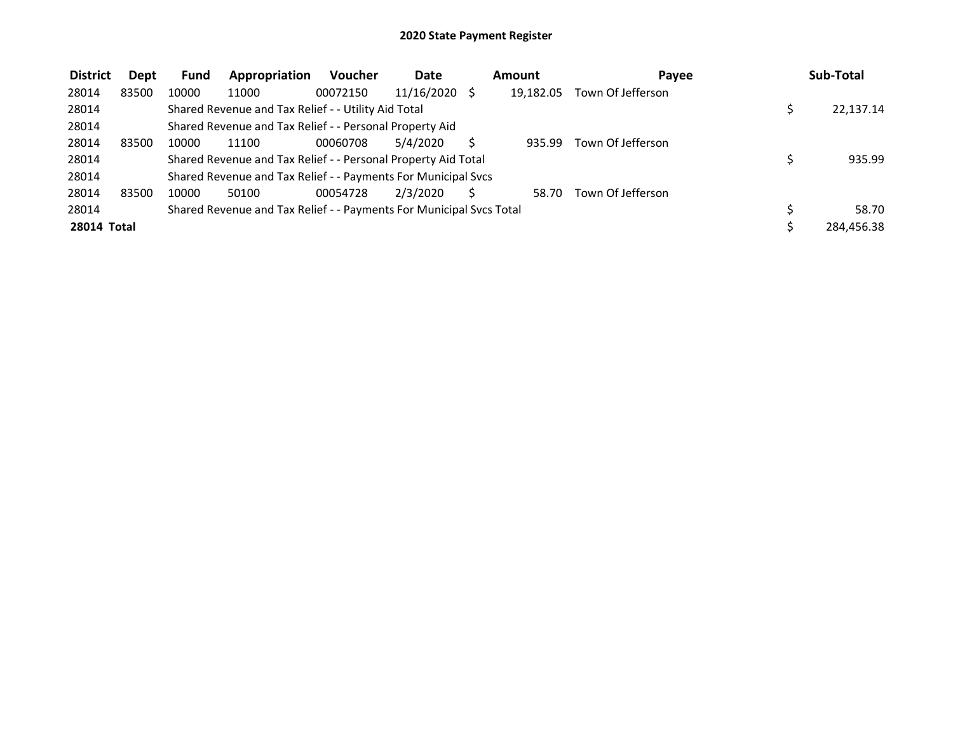| <b>District</b>    | Dept  | <b>Fund</b> | Appropriation                                                       | <b>Voucher</b> | <b>Date</b>     | <b>Amount</b> | Payee             | Sub-Total  |
|--------------------|-------|-------------|---------------------------------------------------------------------|----------------|-----------------|---------------|-------------------|------------|
| 28014              | 83500 | 10000       | 11000                                                               | 00072150       | $11/16/2020$ \$ | 19.182.05     | Town Of Jefferson |            |
| 28014              |       |             | Shared Revenue and Tax Relief - - Utility Aid Total                 |                |                 |               |                   | 22,137.14  |
| 28014              |       |             | Shared Revenue and Tax Relief - - Personal Property Aid             |                |                 |               |                   |            |
| 28014              | 83500 | 10000       | 11100                                                               | 00060708       | 5/4/2020        | 935.99        | Town Of Jefferson |            |
| 28014              |       |             | Shared Revenue and Tax Relief - - Personal Property Aid Total       |                |                 |               |                   | 935.99     |
| 28014              |       |             | Shared Revenue and Tax Relief - - Payments For Municipal Svcs       |                |                 |               |                   |            |
| 28014              | 83500 | 10000       | 50100                                                               | 00054728       | 2/3/2020        | 58.70         | Town Of Jefferson |            |
| 28014              |       |             | Shared Revenue and Tax Relief - - Payments For Municipal Svcs Total |                |                 |               |                   | 58.70      |
| <b>28014 Total</b> |       |             |                                                                     |                |                 |               |                   | 284,456.38 |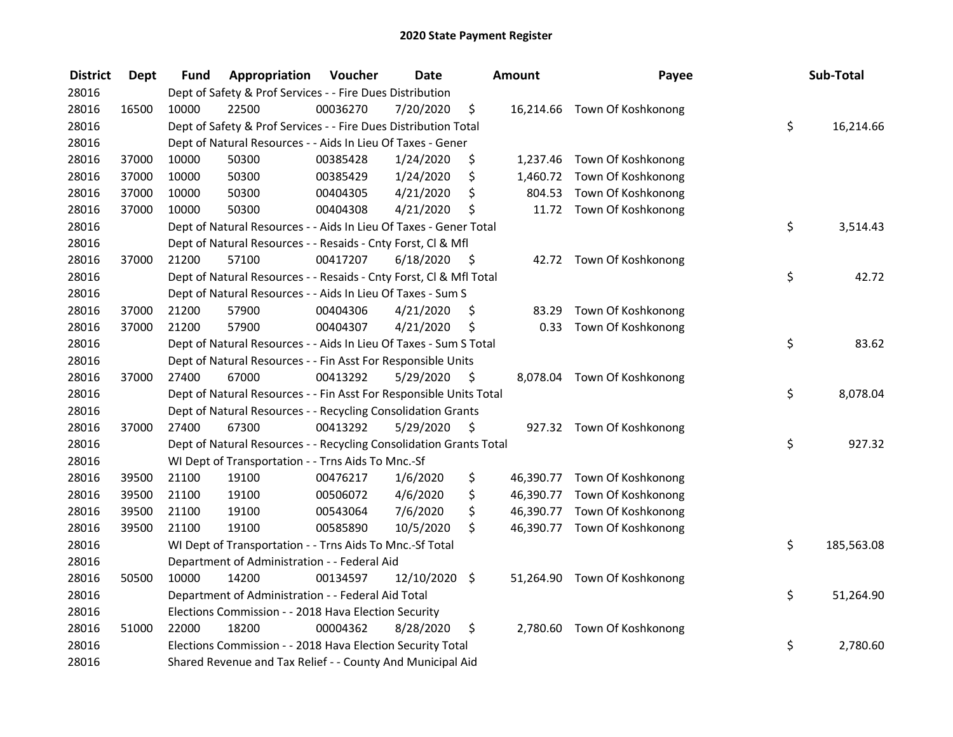| <b>District</b> | <b>Dept</b> | <b>Fund</b> | Appropriation                                                      | Voucher  | <b>Date</b>   |      | <b>Amount</b> | Payee                        | Sub-Total        |
|-----------------|-------------|-------------|--------------------------------------------------------------------|----------|---------------|------|---------------|------------------------------|------------------|
| 28016           |             |             | Dept of Safety & Prof Services - - Fire Dues Distribution          |          |               |      |               |                              |                  |
| 28016           | 16500       | 10000       | 22500                                                              | 00036270 | 7/20/2020     | \$   |               | 16,214.66 Town Of Koshkonong |                  |
| 28016           |             |             | Dept of Safety & Prof Services - - Fire Dues Distribution Total    |          |               |      |               |                              | \$<br>16,214.66  |
| 28016           |             |             | Dept of Natural Resources - - Aids In Lieu Of Taxes - Gener        |          |               |      |               |                              |                  |
| 28016           | 37000       | 10000       | 50300                                                              | 00385428 | 1/24/2020     | \$   |               | 1,237.46 Town Of Koshkonong  |                  |
| 28016           | 37000       | 10000       | 50300                                                              | 00385429 | 1/24/2020     | \$   |               | 1,460.72 Town Of Koshkonong  |                  |
| 28016           | 37000       | 10000       | 50300                                                              | 00404305 | 4/21/2020     | \$   |               | 804.53 Town Of Koshkonong    |                  |
| 28016           | 37000       | 10000       | 50300                                                              | 00404308 | 4/21/2020     | \$   |               | 11.72 Town Of Koshkonong     |                  |
| 28016           |             |             | Dept of Natural Resources - - Aids In Lieu Of Taxes - Gener Total  |          |               |      |               |                              | \$<br>3,514.43   |
| 28016           |             |             | Dept of Natural Resources - - Resaids - Cnty Forst, Cl & Mfl       |          |               |      |               |                              |                  |
| 28016           | 37000       | 21200       | 57100                                                              | 00417207 | 6/18/2020     | - \$ |               | 42.72 Town Of Koshkonong     |                  |
| 28016           |             |             | Dept of Natural Resources - - Resaids - Cnty Forst, Cl & Mfl Total |          |               |      |               |                              | \$<br>42.72      |
| 28016           |             |             | Dept of Natural Resources - - Aids In Lieu Of Taxes - Sum S        |          |               |      |               |                              |                  |
| 28016           | 37000       | 21200       | 57900                                                              | 00404306 | 4/21/2020     | \$   | 83.29         | Town Of Koshkonong           |                  |
| 28016           | 37000       | 21200       | 57900                                                              | 00404307 | 4/21/2020     | \$   |               | 0.33 Town Of Koshkonong      |                  |
| 28016           |             |             | Dept of Natural Resources - - Aids In Lieu Of Taxes - Sum S Total  |          |               |      |               |                              | \$<br>83.62      |
| 28016           |             |             | Dept of Natural Resources - - Fin Asst For Responsible Units       |          |               |      |               |                              |                  |
| 28016           | 37000       | 27400       | 67000                                                              | 00413292 | 5/29/2020     | \$   |               | 8,078.04 Town Of Koshkonong  |                  |
| 28016           |             |             | Dept of Natural Resources - - Fin Asst For Responsible Units Total |          |               |      |               |                              | \$<br>8,078.04   |
| 28016           |             |             | Dept of Natural Resources - - Recycling Consolidation Grants       |          |               |      |               |                              |                  |
| 28016           | 37000       | 27400       | 67300                                                              | 00413292 | 5/29/2020     | \$   |               | 927.32 Town Of Koshkonong    |                  |
| 28016           |             |             | Dept of Natural Resources - - Recycling Consolidation Grants Total |          |               |      |               |                              | \$<br>927.32     |
| 28016           |             |             | WI Dept of Transportation - - Trns Aids To Mnc.-Sf                 |          |               |      |               |                              |                  |
| 28016           | 39500       | 21100       | 19100                                                              | 00476217 | 1/6/2020      | \$   |               | 46,390.77 Town Of Koshkonong |                  |
| 28016           | 39500       | 21100       | 19100                                                              | 00506072 | 4/6/2020      | \$   |               | 46,390.77 Town Of Koshkonong |                  |
| 28016           | 39500       | 21100       | 19100                                                              | 00543064 | 7/6/2020      | \$   |               | 46,390.77 Town Of Koshkonong |                  |
| 28016           | 39500       | 21100       | 19100                                                              | 00585890 | 10/5/2020     | \$   |               | 46,390.77 Town Of Koshkonong |                  |
| 28016           |             |             | WI Dept of Transportation - - Trns Aids To Mnc.-Sf Total           |          |               |      |               |                              | \$<br>185,563.08 |
| 28016           |             |             | Department of Administration - - Federal Aid                       |          |               |      |               |                              |                  |
| 28016           | 50500       | 10000       | 14200                                                              | 00134597 | 12/10/2020 \$ |      |               | 51,264.90 Town Of Koshkonong |                  |
| 28016           |             |             | Department of Administration - - Federal Aid Total                 |          |               |      |               |                              | \$<br>51,264.90  |
| 28016           |             |             | Elections Commission - - 2018 Hava Election Security               |          |               |      |               |                              |                  |
| 28016           | 51000       | 22000       | 18200                                                              | 00004362 | 8/28/2020     | \$   | 2,780.60      | Town Of Koshkonong           |                  |
| 28016           |             |             | Elections Commission - - 2018 Hava Election Security Total         |          |               |      |               |                              | \$<br>2,780.60   |
| 28016           |             |             | Shared Revenue and Tax Relief - - County And Municipal Aid         |          |               |      |               |                              |                  |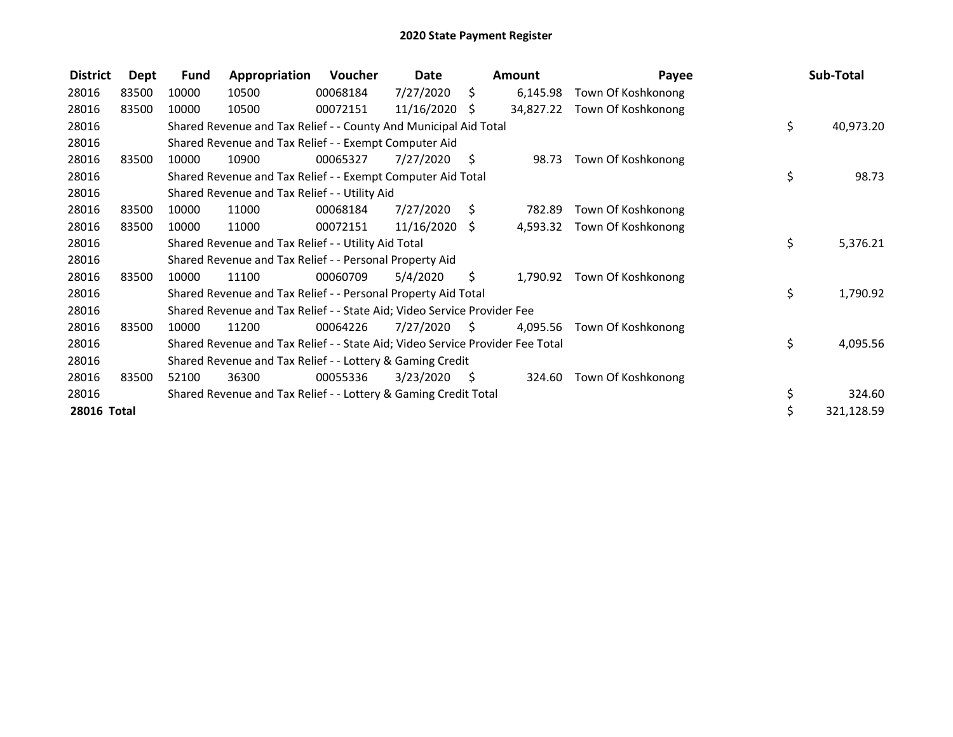| <b>District</b> | <b>Dept</b> | <b>Fund</b> | Appropriation                                                                 | <b>Voucher</b> | Date          |      | Amount   | Payee                        | Sub-Total       |
|-----------------|-------------|-------------|-------------------------------------------------------------------------------|----------------|---------------|------|----------|------------------------------|-----------------|
| 28016           | 83500       | 10000       | 10500                                                                         | 00068184       | 7/27/2020     | \$   | 6,145.98 | Town Of Koshkonong           |                 |
| 28016           | 83500       | 10000       | 10500                                                                         | 00072151       | 11/16/2020    | S.   |          | 34,827.22 Town Of Koshkonong |                 |
| 28016           |             |             | Shared Revenue and Tax Relief - - County And Municipal Aid Total              |                |               |      |          |                              | \$<br>40,973.20 |
| 28016           |             |             | Shared Revenue and Tax Relief - - Exempt Computer Aid                         |                |               |      |          |                              |                 |
| 28016           | 83500       | 10000       | 10900                                                                         | 00065327       | 7/27/2020     | - S  | 98.73    | Town Of Koshkonong           |                 |
| 28016           |             |             | Shared Revenue and Tax Relief - - Exempt Computer Aid Total                   |                |               |      |          |                              | \$<br>98.73     |
| 28016           |             |             | Shared Revenue and Tax Relief - - Utility Aid                                 |                |               |      |          |                              |                 |
| 28016           | 83500       | 10000       | 11000                                                                         | 00068184       | 7/27/2020     | Ŝ.   | 782.89   | Town Of Koshkonong           |                 |
| 28016           | 83500       | 10000       | 11000                                                                         | 00072151       | 11/16/2020 \$ |      | 4,593.32 | Town Of Koshkonong           |                 |
| 28016           |             |             | Shared Revenue and Tax Relief - - Utility Aid Total                           |                |               |      |          |                              | \$<br>5,376.21  |
| 28016           |             |             | Shared Revenue and Tax Relief - - Personal Property Aid                       |                |               |      |          |                              |                 |
| 28016           | 83500       | 10000       | 11100                                                                         | 00060709       | 5/4/2020      | S.   | 1,790.92 | Town Of Koshkonong           |                 |
| 28016           |             |             | Shared Revenue and Tax Relief - - Personal Property Aid Total                 |                |               |      |          |                              | \$<br>1,790.92  |
| 28016           |             |             | Shared Revenue and Tax Relief - - State Aid; Video Service Provider Fee       |                |               |      |          |                              |                 |
| 28016           | 83500       | 10000       | 11200                                                                         | 00064226       | 7/27/2020     | S    | 4,095.56 | Town Of Koshkonong           |                 |
| 28016           |             |             | Shared Revenue and Tax Relief - - State Aid; Video Service Provider Fee Total |                |               |      |          |                              | \$<br>4,095.56  |
| 28016           |             |             | Shared Revenue and Tax Relief - - Lottery & Gaming Credit                     |                |               |      |          |                              |                 |
| 28016           | 83500       | 52100       | 36300                                                                         | 00055336       | 3/23/2020     | - \$ | 324.60   | Town Of Koshkonong           |                 |
| 28016           |             |             | Shared Revenue and Tax Relief - - Lottery & Gaming Credit Total               |                |               |      |          |                              | \$<br>324.60    |
| 28016 Total     |             |             |                                                                               |                |               |      |          |                              | 321,128.59      |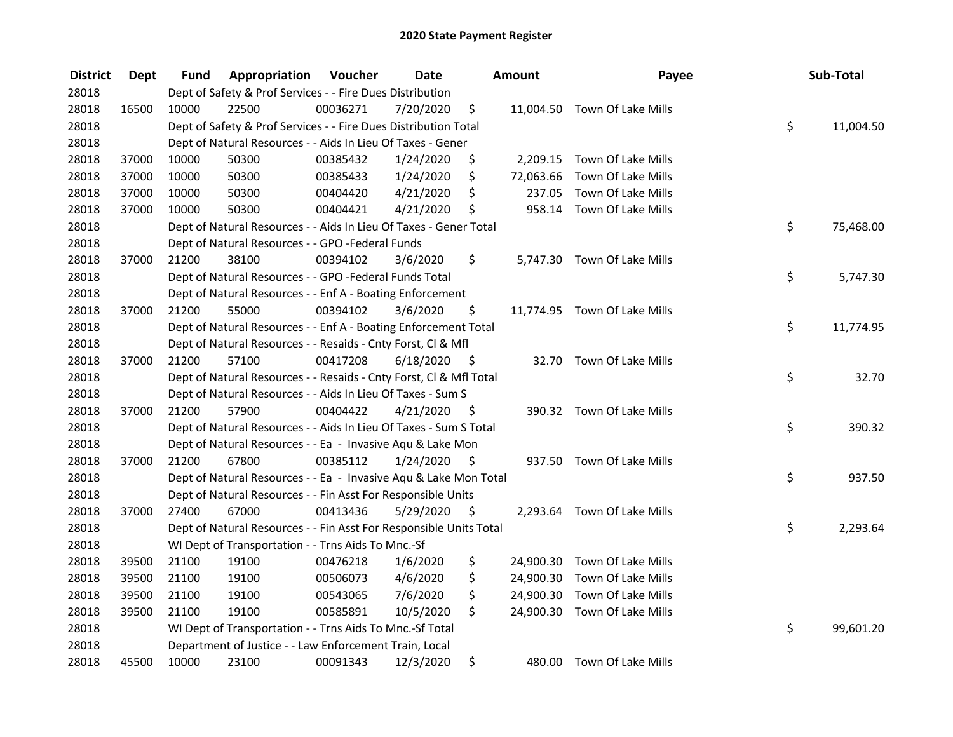| <b>District</b> | Dept  | Fund  | Appropriation                                                      | Voucher  | <b>Date</b> |      | Amount    | Payee                        | Sub-Total       |
|-----------------|-------|-------|--------------------------------------------------------------------|----------|-------------|------|-----------|------------------------------|-----------------|
| 28018           |       |       | Dept of Safety & Prof Services - - Fire Dues Distribution          |          |             |      |           |                              |                 |
| 28018           | 16500 | 10000 | 22500                                                              | 00036271 | 7/20/2020   | \$   |           | 11,004.50 Town Of Lake Mills |                 |
| 28018           |       |       | Dept of Safety & Prof Services - - Fire Dues Distribution Total    |          |             |      |           |                              | \$<br>11,004.50 |
| 28018           |       |       | Dept of Natural Resources - - Aids In Lieu Of Taxes - Gener        |          |             |      |           |                              |                 |
| 28018           | 37000 | 10000 | 50300                                                              | 00385432 | 1/24/2020   | \$   |           | 2,209.15 Town Of Lake Mills  |                 |
| 28018           | 37000 | 10000 | 50300                                                              | 00385433 | 1/24/2020   | \$   | 72,063.66 | Town Of Lake Mills           |                 |
| 28018           | 37000 | 10000 | 50300                                                              | 00404420 | 4/21/2020   | \$   | 237.05    | Town Of Lake Mills           |                 |
| 28018           | 37000 | 10000 | 50300                                                              | 00404421 | 4/21/2020   | \$   |           | 958.14 Town Of Lake Mills    |                 |
| 28018           |       |       | Dept of Natural Resources - - Aids In Lieu Of Taxes - Gener Total  |          |             |      |           |                              | \$<br>75,468.00 |
| 28018           |       |       | Dept of Natural Resources - - GPO -Federal Funds                   |          |             |      |           |                              |                 |
| 28018           | 37000 | 21200 | 38100                                                              | 00394102 | 3/6/2020    | \$   |           | 5,747.30 Town Of Lake Mills  |                 |
| 28018           |       |       | Dept of Natural Resources - - GPO -Federal Funds Total             |          |             |      |           |                              | \$<br>5,747.30  |
| 28018           |       |       | Dept of Natural Resources - - Enf A - Boating Enforcement          |          |             |      |           |                              |                 |
| 28018           | 37000 | 21200 | 55000                                                              | 00394102 | 3/6/2020    | \$   |           | 11,774.95 Town Of Lake Mills |                 |
| 28018           |       |       | Dept of Natural Resources - - Enf A - Boating Enforcement Total    |          |             |      |           |                              | \$<br>11,774.95 |
| 28018           |       |       | Dept of Natural Resources - - Resaids - Cnty Forst, CI & Mfl       |          |             |      |           |                              |                 |
| 28018           | 37000 | 21200 | 57100                                                              | 00417208 | 6/18/2020   | - \$ |           | 32.70 Town Of Lake Mills     |                 |
| 28018           |       |       | Dept of Natural Resources - - Resaids - Cnty Forst, Cl & Mfl Total |          |             |      |           |                              | \$<br>32.70     |
| 28018           |       |       | Dept of Natural Resources - - Aids In Lieu Of Taxes - Sum S        |          |             |      |           |                              |                 |
| 28018           | 37000 | 21200 | 57900                                                              | 00404422 | 4/21/2020   | - \$ |           | 390.32 Town Of Lake Mills    |                 |
| 28018           |       |       | Dept of Natural Resources - - Aids In Lieu Of Taxes - Sum S Total  |          |             |      |           |                              | \$<br>390.32    |
| 28018           |       |       | Dept of Natural Resources - - Ea - Invasive Aqu & Lake Mon         |          |             |      |           |                              |                 |
| 28018           | 37000 | 21200 | 67800                                                              | 00385112 | 1/24/2020   | - S  |           | 937.50 Town Of Lake Mills    |                 |
| 28018           |       |       | Dept of Natural Resources - - Ea - Invasive Aqu & Lake Mon Total   |          |             |      |           |                              | \$<br>937.50    |
| 28018           |       |       | Dept of Natural Resources - - Fin Asst For Responsible Units       |          |             |      |           |                              |                 |
| 28018           | 37000 | 27400 | 67000                                                              | 00413436 | 5/29/2020   | - \$ |           | 2,293.64 Town Of Lake Mills  |                 |
| 28018           |       |       | Dept of Natural Resources - - Fin Asst For Responsible Units Total |          |             |      |           |                              | \$<br>2,293.64  |
| 28018           |       |       | WI Dept of Transportation - - Trns Aids To Mnc.-Sf                 |          |             |      |           |                              |                 |
| 28018           | 39500 | 21100 | 19100                                                              | 00476218 | 1/6/2020    | \$   |           | 24,900.30 Town Of Lake Mills |                 |
| 28018           | 39500 | 21100 | 19100                                                              | 00506073 | 4/6/2020    | \$   |           | 24,900.30 Town Of Lake Mills |                 |
| 28018           | 39500 | 21100 | 19100                                                              | 00543065 | 7/6/2020    | \$   |           | 24,900.30 Town Of Lake Mills |                 |
| 28018           | 39500 | 21100 | 19100                                                              | 00585891 | 10/5/2020   | \$   |           | 24,900.30 Town Of Lake Mills |                 |
| 28018           |       |       | WI Dept of Transportation - - Trns Aids To Mnc.-Sf Total           |          |             |      |           |                              | \$<br>99,601.20 |
| 28018           |       |       | Department of Justice - - Law Enforcement Train, Local             |          |             |      |           |                              |                 |
| 28018           | 45500 | 10000 | 23100                                                              | 00091343 | 12/3/2020   | \$   |           | 480.00 Town Of Lake Mills    |                 |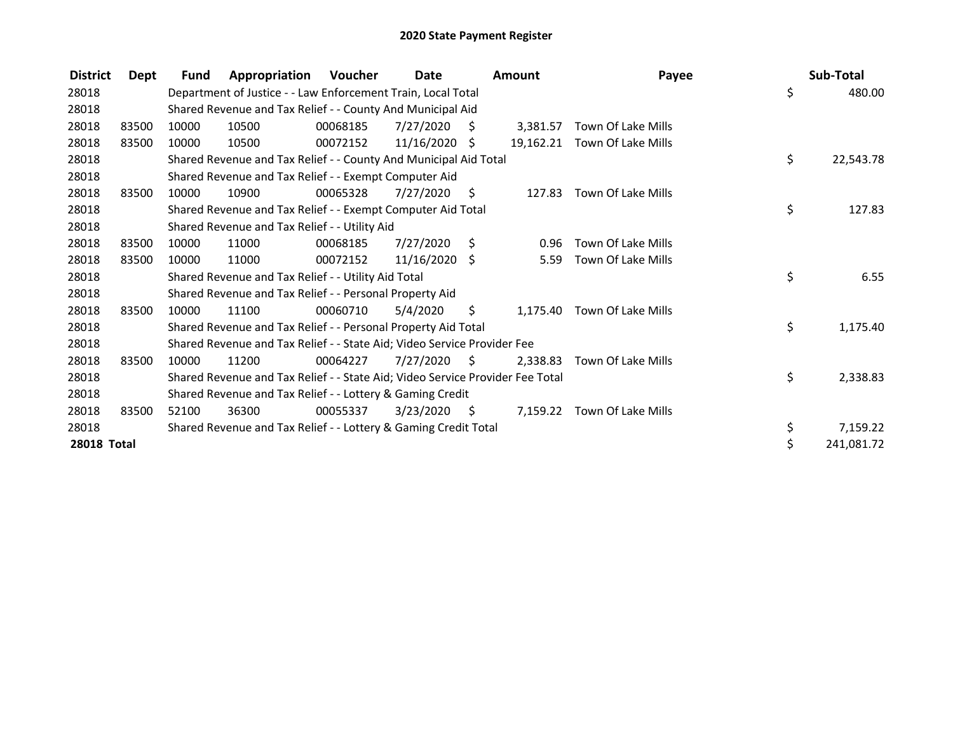| <b>District</b> | Dept  | <b>Fund</b> | Appropriation                                                                 | Voucher  | Date            |      | <b>Amount</b> | Payee                        | Sub-Total        |
|-----------------|-------|-------------|-------------------------------------------------------------------------------|----------|-----------------|------|---------------|------------------------------|------------------|
| 28018           |       |             | Department of Justice - - Law Enforcement Train, Local Total                  |          |                 |      |               |                              | \$<br>480.00     |
| 28018           |       |             | Shared Revenue and Tax Relief - - County And Municipal Aid                    |          |                 |      |               |                              |                  |
| 28018           | 83500 | 10000       | 10500                                                                         | 00068185 | 7/27/2020       | - S  | 3.381.57      | Town Of Lake Mills           |                  |
| 28018           | 83500 | 10000       | 10500                                                                         | 00072152 | $11/16/2020$ \$ |      |               | 19,162.21 Town Of Lake Mills |                  |
| 28018           |       |             | Shared Revenue and Tax Relief - - County And Municipal Aid Total              |          |                 |      |               |                              | \$<br>22,543.78  |
| 28018           |       |             | Shared Revenue and Tax Relief - - Exempt Computer Aid                         |          |                 |      |               |                              |                  |
| 28018           | 83500 | 10000       | 10900                                                                         | 00065328 | 7/27/2020       | - \$ | 127.83        | Town Of Lake Mills           |                  |
| 28018           |       |             | Shared Revenue and Tax Relief - - Exempt Computer Aid Total                   |          |                 |      |               |                              | \$<br>127.83     |
| 28018           |       |             | Shared Revenue and Tax Relief - - Utility Aid                                 |          |                 |      |               |                              |                  |
| 28018           | 83500 | 10000       | 11000                                                                         | 00068185 | 7/27/2020       | - \$ | 0.96          | Town Of Lake Mills           |                  |
| 28018           | 83500 | 10000       | 11000                                                                         | 00072152 | $11/16/2020$ \$ |      | 5.59          | Town Of Lake Mills           |                  |
| 28018           |       |             | Shared Revenue and Tax Relief - - Utility Aid Total                           |          |                 |      |               |                              | \$<br>6.55       |
| 28018           |       |             | Shared Revenue and Tax Relief - - Personal Property Aid                       |          |                 |      |               |                              |                  |
| 28018           | 83500 | 10000       | 11100                                                                         | 00060710 | 5/4/2020        | \$.  |               | 1,175.40 Town Of Lake Mills  |                  |
| 28018           |       |             | Shared Revenue and Tax Relief - - Personal Property Aid Total                 |          |                 |      |               |                              | \$<br>1,175.40   |
| 28018           |       |             | Shared Revenue and Tax Relief - - State Aid; Video Service Provider Fee       |          |                 |      |               |                              |                  |
| 28018           | 83500 | 10000       | 11200                                                                         | 00064227 | 7/27/2020       | - S  | 2.338.83      | Town Of Lake Mills           |                  |
| 28018           |       |             | Shared Revenue and Tax Relief - - State Aid; Video Service Provider Fee Total |          |                 |      |               |                              | \$<br>2,338.83   |
| 28018           |       |             | Shared Revenue and Tax Relief - - Lottery & Gaming Credit                     |          |                 |      |               |                              |                  |
| 28018           | 83500 | 52100       | 36300                                                                         | 00055337 | 3/23/2020       | - \$ |               | 7,159.22 Town Of Lake Mills  |                  |
| 28018           |       |             | Shared Revenue and Tax Relief - - Lottery & Gaming Credit Total               |          |                 |      |               |                              | \$<br>7,159.22   |
| 28018 Total     |       |             |                                                                               |          |                 |      |               |                              | \$<br>241,081.72 |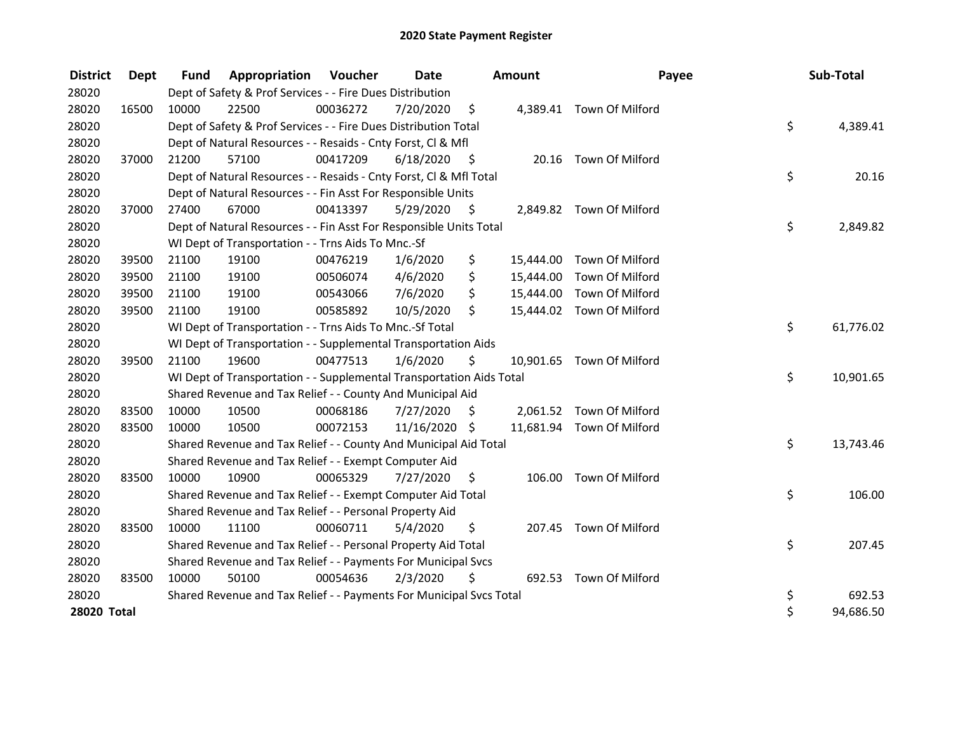| <b>District</b> | <b>Dept</b> | <b>Fund</b> | Appropriation                                                        | Voucher  | <b>Date</b>   |                    | <b>Amount</b> | Payee                     | Sub-Total       |
|-----------------|-------------|-------------|----------------------------------------------------------------------|----------|---------------|--------------------|---------------|---------------------------|-----------------|
| 28020           |             |             | Dept of Safety & Prof Services - - Fire Dues Distribution            |          |               |                    |               |                           |                 |
| 28020           | 16500       | 10000       | 22500                                                                | 00036272 | 7/20/2020     | $\ddot{\varsigma}$ |               | 4,389.41 Town Of Milford  |                 |
| 28020           |             |             | Dept of Safety & Prof Services - - Fire Dues Distribution Total      |          |               |                    |               |                           | \$<br>4,389.41  |
| 28020           |             |             | Dept of Natural Resources - - Resaids - Cnty Forst, Cl & Mfl         |          |               |                    |               |                           |                 |
| 28020           | 37000       | 21200       | 57100                                                                | 00417209 | 6/18/2020     | - \$               | 20.16         | Town Of Milford           |                 |
| 28020           |             |             | Dept of Natural Resources - - Resaids - Cnty Forst, Cl & Mfl Total   |          |               |                    |               |                           | \$<br>20.16     |
| 28020           |             |             | Dept of Natural Resources - - Fin Asst For Responsible Units         |          |               |                    |               |                           |                 |
| 28020           | 37000       | 27400       | 67000                                                                | 00413397 | 5/29/2020     | \$                 |               | 2,849.82 Town Of Milford  |                 |
| 28020           |             |             | Dept of Natural Resources - - Fin Asst For Responsible Units Total   |          |               |                    |               |                           | \$<br>2,849.82  |
| 28020           |             |             | WI Dept of Transportation - - Trns Aids To Mnc.-Sf                   |          |               |                    |               |                           |                 |
| 28020           | 39500       | 21100       | 19100                                                                | 00476219 | 1/6/2020      | \$                 | 15,444.00     | Town Of Milford           |                 |
| 28020           | 39500       | 21100       | 19100                                                                | 00506074 | 4/6/2020      | \$                 | 15,444.00     | Town Of Milford           |                 |
| 28020           | 39500       | 21100       | 19100                                                                | 00543066 | 7/6/2020      | \$                 | 15,444.00     | Town Of Milford           |                 |
| 28020           | 39500       | 21100       | 19100                                                                | 00585892 | 10/5/2020     | \$                 |               | 15,444.02 Town Of Milford |                 |
| 28020           |             |             | WI Dept of Transportation - - Trns Aids To Mnc.-Sf Total             |          |               |                    |               |                           | \$<br>61,776.02 |
| 28020           |             |             | WI Dept of Transportation - - Supplemental Transportation Aids       |          |               |                    |               |                           |                 |
| 28020           | 39500       | 21100       | 19600                                                                | 00477513 | 1/6/2020      | \$                 |               | 10,901.65 Town Of Milford |                 |
| 28020           |             |             | WI Dept of Transportation - - Supplemental Transportation Aids Total |          |               |                    |               |                           | \$<br>10,901.65 |
| 28020           |             |             | Shared Revenue and Tax Relief - - County And Municipal Aid           |          |               |                    |               |                           |                 |
| 28020           | 83500       | 10000       | 10500                                                                | 00068186 | 7/27/2020     | Ŝ.                 |               | 2,061.52 Town Of Milford  |                 |
| 28020           | 83500       | 10000       | 10500                                                                | 00072153 | 11/16/2020 \$ |                    |               | 11,681.94 Town Of Milford |                 |
| 28020           |             |             | Shared Revenue and Tax Relief - - County And Municipal Aid Total     |          |               |                    |               |                           | \$<br>13,743.46 |
| 28020           |             |             | Shared Revenue and Tax Relief - - Exempt Computer Aid                |          |               |                    |               |                           |                 |
| 28020           | 83500       | 10000       | 10900                                                                | 00065329 | 7/27/2020     | \$                 | 106.00        | Town Of Milford           |                 |
| 28020           |             |             | Shared Revenue and Tax Relief - - Exempt Computer Aid Total          |          |               |                    |               |                           | \$<br>106.00    |
| 28020           |             |             | Shared Revenue and Tax Relief - - Personal Property Aid              |          |               |                    |               |                           |                 |
| 28020           | 83500       | 10000       | 11100                                                                | 00060711 | 5/4/2020      | \$                 | 207.45        | Town Of Milford           |                 |
| 28020           |             |             | Shared Revenue and Tax Relief - - Personal Property Aid Total        |          |               |                    |               |                           | \$<br>207.45    |
| 28020           |             |             | Shared Revenue and Tax Relief - - Payments For Municipal Svcs        |          |               |                    |               |                           |                 |
| 28020           | 83500       | 10000       | 50100                                                                | 00054636 | 2/3/2020      | \$                 |               | 692.53 Town Of Milford    |                 |
| 28020           |             |             | Shared Revenue and Tax Relief - - Payments For Municipal Svcs Total  |          |               |                    |               |                           | \$<br>692.53    |
| 28020 Total     |             |             |                                                                      |          |               |                    |               |                           | \$<br>94,686.50 |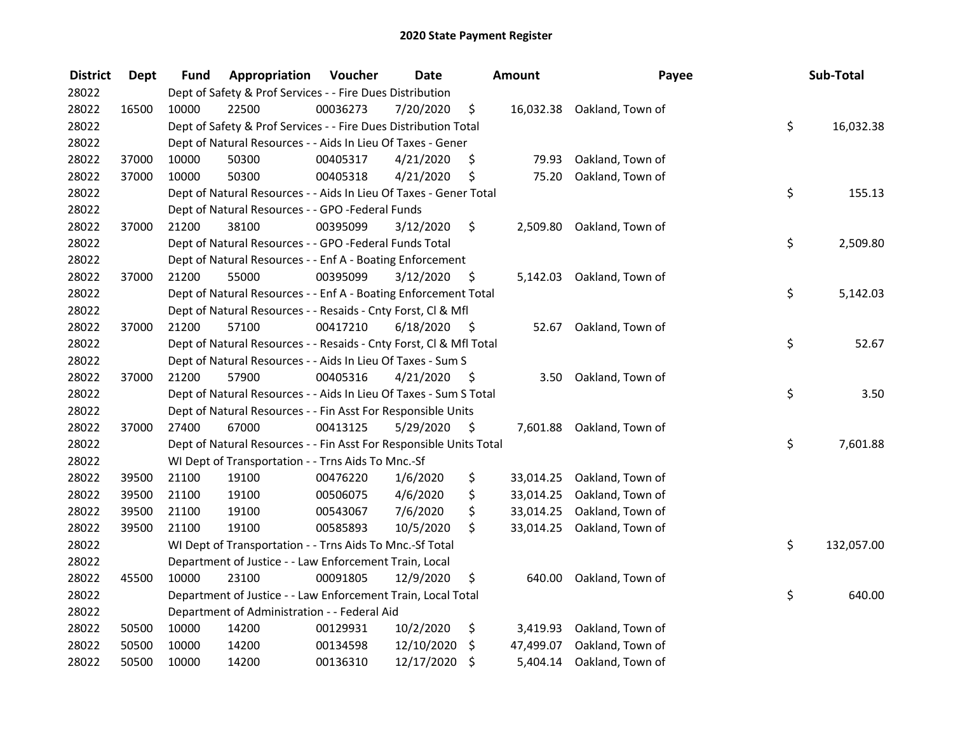| <b>District</b> | <b>Dept</b> | Fund  | Appropriation                                                      | Voucher  | <b>Date</b> |      | Amount    | Payee                      | Sub-Total        |
|-----------------|-------------|-------|--------------------------------------------------------------------|----------|-------------|------|-----------|----------------------------|------------------|
| 28022           |             |       | Dept of Safety & Prof Services - - Fire Dues Distribution          |          |             |      |           |                            |                  |
| 28022           | 16500       | 10000 | 22500                                                              | 00036273 | 7/20/2020   | \$   |           | 16,032.38 Oakland, Town of |                  |
| 28022           |             |       | Dept of Safety & Prof Services - - Fire Dues Distribution Total    |          |             |      |           |                            | \$<br>16,032.38  |
| 28022           |             |       | Dept of Natural Resources - - Aids In Lieu Of Taxes - Gener        |          |             |      |           |                            |                  |
| 28022           | 37000       | 10000 | 50300                                                              | 00405317 | 4/21/2020   | \$   | 79.93     | Oakland, Town of           |                  |
| 28022           | 37000       | 10000 | 50300                                                              | 00405318 | 4/21/2020   | \$   | 75.20     | Oakland, Town of           |                  |
| 28022           |             |       | Dept of Natural Resources - - Aids In Lieu Of Taxes - Gener Total  |          |             |      |           |                            | \$<br>155.13     |
| 28022           |             |       | Dept of Natural Resources - - GPO -Federal Funds                   |          |             |      |           |                            |                  |
| 28022           | 37000       | 21200 | 38100                                                              | 00395099 | 3/12/2020   | \$   |           | 2,509.80 Oakland, Town of  |                  |
| 28022           |             |       | Dept of Natural Resources - - GPO -Federal Funds Total             |          |             |      |           |                            | \$<br>2,509.80   |
| 28022           |             |       | Dept of Natural Resources - - Enf A - Boating Enforcement          |          |             |      |           |                            |                  |
| 28022           | 37000       | 21200 | 55000                                                              | 00395099 | 3/12/2020   | -Ş   |           | 5,142.03 Oakland, Town of  |                  |
| 28022           |             |       | Dept of Natural Resources - - Enf A - Boating Enforcement Total    |          |             |      |           |                            | \$<br>5,142.03   |
| 28022           |             |       | Dept of Natural Resources - - Resaids - Cnty Forst, CI & Mfl       |          |             |      |           |                            |                  |
| 28022           | 37000       | 21200 | 57100                                                              | 00417210 | 6/18/2020   | - \$ | 52.67     | Oakland, Town of           |                  |
| 28022           |             |       | Dept of Natural Resources - - Resaids - Cnty Forst, Cl & Mfl Total |          |             |      |           |                            | \$<br>52.67      |
| 28022           |             |       | Dept of Natural Resources - - Aids In Lieu Of Taxes - Sum S        |          |             |      |           |                            |                  |
| 28022           | 37000       | 21200 | 57900                                                              | 00405316 | 4/21/2020   | - \$ | 3.50      | Oakland, Town of           |                  |
| 28022           |             |       | Dept of Natural Resources - - Aids In Lieu Of Taxes - Sum S Total  |          |             |      |           |                            | \$<br>3.50       |
| 28022           |             |       | Dept of Natural Resources - - Fin Asst For Responsible Units       |          |             |      |           |                            |                  |
| 28022           | 37000       | 27400 | 67000                                                              | 00413125 | 5/29/2020   | - \$ | 7,601.88  | Oakland, Town of           |                  |
| 28022           |             |       | Dept of Natural Resources - - Fin Asst For Responsible Units Total |          |             |      |           |                            | \$<br>7,601.88   |
| 28022           |             |       | WI Dept of Transportation - - Trns Aids To Mnc.-Sf                 |          |             |      |           |                            |                  |
| 28022           | 39500       | 21100 | 19100                                                              | 00476220 | 1/6/2020    | \$   | 33,014.25 | Oakland, Town of           |                  |
| 28022           | 39500       | 21100 | 19100                                                              | 00506075 | 4/6/2020    | \$   | 33,014.25 | Oakland, Town of           |                  |
| 28022           | 39500       | 21100 | 19100                                                              | 00543067 | 7/6/2020    | \$   | 33,014.25 | Oakland, Town of           |                  |
| 28022           | 39500       | 21100 | 19100                                                              | 00585893 | 10/5/2020   | \$   | 33,014.25 | Oakland, Town of           |                  |
| 28022           |             |       | WI Dept of Transportation - - Trns Aids To Mnc.-Sf Total           |          |             |      |           |                            | \$<br>132,057.00 |
| 28022           |             |       | Department of Justice - - Law Enforcement Train, Local             |          |             |      |           |                            |                  |
| 28022           | 45500       | 10000 | 23100                                                              | 00091805 | 12/9/2020   | \$   | 640.00    | Oakland, Town of           |                  |
| 28022           |             |       | Department of Justice - - Law Enforcement Train, Local Total       |          |             |      |           |                            | \$<br>640.00     |
| 28022           |             |       | Department of Administration - - Federal Aid                       |          |             |      |           |                            |                  |
| 28022           | 50500       | 10000 | 14200                                                              | 00129931 | 10/2/2020   | \$   | 3,419.93  | Oakland, Town of           |                  |
| 28022           | 50500       | 10000 | 14200                                                              | 00134598 | 12/10/2020  | \$   | 47,499.07 | Oakland, Town of           |                  |
| 28022           | 50500       | 10000 | 14200                                                              | 00136310 | 12/17/2020  | \$   | 5,404.14  | Oakland, Town of           |                  |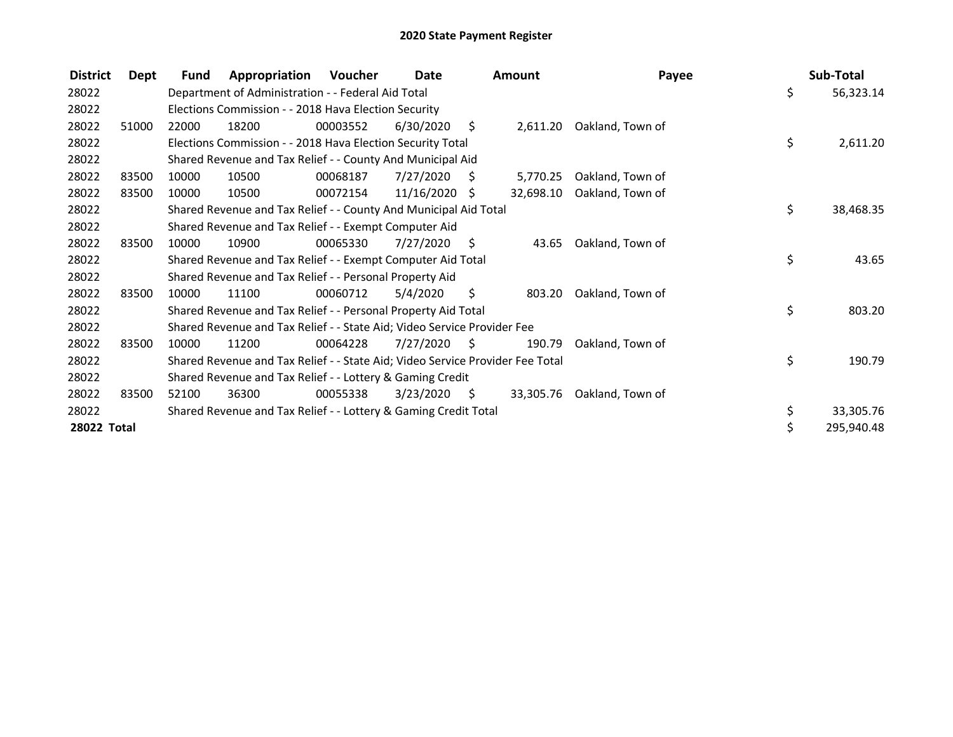| <b>District</b> | Dept  | <b>Fund</b> | Appropriation                                                                 | Voucher  | Date            |     | <b>Amount</b> | Payee            | Sub-Total       |
|-----------------|-------|-------------|-------------------------------------------------------------------------------|----------|-----------------|-----|---------------|------------------|-----------------|
| 28022           |       |             | Department of Administration - - Federal Aid Total                            |          |                 |     |               |                  | \$<br>56,323.14 |
| 28022           |       |             | Elections Commission - - 2018 Hava Election Security                          |          |                 |     |               |                  |                 |
| 28022           | 51000 | 22000       | 18200                                                                         | 00003552 | 6/30/2020       | \$  | 2,611.20      | Oakland, Town of |                 |
| 28022           |       |             | Elections Commission - - 2018 Hava Election Security Total                    |          |                 |     |               |                  | \$<br>2,611.20  |
| 28022           |       |             | Shared Revenue and Tax Relief - - County And Municipal Aid                    |          |                 |     |               |                  |                 |
| 28022           | 83500 | 10000       | 10500                                                                         | 00068187 | 7/27/2020       | - S | 5,770.25      | Oakland, Town of |                 |
| 28022           | 83500 | 10000       | 10500                                                                         | 00072154 | $11/16/2020$ \$ |     | 32,698.10     | Oakland, Town of |                 |
| 28022           |       |             | Shared Revenue and Tax Relief - - County And Municipal Aid Total              |          |                 |     |               |                  | \$<br>38,468.35 |
| 28022           |       |             | Shared Revenue and Tax Relief - - Exempt Computer Aid                         |          |                 |     |               |                  |                 |
| 28022           | 83500 | 10000       | 10900                                                                         | 00065330 | 7/27/2020       | - S | 43.65         | Oakland, Town of |                 |
| 28022           |       |             | Shared Revenue and Tax Relief - - Exempt Computer Aid Total                   |          |                 |     |               |                  | \$<br>43.65     |
| 28022           |       |             | Shared Revenue and Tax Relief - - Personal Property Aid                       |          |                 |     |               |                  |                 |
| 28022           | 83500 | 10000       | 11100                                                                         | 00060712 | 5/4/2020        | S   | 803.20        | Oakland, Town of |                 |
| 28022           |       |             | Shared Revenue and Tax Relief - - Personal Property Aid Total                 |          |                 |     |               |                  | \$<br>803.20    |
| 28022           |       |             | Shared Revenue and Tax Relief - - State Aid; Video Service Provider Fee       |          |                 |     |               |                  |                 |
| 28022           | 83500 | 10000       | 11200                                                                         | 00064228 | 7/27/2020       | \$  | 190.79        | Oakland, Town of |                 |
| 28022           |       |             | Shared Revenue and Tax Relief - - State Aid; Video Service Provider Fee Total |          |                 |     |               |                  | \$<br>190.79    |
| 28022           |       |             | Shared Revenue and Tax Relief - - Lottery & Gaming Credit                     |          |                 |     |               |                  |                 |
| 28022           | 83500 | 52100       | 36300                                                                         | 00055338 | 3/23/2020       | -\$ | 33,305.76     | Oakland, Town of |                 |
| 28022           |       |             | Shared Revenue and Tax Relief - - Lottery & Gaming Credit Total               |          |                 |     |               |                  | \$<br>33,305.76 |
| 28022 Total     |       |             |                                                                               |          |                 |     |               |                  | 295,940.48      |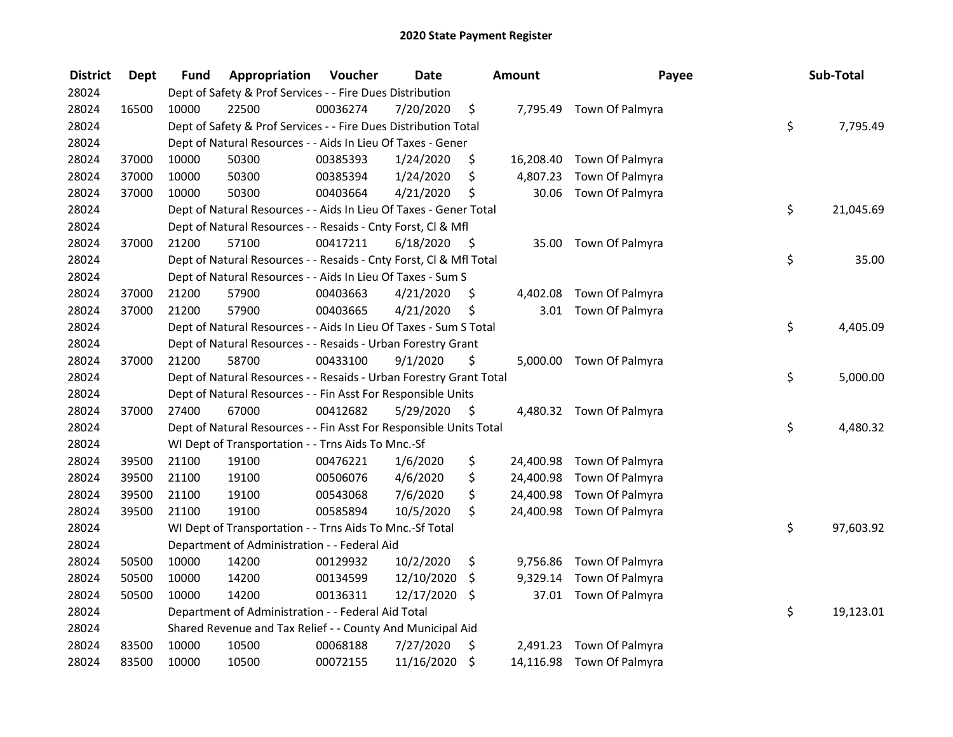| <b>District</b> | <b>Dept</b> | <b>Fund</b> | Appropriation                                                      | Voucher  | <b>Date</b> |      | <b>Amount</b> | Payee                     | Sub-Total       |
|-----------------|-------------|-------------|--------------------------------------------------------------------|----------|-------------|------|---------------|---------------------------|-----------------|
| 28024           |             |             | Dept of Safety & Prof Services - - Fire Dues Distribution          |          |             |      |               |                           |                 |
| 28024           | 16500       | 10000       | 22500                                                              | 00036274 | 7/20/2020   | \$   |               | 7,795.49 Town Of Palmyra  |                 |
| 28024           |             |             | Dept of Safety & Prof Services - - Fire Dues Distribution Total    |          |             |      |               |                           | \$<br>7,795.49  |
| 28024           |             |             | Dept of Natural Resources - - Aids In Lieu Of Taxes - Gener        |          |             |      |               |                           |                 |
| 28024           | 37000       | 10000       | 50300                                                              | 00385393 | 1/24/2020   | \$   |               | 16,208.40 Town Of Palmyra |                 |
| 28024           | 37000       | 10000       | 50300                                                              | 00385394 | 1/24/2020   | \$   | 4,807.23      | Town Of Palmyra           |                 |
| 28024           | 37000       | 10000       | 50300                                                              | 00403664 | 4/21/2020   | \$   | 30.06         | Town Of Palmyra           |                 |
| 28024           |             |             | Dept of Natural Resources - - Aids In Lieu Of Taxes - Gener Total  |          |             |      |               |                           | \$<br>21,045.69 |
| 28024           |             |             | Dept of Natural Resources - - Resaids - Cnty Forst, Cl & Mfl       |          |             |      |               |                           |                 |
| 28024           | 37000       | 21200       | 57100                                                              | 00417211 | 6/18/2020   | - \$ |               | 35.00 Town Of Palmyra     |                 |
| 28024           |             |             | Dept of Natural Resources - - Resaids - Cnty Forst, Cl & Mfl Total |          |             |      |               |                           | \$<br>35.00     |
| 28024           |             |             | Dept of Natural Resources - - Aids In Lieu Of Taxes - Sum S        |          |             |      |               |                           |                 |
| 28024           | 37000       | 21200       | 57900                                                              | 00403663 | 4/21/2020   | \$.  | 4,402.08      | Town Of Palmyra           |                 |
| 28024           | 37000       | 21200       | 57900                                                              | 00403665 | 4/21/2020   | \$   |               | 3.01 Town Of Palmyra      |                 |
| 28024           |             |             | Dept of Natural Resources - - Aids In Lieu Of Taxes - Sum S Total  |          |             |      |               |                           | \$<br>4,405.09  |
| 28024           |             |             | Dept of Natural Resources - - Resaids - Urban Forestry Grant       |          |             |      |               |                           |                 |
| 28024           | 37000       | 21200       | 58700                                                              | 00433100 | 9/1/2020    | \$   |               | 5,000.00 Town Of Palmyra  |                 |
| 28024           |             |             | Dept of Natural Resources - - Resaids - Urban Forestry Grant Total |          |             |      |               |                           | \$<br>5,000.00  |
| 28024           |             |             | Dept of Natural Resources - - Fin Asst For Responsible Units       |          |             |      |               |                           |                 |
| 28024           | 37000       | 27400       | 67000                                                              | 00412682 | 5/29/2020   | - \$ |               | 4,480.32 Town Of Palmyra  |                 |
| 28024           |             |             | Dept of Natural Resources - - Fin Asst For Responsible Units Total |          |             |      |               |                           | \$<br>4,480.32  |
| 28024           |             |             | WI Dept of Transportation - - Trns Aids To Mnc.-Sf                 |          |             |      |               |                           |                 |
| 28024           | 39500       | 21100       | 19100                                                              | 00476221 | 1/6/2020    | \$   | 24,400.98     | Town Of Palmyra           |                 |
| 28024           | 39500       | 21100       | 19100                                                              | 00506076 | 4/6/2020    | \$   | 24,400.98     | Town Of Palmyra           |                 |
| 28024           | 39500       | 21100       | 19100                                                              | 00543068 | 7/6/2020    | \$   | 24,400.98     | Town Of Palmyra           |                 |
| 28024           | 39500       | 21100       | 19100                                                              | 00585894 | 10/5/2020   | \$   | 24,400.98     | Town Of Palmyra           |                 |
| 28024           |             |             | WI Dept of Transportation - - Trns Aids To Mnc.-Sf Total           |          |             |      |               |                           | \$<br>97,603.92 |
| 28024           |             |             | Department of Administration - - Federal Aid                       |          |             |      |               |                           |                 |
| 28024           | 50500       | 10000       | 14200                                                              | 00129932 | 10/2/2020   | \$   | 9,756.86      | Town Of Palmyra           |                 |
| 28024           | 50500       | 10000       | 14200                                                              | 00134599 | 12/10/2020  | \$   | 9,329.14      | Town Of Palmyra           |                 |
| 28024           | 50500       | 10000       | 14200                                                              | 00136311 | 12/17/2020  | \$   | 37.01         | Town Of Palmyra           |                 |
| 28024           |             |             | Department of Administration - - Federal Aid Total                 |          |             |      |               |                           | \$<br>19,123.01 |
| 28024           |             |             | Shared Revenue and Tax Relief - - County And Municipal Aid         |          |             |      |               |                           |                 |
| 28024           | 83500       | 10000       | 10500                                                              | 00068188 | 7/27/2020   | \$   | 2,491.23      | Town Of Palmyra           |                 |
| 28024           | 83500       | 10000       | 10500                                                              | 00072155 | 11/16/2020  | \$   | 14,116.98     | Town Of Palmyra           |                 |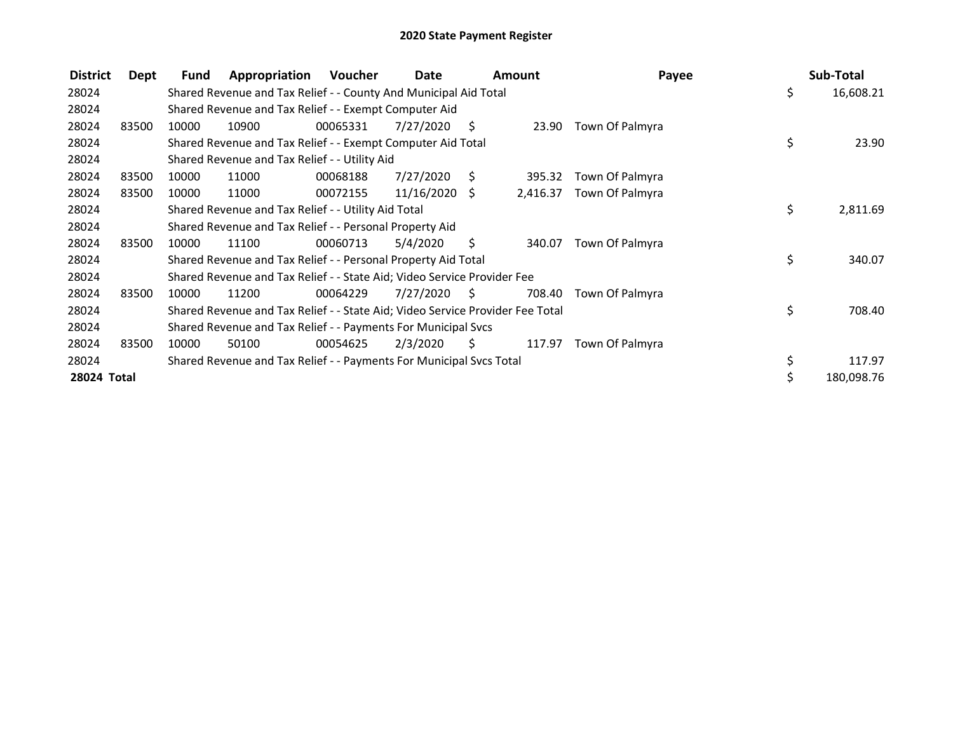| <b>District</b> | Dept  | Fund  | Appropriation                                                                 | <b>Voucher</b> | Date            |     | <b>Amount</b> | Payee           | Sub-Total        |
|-----------------|-------|-------|-------------------------------------------------------------------------------|----------------|-----------------|-----|---------------|-----------------|------------------|
| 28024           |       |       | Shared Revenue and Tax Relief - - County And Municipal Aid Total              |                |                 |     |               |                 | \$<br>16,608.21  |
| 28024           |       |       | Shared Revenue and Tax Relief - - Exempt Computer Aid                         |                |                 |     |               |                 |                  |
| 28024           | 83500 | 10000 | 10900                                                                         | 00065331       | 7/27/2020       | S.  | 23.90         | Town Of Palmyra |                  |
| 28024           |       |       | Shared Revenue and Tax Relief - - Exempt Computer Aid Total                   |                |                 |     |               |                 | \$<br>23.90      |
| 28024           |       |       | Shared Revenue and Tax Relief - - Utility Aid                                 |                |                 |     |               |                 |                  |
| 28024           | 83500 | 10000 | 11000                                                                         | 00068188       | 7/27/2020       | S.  | 395.32        | Town Of Palmyra |                  |
| 28024           | 83500 | 10000 | 11000                                                                         | 00072155       | $11/16/2020$ \$ |     | 2,416.37      | Town Of Palmyra |                  |
| 28024           |       |       | Shared Revenue and Tax Relief - - Utility Aid Total                           |                |                 |     |               |                 | \$<br>2,811.69   |
| 28024           |       |       | Shared Revenue and Tax Relief - - Personal Property Aid                       |                |                 |     |               |                 |                  |
| 28024           | 83500 | 10000 | 11100                                                                         | 00060713       | 5/4/2020        | S.  | 340.07        | Town Of Palmyra |                  |
| 28024           |       |       | Shared Revenue and Tax Relief - - Personal Property Aid Total                 |                |                 |     |               |                 | \$<br>340.07     |
| 28024           |       |       | Shared Revenue and Tax Relief - - State Aid; Video Service Provider Fee       |                |                 |     |               |                 |                  |
| 28024           | 83500 | 10000 | 11200                                                                         | 00064229       | 7/27/2020       | - S | 708.40        | Town Of Palmyra |                  |
| 28024           |       |       | Shared Revenue and Tax Relief - - State Aid; Video Service Provider Fee Total |                |                 |     |               |                 | \$<br>708.40     |
| 28024           |       |       | Shared Revenue and Tax Relief - - Payments For Municipal Svcs                 |                |                 |     |               |                 |                  |
| 28024           | 83500 | 10000 | 50100                                                                         | 00054625       | 2/3/2020        | S.  | 117.97        | Town Of Palmyra |                  |
| 28024           |       |       | Shared Revenue and Tax Relief - - Payments For Municipal Svcs Total           |                |                 |     |               |                 | \$<br>117.97     |
| 28024 Total     |       |       |                                                                               |                |                 |     |               |                 | \$<br>180,098.76 |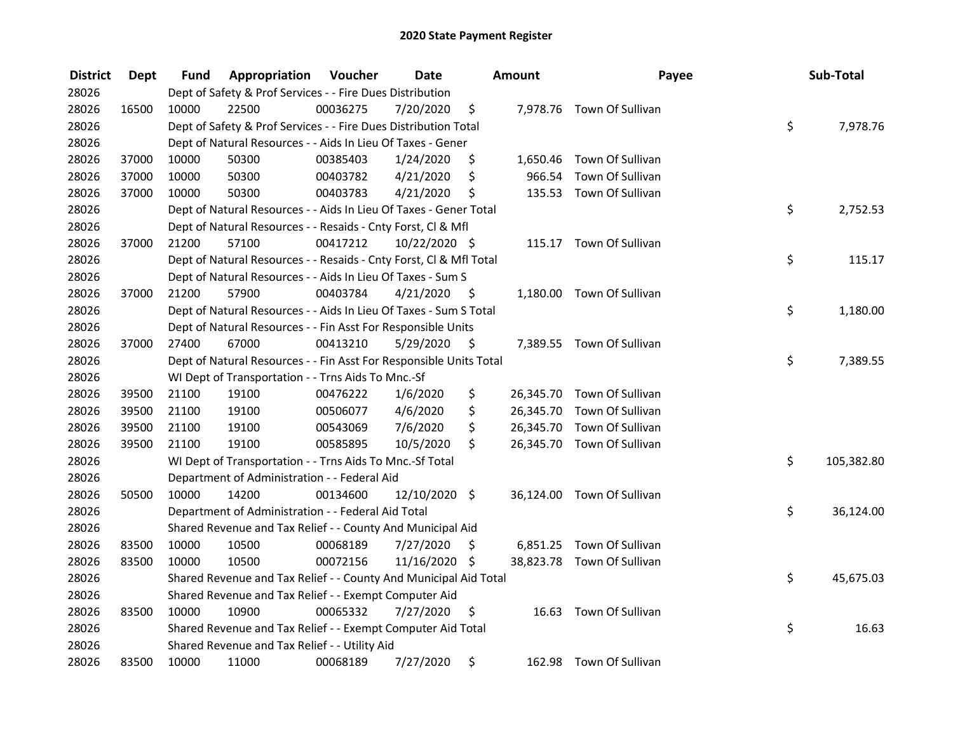| <b>District</b> | Dept  | Fund  | Appropriation                                                      | Voucher  | <b>Date</b>   |     | <b>Amount</b> | Payee                      | Sub-Total        |
|-----------------|-------|-------|--------------------------------------------------------------------|----------|---------------|-----|---------------|----------------------------|------------------|
| 28026           |       |       | Dept of Safety & Prof Services - - Fire Dues Distribution          |          |               |     |               |                            |                  |
| 28026           | 16500 | 10000 | 22500                                                              | 00036275 | 7/20/2020     | \$  |               | 7,978.76 Town Of Sullivan  |                  |
| 28026           |       |       | Dept of Safety & Prof Services - - Fire Dues Distribution Total    |          |               |     |               |                            | \$<br>7,978.76   |
| 28026           |       |       | Dept of Natural Resources - - Aids In Lieu Of Taxes - Gener        |          |               |     |               |                            |                  |
| 28026           | 37000 | 10000 | 50300                                                              | 00385403 | 1/24/2020     | \$  |               | 1,650.46 Town Of Sullivan  |                  |
| 28026           | 37000 | 10000 | 50300                                                              | 00403782 | 4/21/2020     | \$  | 966.54        | Town Of Sullivan           |                  |
| 28026           | 37000 | 10000 | 50300                                                              | 00403783 | 4/21/2020     | \$  |               | 135.53 Town Of Sullivan    |                  |
| 28026           |       |       | Dept of Natural Resources - - Aids In Lieu Of Taxes - Gener Total  |          |               |     |               |                            | \$<br>2,752.53   |
| 28026           |       |       | Dept of Natural Resources - - Resaids - Cnty Forst, Cl & Mfl       |          |               |     |               |                            |                  |
| 28026           | 37000 | 21200 | 57100                                                              | 00417212 | 10/22/2020 \$ |     |               | 115.17 Town Of Sullivan    |                  |
| 28026           |       |       | Dept of Natural Resources - - Resaids - Cnty Forst, Cl & Mfl Total |          |               |     |               |                            | \$<br>115.17     |
| 28026           |       |       | Dept of Natural Resources - - Aids In Lieu Of Taxes - Sum S        |          |               |     |               |                            |                  |
| 28026           | 37000 | 21200 | 57900                                                              | 00403784 | 4/21/2020     | -\$ |               | 1,180.00 Town Of Sullivan  |                  |
| 28026           |       |       | Dept of Natural Resources - - Aids In Lieu Of Taxes - Sum S Total  |          |               |     |               |                            | \$<br>1,180.00   |
| 28026           |       |       | Dept of Natural Resources - - Fin Asst For Responsible Units       |          |               |     |               |                            |                  |
| 28026           | 37000 | 27400 | 67000                                                              | 00413210 | 5/29/2020     | \$  |               | 7,389.55 Town Of Sullivan  |                  |
| 28026           |       |       | Dept of Natural Resources - - Fin Asst For Responsible Units Total |          |               |     |               |                            | \$<br>7,389.55   |
| 28026           |       |       | WI Dept of Transportation - - Trns Aids To Mnc.-Sf                 |          |               |     |               |                            |                  |
| 28026           | 39500 | 21100 | 19100                                                              | 00476222 | 1/6/2020      | \$  |               | 26,345.70 Town Of Sullivan |                  |
| 28026           | 39500 | 21100 | 19100                                                              | 00506077 | 4/6/2020      | \$  |               | 26,345.70 Town Of Sullivan |                  |
| 28026           | 39500 | 21100 | 19100                                                              | 00543069 | 7/6/2020      | \$  |               | 26,345.70 Town Of Sullivan |                  |
| 28026           | 39500 | 21100 | 19100                                                              | 00585895 | 10/5/2020     | \$  |               | 26,345.70 Town Of Sullivan |                  |
| 28026           |       |       | WI Dept of Transportation - - Trns Aids To Mnc.-Sf Total           |          |               |     |               |                            | \$<br>105,382.80 |
| 28026           |       |       | Department of Administration - - Federal Aid                       |          |               |     |               |                            |                  |
| 28026           | 50500 | 10000 | 14200                                                              | 00134600 | 12/10/2020    | \$  |               | 36,124.00 Town Of Sullivan |                  |
| 28026           |       |       | Department of Administration - - Federal Aid Total                 |          |               |     |               |                            | \$<br>36,124.00  |
| 28026           |       |       | Shared Revenue and Tax Relief - - County And Municipal Aid         |          |               |     |               |                            |                  |
| 28026           | 83500 | 10000 | 10500                                                              | 00068189 | 7/27/2020     | \$  |               | 6,851.25 Town Of Sullivan  |                  |
| 28026           | 83500 | 10000 | 10500                                                              | 00072156 | 11/16/2020 \$ |     |               | 38,823.78 Town Of Sullivan |                  |
| 28026           |       |       | Shared Revenue and Tax Relief - - County And Municipal Aid Total   |          |               |     |               |                            | \$<br>45,675.03  |
| 28026           |       |       | Shared Revenue and Tax Relief - - Exempt Computer Aid              |          |               |     |               |                            |                  |
| 28026           | 83500 | 10000 | 10900                                                              | 00065332 | 7/27/2020     | \$  | 16.63         | Town Of Sullivan           |                  |
| 28026           |       |       | Shared Revenue and Tax Relief - - Exempt Computer Aid Total        |          |               |     |               |                            | \$<br>16.63      |
| 28026           |       |       | Shared Revenue and Tax Relief - - Utility Aid                      |          |               |     |               |                            |                  |
| 28026           | 83500 | 10000 | 11000                                                              | 00068189 | 7/27/2020     | \$  | 162.98        | Town Of Sullivan           |                  |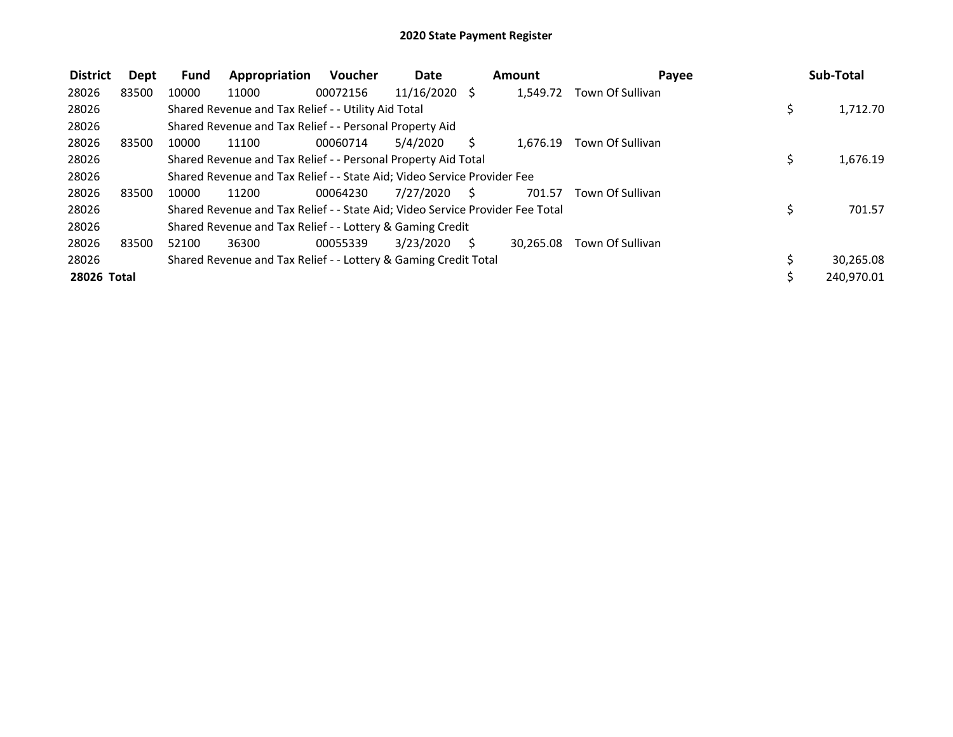| <b>District</b> | Dept  | <b>Fund</b> | Appropriation                                                                 | <b>Voucher</b> | <b>Date</b>   |              | Amount    | Payee            |    | Sub-Total  |
|-----------------|-------|-------------|-------------------------------------------------------------------------------|----------------|---------------|--------------|-----------|------------------|----|------------|
| 28026           | 83500 | 10000       | 11000                                                                         | 00072156       | 11/16/2020 \$ |              | 1.549.72  | Town Of Sullivan |    |            |
| 28026           |       |             | Shared Revenue and Tax Relief - - Utility Aid Total                           |                |               |              |           |                  | \$ | 1,712.70   |
| 28026           |       |             | Shared Revenue and Tax Relief - - Personal Property Aid                       |                |               |              |           |                  |    |            |
| 28026           | 83500 | 10000       | 11100                                                                         | 00060714       | 5/4/2020      | S            | 1.676.19  | Town Of Sullivan |    |            |
| 28026           |       |             | Shared Revenue and Tax Relief - - Personal Property Aid Total                 |                |               |              |           |                  | Ś. | 1,676.19   |
| 28026           |       |             | Shared Revenue and Tax Relief - - State Aid; Video Service Provider Fee       |                |               |              |           |                  |    |            |
| 28026           | 83500 | 10000       | 11200                                                                         | 00064230       | 7/27/2020     | <sub>S</sub> | 701.57    | Town Of Sullivan |    |            |
| 28026           |       |             | Shared Revenue and Tax Relief - - State Aid; Video Service Provider Fee Total |                |               |              |           |                  | \$ | 701.57     |
| 28026           |       |             | Shared Revenue and Tax Relief - - Lottery & Gaming Credit                     |                |               |              |           |                  |    |            |
| 28026           | 83500 | 52100       | 36300                                                                         | 00055339       | 3/23/2020     | S.           | 30.265.08 | Town Of Sullivan |    |            |
| 28026           |       |             | Shared Revenue and Tax Relief - - Lottery & Gaming Credit Total               |                |               |              |           |                  |    | 30,265.08  |
| 28026 Total     |       |             |                                                                               |                |               |              |           |                  |    | 240,970.01 |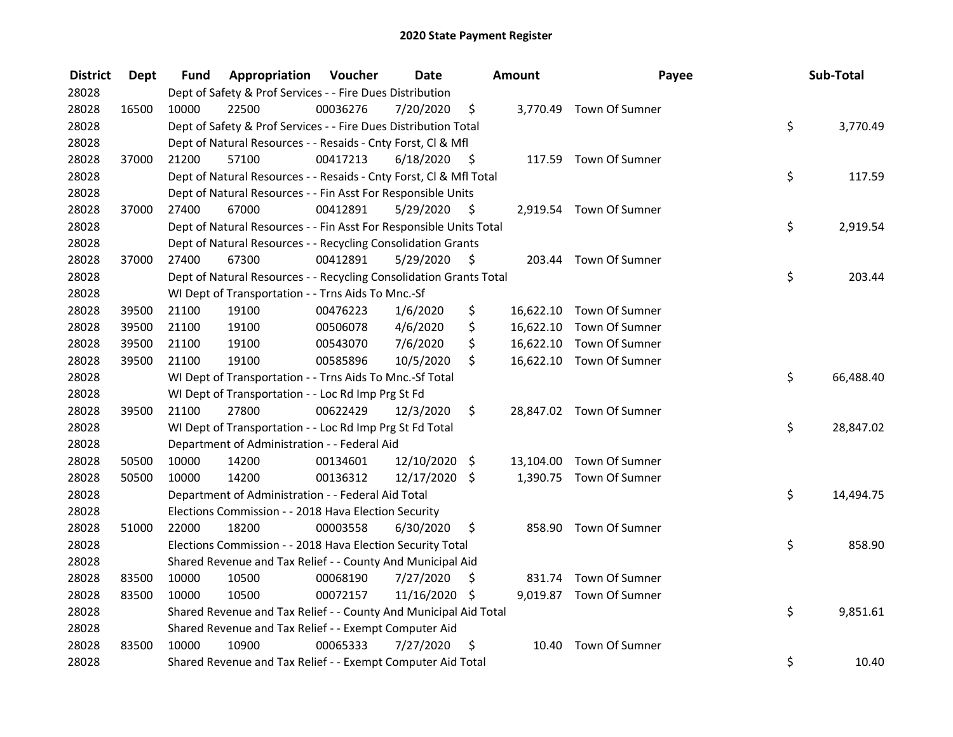| <b>District</b> | <b>Dept</b> | Fund  | Appropriation                                                      | Voucher  | <b>Date</b>   |      | Amount | Payee                    | Sub-Total       |
|-----------------|-------------|-------|--------------------------------------------------------------------|----------|---------------|------|--------|--------------------------|-----------------|
| 28028           |             |       | Dept of Safety & Prof Services - - Fire Dues Distribution          |          |               |      |        |                          |                 |
| 28028           | 16500       | 10000 | 22500                                                              | 00036276 | 7/20/2020     | \$   |        | 3,770.49 Town Of Sumner  |                 |
| 28028           |             |       | Dept of Safety & Prof Services - - Fire Dues Distribution Total    |          |               |      |        |                          | \$<br>3,770.49  |
| 28028           |             |       | Dept of Natural Resources - - Resaids - Cnty Forst, Cl & Mfl       |          |               |      |        |                          |                 |
| 28028           | 37000       | 21200 | 57100                                                              | 00417213 | 6/18/2020     | - \$ |        | 117.59 Town Of Sumner    |                 |
| 28028           |             |       | Dept of Natural Resources - - Resaids - Cnty Forst, Cl & Mfl Total |          |               |      |        |                          | \$<br>117.59    |
| 28028           |             |       | Dept of Natural Resources - - Fin Asst For Responsible Units       |          |               |      |        |                          |                 |
| 28028           | 37000       | 27400 | 67000                                                              | 00412891 | 5/29/2020     | - \$ |        | 2,919.54 Town Of Sumner  |                 |
| 28028           |             |       | Dept of Natural Resources - - Fin Asst For Responsible Units Total |          |               |      |        |                          | \$<br>2,919.54  |
| 28028           |             |       | Dept of Natural Resources - - Recycling Consolidation Grants       |          |               |      |        |                          |                 |
| 28028           | 37000       | 27400 | 67300                                                              | 00412891 | 5/29/2020     | \$   |        | 203.44 Town Of Sumner    |                 |
| 28028           |             |       | Dept of Natural Resources - - Recycling Consolidation Grants Total |          |               |      |        |                          | \$<br>203.44    |
| 28028           |             |       | WI Dept of Transportation - - Trns Aids To Mnc.-Sf                 |          |               |      |        |                          |                 |
| 28028           | 39500       | 21100 | 19100                                                              | 00476223 | 1/6/2020      | \$   |        | 16,622.10 Town Of Sumner |                 |
| 28028           | 39500       | 21100 | 19100                                                              | 00506078 | 4/6/2020      | \$   |        | 16,622.10 Town Of Sumner |                 |
| 28028           | 39500       | 21100 | 19100                                                              | 00543070 | 7/6/2020      | \$   |        | 16,622.10 Town Of Sumner |                 |
| 28028           | 39500       | 21100 | 19100                                                              | 00585896 | 10/5/2020     | \$   |        | 16,622.10 Town Of Sumner |                 |
| 28028           |             |       | WI Dept of Transportation - - Trns Aids To Mnc.-Sf Total           |          |               |      |        |                          | \$<br>66,488.40 |
| 28028           |             |       | WI Dept of Transportation - - Loc Rd Imp Prg St Fd                 |          |               |      |        |                          |                 |
| 28028           | 39500       | 21100 | 27800                                                              | 00622429 | 12/3/2020     | \$   |        | 28,847.02 Town Of Sumner |                 |
| 28028           |             |       | WI Dept of Transportation - - Loc Rd Imp Prg St Fd Total           |          |               |      |        |                          | \$<br>28,847.02 |
| 28028           |             |       | Department of Administration - - Federal Aid                       |          |               |      |        |                          |                 |
| 28028           | 50500       | 10000 | 14200                                                              | 00134601 | 12/10/2020    | \$   |        | 13,104.00 Town Of Sumner |                 |
| 28028           | 50500       | 10000 | 14200                                                              | 00136312 | 12/17/2020 \$ |      |        | 1,390.75 Town Of Sumner  |                 |
| 28028           |             |       | Department of Administration - - Federal Aid Total                 |          |               |      |        |                          | \$<br>14,494.75 |
| 28028           |             |       | Elections Commission - - 2018 Hava Election Security               |          |               |      |        |                          |                 |
| 28028           | 51000       | 22000 | 18200                                                              | 00003558 | 6/30/2020     | \$   |        | 858.90 Town Of Sumner    |                 |
| 28028           |             |       | Elections Commission - - 2018 Hava Election Security Total         |          |               |      |        |                          | \$<br>858.90    |
| 28028           |             |       | Shared Revenue and Tax Relief - - County And Municipal Aid         |          |               |      |        |                          |                 |
| 28028           | 83500       | 10000 | 10500                                                              | 00068190 | 7/27/2020     | \$   |        | 831.74 Town Of Sumner    |                 |
| 28028           | 83500       | 10000 | 10500                                                              | 00072157 | 11/16/2020 \$ |      |        | 9,019.87 Town Of Sumner  |                 |
| 28028           |             |       | Shared Revenue and Tax Relief - - County And Municipal Aid Total   |          |               |      |        |                          | \$<br>9,851.61  |
| 28028           |             |       | Shared Revenue and Tax Relief - - Exempt Computer Aid              |          |               |      |        |                          |                 |
| 28028           | 83500       | 10000 | 10900                                                              | 00065333 | 7/27/2020     | \$   | 10.40  | Town Of Sumner           |                 |
| 28028           |             |       | Shared Revenue and Tax Relief - - Exempt Computer Aid Total        |          |               |      |        |                          | \$<br>10.40     |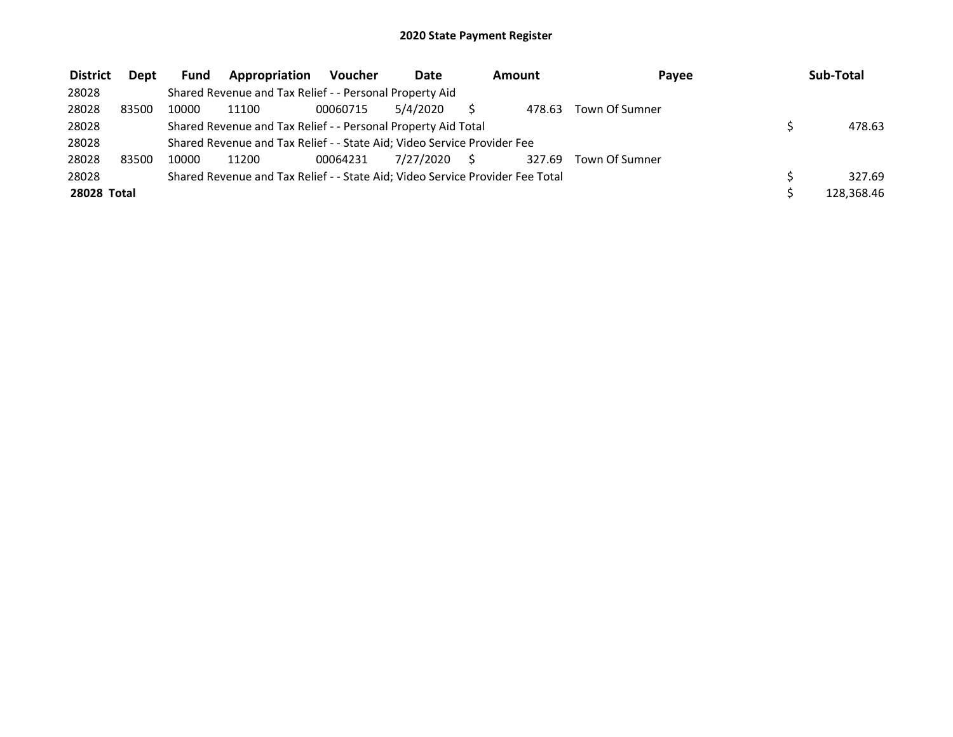| <b>District</b>    | Dept  | <b>Fund</b> | Appropriation                                                                 | Voucher  | Date      | Amount |        | Payee          | Sub-Total  |
|--------------------|-------|-------------|-------------------------------------------------------------------------------|----------|-----------|--------|--------|----------------|------------|
| 28028              |       |             | Shared Revenue and Tax Relief - - Personal Property Aid                       |          |           |        |        |                |            |
| 28028              | 83500 | 10000       | 11100                                                                         | 00060715 | 5/4/2020  |        | 478.63 | Town Of Sumner |            |
| 28028              |       |             | Shared Revenue and Tax Relief - - Personal Property Aid Total                 |          |           |        |        |                | 478.63     |
| 28028              |       |             | Shared Revenue and Tax Relief - - State Aid; Video Service Provider Fee       |          |           |        |        |                |            |
| 28028              | 83500 | 10000       | 11200                                                                         | 00064231 | 7/27/2020 |        | 327.69 | Town Of Sumner |            |
| 28028              |       |             | Shared Revenue and Tax Relief - - State Aid; Video Service Provider Fee Total |          |           |        |        |                | 327.69     |
| <b>28028 Total</b> |       |             |                                                                               |          |           |        |        |                | 128.368.46 |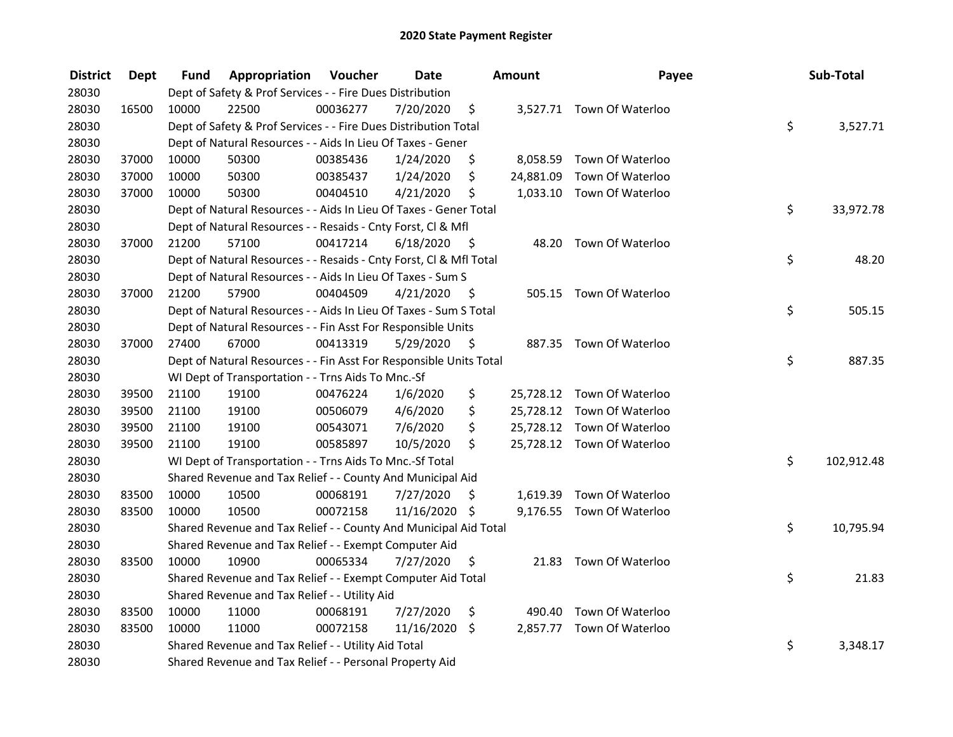| <b>District</b> | Dept  | Fund  | <b>Appropriation Voucher</b>                                       |          | <b>Date</b>   |      | Amount    | Payee                      | Sub-Total        |
|-----------------|-------|-------|--------------------------------------------------------------------|----------|---------------|------|-----------|----------------------------|------------------|
| 28030           |       |       | Dept of Safety & Prof Services - - Fire Dues Distribution          |          |               |      |           |                            |                  |
| 28030           | 16500 | 10000 | 22500                                                              | 00036277 | 7/20/2020     | \$   |           | 3,527.71 Town Of Waterloo  |                  |
| 28030           |       |       | Dept of Safety & Prof Services - - Fire Dues Distribution Total    |          |               |      |           |                            | \$<br>3,527.71   |
| 28030           |       |       | Dept of Natural Resources - - Aids In Lieu Of Taxes - Gener        |          |               |      |           |                            |                  |
| 28030           | 37000 | 10000 | 50300                                                              | 00385436 | 1/24/2020     | \$   |           | 8,058.59 Town Of Waterloo  |                  |
| 28030           | 37000 | 10000 | 50300                                                              | 00385437 | 1/24/2020     | \$   | 24,881.09 | Town Of Waterloo           |                  |
| 28030           | 37000 | 10000 | 50300                                                              | 00404510 | 4/21/2020     | \$   |           | 1,033.10 Town Of Waterloo  |                  |
| 28030           |       |       | Dept of Natural Resources - - Aids In Lieu Of Taxes - Gener Total  |          |               |      |           |                            | \$<br>33,972.78  |
| 28030           |       |       | Dept of Natural Resources - - Resaids - Cnty Forst, Cl & Mfl       |          |               |      |           |                            |                  |
| 28030           | 37000 | 21200 | 57100                                                              | 00417214 | 6/18/2020     | - \$ |           | 48.20 Town Of Waterloo     |                  |
| 28030           |       |       | Dept of Natural Resources - - Resaids - Cnty Forst, Cl & Mfl Total |          |               |      |           |                            | \$<br>48.20      |
| 28030           |       |       | Dept of Natural Resources - - Aids In Lieu Of Taxes - Sum S        |          |               |      |           |                            |                  |
| 28030           | 37000 | 21200 | 57900                                                              | 00404509 | 4/21/2020     | - \$ |           | 505.15 Town Of Waterloo    |                  |
| 28030           |       |       | Dept of Natural Resources - - Aids In Lieu Of Taxes - Sum S Total  |          |               |      |           |                            | \$<br>505.15     |
| 28030           |       |       | Dept of Natural Resources - - Fin Asst For Responsible Units       |          |               |      |           |                            |                  |
| 28030           | 37000 | 27400 | 67000                                                              | 00413319 | 5/29/2020     | \$   |           | 887.35 Town Of Waterloo    |                  |
| 28030           |       |       | Dept of Natural Resources - - Fin Asst For Responsible Units Total |          |               |      |           |                            | \$<br>887.35     |
| 28030           |       |       | WI Dept of Transportation - - Trns Aids To Mnc.-Sf                 |          |               |      |           |                            |                  |
| 28030           | 39500 | 21100 | 19100                                                              | 00476224 | 1/6/2020      | \$   |           | 25,728.12 Town Of Waterloo |                  |
| 28030           | 39500 | 21100 | 19100                                                              | 00506079 | 4/6/2020      | \$   |           | 25,728.12 Town Of Waterloo |                  |
| 28030           | 39500 | 21100 | 19100                                                              | 00543071 | 7/6/2020      | \$   |           | 25,728.12 Town Of Waterloo |                  |
| 28030           | 39500 | 21100 | 19100                                                              | 00585897 | 10/5/2020     | \$   |           | 25,728.12 Town Of Waterloo |                  |
| 28030           |       |       | WI Dept of Transportation - - Trns Aids To Mnc.-Sf Total           |          |               |      |           |                            | \$<br>102,912.48 |
| 28030           |       |       | Shared Revenue and Tax Relief - - County And Municipal Aid         |          |               |      |           |                            |                  |
| 28030           | 83500 | 10000 | 10500                                                              | 00068191 | 7/27/2020     | \$.  |           | 1,619.39 Town Of Waterloo  |                  |
| 28030           | 83500 | 10000 | 10500                                                              | 00072158 | 11/16/2020 \$ |      |           | 9,176.55 Town Of Waterloo  |                  |
| 28030           |       |       | Shared Revenue and Tax Relief - - County And Municipal Aid Total   |          |               |      |           |                            | \$<br>10,795.94  |
| 28030           |       |       | Shared Revenue and Tax Relief - - Exempt Computer Aid              |          |               |      |           |                            |                  |
| 28030           | 83500 | 10000 | 10900                                                              | 00065334 | 7/27/2020     | \$   |           | 21.83 Town Of Waterloo     |                  |
| 28030           |       |       | Shared Revenue and Tax Relief - - Exempt Computer Aid Total        |          |               |      |           |                            | \$<br>21.83      |
| 28030           |       |       | Shared Revenue and Tax Relief - - Utility Aid                      |          |               |      |           |                            |                  |
| 28030           | 83500 | 10000 | 11000                                                              | 00068191 | 7/27/2020     | \$   | 490.40    | Town Of Waterloo           |                  |
| 28030           | 83500 | 10000 | 11000                                                              | 00072158 | 11/16/2020    | \$   |           | 2,857.77 Town Of Waterloo  |                  |
| 28030           |       |       | Shared Revenue and Tax Relief - - Utility Aid Total                |          |               |      |           |                            | \$<br>3,348.17   |
| 28030           |       |       | Shared Revenue and Tax Relief - - Personal Property Aid            |          |               |      |           |                            |                  |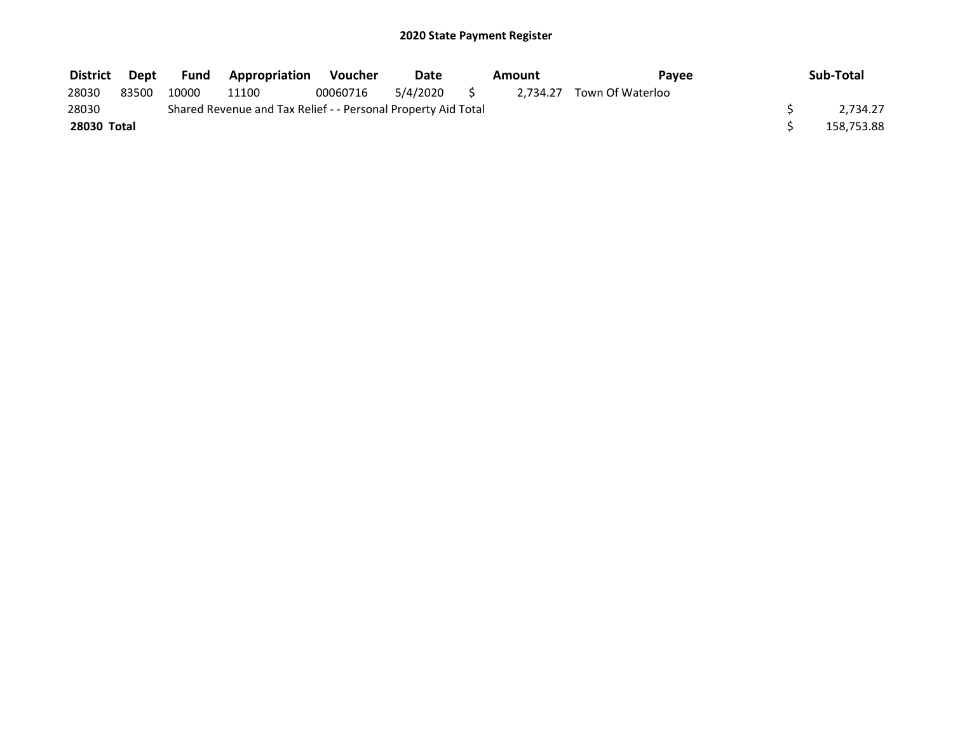| District    | Dept  | Fund  | <b>Appropriation</b>                                          | Voucher  | Date     | Amount | Pavee                     | Sub-Total  |
|-------------|-------|-------|---------------------------------------------------------------|----------|----------|--------|---------------------------|------------|
| 28030       | 83500 | 10000 | 11100                                                         | 00060716 | 5/4/2020 |        | 2,734.27 Town Of Waterloo |            |
| 28030       |       |       | Shared Revenue and Tax Relief - - Personal Property Aid Total |          |          |        |                           | 2.734.27   |
| 28030 Total |       |       |                                                               |          |          |        |                           | 158,753.88 |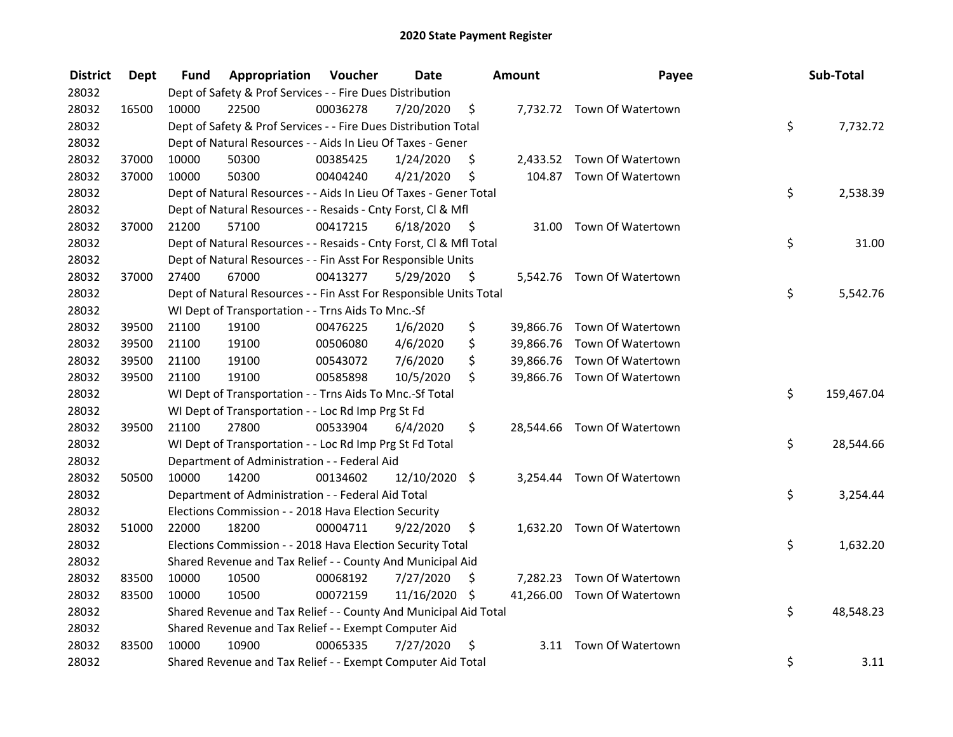| <b>District</b> | <b>Dept</b> | Fund  | Appropriation                                                      | Voucher  | <b>Date</b>   |      | Amount | Payee                       | Sub-Total        |
|-----------------|-------------|-------|--------------------------------------------------------------------|----------|---------------|------|--------|-----------------------------|------------------|
| 28032           |             |       | Dept of Safety & Prof Services - - Fire Dues Distribution          |          |               |      |        |                             |                  |
| 28032           | 16500       | 10000 | 22500                                                              | 00036278 | 7/20/2020     | \$   |        | 7,732.72 Town Of Watertown  |                  |
| 28032           |             |       | Dept of Safety & Prof Services - - Fire Dues Distribution Total    |          |               |      |        |                             | \$<br>7,732.72   |
| 28032           |             |       | Dept of Natural Resources - - Aids In Lieu Of Taxes - Gener        |          |               |      |        |                             |                  |
| 28032           | 37000       | 10000 | 50300                                                              | 00385425 | 1/24/2020     | \$   |        | 2,433.52 Town Of Watertown  |                  |
| 28032           | 37000       | 10000 | 50300                                                              | 00404240 | 4/21/2020     | \$   |        | 104.87 Town Of Watertown    |                  |
| 28032           |             |       | Dept of Natural Resources - - Aids In Lieu Of Taxes - Gener Total  |          |               |      |        |                             | \$<br>2,538.39   |
| 28032           |             |       | Dept of Natural Resources - - Resaids - Cnty Forst, Cl & Mfl       |          |               |      |        |                             |                  |
| 28032           | 37000       | 21200 | 57100                                                              | 00417215 | 6/18/2020     | - \$ |        | 31.00 Town Of Watertown     |                  |
| 28032           |             |       | Dept of Natural Resources - - Resaids - Cnty Forst, Cl & Mfl Total |          |               |      |        |                             | \$<br>31.00      |
| 28032           |             |       | Dept of Natural Resources - - Fin Asst For Responsible Units       |          |               |      |        |                             |                  |
| 28032           | 37000       | 27400 | 67000                                                              | 00413277 | 5/29/2020     | -\$  |        | 5,542.76 Town Of Watertown  |                  |
| 28032           |             |       | Dept of Natural Resources - - Fin Asst For Responsible Units Total |          |               |      |        |                             | \$<br>5,542.76   |
| 28032           |             |       | WI Dept of Transportation - - Trns Aids To Mnc.-Sf                 |          |               |      |        |                             |                  |
| 28032           | 39500       | 21100 | 19100                                                              | 00476225 | 1/6/2020      | \$   |        | 39,866.76 Town Of Watertown |                  |
| 28032           | 39500       | 21100 | 19100                                                              | 00506080 | 4/6/2020      | \$   |        | 39,866.76 Town Of Watertown |                  |
| 28032           | 39500       | 21100 | 19100                                                              | 00543072 | 7/6/2020      | \$   |        | 39,866.76 Town Of Watertown |                  |
| 28032           | 39500       | 21100 | 19100                                                              | 00585898 | 10/5/2020     | \$   |        | 39,866.76 Town Of Watertown |                  |
| 28032           |             |       | WI Dept of Transportation - - Trns Aids To Mnc.-Sf Total           |          |               |      |        |                             | \$<br>159,467.04 |
| 28032           |             |       | WI Dept of Transportation - - Loc Rd Imp Prg St Fd                 |          |               |      |        |                             |                  |
| 28032           | 39500       | 21100 | 27800                                                              | 00533904 | 6/4/2020      | \$   |        | 28,544.66 Town Of Watertown |                  |
| 28032           |             |       | WI Dept of Transportation - - Loc Rd Imp Prg St Fd Total           |          |               |      |        |                             | \$<br>28,544.66  |
| 28032           |             |       | Department of Administration - - Federal Aid                       |          |               |      |        |                             |                  |
| 28032           | 50500       | 10000 | 14200                                                              | 00134602 | 12/10/2020 \$ |      |        | 3,254.44 Town Of Watertown  |                  |
| 28032           |             |       | Department of Administration - - Federal Aid Total                 |          |               |      |        |                             | \$<br>3,254.44   |
| 28032           |             |       | Elections Commission - - 2018 Hava Election Security               |          |               |      |        |                             |                  |
| 28032           | 51000       | 22000 | 18200                                                              | 00004711 | 9/22/2020     | \$   |        | 1,632.20 Town Of Watertown  |                  |
| 28032           |             |       | Elections Commission - - 2018 Hava Election Security Total         |          |               |      |        |                             | \$<br>1,632.20   |
| 28032           |             |       | Shared Revenue and Tax Relief - - County And Municipal Aid         |          |               |      |        |                             |                  |
| 28032           | 83500       | 10000 | 10500                                                              | 00068192 | 7/27/2020     | \$   |        | 7,282.23 Town Of Watertown  |                  |
| 28032           | 83500       | 10000 | 10500                                                              | 00072159 | 11/16/2020 \$ |      |        | 41,266.00 Town Of Watertown |                  |
| 28032           |             |       | Shared Revenue and Tax Relief - - County And Municipal Aid Total   |          |               |      |        |                             | \$<br>48,548.23  |
| 28032           |             |       | Shared Revenue and Tax Relief - - Exempt Computer Aid              |          |               |      |        |                             |                  |
| 28032           | 83500       | 10000 | 10900                                                              | 00065335 | 7/27/2020     | \$   |        | 3.11 Town Of Watertown      |                  |
| 28032           |             |       | Shared Revenue and Tax Relief - - Exempt Computer Aid Total        |          |               |      |        |                             | \$<br>3.11       |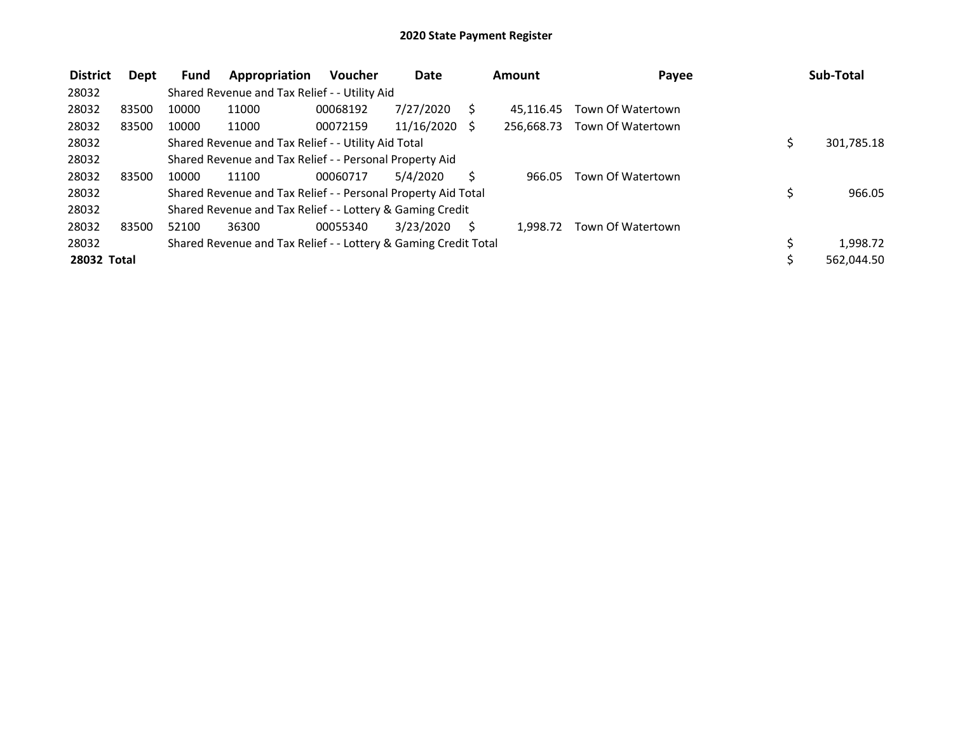| <b>District</b> | Dept  | Fund  | Appropriation                                                   | <b>Voucher</b> | <b>Date</b> |              | Amount     | Payee             |    | Sub-Total  |
|-----------------|-------|-------|-----------------------------------------------------------------|----------------|-------------|--------------|------------|-------------------|----|------------|
| 28032           |       |       | Shared Revenue and Tax Relief - - Utility Aid                   |                |             |              |            |                   |    |            |
| 28032           | 83500 | 10000 | 11000                                                           | 00068192       | 7/27/2020   |              | 45.116.45  | Town Of Watertown |    |            |
| 28032           | 83500 | 10000 | 11000                                                           | 00072159       | 11/16/2020  | <sup>S</sup> | 256.668.73 | Town Of Watertown |    |            |
| 28032           |       |       | Shared Revenue and Tax Relief - - Utility Aid Total             |                |             |              |            |                   |    | 301,785.18 |
| 28032           |       |       | Shared Revenue and Tax Relief - - Personal Property Aid         |                |             |              |            |                   |    |            |
| 28032           | 83500 | 10000 | 11100                                                           | 00060717       | 5/4/2020    |              | 966.05     | Town Of Watertown |    |            |
| 28032           |       |       | Shared Revenue and Tax Relief - - Personal Property Aid Total   |                |             |              |            |                   | \$ | 966.05     |
| 28032           |       |       | Shared Revenue and Tax Relief - - Lottery & Gaming Credit       |                |             |              |            |                   |    |            |
| 28032           | 83500 | 52100 | 36300                                                           | 00055340       | 3/23/2020   |              | 1.998.72   | Town Of Watertown |    |            |
| 28032           |       |       | Shared Revenue and Tax Relief - - Lottery & Gaming Credit Total |                |             |              |            |                   | Ś. | 1,998.72   |
| 28032 Total     |       |       |                                                                 |                |             |              |            |                   |    | 562,044.50 |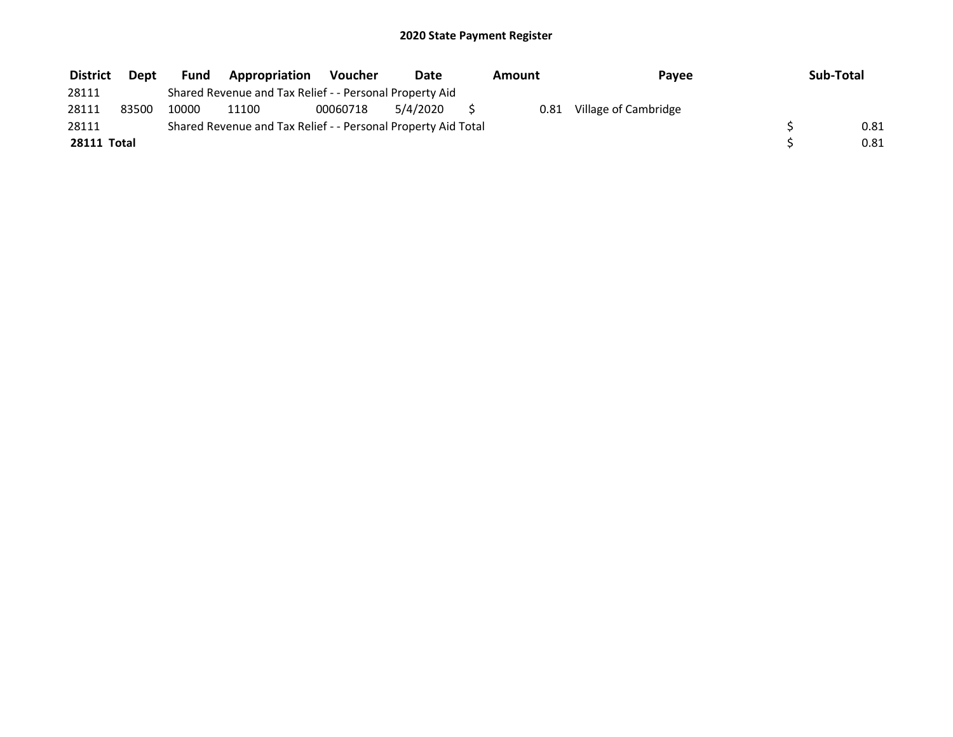| <b>District</b>    | Dept  | <b>Fund</b> | Appropriation                                                 | Voucher  | Date     | Amount | Payee                | Sub-Total |
|--------------------|-------|-------------|---------------------------------------------------------------|----------|----------|--------|----------------------|-----------|
| 28111              |       |             | Shared Revenue and Tax Relief - - Personal Property Aid       |          |          |        |                      |           |
| 28111              | 83500 | 10000       | 11100                                                         | 00060718 | 5/4/2020 | 0.81   | Village of Cambridge |           |
| 28111              |       |             | Shared Revenue and Tax Relief - - Personal Property Aid Total |          |          |        |                      | 0.81      |
| <b>28111 Total</b> |       |             |                                                               |          |          |        |                      | 0.81      |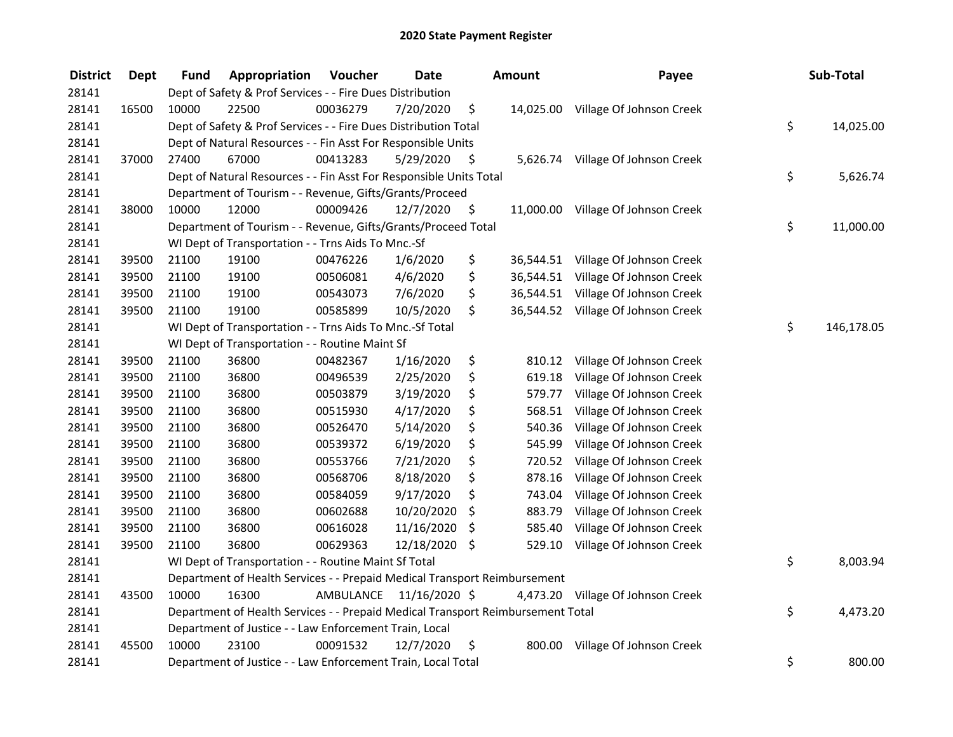| <b>District</b> | <b>Dept</b> | Fund  | Appropriation                                                                   | Voucher   | <b>Date</b>   |      | <b>Amount</b> | Payee                              | Sub-Total        |
|-----------------|-------------|-------|---------------------------------------------------------------------------------|-----------|---------------|------|---------------|------------------------------------|------------------|
| 28141           |             |       | Dept of Safety & Prof Services - - Fire Dues Distribution                       |           |               |      |               |                                    |                  |
| 28141           | 16500       | 10000 | 22500                                                                           | 00036279  | 7/20/2020     | \$   |               | 14,025.00 Village Of Johnson Creek |                  |
| 28141           |             |       | Dept of Safety & Prof Services - - Fire Dues Distribution Total                 |           |               |      |               |                                    | \$<br>14,025.00  |
| 28141           |             |       | Dept of Natural Resources - - Fin Asst For Responsible Units                    |           |               |      |               |                                    |                  |
| 28141           | 37000       | 27400 | 67000                                                                           | 00413283  | 5/29/2020     | \$   |               | 5,626.74 Village Of Johnson Creek  |                  |
| 28141           |             |       | Dept of Natural Resources - - Fin Asst For Responsible Units Total              |           |               |      |               |                                    | \$<br>5,626.74   |
| 28141           |             |       | Department of Tourism - - Revenue, Gifts/Grants/Proceed                         |           |               |      |               |                                    |                  |
| 28141           | 38000       | 10000 | 12000                                                                           | 00009426  | 12/7/2020     | - \$ |               | 11,000.00 Village Of Johnson Creek |                  |
| 28141           |             |       | Department of Tourism - - Revenue, Gifts/Grants/Proceed Total                   |           |               |      |               |                                    | \$<br>11,000.00  |
| 28141           |             |       | WI Dept of Transportation - - Trns Aids To Mnc.-Sf                              |           |               |      |               |                                    |                  |
| 28141           | 39500       | 21100 | 19100                                                                           | 00476226  | 1/6/2020      | \$   |               | 36,544.51 Village Of Johnson Creek |                  |
| 28141           | 39500       | 21100 | 19100                                                                           | 00506081  | 4/6/2020      | \$   | 36,544.51     | Village Of Johnson Creek           |                  |
| 28141           | 39500       | 21100 | 19100                                                                           | 00543073  | 7/6/2020      | \$   | 36,544.51     | Village Of Johnson Creek           |                  |
| 28141           | 39500       | 21100 | 19100                                                                           | 00585899  | 10/5/2020     | \$   |               | 36,544.52 Village Of Johnson Creek |                  |
| 28141           |             |       | WI Dept of Transportation - - Trns Aids To Mnc.-Sf Total                        |           |               |      |               |                                    | \$<br>146,178.05 |
| 28141           |             |       | WI Dept of Transportation - - Routine Maint Sf                                  |           |               |      |               |                                    |                  |
| 28141           | 39500       | 21100 | 36800                                                                           | 00482367  | 1/16/2020     | \$   | 810.12        | Village Of Johnson Creek           |                  |
| 28141           | 39500       | 21100 | 36800                                                                           | 00496539  | 2/25/2020     | \$   | 619.18        | Village Of Johnson Creek           |                  |
| 28141           | 39500       | 21100 | 36800                                                                           | 00503879  | 3/19/2020     | \$   | 579.77        | Village Of Johnson Creek           |                  |
| 28141           | 39500       | 21100 | 36800                                                                           | 00515930  | 4/17/2020     | \$   | 568.51        | Village Of Johnson Creek           |                  |
| 28141           | 39500       | 21100 | 36800                                                                           | 00526470  | 5/14/2020     | \$   | 540.36        | Village Of Johnson Creek           |                  |
| 28141           | 39500       | 21100 | 36800                                                                           | 00539372  | 6/19/2020     | \$   | 545.99        | Village Of Johnson Creek           |                  |
| 28141           | 39500       | 21100 | 36800                                                                           | 00553766  | 7/21/2020     | \$   | 720.52        | Village Of Johnson Creek           |                  |
| 28141           | 39500       | 21100 | 36800                                                                           | 00568706  | 8/18/2020     | \$   | 878.16        | Village Of Johnson Creek           |                  |
| 28141           | 39500       | 21100 | 36800                                                                           | 00584059  | 9/17/2020     | \$   | 743.04        | Village Of Johnson Creek           |                  |
| 28141           | 39500       | 21100 | 36800                                                                           | 00602688  | 10/20/2020    | \$   | 883.79        | Village Of Johnson Creek           |                  |
| 28141           | 39500       | 21100 | 36800                                                                           | 00616028  | 11/16/2020    | \$   | 585.40        | Village Of Johnson Creek           |                  |
| 28141           | 39500       | 21100 | 36800                                                                           | 00629363  | 12/18/2020 \$ |      | 529.10        | Village Of Johnson Creek           |                  |
| 28141           |             |       | WI Dept of Transportation - - Routine Maint Sf Total                            |           |               |      |               |                                    | \$<br>8,003.94   |
| 28141           |             |       | Department of Health Services - - Prepaid Medical Transport Reimbursement       |           |               |      |               |                                    |                  |
| 28141           | 43500       | 10000 | 16300                                                                           | AMBULANCE | 11/16/2020 \$ |      |               | 4,473.20 Village Of Johnson Creek  |                  |
| 28141           |             |       | Department of Health Services - - Prepaid Medical Transport Reimbursement Total |           |               |      |               |                                    | \$<br>4,473.20   |
| 28141           |             |       | Department of Justice - - Law Enforcement Train, Local                          |           |               |      |               |                                    |                  |
| 28141           | 45500       | 10000 | 23100                                                                           | 00091532  | 12/7/2020     | \$   | 800.00        | Village Of Johnson Creek           |                  |
| 28141           |             |       | Department of Justice - - Law Enforcement Train, Local Total                    |           |               |      |               |                                    | \$<br>800.00     |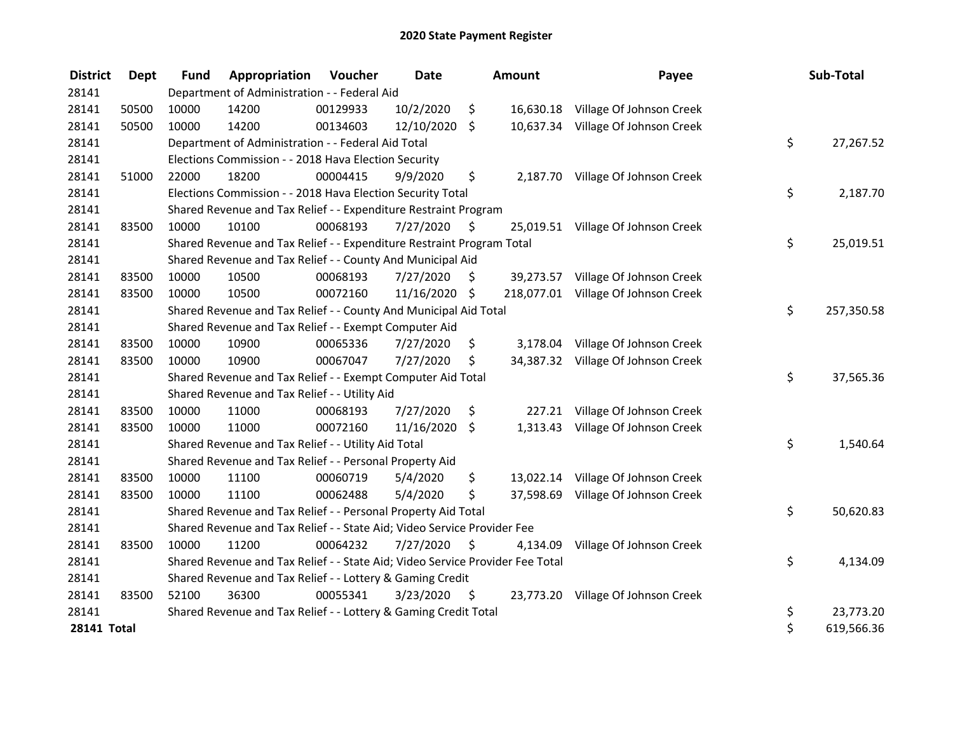| <b>District</b>    | <b>Dept</b> | <b>Fund</b> | Appropriation                                                                 | Voucher  | <b>Date</b>   |         | <b>Amount</b> | Payee                               | Sub-Total        |
|--------------------|-------------|-------------|-------------------------------------------------------------------------------|----------|---------------|---------|---------------|-------------------------------------|------------------|
| 28141              |             |             | Department of Administration - - Federal Aid                                  |          |               |         |               |                                     |                  |
| 28141              | 50500       | 10000       | 14200                                                                         | 00129933 | 10/2/2020     | \$      |               | 16,630.18 Village Of Johnson Creek  |                  |
| 28141              | 50500       | 10000       | 14200                                                                         | 00134603 | 12/10/2020    | $\zeta$ |               | 10,637.34 Village Of Johnson Creek  |                  |
| 28141              |             |             | Department of Administration - - Federal Aid Total                            |          |               |         |               |                                     | \$<br>27,267.52  |
| 28141              |             |             | Elections Commission - - 2018 Hava Election Security                          |          |               |         |               |                                     |                  |
| 28141              | 51000       | 22000       | 18200                                                                         | 00004415 | 9/9/2020      | \$      | 2,187.70      | Village Of Johnson Creek            |                  |
| 28141              |             |             | Elections Commission - - 2018 Hava Election Security Total                    |          |               |         |               |                                     | \$<br>2,187.70   |
| 28141              |             |             | Shared Revenue and Tax Relief - - Expenditure Restraint Program               |          |               |         |               |                                     |                  |
| 28141              | 83500       | 10000       | 10100                                                                         | 00068193 | 7/27/2020     | Ŝ.      |               | 25,019.51 Village Of Johnson Creek  |                  |
| 28141              |             |             | Shared Revenue and Tax Relief - - Expenditure Restraint Program Total         |          |               |         |               |                                     | \$<br>25,019.51  |
| 28141              |             |             | Shared Revenue and Tax Relief - - County And Municipal Aid                    |          |               |         |               |                                     |                  |
| 28141              | 83500       | 10000       | 10500                                                                         | 00068193 | 7/27/2020     | \$      |               | 39,273.57 Village Of Johnson Creek  |                  |
| 28141              | 83500       | 10000       | 10500                                                                         | 00072160 | 11/16/2020 \$ |         |               | 218,077.01 Village Of Johnson Creek |                  |
| 28141              |             |             | Shared Revenue and Tax Relief - - County And Municipal Aid Total              |          |               |         |               |                                     | \$<br>257,350.58 |
| 28141              |             |             | Shared Revenue and Tax Relief - - Exempt Computer Aid                         |          |               |         |               |                                     |                  |
| 28141              | 83500       | 10000       | 10900                                                                         | 00065336 | 7/27/2020     | \$      | 3,178.04      | Village Of Johnson Creek            |                  |
| 28141              | 83500       | 10000       | 10900                                                                         | 00067047 | 7/27/2020     | \$      |               | 34,387.32 Village Of Johnson Creek  |                  |
| 28141              |             |             | Shared Revenue and Tax Relief - - Exempt Computer Aid Total                   |          |               |         |               |                                     | \$<br>37,565.36  |
| 28141              |             |             | Shared Revenue and Tax Relief - - Utility Aid                                 |          |               |         |               |                                     |                  |
| 28141              | 83500       | 10000       | 11000                                                                         | 00068193 | 7/27/2020     | \$      | 227.21        | Village Of Johnson Creek            |                  |
| 28141              | 83500       | 10000       | 11000                                                                         | 00072160 | 11/16/2020    | \$      | 1,313.43      | Village Of Johnson Creek            |                  |
| 28141              |             |             | Shared Revenue and Tax Relief - - Utility Aid Total                           |          |               |         |               |                                     | \$<br>1,540.64   |
| 28141              |             |             | Shared Revenue and Tax Relief - - Personal Property Aid                       |          |               |         |               |                                     |                  |
| 28141              | 83500       | 10000       | 11100                                                                         | 00060719 | 5/4/2020      | \$      |               | 13,022.14 Village Of Johnson Creek  |                  |
| 28141              | 83500       | 10000       | 11100                                                                         | 00062488 | 5/4/2020      | \$      | 37,598.69     | Village Of Johnson Creek            |                  |
| 28141              |             |             | Shared Revenue and Tax Relief - - Personal Property Aid Total                 |          |               |         |               |                                     | \$<br>50,620.83  |
| 28141              |             |             | Shared Revenue and Tax Relief - - State Aid; Video Service Provider Fee       |          |               |         |               |                                     |                  |
| 28141              | 83500       | 10000       | 11200                                                                         | 00064232 | 7/27/2020     | - \$    | 4,134.09      | Village Of Johnson Creek            |                  |
| 28141              |             |             | Shared Revenue and Tax Relief - - State Aid; Video Service Provider Fee Total |          |               |         |               |                                     | \$<br>4,134.09   |
| 28141              |             |             | Shared Revenue and Tax Relief - - Lottery & Gaming Credit                     |          |               |         |               |                                     |                  |
| 28141              | 83500       | 52100       | 36300                                                                         | 00055341 | 3/23/2020     | - \$    |               | 23,773.20 Village Of Johnson Creek  |                  |
| 28141              |             |             | Shared Revenue and Tax Relief - - Lottery & Gaming Credit Total               |          |               |         |               |                                     | \$<br>23,773.20  |
| <b>28141 Total</b> |             |             |                                                                               |          |               |         |               |                                     | \$<br>619,566.36 |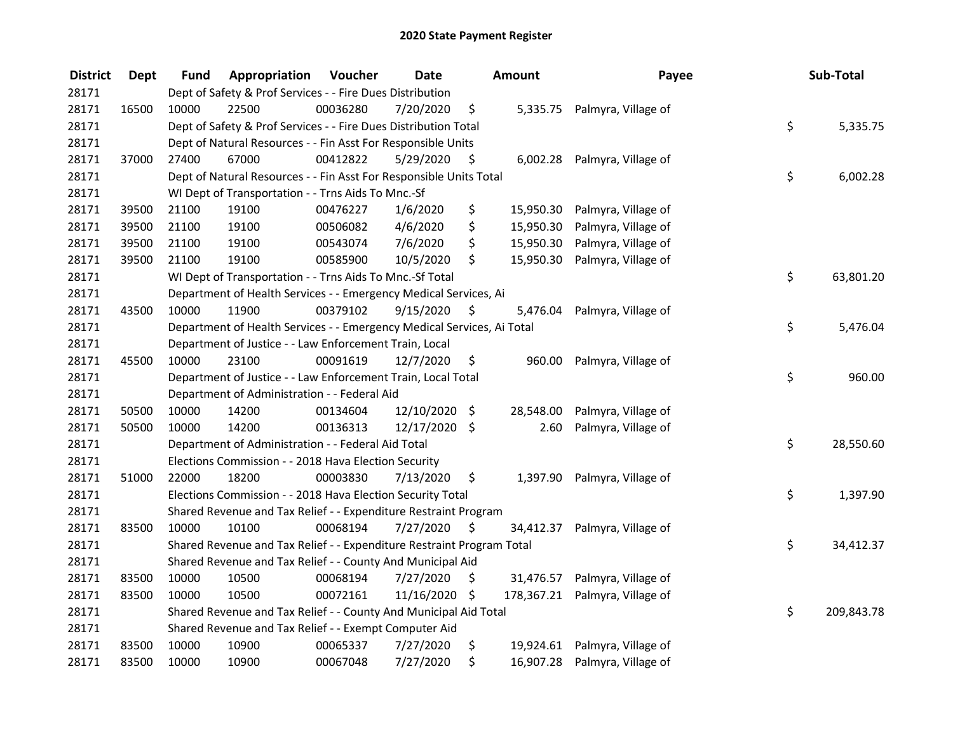| <b>District</b> | <b>Dept</b> | Fund  | Appropriation                                                          | Voucher  | <b>Date</b>     |      | Amount     | Payee                         | Sub-Total        |
|-----------------|-------------|-------|------------------------------------------------------------------------|----------|-----------------|------|------------|-------------------------------|------------------|
| 28171           |             |       | Dept of Safety & Prof Services - - Fire Dues Distribution              |          |                 |      |            |                               |                  |
| 28171           | 16500       | 10000 | 22500                                                                  | 00036280 | 7/20/2020       | \$   | 5,335.75   | Palmyra, Village of           |                  |
| 28171           |             |       | Dept of Safety & Prof Services - - Fire Dues Distribution Total        |          |                 |      |            |                               | \$<br>5,335.75   |
| 28171           |             |       | Dept of Natural Resources - - Fin Asst For Responsible Units           |          |                 |      |            |                               |                  |
| 28171           | 37000       | 27400 | 67000                                                                  | 00412822 | 5/29/2020       | \$   | 6,002.28   | Palmyra, Village of           |                  |
| 28171           |             |       | Dept of Natural Resources - - Fin Asst For Responsible Units Total     |          |                 |      |            |                               | \$<br>6,002.28   |
| 28171           |             |       | WI Dept of Transportation - - Trns Aids To Mnc.-Sf                     |          |                 |      |            |                               |                  |
| 28171           | 39500       | 21100 | 19100                                                                  | 00476227 | 1/6/2020        | \$   | 15,950.30  | Palmyra, Village of           |                  |
| 28171           | 39500       | 21100 | 19100                                                                  | 00506082 | 4/6/2020        | \$   | 15,950.30  | Palmyra, Village of           |                  |
| 28171           | 39500       | 21100 | 19100                                                                  | 00543074 | 7/6/2020        | \$   | 15,950.30  | Palmyra, Village of           |                  |
| 28171           | 39500       | 21100 | 19100                                                                  | 00585900 | 10/5/2020       | \$   | 15,950.30  | Palmyra, Village of           |                  |
| 28171           |             |       | WI Dept of Transportation - - Trns Aids To Mnc.-Sf Total               |          |                 |      |            |                               | \$<br>63,801.20  |
| 28171           |             |       | Department of Health Services - - Emergency Medical Services, Ai       |          |                 |      |            |                               |                  |
| 28171           | 43500       | 10000 | 11900                                                                  | 00379102 | 9/15/2020       | \$   | 5,476.04   | Palmyra, Village of           |                  |
| 28171           |             |       | Department of Health Services - - Emergency Medical Services, Ai Total |          |                 |      |            |                               | \$<br>5,476.04   |
| 28171           |             |       | Department of Justice - - Law Enforcement Train, Local                 |          |                 |      |            |                               |                  |
| 28171           | 45500       | 10000 | 23100                                                                  | 00091619 | 12/7/2020       | \$   | 960.00     | Palmyra, Village of           |                  |
| 28171           |             |       | Department of Justice - - Law Enforcement Train, Local Total           |          |                 |      |            |                               | \$<br>960.00     |
| 28171           |             |       | Department of Administration - - Federal Aid                           |          |                 |      |            |                               |                  |
| 28171           | 50500       | 10000 | 14200                                                                  | 00134604 | $12/10/2020$ \$ |      | 28,548.00  | Palmyra, Village of           |                  |
| 28171           | 50500       | 10000 | 14200                                                                  | 00136313 | 12/17/2020 \$   |      | 2.60       | Palmyra, Village of           |                  |
| 28171           |             |       | Department of Administration - - Federal Aid Total                     |          |                 |      |            |                               | \$<br>28,550.60  |
| 28171           |             |       | Elections Commission - - 2018 Hava Election Security                   |          |                 |      |            |                               |                  |
| 28171           | 51000       | 22000 | 18200                                                                  | 00003830 | 7/13/2020       | \$   | 1,397.90   | Palmyra, Village of           |                  |
| 28171           |             |       | Elections Commission - - 2018 Hava Election Security Total             |          |                 |      |            |                               | \$<br>1,397.90   |
| 28171           |             |       | Shared Revenue and Tax Relief - - Expenditure Restraint Program        |          |                 |      |            |                               |                  |
| 28171           | 83500       | 10000 | 10100                                                                  | 00068194 | 7/27/2020       | \$   | 34,412.37  | Palmyra, Village of           |                  |
| 28171           |             |       | Shared Revenue and Tax Relief - - Expenditure Restraint Program Total  |          |                 |      |            |                               | \$<br>34,412.37  |
| 28171           |             |       | Shared Revenue and Tax Relief - - County And Municipal Aid             |          |                 |      |            |                               |                  |
| 28171           | 83500       | 10000 | 10500                                                                  | 00068194 | 7/27/2020       | \$   | 31,476.57  | Palmyra, Village of           |                  |
| 28171           | 83500       | 10000 | 10500                                                                  | 00072161 | 11/16/2020      | - \$ | 178,367.21 | Palmyra, Village of           |                  |
| 28171           |             |       | Shared Revenue and Tax Relief - - County And Municipal Aid Total       |          |                 |      |            |                               | \$<br>209,843.78 |
| 28171           |             |       | Shared Revenue and Tax Relief - - Exempt Computer Aid                  |          |                 |      |            |                               |                  |
| 28171           | 83500       | 10000 | 10900                                                                  | 00065337 | 7/27/2020       | \$   |            | 19,924.61 Palmyra, Village of |                  |
| 28171           | 83500       | 10000 | 10900                                                                  | 00067048 | 7/27/2020       | \$   | 16,907.28  | Palmyra, Village of           |                  |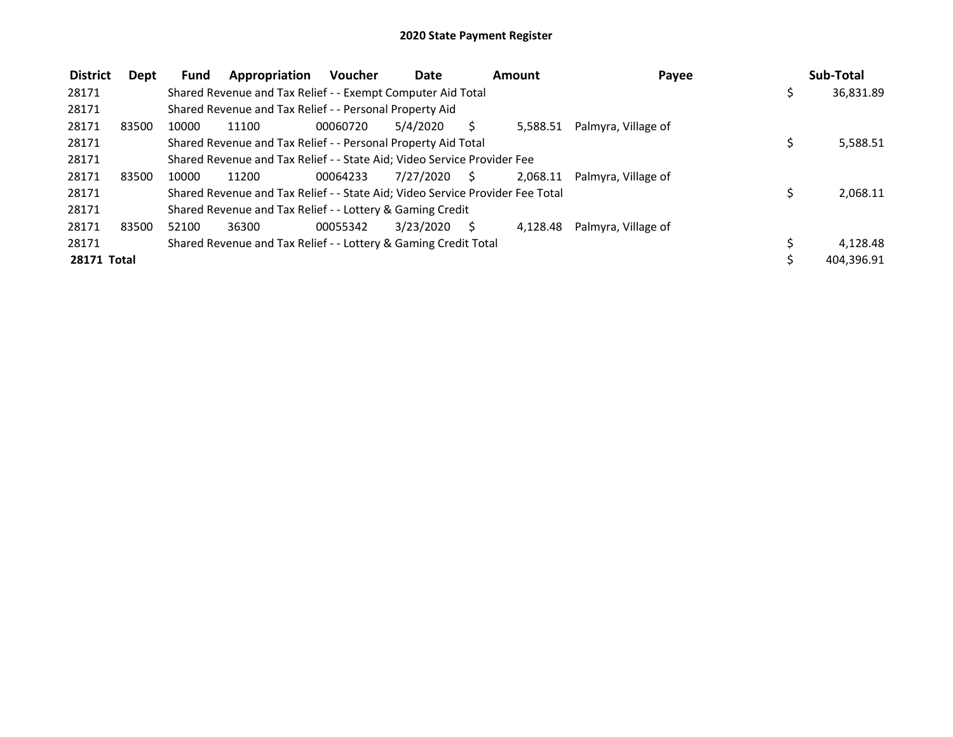| <b>District</b> | Dept  | Fund  | Appropriation                                                                 | <b>Voucher</b> | <b>Date</b> |    | Amount   | Payee               | Sub-Total  |
|-----------------|-------|-------|-------------------------------------------------------------------------------|----------------|-------------|----|----------|---------------------|------------|
| 28171           |       |       | Shared Revenue and Tax Relief - - Exempt Computer Aid Total                   |                |             |    |          |                     | 36,831.89  |
| 28171           |       |       | Shared Revenue and Tax Relief - - Personal Property Aid                       |                |             |    |          |                     |            |
| 28171           | 83500 | 10000 | 11100                                                                         | 00060720       | 5/4/2020    | S  | 5.588.51 | Palmyra, Village of |            |
| 28171           |       |       | Shared Revenue and Tax Relief - - Personal Property Aid Total                 |                |             |    |          |                     | 5,588.51   |
| 28171           |       |       | Shared Revenue and Tax Relief - - State Aid; Video Service Provider Fee       |                |             |    |          |                     |            |
| 28171           | 83500 | 10000 | 11200                                                                         | 00064233       | 7/27/2020   | S. | 2.068.11 | Palmyra. Village of |            |
| 28171           |       |       | Shared Revenue and Tax Relief - - State Aid; Video Service Provider Fee Total |                |             |    |          |                     | 2,068.11   |
| 28171           |       |       | Shared Revenue and Tax Relief - - Lottery & Gaming Credit                     |                |             |    |          |                     |            |
| 28171           | 83500 | 52100 | 36300                                                                         | 00055342       | 3/23/2020   |    | 4.128.48 | Palmyra, Village of |            |
| 28171           |       |       | Shared Revenue and Tax Relief - - Lottery & Gaming Credit Total               |                |             |    |          |                     | 4,128.48   |
| 28171 Total     |       |       |                                                                               |                |             |    |          |                     | 404,396.91 |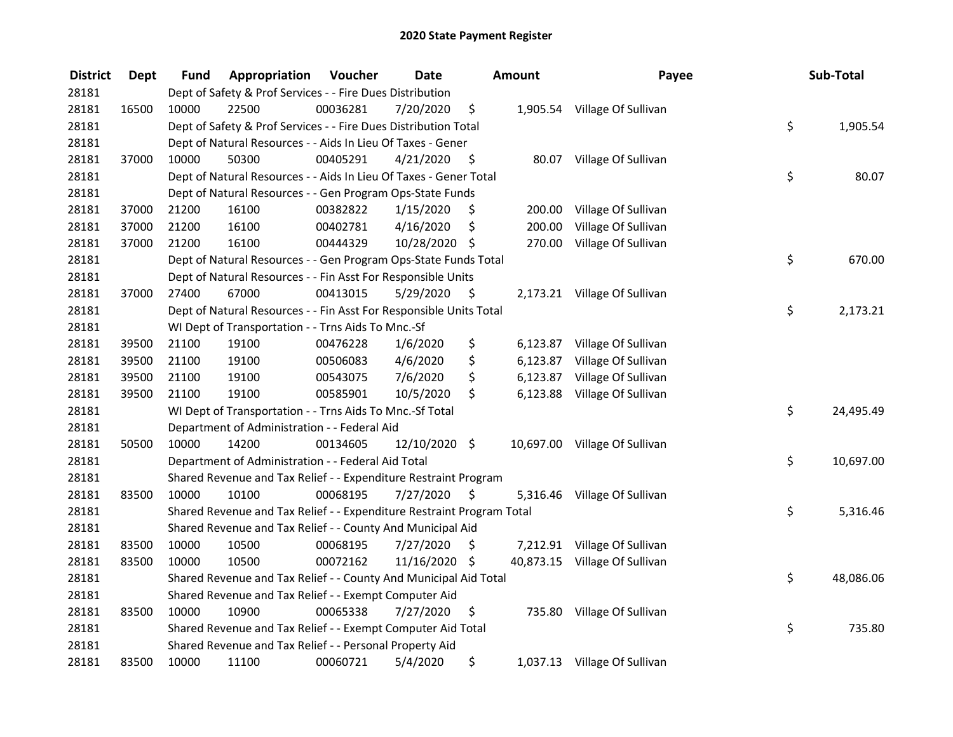| <b>District</b> | <b>Dept</b> | Fund  | Appropriation                                                         | Voucher  | <b>Date</b>   |      | <b>Amount</b> | Payee                         | Sub-Total       |
|-----------------|-------------|-------|-----------------------------------------------------------------------|----------|---------------|------|---------------|-------------------------------|-----------------|
| 28181           |             |       | Dept of Safety & Prof Services - - Fire Dues Distribution             |          |               |      |               |                               |                 |
| 28181           | 16500       | 10000 | 22500                                                                 | 00036281 | 7/20/2020     | \$   |               | 1,905.54 Village Of Sullivan  |                 |
| 28181           |             |       | Dept of Safety & Prof Services - - Fire Dues Distribution Total       |          |               |      |               |                               | \$<br>1,905.54  |
| 28181           |             |       | Dept of Natural Resources - - Aids In Lieu Of Taxes - Gener           |          |               |      |               |                               |                 |
| 28181           | 37000       | 10000 | 50300                                                                 | 00405291 | 4/21/2020     | \$   |               | 80.07 Village Of Sullivan     |                 |
| 28181           |             |       | Dept of Natural Resources - - Aids In Lieu Of Taxes - Gener Total     |          |               |      |               |                               | \$<br>80.07     |
| 28181           |             |       | Dept of Natural Resources - - Gen Program Ops-State Funds             |          |               |      |               |                               |                 |
| 28181           | 37000       | 21200 | 16100                                                                 | 00382822 | 1/15/2020     | \$   |               | 200.00 Village Of Sullivan    |                 |
| 28181           | 37000       | 21200 | 16100                                                                 | 00402781 | 4/16/2020     | \$   | 200.00        | Village Of Sullivan           |                 |
| 28181           | 37000       | 21200 | 16100                                                                 | 00444329 | 10/28/2020 \$ |      |               | 270.00 Village Of Sullivan    |                 |
| 28181           |             |       | Dept of Natural Resources - - Gen Program Ops-State Funds Total       |          |               |      |               |                               | \$<br>670.00    |
| 28181           |             |       | Dept of Natural Resources - - Fin Asst For Responsible Units          |          |               |      |               |                               |                 |
| 28181           | 37000       | 27400 | 67000                                                                 | 00413015 | 5/29/2020     | \$   |               | 2,173.21 Village Of Sullivan  |                 |
| 28181           |             |       | Dept of Natural Resources - - Fin Asst For Responsible Units Total    |          |               |      |               |                               | \$<br>2,173.21  |
| 28181           |             |       | WI Dept of Transportation - - Trns Aids To Mnc.-Sf                    |          |               |      |               |                               |                 |
| 28181           | 39500       | 21100 | 19100                                                                 | 00476228 | 1/6/2020      | \$   |               | 6,123.87 Village Of Sullivan  |                 |
| 28181           | 39500       | 21100 | 19100                                                                 | 00506083 | 4/6/2020      | \$   | 6,123.87      | Village Of Sullivan           |                 |
| 28181           | 39500       | 21100 | 19100                                                                 | 00543075 | 7/6/2020      | \$   |               | 6,123.87 Village Of Sullivan  |                 |
| 28181           | 39500       | 21100 | 19100                                                                 | 00585901 | 10/5/2020     | \$   | 6,123.88      | Village Of Sullivan           |                 |
| 28181           |             |       | WI Dept of Transportation - - Trns Aids To Mnc.-Sf Total              |          |               |      |               |                               | \$<br>24,495.49 |
| 28181           |             |       | Department of Administration - - Federal Aid                          |          |               |      |               |                               |                 |
| 28181           | 50500       | 10000 | 14200                                                                 | 00134605 | 12/10/2020 \$ |      |               | 10,697.00 Village Of Sullivan |                 |
| 28181           |             |       | Department of Administration - - Federal Aid Total                    |          |               |      |               |                               | \$<br>10,697.00 |
| 28181           |             |       | Shared Revenue and Tax Relief - - Expenditure Restraint Program       |          |               |      |               |                               |                 |
| 28181           | 83500       | 10000 | 10100                                                                 | 00068195 | 7/27/2020     | - \$ |               | 5,316.46 Village Of Sullivan  |                 |
| 28181           |             |       | Shared Revenue and Tax Relief - - Expenditure Restraint Program Total |          |               |      |               |                               | \$<br>5,316.46  |
| 28181           |             |       | Shared Revenue and Tax Relief - - County And Municipal Aid            |          |               |      |               |                               |                 |
| 28181           | 83500       | 10000 | 10500                                                                 | 00068195 | 7/27/2020     | \$.  |               | 7,212.91 Village Of Sullivan  |                 |
| 28181           | 83500       | 10000 | 10500                                                                 | 00072162 | 11/16/2020 \$ |      |               | 40,873.15 Village Of Sullivan |                 |
| 28181           |             |       | Shared Revenue and Tax Relief - - County And Municipal Aid Total      |          |               |      |               |                               | \$<br>48,086.06 |
| 28181           |             |       | Shared Revenue and Tax Relief - - Exempt Computer Aid                 |          |               |      |               |                               |                 |
| 28181           | 83500       | 10000 | 10900                                                                 | 00065338 | 7/27/2020     | \$   |               | 735.80 Village Of Sullivan    |                 |
| 28181           |             |       | Shared Revenue and Tax Relief - - Exempt Computer Aid Total           |          |               |      |               |                               | \$<br>735.80    |
| 28181           |             |       | Shared Revenue and Tax Relief - - Personal Property Aid               |          |               |      |               |                               |                 |
| 28181           | 83500       | 10000 | 11100                                                                 | 00060721 | 5/4/2020      | \$   |               | 1,037.13 Village Of Sullivan  |                 |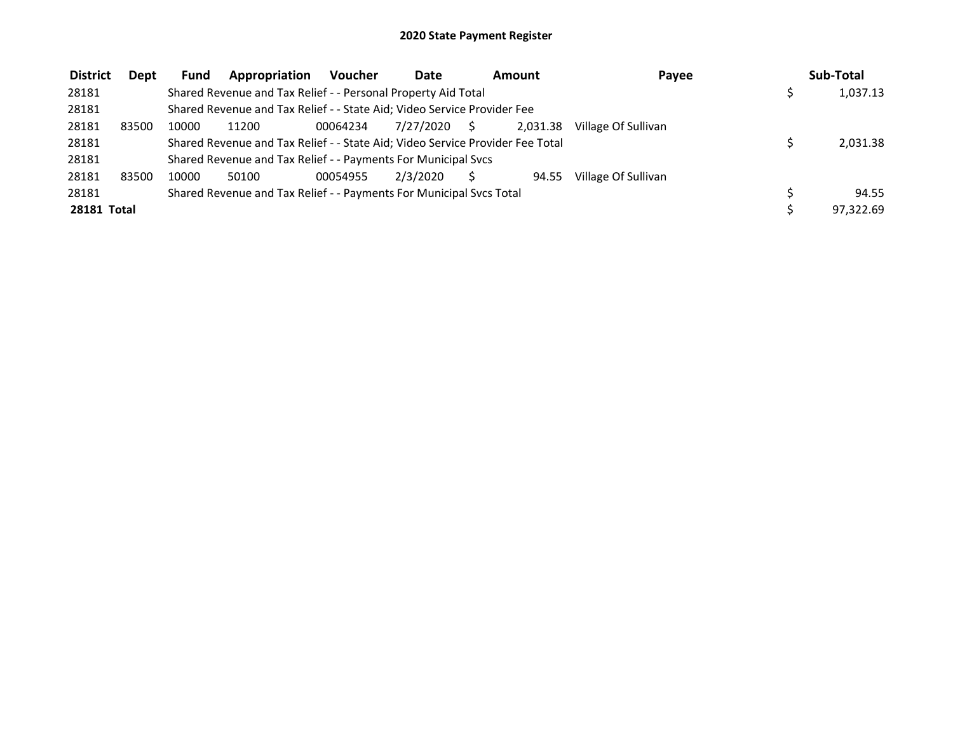| <b>District</b>    | Dept  | <b>Fund</b> | Appropriation                                                                 | <b>Voucher</b> | <b>Date</b> |    | Amount   | Payee               | Sub-Total |
|--------------------|-------|-------------|-------------------------------------------------------------------------------|----------------|-------------|----|----------|---------------------|-----------|
| 28181              |       |             | Shared Revenue and Tax Relief - - Personal Property Aid Total                 |                |             |    |          |                     | 1,037.13  |
| 28181              |       |             | Shared Revenue and Tax Relief - - State Aid; Video Service Provider Fee       |                |             |    |          |                     |           |
| 28181              | 83500 | 10000       | 11200                                                                         | 00064234       | 7/27/2020   | S. | 2.031.38 | Village Of Sullivan |           |
| 28181              |       |             | Shared Revenue and Tax Relief - - State Aid; Video Service Provider Fee Total |                |             |    |          |                     | 2.031.38  |
| 28181              |       |             | Shared Revenue and Tax Relief - - Payments For Municipal Svcs                 |                |             |    |          |                     |           |
| 28181              | 83500 | 10000       | 50100                                                                         | 00054955       | 2/3/2020    |    | 94.55    | Village Of Sullivan |           |
| 28181              |       |             | Shared Revenue and Tax Relief - - Payments For Municipal Svcs Total           |                |             |    |          |                     | 94.55     |
| <b>28181 Total</b> |       |             |                                                                               |                |             |    |          |                     | 97.322.69 |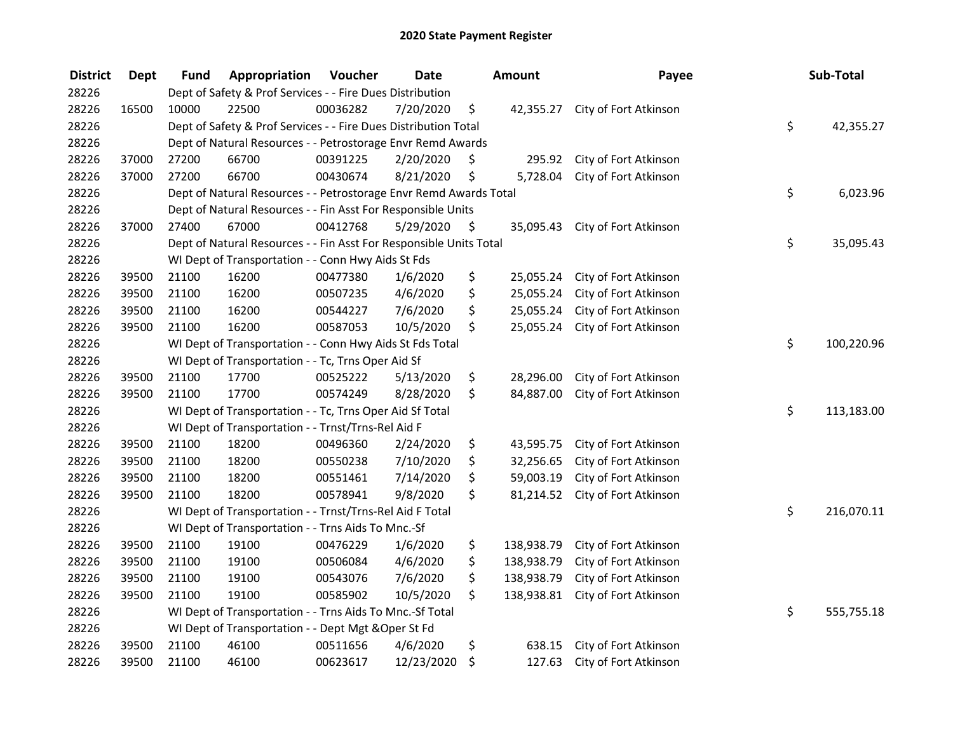| <b>District</b> | <b>Dept</b> | <b>Fund</b> | Appropriation                                                      | Voucher  | <b>Date</b> |      | <b>Amount</b> | Payee                           | Sub-Total        |
|-----------------|-------------|-------------|--------------------------------------------------------------------|----------|-------------|------|---------------|---------------------------------|------------------|
| 28226           |             |             | Dept of Safety & Prof Services - - Fire Dues Distribution          |          |             |      |               |                                 |                  |
| 28226           | 16500       | 10000       | 22500                                                              | 00036282 | 7/20/2020   | \$   |               | 42,355.27 City of Fort Atkinson |                  |
| 28226           |             |             | Dept of Safety & Prof Services - - Fire Dues Distribution Total    |          |             |      |               |                                 | \$<br>42,355.27  |
| 28226           |             |             | Dept of Natural Resources - - Petrostorage Envr Remd Awards        |          |             |      |               |                                 |                  |
| 28226           | 37000       | 27200       | 66700                                                              | 00391225 | 2/20/2020   | \$   | 295.92        | City of Fort Atkinson           |                  |
| 28226           | 37000       | 27200       | 66700                                                              | 00430674 | 8/21/2020   | \$   | 5,728.04      | City of Fort Atkinson           |                  |
| 28226           |             |             | Dept of Natural Resources - - Petrostorage Envr Remd Awards Total  |          |             |      |               |                                 | \$<br>6,023.96   |
| 28226           |             |             | Dept of Natural Resources - - Fin Asst For Responsible Units       |          |             |      |               |                                 |                  |
| 28226           | 37000       | 27400       | 67000                                                              | 00412768 | 5/29/2020   | - \$ |               | 35,095.43 City of Fort Atkinson |                  |
| 28226           |             |             | Dept of Natural Resources - - Fin Asst For Responsible Units Total |          |             |      |               |                                 | \$<br>35,095.43  |
| 28226           |             |             | WI Dept of Transportation - - Conn Hwy Aids St Fds                 |          |             |      |               |                                 |                  |
| 28226           | 39500       | 21100       | 16200                                                              | 00477380 | 1/6/2020    | \$   | 25,055.24     | City of Fort Atkinson           |                  |
| 28226           | 39500       | 21100       | 16200                                                              | 00507235 | 4/6/2020    | \$   | 25,055.24     | City of Fort Atkinson           |                  |
| 28226           | 39500       | 21100       | 16200                                                              | 00544227 | 7/6/2020    | \$   | 25,055.24     | City of Fort Atkinson           |                  |
| 28226           | 39500       | 21100       | 16200                                                              | 00587053 | 10/5/2020   | \$   | 25,055.24     | City of Fort Atkinson           |                  |
| 28226           |             |             | WI Dept of Transportation - - Conn Hwy Aids St Fds Total           |          |             |      |               |                                 | \$<br>100,220.96 |
| 28226           |             |             | WI Dept of Transportation - - Tc, Trns Oper Aid Sf                 |          |             |      |               |                                 |                  |
| 28226           | 39500       | 21100       | 17700                                                              | 00525222 | 5/13/2020   | \$   | 28,296.00     | City of Fort Atkinson           |                  |
| 28226           | 39500       | 21100       | 17700                                                              | 00574249 | 8/28/2020   | \$   | 84,887.00     | City of Fort Atkinson           |                  |
| 28226           |             |             | WI Dept of Transportation - - Tc, Trns Oper Aid Sf Total           |          |             |      |               |                                 | \$<br>113,183.00 |
| 28226           |             |             | WI Dept of Transportation - - Trnst/Trns-Rel Aid F                 |          |             |      |               |                                 |                  |
| 28226           | 39500       | 21100       | 18200                                                              | 00496360 | 2/24/2020   | \$   | 43,595.75     | City of Fort Atkinson           |                  |
| 28226           | 39500       | 21100       | 18200                                                              | 00550238 | 7/10/2020   | \$   | 32,256.65     | City of Fort Atkinson           |                  |
| 28226           | 39500       | 21100       | 18200                                                              | 00551461 | 7/14/2020   | \$   | 59,003.19     | City of Fort Atkinson           |                  |
| 28226           | 39500       | 21100       | 18200                                                              | 00578941 | 9/8/2020    | \$   | 81,214.52     | City of Fort Atkinson           |                  |
| 28226           |             |             | WI Dept of Transportation - - Trnst/Trns-Rel Aid F Total           |          |             |      |               |                                 | \$<br>216,070.11 |
| 28226           |             |             | WI Dept of Transportation - - Trns Aids To Mnc.-Sf                 |          |             |      |               |                                 |                  |
| 28226           | 39500       | 21100       | 19100                                                              | 00476229 | 1/6/2020    | \$   | 138,938.79    | City of Fort Atkinson           |                  |
| 28226           | 39500       | 21100       | 19100                                                              | 00506084 | 4/6/2020    | \$   | 138,938.79    | City of Fort Atkinson           |                  |
| 28226           | 39500       | 21100       | 19100                                                              | 00543076 | 7/6/2020    | \$   | 138,938.79    | City of Fort Atkinson           |                  |
| 28226           | 39500       | 21100       | 19100                                                              | 00585902 | 10/5/2020   | \$   | 138,938.81    | City of Fort Atkinson           |                  |
| 28226           |             |             | WI Dept of Transportation - - Trns Aids To Mnc.-Sf Total           |          |             |      |               |                                 | \$<br>555,755.18 |
| 28226           |             |             | WI Dept of Transportation - - Dept Mgt & Oper St Fd                |          |             |      |               |                                 |                  |
| 28226           | 39500       | 21100       | 46100                                                              | 00511656 | 4/6/2020    | \$   | 638.15        | City of Fort Atkinson           |                  |
| 28226           | 39500       | 21100       | 46100                                                              | 00623617 | 12/23/2020  | \$   | 127.63        | City of Fort Atkinson           |                  |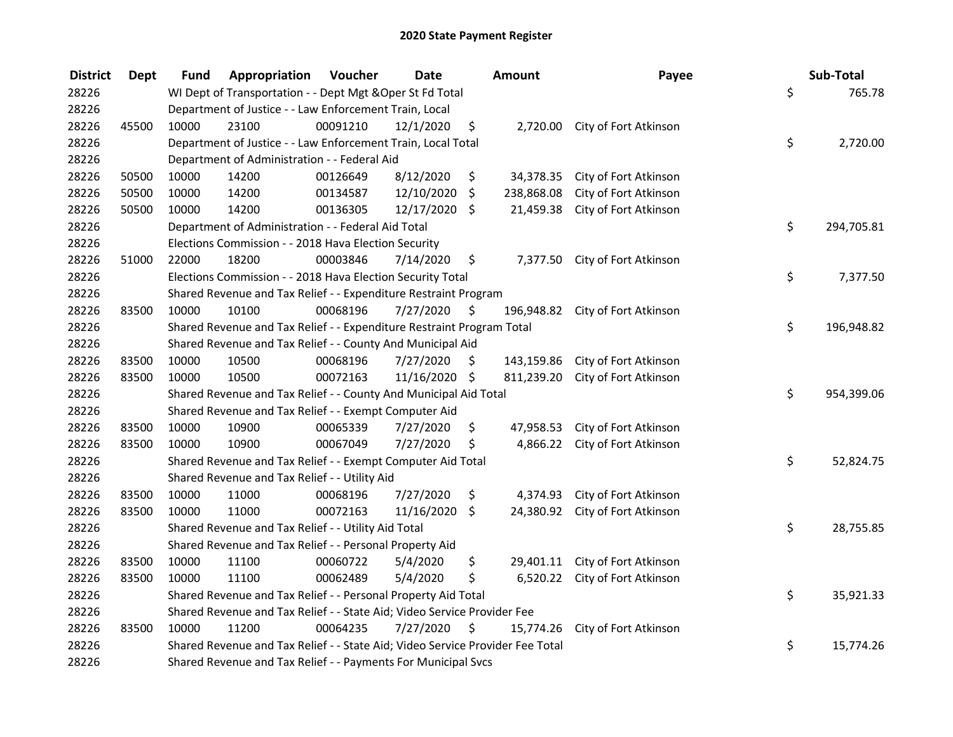| <b>District</b> | <b>Dept</b> | Fund  | Appropriation                                                                 | Voucher  | <b>Date</b>   | <b>Amount</b>    | Payee                           | Sub-Total        |
|-----------------|-------------|-------|-------------------------------------------------------------------------------|----------|---------------|------------------|---------------------------------|------------------|
| 28226           |             |       | WI Dept of Transportation - - Dept Mgt & Oper St Fd Total                     |          |               |                  |                                 | \$<br>765.78     |
| 28226           |             |       | Department of Justice - - Law Enforcement Train, Local                        |          |               |                  |                                 |                  |
| 28226           | 45500       | 10000 | 23100                                                                         | 00091210 | 12/1/2020     | \$               | 2,720.00 City of Fort Atkinson  |                  |
| 28226           |             |       | Department of Justice - - Law Enforcement Train, Local Total                  |          |               |                  |                                 | \$<br>2,720.00   |
| 28226           |             |       | Department of Administration - - Federal Aid                                  |          |               |                  |                                 |                  |
| 28226           | 50500       | 10000 | 14200                                                                         | 00126649 | 8/12/2020     | \$               | 34,378.35 City of Fort Atkinson |                  |
| 28226           | 50500       | 10000 | 14200                                                                         | 00134587 | 12/10/2020    | \$<br>238,868.08 | City of Fort Atkinson           |                  |
| 28226           | 50500       | 10000 | 14200                                                                         | 00136305 | 12/17/2020 \$ | 21,459.38        | City of Fort Atkinson           |                  |
| 28226           |             |       | Department of Administration - - Federal Aid Total                            |          |               |                  |                                 | \$<br>294,705.81 |
| 28226           |             |       | Elections Commission - - 2018 Hava Election Security                          |          |               |                  |                                 |                  |
| 28226           | 51000       | 22000 | 18200                                                                         | 00003846 | 7/14/2020     | \$<br>7,377.50   | City of Fort Atkinson           |                  |
| 28226           |             |       | Elections Commission - - 2018 Hava Election Security Total                    |          |               |                  |                                 | \$<br>7,377.50   |
| 28226           |             |       | Shared Revenue and Tax Relief - - Expenditure Restraint Program               |          |               |                  |                                 |                  |
| 28226           | 83500       | 10000 | 10100                                                                         | 00068196 | 7/27/2020     | \$<br>196,948.82 | City of Fort Atkinson           |                  |
| 28226           |             |       | Shared Revenue and Tax Relief - - Expenditure Restraint Program Total         |          |               |                  |                                 | \$<br>196,948.82 |
| 28226           |             |       | Shared Revenue and Tax Relief - - County And Municipal Aid                    |          |               |                  |                                 |                  |
| 28226           | 83500       | 10000 | 10500                                                                         | 00068196 | 7/27/2020     | \$<br>143,159.86 | City of Fort Atkinson           |                  |
| 28226           | 83500       | 10000 | 10500                                                                         | 00072163 | 11/16/2020 \$ | 811,239.20       | City of Fort Atkinson           |                  |
| 28226           |             |       | Shared Revenue and Tax Relief - - County And Municipal Aid Total              |          |               |                  |                                 | \$<br>954,399.06 |
| 28226           |             |       | Shared Revenue and Tax Relief - - Exempt Computer Aid                         |          |               |                  |                                 |                  |
| 28226           | 83500       | 10000 | 10900                                                                         | 00065339 | 7/27/2020     | \$<br>47,958.53  | City of Fort Atkinson           |                  |
| 28226           | 83500       | 10000 | 10900                                                                         | 00067049 | 7/27/2020     | \$<br>4,866.22   | City of Fort Atkinson           |                  |
| 28226           |             |       | Shared Revenue and Tax Relief - - Exempt Computer Aid Total                   |          |               |                  |                                 | \$<br>52,824.75  |
| 28226           |             |       | Shared Revenue and Tax Relief - - Utility Aid                                 |          |               |                  |                                 |                  |
| 28226           | 83500       | 10000 | 11000                                                                         | 00068196 | 7/27/2020     | \$<br>4,374.93   | City of Fort Atkinson           |                  |
| 28226           | 83500       | 10000 | 11000                                                                         | 00072163 | 11/16/2020    | \$<br>24,380.92  | City of Fort Atkinson           |                  |
| 28226           |             |       | Shared Revenue and Tax Relief - - Utility Aid Total                           |          |               |                  |                                 | \$<br>28,755.85  |
| 28226           |             |       | Shared Revenue and Tax Relief - - Personal Property Aid                       |          |               |                  |                                 |                  |
| 28226           | 83500       | 10000 | 11100                                                                         | 00060722 | 5/4/2020      | \$<br>29,401.11  | City of Fort Atkinson           |                  |
| 28226           | 83500       | 10000 | 11100                                                                         | 00062489 | 5/4/2020      | \$<br>6,520.22   | City of Fort Atkinson           |                  |
| 28226           |             |       | Shared Revenue and Tax Relief - - Personal Property Aid Total                 |          |               |                  |                                 | \$<br>35,921.33  |
| 28226           |             |       | Shared Revenue and Tax Relief - - State Aid; Video Service Provider Fee       |          |               |                  |                                 |                  |
| 28226           | 83500       | 10000 | 11200                                                                         | 00064235 | 7/27/2020     | \$               | 15,774.26 City of Fort Atkinson |                  |
| 28226           |             |       | Shared Revenue and Tax Relief - - State Aid; Video Service Provider Fee Total |          |               |                  |                                 | \$<br>15,774.26  |
| 28226           |             |       | Shared Revenue and Tax Relief - - Payments For Municipal Svcs                 |          |               |                  |                                 |                  |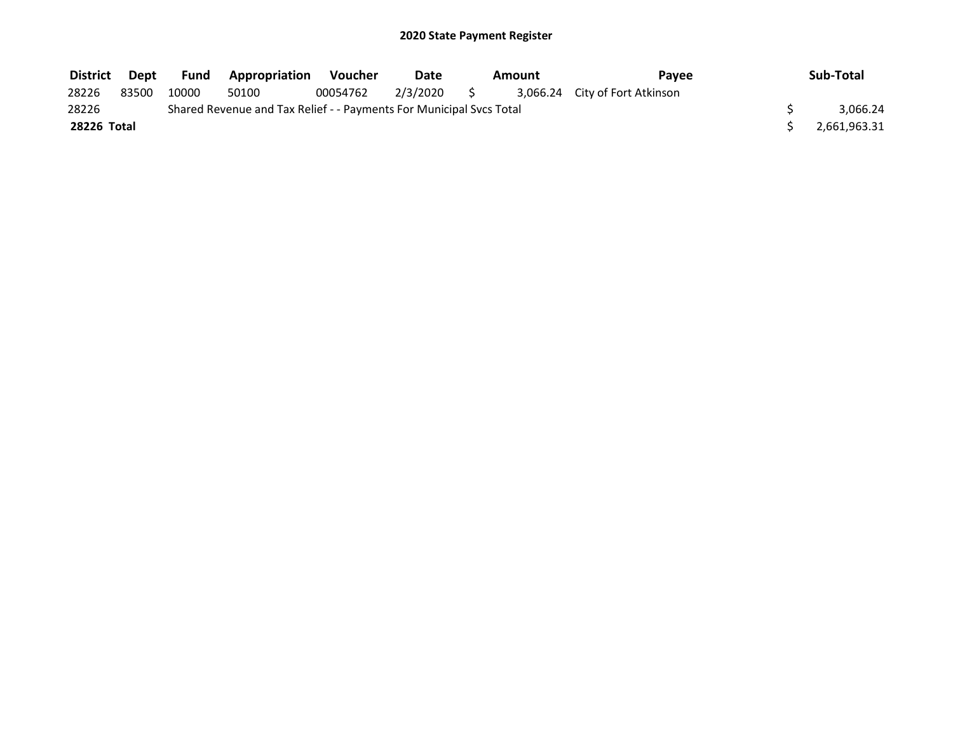| District Dept |       | Fund  | <b>Appropriation</b>                                                | Voucher  | Date     | Amount | Pavee                          | Sub-Total    |
|---------------|-------|-------|---------------------------------------------------------------------|----------|----------|--------|--------------------------------|--------------|
| 28226         | 83500 | 10000 | 50100                                                               | 00054762 | 2/3/2020 |        | 3,066.24 City of Fort Atkinson |              |
| 28226         |       |       | Shared Revenue and Tax Relief - - Payments For Municipal Svcs Total |          |          |        |                                | 3.066.24     |
| 28226 Total   |       |       |                                                                     |          |          |        |                                | 2,661,963.31 |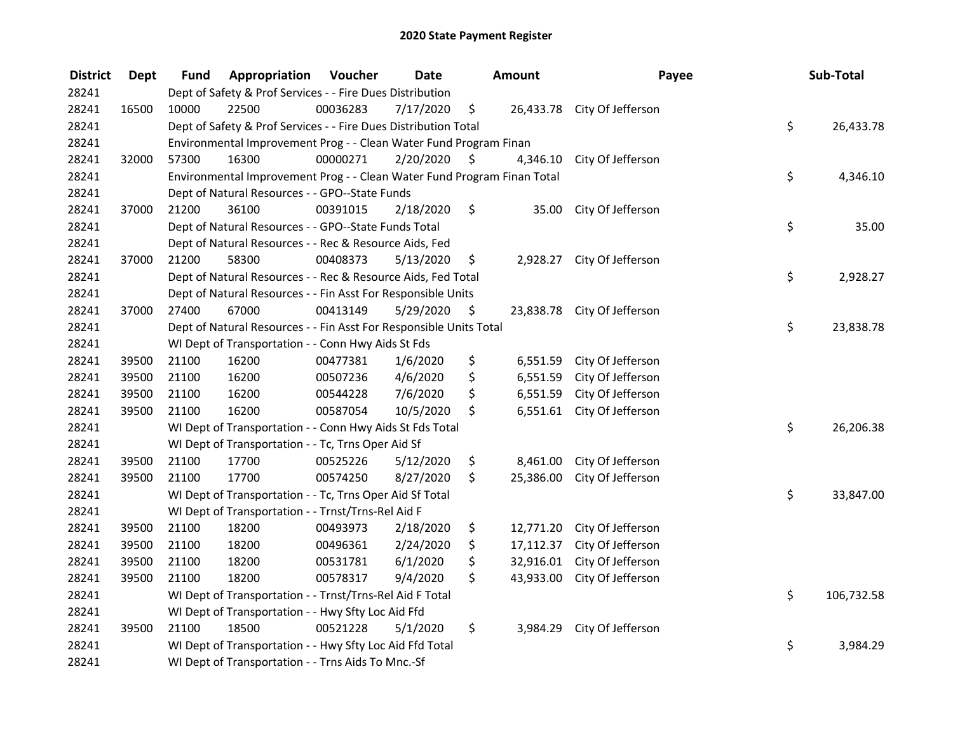| <b>District</b> | <b>Dept</b> | Fund  | Appropriation                                                           | Voucher  | <b>Date</b> | Amount          | Payee                       | Sub-Total        |
|-----------------|-------------|-------|-------------------------------------------------------------------------|----------|-------------|-----------------|-----------------------------|------------------|
| 28241           |             |       | Dept of Safety & Prof Services - - Fire Dues Distribution               |          |             |                 |                             |                  |
| 28241           | 16500       | 10000 | 22500                                                                   | 00036283 | 7/17/2020   | \$              | 26,433.78 City Of Jefferson |                  |
| 28241           |             |       | Dept of Safety & Prof Services - - Fire Dues Distribution Total         |          |             |                 |                             | \$<br>26,433.78  |
| 28241           |             |       | Environmental Improvement Prog - - Clean Water Fund Program Finan       |          |             |                 |                             |                  |
| 28241           | 32000       | 57300 | 16300                                                                   | 00000271 | 2/20/2020   | \$<br>4,346.10  | City Of Jefferson           |                  |
| 28241           |             |       | Environmental Improvement Prog - - Clean Water Fund Program Finan Total |          |             |                 |                             | \$<br>4,346.10   |
| 28241           |             |       | Dept of Natural Resources - - GPO--State Funds                          |          |             |                 |                             |                  |
| 28241           | 37000       | 21200 | 36100                                                                   | 00391015 | 2/18/2020   | \$              | 35.00 City Of Jefferson     |                  |
| 28241           |             |       | Dept of Natural Resources - - GPO--State Funds Total                    |          |             |                 |                             | \$<br>35.00      |
| 28241           |             |       | Dept of Natural Resources - - Rec & Resource Aids, Fed                  |          |             |                 |                             |                  |
| 28241           | 37000       | 21200 | 58300                                                                   | 00408373 | 5/13/2020   | \$              | 2,928.27 City Of Jefferson  |                  |
| 28241           |             |       | Dept of Natural Resources - - Rec & Resource Aids, Fed Total            |          |             |                 |                             | \$<br>2,928.27   |
| 28241           |             |       | Dept of Natural Resources - - Fin Asst For Responsible Units            |          |             |                 |                             |                  |
| 28241           | 37000       | 27400 | 67000                                                                   | 00413149 | 5/29/2020   | \$              | 23,838.78 City Of Jefferson |                  |
| 28241           |             |       | Dept of Natural Resources - - Fin Asst For Responsible Units Total      |          |             |                 |                             | \$<br>23,838.78  |
| 28241           |             |       | WI Dept of Transportation - - Conn Hwy Aids St Fds                      |          |             |                 |                             |                  |
| 28241           | 39500       | 21100 | 16200                                                                   | 00477381 | 1/6/2020    | \$<br>6,551.59  | City Of Jefferson           |                  |
| 28241           | 39500       | 21100 | 16200                                                                   | 00507236 | 4/6/2020    | \$<br>6,551.59  | City Of Jefferson           |                  |
| 28241           | 39500       | 21100 | 16200                                                                   | 00544228 | 7/6/2020    | \$<br>6,551.59  | City Of Jefferson           |                  |
| 28241           | 39500       | 21100 | 16200                                                                   | 00587054 | 10/5/2020   | \$<br>6,551.61  | City Of Jefferson           |                  |
| 28241           |             |       | WI Dept of Transportation - - Conn Hwy Aids St Fds Total                |          |             |                 |                             | \$<br>26,206.38  |
| 28241           |             |       | WI Dept of Transportation - - Tc, Trns Oper Aid Sf                      |          |             |                 |                             |                  |
| 28241           | 39500       | 21100 | 17700                                                                   | 00525226 | 5/12/2020   | \$<br>8,461.00  | City Of Jefferson           |                  |
| 28241           | 39500       | 21100 | 17700                                                                   | 00574250 | 8/27/2020   | \$<br>25,386.00 | City Of Jefferson           |                  |
| 28241           |             |       | WI Dept of Transportation - - Tc, Trns Oper Aid Sf Total                |          |             |                 |                             | \$<br>33,847.00  |
| 28241           |             |       | WI Dept of Transportation - - Trnst/Trns-Rel Aid F                      |          |             |                 |                             |                  |
| 28241           | 39500       | 21100 | 18200                                                                   | 00493973 | 2/18/2020   | \$<br>12,771.20 | City Of Jefferson           |                  |
| 28241           | 39500       | 21100 | 18200                                                                   | 00496361 | 2/24/2020   | \$<br>17,112.37 | City Of Jefferson           |                  |
| 28241           | 39500       | 21100 | 18200                                                                   | 00531781 | 6/1/2020    | \$<br>32,916.01 | City Of Jefferson           |                  |
| 28241           | 39500       | 21100 | 18200                                                                   | 00578317 | 9/4/2020    | \$<br>43,933.00 | City Of Jefferson           |                  |
| 28241           |             |       | WI Dept of Transportation - - Trnst/Trns-Rel Aid F Total                |          |             |                 |                             | \$<br>106,732.58 |
| 28241           |             |       | WI Dept of Transportation - - Hwy Sfty Loc Aid Ffd                      |          |             |                 |                             |                  |
| 28241           | 39500       | 21100 | 18500                                                                   | 00521228 | 5/1/2020    | \$<br>3,984.29  | City Of Jefferson           |                  |
| 28241           |             |       | WI Dept of Transportation - - Hwy Sfty Loc Aid Ffd Total                |          |             |                 |                             | \$<br>3,984.29   |
| 28241           |             |       | WI Dept of Transportation - - Trns Aids To Mnc.-Sf                      |          |             |                 |                             |                  |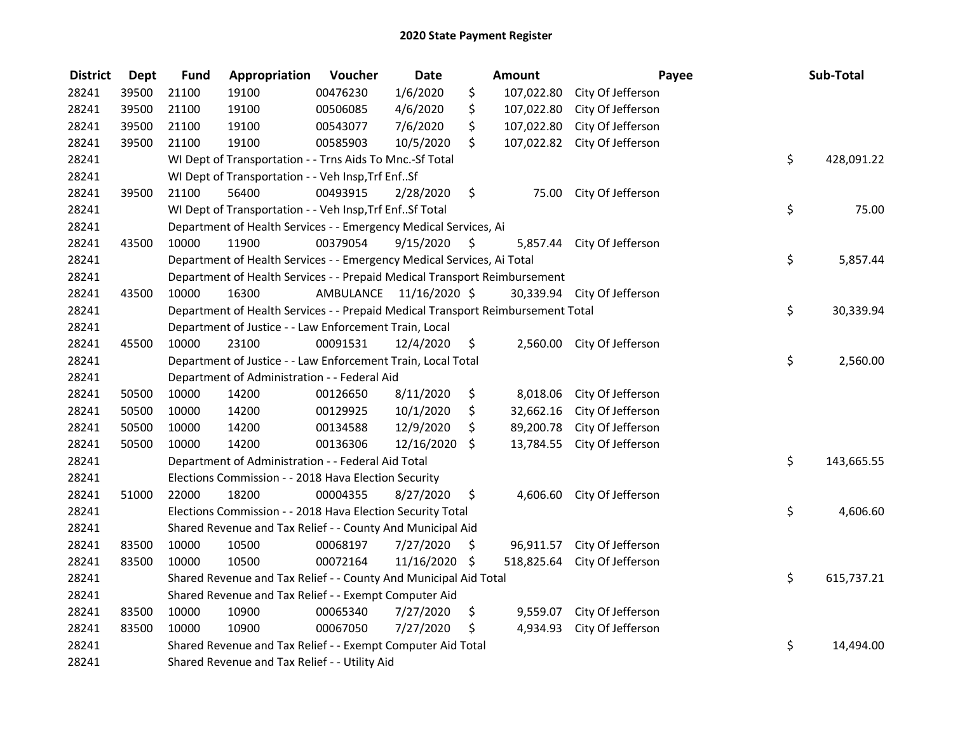| <b>District</b> | <b>Dept</b> | <b>Fund</b> | Appropriation                                                                   | Voucher                 | <b>Date</b>   | Amount           | Payee                       | Sub-Total        |
|-----------------|-------------|-------------|---------------------------------------------------------------------------------|-------------------------|---------------|------------------|-----------------------------|------------------|
| 28241           | 39500       | 21100       | 19100                                                                           | 00476230                | 1/6/2020      | \$<br>107,022.80 | City Of Jefferson           |                  |
| 28241           | 39500       | 21100       | 19100                                                                           | 00506085                | 4/6/2020      | \$<br>107,022.80 | City Of Jefferson           |                  |
| 28241           | 39500       | 21100       | 19100                                                                           | 00543077                | 7/6/2020      | \$<br>107,022.80 | City Of Jefferson           |                  |
| 28241           | 39500       | 21100       | 19100                                                                           | 00585903                | 10/5/2020     | \$<br>107,022.82 | City Of Jefferson           |                  |
| 28241           |             |             | WI Dept of Transportation - - Trns Aids To Mnc.-Sf Total                        |                         |               |                  |                             | \$<br>428,091.22 |
| 28241           |             |             | WI Dept of Transportation - - Veh Insp, Trf EnfSf                               |                         |               |                  |                             |                  |
| 28241           | 39500       | 21100       | 56400                                                                           | 00493915                | 2/28/2020     | \$               | 75.00 City Of Jefferson     |                  |
| 28241           |             |             | WI Dept of Transportation - - Veh Insp, Trf EnfSf Total                         |                         |               |                  |                             | \$<br>75.00      |
| 28241           |             |             | Department of Health Services - - Emergency Medical Services, Ai                |                         |               |                  |                             |                  |
| 28241           | 43500       | 10000       | 11900                                                                           | 00379054                | 9/15/2020     | \$               | 5,857.44 City Of Jefferson  |                  |
| 28241           |             |             | Department of Health Services - - Emergency Medical Services, Ai Total          |                         |               |                  |                             | \$<br>5,857.44   |
| 28241           |             |             | Department of Health Services - - Prepaid Medical Transport Reimbursement       |                         |               |                  |                             |                  |
| 28241           | 43500       | 10000       | 16300                                                                           | AMBULANCE 11/16/2020 \$ |               |                  | 30,339.94 City Of Jefferson |                  |
| 28241           |             |             | Department of Health Services - - Prepaid Medical Transport Reimbursement Total |                         |               |                  |                             | \$<br>30,339.94  |
| 28241           |             |             | Department of Justice - - Law Enforcement Train, Local                          |                         |               |                  |                             |                  |
| 28241           | 45500       | 10000       | 23100                                                                           | 00091531                | 12/4/2020     | \$               | 2,560.00 City Of Jefferson  |                  |
| 28241           |             |             | Department of Justice - - Law Enforcement Train, Local Total                    |                         |               |                  |                             | \$<br>2,560.00   |
| 28241           |             |             | Department of Administration - - Federal Aid                                    |                         |               |                  |                             |                  |
| 28241           | 50500       | 10000       | 14200                                                                           | 00126650                | 8/11/2020     | \$<br>8,018.06   | City Of Jefferson           |                  |
| 28241           | 50500       | 10000       | 14200                                                                           | 00129925                | 10/1/2020     | \$<br>32,662.16  | City Of Jefferson           |                  |
| 28241           | 50500       | 10000       | 14200                                                                           | 00134588                | 12/9/2020     | \$<br>89,200.78  | City Of Jefferson           |                  |
| 28241           | 50500       | 10000       | 14200                                                                           | 00136306                | 12/16/2020    | \$<br>13,784.55  | City Of Jefferson           |                  |
| 28241           |             |             | Department of Administration - - Federal Aid Total                              |                         |               |                  |                             | \$<br>143,665.55 |
| 28241           |             |             | Elections Commission - - 2018 Hava Election Security                            |                         |               |                  |                             |                  |
| 28241           | 51000       | 22000       | 18200                                                                           | 00004355                | 8/27/2020     | \$<br>4,606.60   | City Of Jefferson           |                  |
| 28241           |             |             | Elections Commission - - 2018 Hava Election Security Total                      |                         |               |                  |                             | \$<br>4,606.60   |
| 28241           |             |             | Shared Revenue and Tax Relief - - County And Municipal Aid                      |                         |               |                  |                             |                  |
| 28241           | 83500       | 10000       | 10500                                                                           | 00068197                | 7/27/2020     | \$               | 96,911.57 City Of Jefferson |                  |
| 28241           | 83500       | 10000       | 10500                                                                           | 00072164                | 11/16/2020 \$ | 518,825.64       | City Of Jefferson           |                  |
| 28241           |             |             | Shared Revenue and Tax Relief - - County And Municipal Aid Total                |                         |               |                  |                             | \$<br>615,737.21 |
| 28241           |             |             | Shared Revenue and Tax Relief - - Exempt Computer Aid                           |                         |               |                  |                             |                  |
| 28241           | 83500       | 10000       | 10900                                                                           | 00065340                | 7/27/2020     | \$               | 9,559.07 City Of Jefferson  |                  |
| 28241           | 83500       | 10000       | 10900                                                                           | 00067050                | 7/27/2020     | \$<br>4,934.93   | City Of Jefferson           |                  |
| 28241           |             |             | Shared Revenue and Tax Relief - - Exempt Computer Aid Total                     |                         |               |                  |                             | \$<br>14,494.00  |
| 28241           |             |             | Shared Revenue and Tax Relief - - Utility Aid                                   |                         |               |                  |                             |                  |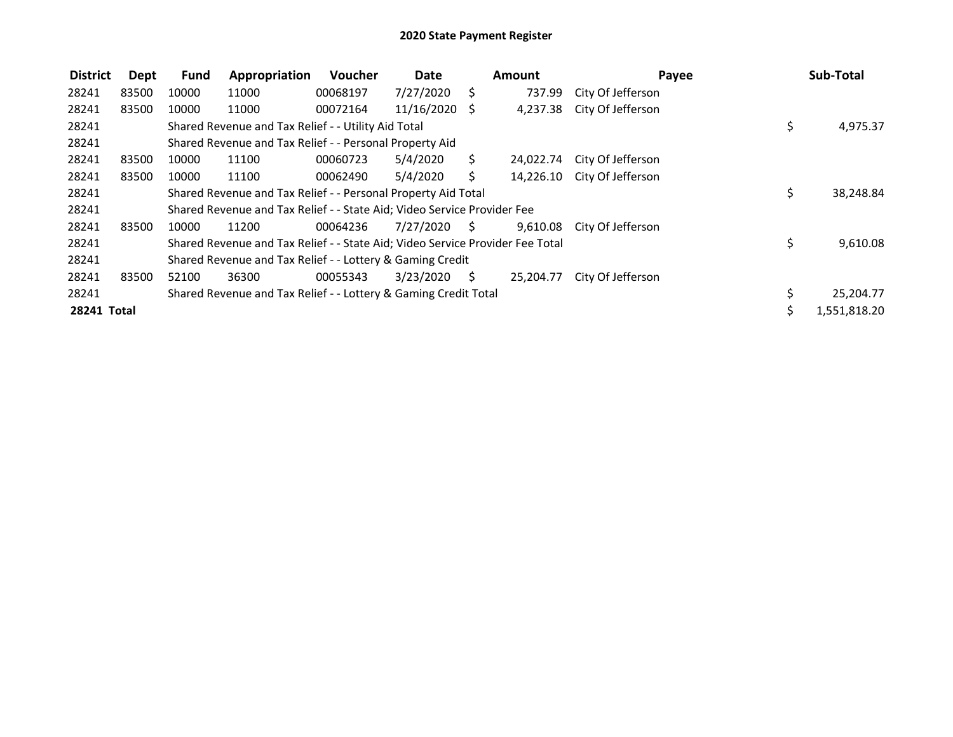| <b>District</b> | Dept  | <b>Fund</b> | Appropriation                                                                 | Voucher  | Date          | <b>Amount</b>       |           | Payee                       |     | Sub-Total    |
|-----------------|-------|-------------|-------------------------------------------------------------------------------|----------|---------------|---------------------|-----------|-----------------------------|-----|--------------|
| 28241           | 83500 | 10000       | 11000                                                                         | 00068197 | 7/27/2020     | - S                 | 737.99    | City Of Jefferson           |     |              |
| 28241           | 83500 | 10000       | 11000                                                                         | 00072164 | 11/16/2020 \$ |                     | 4,237.38  | City Of Jefferson           |     |              |
| 28241           |       |             | Shared Revenue and Tax Relief - - Utility Aid Total                           |          |               |                     |           |                             | \$  | 4,975.37     |
| 28241           |       |             | Shared Revenue and Tax Relief - - Personal Property Aid                       |          |               |                     |           |                             |     |              |
| 28241           | 83500 | 10000       | 11100                                                                         | 00060723 | 5/4/2020      | S.                  | 24,022.74 | City Of Jefferson           |     |              |
| 28241           | 83500 | 10000       | 11100                                                                         | 00062490 | 5/4/2020      | S.                  |           | 14,226.10 City Of Jefferson |     |              |
| 28241           |       |             | Shared Revenue and Tax Relief - - Personal Property Aid Total                 |          |               |                     |           |                             | \$. | 38,248.84    |
| 28241           |       |             | Shared Revenue and Tax Relief - - State Aid; Video Service Provider Fee       |          |               |                     |           |                             |     |              |
| 28241           | 83500 | 10000       | 11200                                                                         | 00064236 | 7/27/2020     | - \$                | 9,610.08  | City Of Jefferson           |     |              |
| 28241           |       |             | Shared Revenue and Tax Relief - - State Aid; Video Service Provider Fee Total |          |               |                     |           |                             | \$  | 9,610.08     |
| 28241           |       |             | Shared Revenue and Tax Relief - - Lottery & Gaming Credit                     |          |               |                     |           |                             |     |              |
| 28241           | 83500 | 52100       | 36300                                                                         | 00055343 | 3/23/2020     | $\ddot{\mathsf{S}}$ | 25,204.77 | City Of Jefferson           |     |              |
| 28241           |       |             | Shared Revenue and Tax Relief - - Lottery & Gaming Credit Total               |          |               |                     |           |                             | \$. | 25,204.77    |
| 28241 Total     |       |             |                                                                               |          |               |                     |           |                             | Ś.  | 1,551,818.20 |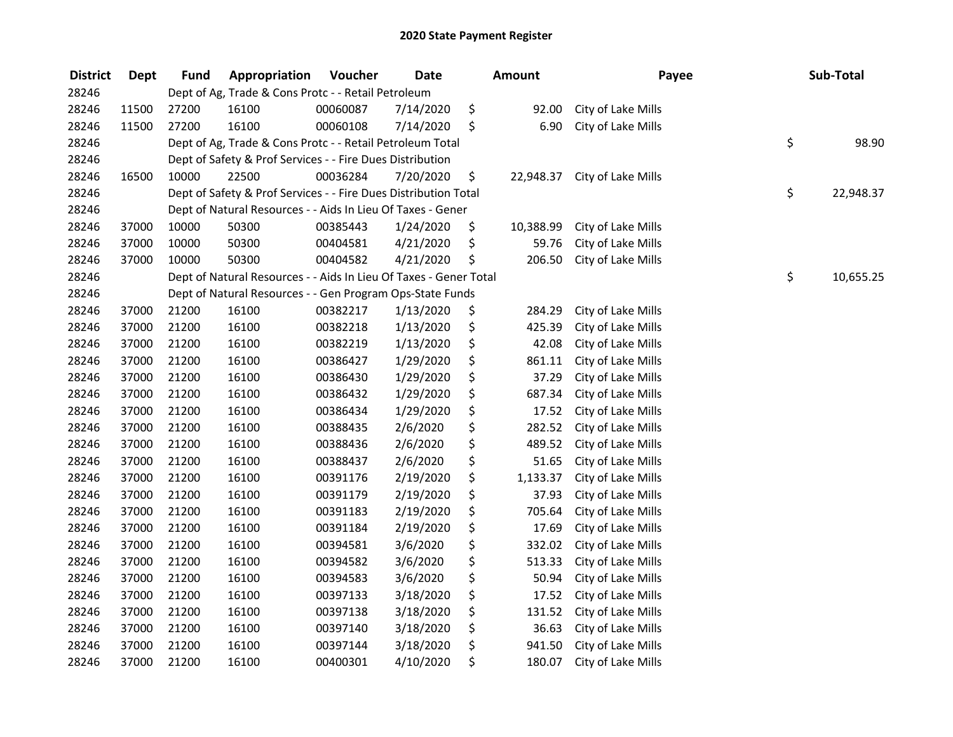| <b>District</b> | <b>Dept</b> | <b>Fund</b> | Appropriation                                                     | Voucher  | <b>Date</b> | <b>Amount</b>   | Payee              | Sub-Total       |
|-----------------|-------------|-------------|-------------------------------------------------------------------|----------|-------------|-----------------|--------------------|-----------------|
| 28246           |             |             | Dept of Ag, Trade & Cons Protc - - Retail Petroleum               |          |             |                 |                    |                 |
| 28246           | 11500       | 27200       | 16100                                                             | 00060087 | 7/14/2020   | \$<br>92.00     | City of Lake Mills |                 |
| 28246           | 11500       | 27200       | 16100                                                             | 00060108 | 7/14/2020   | \$<br>6.90      | City of Lake Mills |                 |
| 28246           |             |             | Dept of Ag, Trade & Cons Protc - - Retail Petroleum Total         |          |             |                 |                    | \$<br>98.90     |
| 28246           |             |             | Dept of Safety & Prof Services - - Fire Dues Distribution         |          |             |                 |                    |                 |
| 28246           | 16500       | 10000       | 22500                                                             | 00036284 | 7/20/2020   | \$<br>22,948.37 | City of Lake Mills |                 |
| 28246           |             |             | Dept of Safety & Prof Services - - Fire Dues Distribution Total   |          |             |                 |                    | \$<br>22,948.37 |
| 28246           |             |             | Dept of Natural Resources - - Aids In Lieu Of Taxes - Gener       |          |             |                 |                    |                 |
| 28246           | 37000       | 10000       | 50300                                                             | 00385443 | 1/24/2020   | \$<br>10,388.99 | City of Lake Mills |                 |
| 28246           | 37000       | 10000       | 50300                                                             | 00404581 | 4/21/2020   | \$<br>59.76     | City of Lake Mills |                 |
| 28246           | 37000       | 10000       | 50300                                                             | 00404582 | 4/21/2020   | \$<br>206.50    | City of Lake Mills |                 |
| 28246           |             |             | Dept of Natural Resources - - Aids In Lieu Of Taxes - Gener Total |          |             |                 |                    | \$<br>10,655.25 |
| 28246           |             |             | Dept of Natural Resources - - Gen Program Ops-State Funds         |          |             |                 |                    |                 |
| 28246           | 37000       | 21200       | 16100                                                             | 00382217 | 1/13/2020   | \$<br>284.29    | City of Lake Mills |                 |
| 28246           | 37000       | 21200       | 16100                                                             | 00382218 | 1/13/2020   | \$<br>425.39    | City of Lake Mills |                 |
| 28246           | 37000       | 21200       | 16100                                                             | 00382219 | 1/13/2020   | \$<br>42.08     | City of Lake Mills |                 |
| 28246           | 37000       | 21200       | 16100                                                             | 00386427 | 1/29/2020   | \$<br>861.11    | City of Lake Mills |                 |
| 28246           | 37000       | 21200       | 16100                                                             | 00386430 | 1/29/2020   | \$<br>37.29     | City of Lake Mills |                 |
| 28246           | 37000       | 21200       | 16100                                                             | 00386432 | 1/29/2020   | \$<br>687.34    | City of Lake Mills |                 |
| 28246           | 37000       | 21200       | 16100                                                             | 00386434 | 1/29/2020   | \$<br>17.52     | City of Lake Mills |                 |
| 28246           | 37000       | 21200       | 16100                                                             | 00388435 | 2/6/2020    | \$<br>282.52    | City of Lake Mills |                 |
| 28246           | 37000       | 21200       | 16100                                                             | 00388436 | 2/6/2020    | \$<br>489.52    | City of Lake Mills |                 |
| 28246           | 37000       | 21200       | 16100                                                             | 00388437 | 2/6/2020    | \$<br>51.65     | City of Lake Mills |                 |
| 28246           | 37000       | 21200       | 16100                                                             | 00391176 | 2/19/2020   | \$<br>1,133.37  | City of Lake Mills |                 |
| 28246           | 37000       | 21200       | 16100                                                             | 00391179 | 2/19/2020   | \$<br>37.93     | City of Lake Mills |                 |
| 28246           | 37000       | 21200       | 16100                                                             | 00391183 | 2/19/2020   | \$<br>705.64    | City of Lake Mills |                 |
| 28246           | 37000       | 21200       | 16100                                                             | 00391184 | 2/19/2020   | \$<br>17.69     | City of Lake Mills |                 |
| 28246           | 37000       | 21200       | 16100                                                             | 00394581 | 3/6/2020    | \$<br>332.02    | City of Lake Mills |                 |
| 28246           | 37000       | 21200       | 16100                                                             | 00394582 | 3/6/2020    | \$<br>513.33    | City of Lake Mills |                 |
| 28246           | 37000       | 21200       | 16100                                                             | 00394583 | 3/6/2020    | \$<br>50.94     | City of Lake Mills |                 |
| 28246           | 37000       | 21200       | 16100                                                             | 00397133 | 3/18/2020   | \$<br>17.52     | City of Lake Mills |                 |
| 28246           | 37000       | 21200       | 16100                                                             | 00397138 | 3/18/2020   | \$<br>131.52    | City of Lake Mills |                 |
| 28246           | 37000       | 21200       | 16100                                                             | 00397140 | 3/18/2020   | \$<br>36.63     | City of Lake Mills |                 |
| 28246           | 37000       | 21200       | 16100                                                             | 00397144 | 3/18/2020   | \$<br>941.50    | City of Lake Mills |                 |
| 28246           | 37000       | 21200       | 16100                                                             | 00400301 | 4/10/2020   | \$<br>180.07    | City of Lake Mills |                 |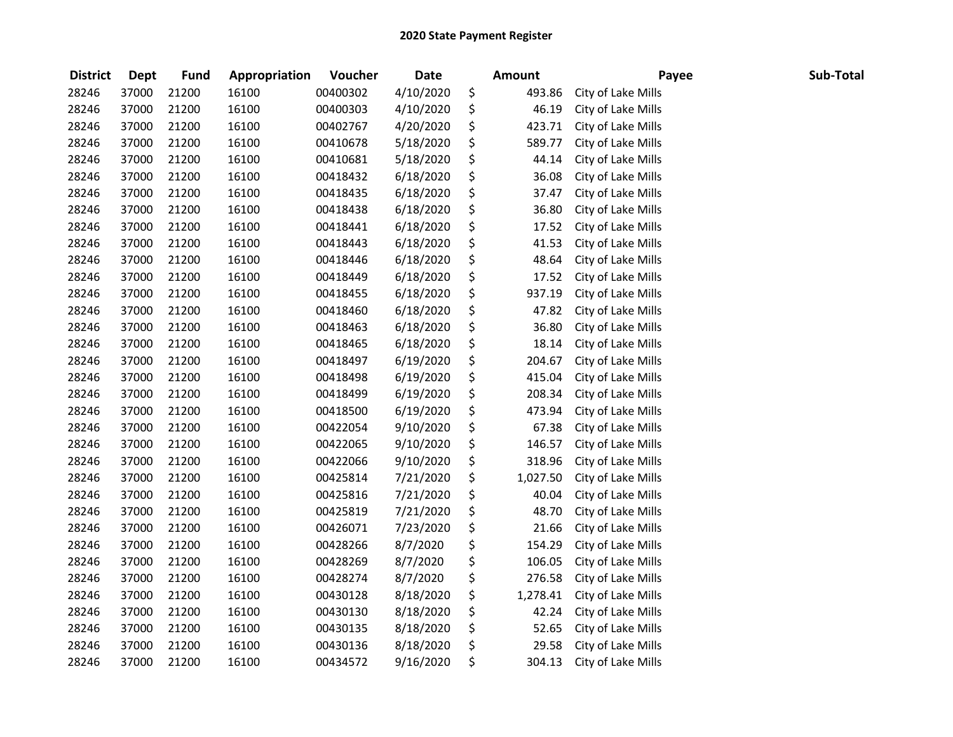| <b>District</b> | <b>Dept</b> | <b>Fund</b> | Appropriation | Voucher  | <b>Date</b> | Amount         | Payee              | Sub-Total |
|-----------------|-------------|-------------|---------------|----------|-------------|----------------|--------------------|-----------|
| 28246           | 37000       | 21200       | 16100         | 00400302 | 4/10/2020   | \$<br>493.86   | City of Lake Mills |           |
| 28246           | 37000       | 21200       | 16100         | 00400303 | 4/10/2020   | \$<br>46.19    | City of Lake Mills |           |
| 28246           | 37000       | 21200       | 16100         | 00402767 | 4/20/2020   | \$<br>423.71   | City of Lake Mills |           |
| 28246           | 37000       | 21200       | 16100         | 00410678 | 5/18/2020   | \$<br>589.77   | City of Lake Mills |           |
| 28246           | 37000       | 21200       | 16100         | 00410681 | 5/18/2020   | \$<br>44.14    | City of Lake Mills |           |
| 28246           | 37000       | 21200       | 16100         | 00418432 | 6/18/2020   | \$<br>36.08    | City of Lake Mills |           |
| 28246           | 37000       | 21200       | 16100         | 00418435 | 6/18/2020   | \$<br>37.47    | City of Lake Mills |           |
| 28246           | 37000       | 21200       | 16100         | 00418438 | 6/18/2020   | \$<br>36.80    | City of Lake Mills |           |
| 28246           | 37000       | 21200       | 16100         | 00418441 | 6/18/2020   | \$<br>17.52    | City of Lake Mills |           |
| 28246           | 37000       | 21200       | 16100         | 00418443 | 6/18/2020   | \$<br>41.53    | City of Lake Mills |           |
| 28246           | 37000       | 21200       | 16100         | 00418446 | 6/18/2020   | \$<br>48.64    | City of Lake Mills |           |
| 28246           | 37000       | 21200       | 16100         | 00418449 | 6/18/2020   | \$<br>17.52    | City of Lake Mills |           |
| 28246           | 37000       | 21200       | 16100         | 00418455 | 6/18/2020   | \$<br>937.19   | City of Lake Mills |           |
| 28246           | 37000       | 21200       | 16100         | 00418460 | 6/18/2020   | \$<br>47.82    | City of Lake Mills |           |
| 28246           | 37000       | 21200       | 16100         | 00418463 | 6/18/2020   | \$<br>36.80    | City of Lake Mills |           |
| 28246           | 37000       | 21200       | 16100         | 00418465 | 6/18/2020   | \$<br>18.14    | City of Lake Mills |           |
| 28246           | 37000       | 21200       | 16100         | 00418497 | 6/19/2020   | \$<br>204.67   | City of Lake Mills |           |
| 28246           | 37000       | 21200       | 16100         | 00418498 | 6/19/2020   | \$<br>415.04   | City of Lake Mills |           |
| 28246           | 37000       | 21200       | 16100         | 00418499 | 6/19/2020   | \$<br>208.34   | City of Lake Mills |           |
| 28246           | 37000       | 21200       | 16100         | 00418500 | 6/19/2020   | \$<br>473.94   | City of Lake Mills |           |
| 28246           | 37000       | 21200       | 16100         | 00422054 | 9/10/2020   | \$<br>67.38    | City of Lake Mills |           |
| 28246           | 37000       | 21200       | 16100         | 00422065 | 9/10/2020   | \$<br>146.57   | City of Lake Mills |           |
| 28246           | 37000       | 21200       | 16100         | 00422066 | 9/10/2020   | \$<br>318.96   | City of Lake Mills |           |
| 28246           | 37000       | 21200       | 16100         | 00425814 | 7/21/2020   | \$<br>1,027.50 | City of Lake Mills |           |
| 28246           | 37000       | 21200       | 16100         | 00425816 | 7/21/2020   | \$<br>40.04    | City of Lake Mills |           |
| 28246           | 37000       | 21200       | 16100         | 00425819 | 7/21/2020   | \$<br>48.70    | City of Lake Mills |           |
| 28246           | 37000       | 21200       | 16100         | 00426071 | 7/23/2020   | \$<br>21.66    | City of Lake Mills |           |
| 28246           | 37000       | 21200       | 16100         | 00428266 | 8/7/2020    | \$<br>154.29   | City of Lake Mills |           |
| 28246           | 37000       | 21200       | 16100         | 00428269 | 8/7/2020    | \$<br>106.05   | City of Lake Mills |           |
| 28246           | 37000       | 21200       | 16100         | 00428274 | 8/7/2020    | \$<br>276.58   | City of Lake Mills |           |
| 28246           | 37000       | 21200       | 16100         | 00430128 | 8/18/2020   | \$<br>1,278.41 | City of Lake Mills |           |
| 28246           | 37000       | 21200       | 16100         | 00430130 | 8/18/2020   | \$<br>42.24    | City of Lake Mills |           |
| 28246           | 37000       | 21200       | 16100         | 00430135 | 8/18/2020   | \$<br>52.65    | City of Lake Mills |           |
| 28246           | 37000       | 21200       | 16100         | 00430136 | 8/18/2020   | \$<br>29.58    | City of Lake Mills |           |
| 28246           | 37000       | 21200       | 16100         | 00434572 | 9/16/2020   | \$<br>304.13   | City of Lake Mills |           |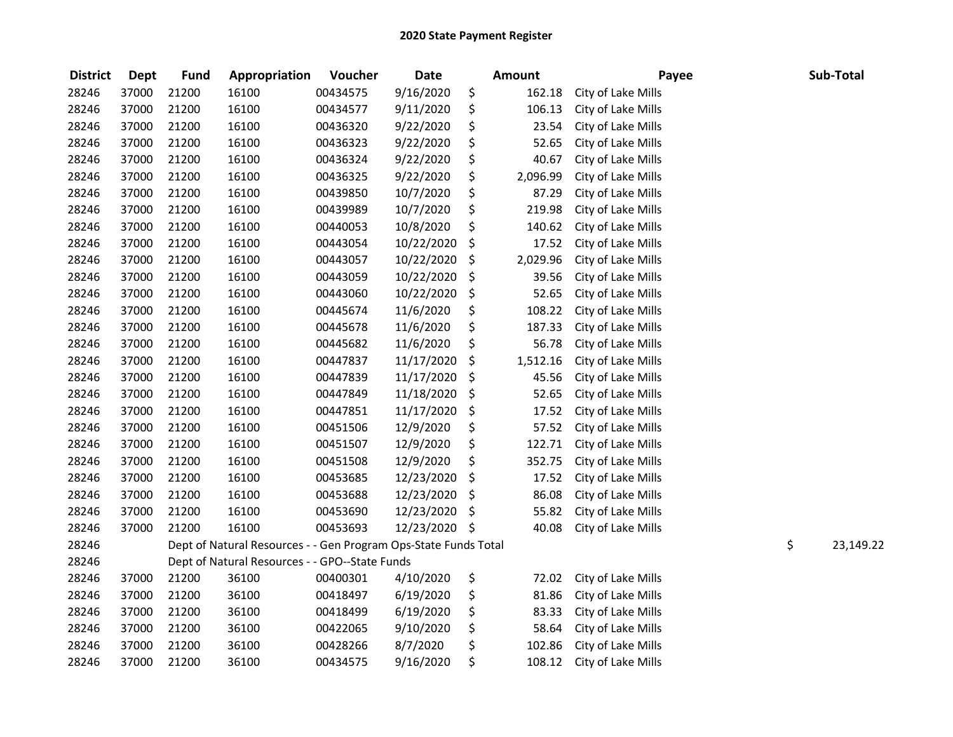| <b>District</b> | <b>Dept</b> | <b>Fund</b> | Appropriation                                                   | Voucher  | <b>Date</b> | <b>Amount</b>  | Payee              |    | Sub-Total |
|-----------------|-------------|-------------|-----------------------------------------------------------------|----------|-------------|----------------|--------------------|----|-----------|
| 28246           | 37000       | 21200       | 16100                                                           | 00434575 | 9/16/2020   | \$<br>162.18   | City of Lake Mills |    |           |
| 28246           | 37000       | 21200       | 16100                                                           | 00434577 | 9/11/2020   | \$<br>106.13   | City of Lake Mills |    |           |
| 28246           | 37000       | 21200       | 16100                                                           | 00436320 | 9/22/2020   | \$<br>23.54    | City of Lake Mills |    |           |
| 28246           | 37000       | 21200       | 16100                                                           | 00436323 | 9/22/2020   | \$<br>52.65    | City of Lake Mills |    |           |
| 28246           | 37000       | 21200       | 16100                                                           | 00436324 | 9/22/2020   | \$<br>40.67    | City of Lake Mills |    |           |
| 28246           | 37000       | 21200       | 16100                                                           | 00436325 | 9/22/2020   | \$<br>2,096.99 | City of Lake Mills |    |           |
| 28246           | 37000       | 21200       | 16100                                                           | 00439850 | 10/7/2020   | \$<br>87.29    | City of Lake Mills |    |           |
| 28246           | 37000       | 21200       | 16100                                                           | 00439989 | 10/7/2020   | \$<br>219.98   | City of Lake Mills |    |           |
| 28246           | 37000       | 21200       | 16100                                                           | 00440053 | 10/8/2020   | \$<br>140.62   | City of Lake Mills |    |           |
| 28246           | 37000       | 21200       | 16100                                                           | 00443054 | 10/22/2020  | \$<br>17.52    | City of Lake Mills |    |           |
| 28246           | 37000       | 21200       | 16100                                                           | 00443057 | 10/22/2020  | \$<br>2,029.96 | City of Lake Mills |    |           |
| 28246           | 37000       | 21200       | 16100                                                           | 00443059 | 10/22/2020  | \$<br>39.56    | City of Lake Mills |    |           |
| 28246           | 37000       | 21200       | 16100                                                           | 00443060 | 10/22/2020  | \$<br>52.65    | City of Lake Mills |    |           |
| 28246           | 37000       | 21200       | 16100                                                           | 00445674 | 11/6/2020   | \$<br>108.22   | City of Lake Mills |    |           |
| 28246           | 37000       | 21200       | 16100                                                           | 00445678 | 11/6/2020   | \$<br>187.33   | City of Lake Mills |    |           |
| 28246           | 37000       | 21200       | 16100                                                           | 00445682 | 11/6/2020   | \$<br>56.78    | City of Lake Mills |    |           |
| 28246           | 37000       | 21200       | 16100                                                           | 00447837 | 11/17/2020  | \$<br>1,512.16 | City of Lake Mills |    |           |
| 28246           | 37000       | 21200       | 16100                                                           | 00447839 | 11/17/2020  | \$<br>45.56    | City of Lake Mills |    |           |
| 28246           | 37000       | 21200       | 16100                                                           | 00447849 | 11/18/2020  | \$<br>52.65    | City of Lake Mills |    |           |
| 28246           | 37000       | 21200       | 16100                                                           | 00447851 | 11/17/2020  | \$<br>17.52    | City of Lake Mills |    |           |
| 28246           | 37000       | 21200       | 16100                                                           | 00451506 | 12/9/2020   | \$<br>57.52    | City of Lake Mills |    |           |
| 28246           | 37000       | 21200       | 16100                                                           | 00451507 | 12/9/2020   | \$<br>122.71   | City of Lake Mills |    |           |
| 28246           | 37000       | 21200       | 16100                                                           | 00451508 | 12/9/2020   | \$<br>352.75   | City of Lake Mills |    |           |
| 28246           | 37000       | 21200       | 16100                                                           | 00453685 | 12/23/2020  | \$<br>17.52    | City of Lake Mills |    |           |
| 28246           | 37000       | 21200       | 16100                                                           | 00453688 | 12/23/2020  | \$<br>86.08    | City of Lake Mills |    |           |
| 28246           | 37000       | 21200       | 16100                                                           | 00453690 | 12/23/2020  | \$<br>55.82    | City of Lake Mills |    |           |
| 28246           | 37000       | 21200       | 16100                                                           | 00453693 | 12/23/2020  | \$<br>40.08    | City of Lake Mills |    |           |
| 28246           |             |             | Dept of Natural Resources - - Gen Program Ops-State Funds Total |          |             |                |                    | \$ | 23,149.22 |
| 28246           |             |             | Dept of Natural Resources - - GPO--State Funds                  |          |             |                |                    |    |           |
| 28246           | 37000       | 21200       | 36100                                                           | 00400301 | 4/10/2020   | \$<br>72.02    | City of Lake Mills |    |           |
| 28246           | 37000       | 21200       | 36100                                                           | 00418497 | 6/19/2020   | \$<br>81.86    | City of Lake Mills |    |           |
| 28246           | 37000       | 21200       | 36100                                                           | 00418499 | 6/19/2020   | \$<br>83.33    | City of Lake Mills |    |           |
| 28246           | 37000       | 21200       | 36100                                                           | 00422065 | 9/10/2020   | \$<br>58.64    | City of Lake Mills |    |           |
| 28246           | 37000       | 21200       | 36100                                                           | 00428266 | 8/7/2020    | \$<br>102.86   | City of Lake Mills |    |           |
| 28246           | 37000       | 21200       | 36100                                                           | 00434575 | 9/16/2020   | \$<br>108.12   | City of Lake Mills |    |           |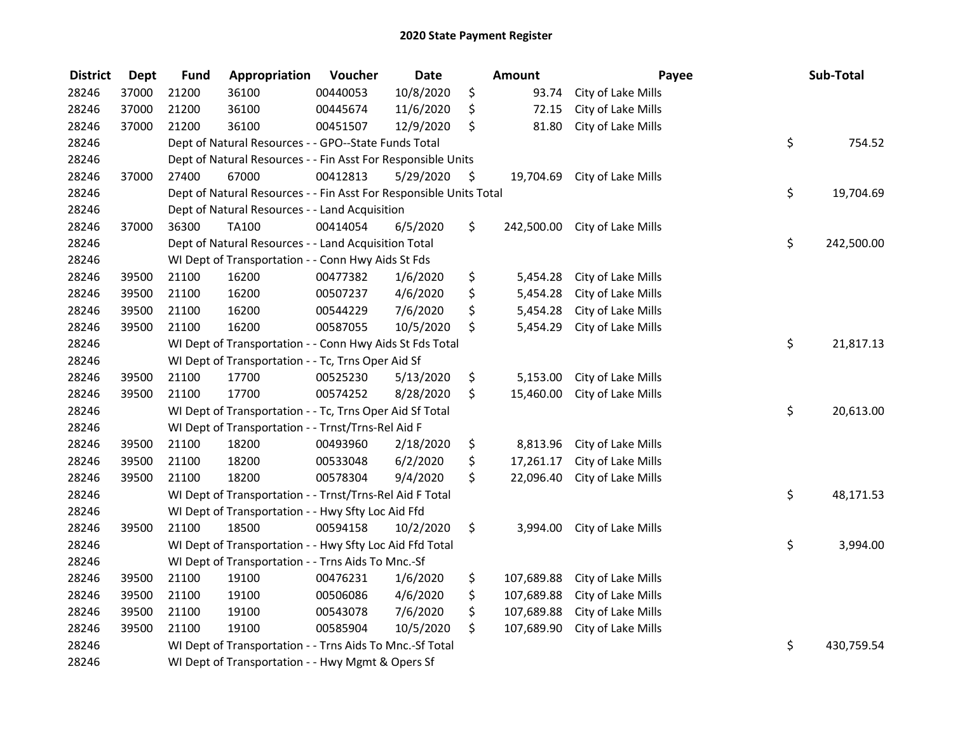| <b>District</b> | <b>Dept</b> | Fund  | Appropriation                                                      | Voucher  | <b>Date</b> | Amount           | Payee                         | Sub-Total        |
|-----------------|-------------|-------|--------------------------------------------------------------------|----------|-------------|------------------|-------------------------------|------------------|
| 28246           | 37000       | 21200 | 36100                                                              | 00440053 | 10/8/2020   | \$<br>93.74      | City of Lake Mills            |                  |
| 28246           | 37000       | 21200 | 36100                                                              | 00445674 | 11/6/2020   | \$<br>72.15      | City of Lake Mills            |                  |
| 28246           | 37000       | 21200 | 36100                                                              | 00451507 | 12/9/2020   | \$<br>81.80      | City of Lake Mills            |                  |
| 28246           |             |       | Dept of Natural Resources - - GPO--State Funds Total               |          |             |                  |                               | \$<br>754.52     |
| 28246           |             |       | Dept of Natural Resources - - Fin Asst For Responsible Units       |          |             |                  |                               |                  |
| 28246           | 37000       | 27400 | 67000                                                              | 00412813 | 5/29/2020   | \$<br>19,704.69  | City of Lake Mills            |                  |
| 28246           |             |       | Dept of Natural Resources - - Fin Asst For Responsible Units Total |          |             |                  |                               | \$<br>19,704.69  |
| 28246           |             |       | Dept of Natural Resources - - Land Acquisition                     |          |             |                  |                               |                  |
| 28246           | 37000       | 36300 | TA100                                                              | 00414054 | 6/5/2020    | \$               | 242,500.00 City of Lake Mills |                  |
| 28246           |             |       | Dept of Natural Resources - - Land Acquisition Total               |          |             |                  |                               | \$<br>242,500.00 |
| 28246           |             |       | WI Dept of Transportation - - Conn Hwy Aids St Fds                 |          |             |                  |                               |                  |
| 28246           | 39500       | 21100 | 16200                                                              | 00477382 | 1/6/2020    | \$<br>5,454.28   | City of Lake Mills            |                  |
| 28246           | 39500       | 21100 | 16200                                                              | 00507237 | 4/6/2020    | \$<br>5,454.28   | City of Lake Mills            |                  |
| 28246           | 39500       | 21100 | 16200                                                              | 00544229 | 7/6/2020    | \$<br>5,454.28   | City of Lake Mills            |                  |
| 28246           | 39500       | 21100 | 16200                                                              | 00587055 | 10/5/2020   | \$<br>5,454.29   | City of Lake Mills            |                  |
| 28246           |             |       | WI Dept of Transportation - - Conn Hwy Aids St Fds Total           |          |             |                  |                               | \$<br>21,817.13  |
| 28246           |             |       | WI Dept of Transportation - - Tc, Trns Oper Aid Sf                 |          |             |                  |                               |                  |
| 28246           | 39500       | 21100 | 17700                                                              | 00525230 | 5/13/2020   | \$<br>5,153.00   | City of Lake Mills            |                  |
| 28246           | 39500       | 21100 | 17700                                                              | 00574252 | 8/28/2020   | \$<br>15,460.00  | City of Lake Mills            |                  |
| 28246           |             |       | WI Dept of Transportation - - Tc, Trns Oper Aid Sf Total           |          |             |                  |                               | \$<br>20,613.00  |
| 28246           |             |       | WI Dept of Transportation - - Trnst/Trns-Rel Aid F                 |          |             |                  |                               |                  |
| 28246           | 39500       | 21100 | 18200                                                              | 00493960 | 2/18/2020   | \$<br>8,813.96   | City of Lake Mills            |                  |
| 28246           | 39500       | 21100 | 18200                                                              | 00533048 | 6/2/2020    | \$<br>17,261.17  | City of Lake Mills            |                  |
| 28246           | 39500       | 21100 | 18200                                                              | 00578304 | 9/4/2020    | \$<br>22,096.40  | City of Lake Mills            |                  |
| 28246           |             |       | WI Dept of Transportation - - Trnst/Trns-Rel Aid F Total           |          |             |                  |                               | \$<br>48,171.53  |
| 28246           |             |       | WI Dept of Transportation - - Hwy Sfty Loc Aid Ffd                 |          |             |                  |                               |                  |
| 28246           | 39500       | 21100 | 18500                                                              | 00594158 | 10/2/2020   | \$<br>3,994.00   | City of Lake Mills            |                  |
| 28246           |             |       | WI Dept of Transportation - - Hwy Sfty Loc Aid Ffd Total           |          |             |                  |                               | \$<br>3,994.00   |
| 28246           |             |       | WI Dept of Transportation - - Trns Aids To Mnc.-Sf                 |          |             |                  |                               |                  |
| 28246           | 39500       | 21100 | 19100                                                              | 00476231 | 1/6/2020    | \$<br>107,689.88 | City of Lake Mills            |                  |
| 28246           | 39500       | 21100 | 19100                                                              | 00506086 | 4/6/2020    | \$<br>107,689.88 | City of Lake Mills            |                  |
| 28246           | 39500       | 21100 | 19100                                                              | 00543078 | 7/6/2020    | \$<br>107,689.88 | City of Lake Mills            |                  |
| 28246           | 39500       | 21100 | 19100                                                              | 00585904 | 10/5/2020   | \$<br>107,689.90 | City of Lake Mills            |                  |
| 28246           |             |       | WI Dept of Transportation - - Trns Aids To Mnc.-Sf Total           |          |             |                  |                               | \$<br>430,759.54 |
| 28246           |             |       | WI Dept of Transportation - - Hwy Mgmt & Opers Sf                  |          |             |                  |                               |                  |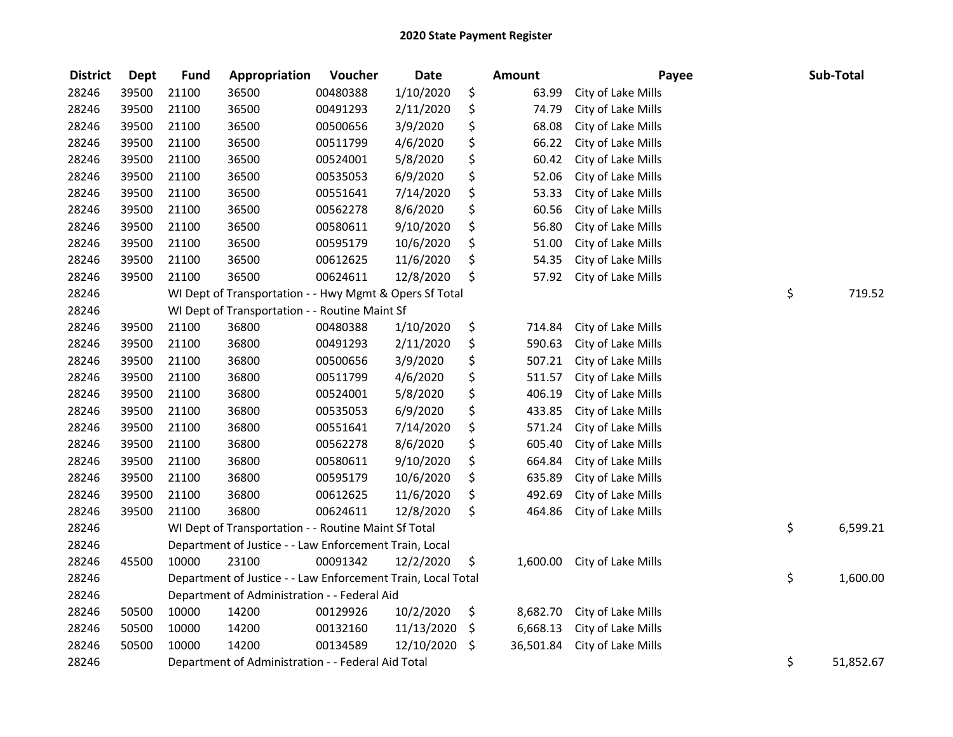| <b>District</b> | <b>Dept</b> | <b>Fund</b> | Appropriation                                                | Voucher  | <b>Date</b> | <b>Amount</b>   | Payee              | Sub-Total       |
|-----------------|-------------|-------------|--------------------------------------------------------------|----------|-------------|-----------------|--------------------|-----------------|
| 28246           | 39500       | 21100       | 36500                                                        | 00480388 | 1/10/2020   | \$<br>63.99     | City of Lake Mills |                 |
| 28246           | 39500       | 21100       | 36500                                                        | 00491293 | 2/11/2020   | \$<br>74.79     | City of Lake Mills |                 |
| 28246           | 39500       | 21100       | 36500                                                        | 00500656 | 3/9/2020    | \$<br>68.08     | City of Lake Mills |                 |
| 28246           | 39500       | 21100       | 36500                                                        | 00511799 | 4/6/2020    | \$<br>66.22     | City of Lake Mills |                 |
| 28246           | 39500       | 21100       | 36500                                                        | 00524001 | 5/8/2020    | \$<br>60.42     | City of Lake Mills |                 |
| 28246           | 39500       | 21100       | 36500                                                        | 00535053 | 6/9/2020    | \$<br>52.06     | City of Lake Mills |                 |
| 28246           | 39500       | 21100       | 36500                                                        | 00551641 | 7/14/2020   | \$<br>53.33     | City of Lake Mills |                 |
| 28246           | 39500       | 21100       | 36500                                                        | 00562278 | 8/6/2020    | \$<br>60.56     | City of Lake Mills |                 |
| 28246           | 39500       | 21100       | 36500                                                        | 00580611 | 9/10/2020   | \$<br>56.80     | City of Lake Mills |                 |
| 28246           | 39500       | 21100       | 36500                                                        | 00595179 | 10/6/2020   | \$<br>51.00     | City of Lake Mills |                 |
| 28246           | 39500       | 21100       | 36500                                                        | 00612625 | 11/6/2020   | \$<br>54.35     | City of Lake Mills |                 |
| 28246           | 39500       | 21100       | 36500                                                        | 00624611 | 12/8/2020   | \$<br>57.92     | City of Lake Mills |                 |
| 28246           |             |             | WI Dept of Transportation - - Hwy Mgmt & Opers Sf Total      |          |             |                 |                    | \$<br>719.52    |
| 28246           |             |             | WI Dept of Transportation - - Routine Maint Sf               |          |             |                 |                    |                 |
| 28246           | 39500       | 21100       | 36800                                                        | 00480388 | 1/10/2020   | \$<br>714.84    | City of Lake Mills |                 |
| 28246           | 39500       | 21100       | 36800                                                        | 00491293 | 2/11/2020   | \$<br>590.63    | City of Lake Mills |                 |
| 28246           | 39500       | 21100       | 36800                                                        | 00500656 | 3/9/2020    | \$<br>507.21    | City of Lake Mills |                 |
| 28246           | 39500       | 21100       | 36800                                                        | 00511799 | 4/6/2020    | \$<br>511.57    | City of Lake Mills |                 |
| 28246           | 39500       | 21100       | 36800                                                        | 00524001 | 5/8/2020    | \$<br>406.19    | City of Lake Mills |                 |
| 28246           | 39500       | 21100       | 36800                                                        | 00535053 | 6/9/2020    | \$<br>433.85    | City of Lake Mills |                 |
| 28246           | 39500       | 21100       | 36800                                                        | 00551641 | 7/14/2020   | \$<br>571.24    | City of Lake Mills |                 |
| 28246           | 39500       | 21100       | 36800                                                        | 00562278 | 8/6/2020    | \$<br>605.40    | City of Lake Mills |                 |
| 28246           | 39500       | 21100       | 36800                                                        | 00580611 | 9/10/2020   | \$<br>664.84    | City of Lake Mills |                 |
| 28246           | 39500       | 21100       | 36800                                                        | 00595179 | 10/6/2020   | \$<br>635.89    | City of Lake Mills |                 |
| 28246           | 39500       | 21100       | 36800                                                        | 00612625 | 11/6/2020   | \$<br>492.69    | City of Lake Mills |                 |
| 28246           | 39500       | 21100       | 36800                                                        | 00624611 | 12/8/2020   | \$<br>464.86    | City of Lake Mills |                 |
| 28246           |             |             | WI Dept of Transportation - - Routine Maint Sf Total         |          |             |                 |                    | \$<br>6,599.21  |
| 28246           |             |             | Department of Justice - - Law Enforcement Train, Local       |          |             |                 |                    |                 |
| 28246           | 45500       | 10000       | 23100                                                        | 00091342 | 12/2/2020   | \$<br>1,600.00  | City of Lake Mills |                 |
| 28246           |             |             | Department of Justice - - Law Enforcement Train, Local Total |          |             |                 |                    | \$<br>1,600.00  |
| 28246           |             |             | Department of Administration - - Federal Aid                 |          |             |                 |                    |                 |
| 28246           | 50500       | 10000       | 14200                                                        | 00129926 | 10/2/2020   | \$<br>8,682.70  | City of Lake Mills |                 |
| 28246           | 50500       | 10000       | 14200                                                        | 00132160 | 11/13/2020  | \$<br>6,668.13  | City of Lake Mills |                 |
| 28246           | 50500       | 10000       | 14200                                                        | 00134589 | 12/10/2020  | \$<br>36,501.84 | City of Lake Mills |                 |
| 28246           |             |             | Department of Administration - - Federal Aid Total           |          |             |                 |                    | \$<br>51,852.67 |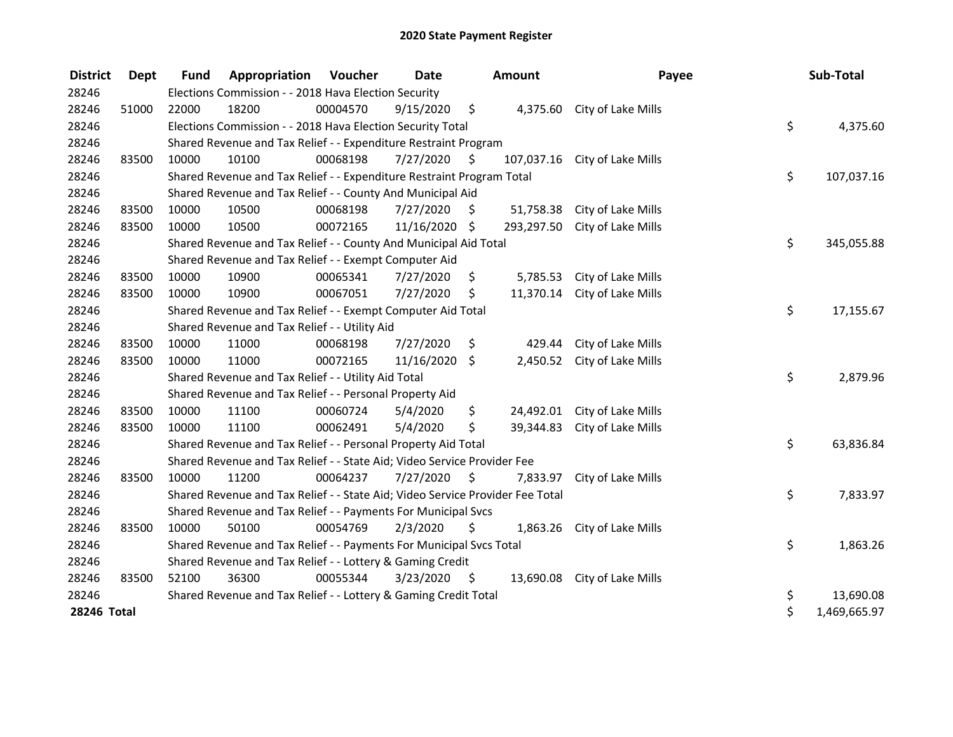| <b>District</b> | <b>Dept</b> | <b>Fund</b> | Appropriation                                                                 | Voucher                                               | <b>Date</b>   |      | Amount     | Payee                        |    | Sub-Total    |  |  |  |  |
|-----------------|-------------|-------------|-------------------------------------------------------------------------------|-------------------------------------------------------|---------------|------|------------|------------------------------|----|--------------|--|--|--|--|
| 28246           |             |             | Elections Commission - - 2018 Hava Election Security                          |                                                       |               |      |            |                              |    |              |  |  |  |  |
| 28246           | 51000       | 22000       | 18200                                                                         | 00004570                                              | 9/15/2020     | - \$ |            | 4,375.60 City of Lake Mills  |    |              |  |  |  |  |
| 28246           |             |             | Elections Commission - - 2018 Hava Election Security Total                    |                                                       |               |      |            |                              | \$ | 4,375.60     |  |  |  |  |
| 28246           |             |             | Shared Revenue and Tax Relief - - Expenditure Restraint Program               |                                                       |               |      |            |                              |    |              |  |  |  |  |
| 28246           | 83500       | 10000       | 10100                                                                         | 00068198                                              | 7/27/2020     | \$   | 107,037.16 | City of Lake Mills           |    |              |  |  |  |  |
| 28246           |             |             | Shared Revenue and Tax Relief - - Expenditure Restraint Program Total         |                                                       |               |      |            |                              | \$ | 107,037.16   |  |  |  |  |
| 28246           |             |             | Shared Revenue and Tax Relief - - County And Municipal Aid                    |                                                       |               |      |            |                              |    |              |  |  |  |  |
| 28246           | 83500       | 10000       | 10500                                                                         | 00068198                                              | 7/27/2020     | \$.  | 51,758.38  | City of Lake Mills           |    |              |  |  |  |  |
| 28246           | 83500       | 10000       | 10500                                                                         | 00072165                                              | 11/16/2020 \$ |      | 293,297.50 | City of Lake Mills           |    |              |  |  |  |  |
| 28246           |             |             | Shared Revenue and Tax Relief - - County And Municipal Aid Total              |                                                       |               |      |            |                              | \$ | 345,055.88   |  |  |  |  |
| 28246           |             |             |                                                                               | Shared Revenue and Tax Relief - - Exempt Computer Aid |               |      |            |                              |    |              |  |  |  |  |
| 28246           | 83500       | 10000       | 10900                                                                         | 00065341                                              | 7/27/2020     | \$   | 5,785.53   | City of Lake Mills           |    |              |  |  |  |  |
| 28246           | 83500       | 10000       | 10900                                                                         | 00067051                                              | 7/27/2020     | \$   | 11,370.14  | City of Lake Mills           |    |              |  |  |  |  |
| 28246           |             |             | Shared Revenue and Tax Relief - - Exempt Computer Aid Total                   |                                                       |               |      |            |                              | \$ | 17,155.67    |  |  |  |  |
| 28246           |             |             | Shared Revenue and Tax Relief - - Utility Aid                                 |                                                       |               |      |            |                              |    |              |  |  |  |  |
| 28246           | 83500       | 10000       | 11000                                                                         | 00068198                                              | 7/27/2020     | \$   | 429.44     | City of Lake Mills           |    |              |  |  |  |  |
| 28246           | 83500       | 10000       | 11000                                                                         | 00072165                                              | 11/16/2020    | \$   | 2,450.52   | City of Lake Mills           |    |              |  |  |  |  |
| 28246           |             |             | Shared Revenue and Tax Relief - - Utility Aid Total                           |                                                       |               |      |            |                              | \$ | 2,879.96     |  |  |  |  |
| 28246           |             |             | Shared Revenue and Tax Relief - - Personal Property Aid                       |                                                       |               |      |            |                              |    |              |  |  |  |  |
| 28246           | 83500       | 10000       | 11100                                                                         | 00060724                                              | 5/4/2020      | \$   | 24,492.01  | City of Lake Mills           |    |              |  |  |  |  |
| 28246           | 83500       | 10000       | 11100                                                                         | 00062491                                              | 5/4/2020      | \$   | 39,344.83  | City of Lake Mills           |    |              |  |  |  |  |
| 28246           |             |             | Shared Revenue and Tax Relief - - Personal Property Aid Total                 |                                                       |               |      |            |                              | \$ | 63,836.84    |  |  |  |  |
| 28246           |             |             | Shared Revenue and Tax Relief - - State Aid; Video Service Provider Fee       |                                                       |               |      |            |                              |    |              |  |  |  |  |
| 28246           | 83500       | 10000       | 11200                                                                         | 00064237                                              | 7/27/2020     | \$   |            | 7,833.97 City of Lake Mills  |    |              |  |  |  |  |
| 28246           |             |             | Shared Revenue and Tax Relief - - State Aid; Video Service Provider Fee Total |                                                       |               |      |            |                              | \$ | 7,833.97     |  |  |  |  |
| 28246           |             |             | Shared Revenue and Tax Relief - - Payments For Municipal Svcs                 |                                                       |               |      |            |                              |    |              |  |  |  |  |
| 28246           | 83500       | 10000       | 50100                                                                         | 00054769                                              | 2/3/2020      | \$   | 1,863.26   | City of Lake Mills           |    |              |  |  |  |  |
| 28246           |             |             | Shared Revenue and Tax Relief - - Payments For Municipal Svcs Total           |                                                       |               |      |            |                              | \$ | 1,863.26     |  |  |  |  |
| 28246           |             |             | Shared Revenue and Tax Relief - - Lottery & Gaming Credit                     |                                                       |               |      |            |                              |    |              |  |  |  |  |
| 28246           | 83500       | 52100       | 36300                                                                         | 00055344                                              | 3/23/2020     | \$.  |            | 13,690.08 City of Lake Mills |    |              |  |  |  |  |
| 28246           |             |             | Shared Revenue and Tax Relief - - Lottery & Gaming Credit Total               |                                                       |               |      |            |                              | \$ | 13,690.08    |  |  |  |  |
| 28246 Total     |             |             |                                                                               |                                                       |               |      |            |                              | \$ | 1,469,665.97 |  |  |  |  |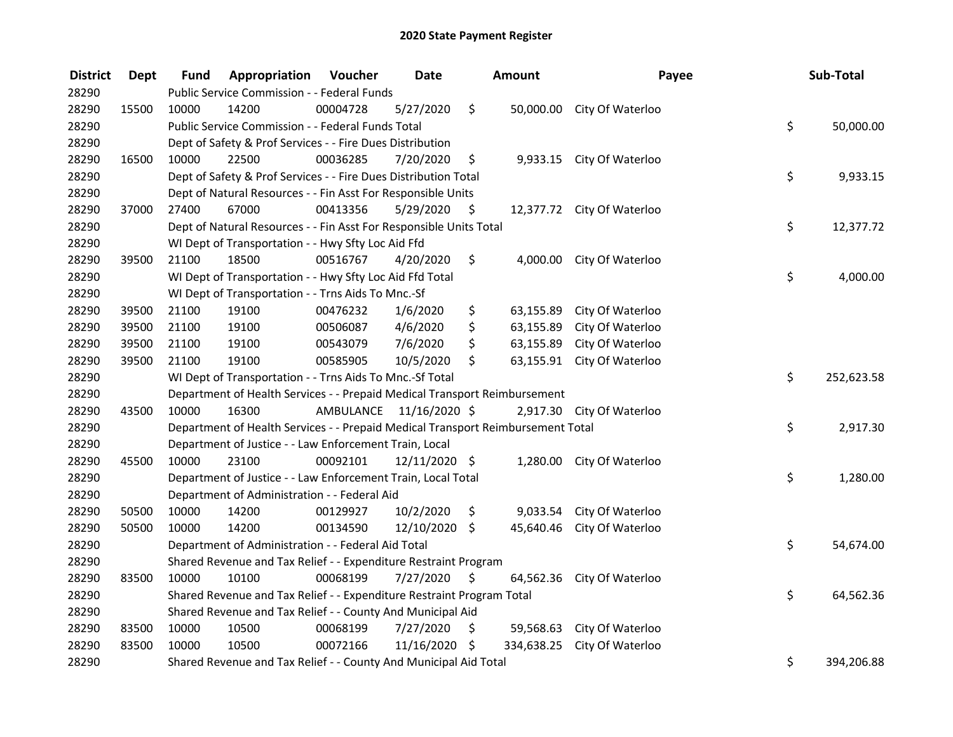| <b>District</b> | <b>Dept</b> | Fund  | Appropriation                                                                   | Voucher                 | <b>Date</b>   |      | Amount     | Payee                      | Sub-Total        |
|-----------------|-------------|-------|---------------------------------------------------------------------------------|-------------------------|---------------|------|------------|----------------------------|------------------|
| 28290           |             |       | Public Service Commission - - Federal Funds                                     |                         |               |      |            |                            |                  |
| 28290           | 15500       | 10000 | 14200                                                                           | 00004728                | 5/27/2020     | \$   |            | 50,000.00 City Of Waterloo |                  |
| 28290           |             |       | Public Service Commission - - Federal Funds Total                               |                         |               |      |            |                            | \$<br>50,000.00  |
| 28290           |             |       | Dept of Safety & Prof Services - - Fire Dues Distribution                       |                         |               |      |            |                            |                  |
| 28290           | 16500       | 10000 | 22500                                                                           | 00036285                | 7/20/2020     | \$   |            | 9,933.15 City Of Waterloo  |                  |
| 28290           |             |       | Dept of Safety & Prof Services - - Fire Dues Distribution Total                 |                         |               |      |            |                            | \$<br>9,933.15   |
| 28290           |             |       | Dept of Natural Resources - - Fin Asst For Responsible Units                    |                         |               |      |            |                            |                  |
| 28290           | 37000       | 27400 | 67000                                                                           | 00413356                | 5/29/2020     | - \$ |            | 12,377.72 City Of Waterloo |                  |
| 28290           |             |       | Dept of Natural Resources - - Fin Asst For Responsible Units Total              |                         |               |      |            |                            | \$<br>12,377.72  |
| 28290           |             |       | WI Dept of Transportation - - Hwy Sfty Loc Aid Ffd                              |                         |               |      |            |                            |                  |
| 28290           | 39500       | 21100 | 18500                                                                           | 00516767                | 4/20/2020     | \$   | 4,000.00   | City Of Waterloo           |                  |
| 28290           |             |       | WI Dept of Transportation - - Hwy Sfty Loc Aid Ffd Total                        |                         |               |      |            |                            | \$<br>4,000.00   |
| 28290           |             |       | WI Dept of Transportation - - Trns Aids To Mnc.-Sf                              |                         |               |      |            |                            |                  |
| 28290           | 39500       | 21100 | 19100                                                                           | 00476232                | 1/6/2020      | \$   | 63,155.89  | City Of Waterloo           |                  |
| 28290           | 39500       | 21100 | 19100                                                                           | 00506087                | 4/6/2020      | \$   | 63,155.89  | City Of Waterloo           |                  |
| 28290           | 39500       | 21100 | 19100                                                                           | 00543079                | 7/6/2020      | \$   | 63,155.89  | City Of Waterloo           |                  |
| 28290           | 39500       | 21100 | 19100                                                                           | 00585905                | 10/5/2020     | \$   | 63,155.91  | City Of Waterloo           |                  |
| 28290           |             |       | WI Dept of Transportation - - Trns Aids To Mnc.-Sf Total                        |                         |               |      |            |                            | \$<br>252,623.58 |
| 28290           |             |       | Department of Health Services - - Prepaid Medical Transport Reimbursement       |                         |               |      |            |                            |                  |
| 28290           | 43500       | 10000 | 16300                                                                           | AMBULANCE 11/16/2020 \$ |               |      | 2,917.30   | City Of Waterloo           |                  |
| 28290           |             |       | Department of Health Services - - Prepaid Medical Transport Reimbursement Total |                         |               |      |            |                            | \$<br>2,917.30   |
| 28290           |             |       | Department of Justice - - Law Enforcement Train, Local                          |                         |               |      |            |                            |                  |
| 28290           | 45500       | 10000 | 23100                                                                           | 00092101                | 12/11/2020 \$ |      |            | 1,280.00 City Of Waterloo  |                  |
| 28290           |             |       | Department of Justice - - Law Enforcement Train, Local Total                    |                         |               |      |            |                            | \$<br>1,280.00   |
| 28290           |             |       | Department of Administration - - Federal Aid                                    |                         |               |      |            |                            |                  |
| 28290           | 50500       | 10000 | 14200                                                                           | 00129927                | 10/2/2020     | \$   | 9,033.54   | City Of Waterloo           |                  |
| 28290           | 50500       | 10000 | 14200                                                                           | 00134590                | 12/10/2020    | \$   | 45,640.46  | City Of Waterloo           |                  |
| 28290           |             |       | Department of Administration - - Federal Aid Total                              |                         |               |      |            |                            | \$<br>54,674.00  |
| 28290           |             |       | Shared Revenue and Tax Relief - - Expenditure Restraint Program                 |                         |               |      |            |                            |                  |
| 28290           | 83500       | 10000 | 10100                                                                           | 00068199                | 7/27/2020     | \$   | 64,562.36  | City Of Waterloo           |                  |
| 28290           |             |       | Shared Revenue and Tax Relief - - Expenditure Restraint Program Total           |                         |               |      |            |                            | \$<br>64,562.36  |
| 28290           |             |       | Shared Revenue and Tax Relief - - County And Municipal Aid                      |                         |               |      |            |                            |                  |
| 28290           | 83500       | 10000 | 10500                                                                           | 00068199                | 7/27/2020     | \$   |            | 59,568.63 City Of Waterloo |                  |
| 28290           | 83500       | 10000 | 10500                                                                           | 00072166                | 11/16/2020    | \$   | 334,638.25 | City Of Waterloo           |                  |
| 28290           |             |       | Shared Revenue and Tax Relief - - County And Municipal Aid Total                |                         |               |      |            |                            | \$<br>394,206.88 |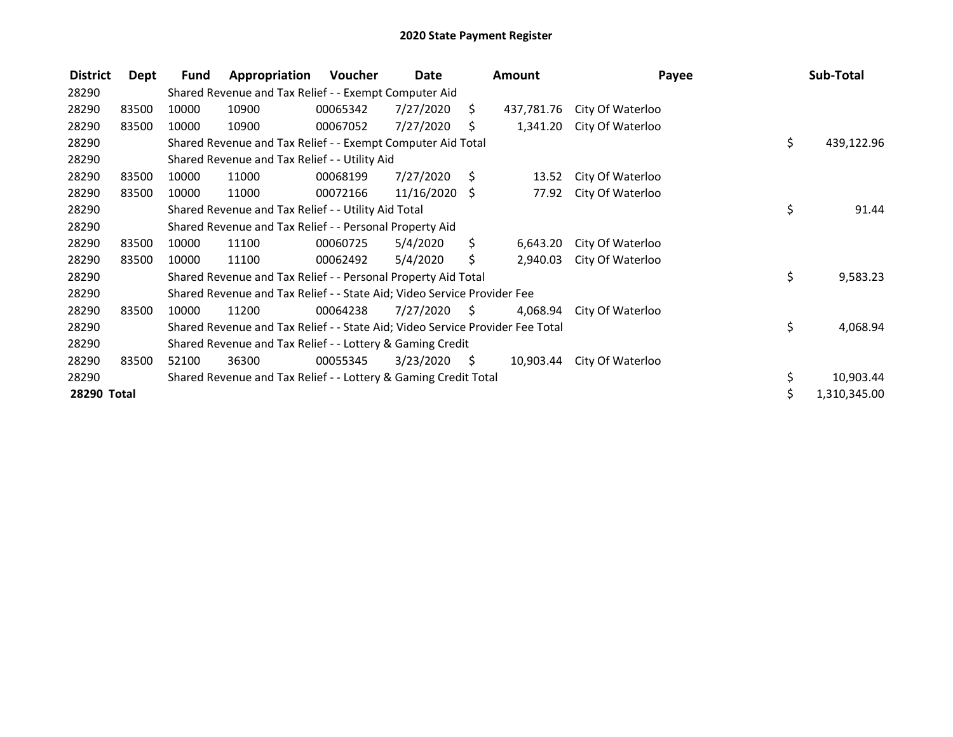| <b>District</b> | Dept  | Fund  | Appropriation                                                                 | Voucher  | Date       |      | <b>Amount</b> | Payee            |     | Sub-Total    |
|-----------------|-------|-------|-------------------------------------------------------------------------------|----------|------------|------|---------------|------------------|-----|--------------|
| 28290           |       |       | Shared Revenue and Tax Relief - - Exempt Computer Aid                         |          |            |      |               |                  |     |              |
| 28290           | 83500 | 10000 | 10900                                                                         | 00065342 | 7/27/2020  | S.   | 437,781.76    | City Of Waterloo |     |              |
| 28290           | 83500 | 10000 | 10900                                                                         | 00067052 | 7/27/2020  | S    | 1,341.20      | City Of Waterloo |     |              |
| 28290           |       |       | Shared Revenue and Tax Relief - - Exempt Computer Aid Total                   |          |            |      |               |                  | \$  | 439,122.96   |
| 28290           |       |       | Shared Revenue and Tax Relief - - Utility Aid                                 |          |            |      |               |                  |     |              |
| 28290           | 83500 | 10000 | 11000                                                                         | 00068199 | 7/27/2020  | S.   | 13.52         | City Of Waterloo |     |              |
| 28290           | 83500 | 10000 | 11000                                                                         | 00072166 | 11/16/2020 | S.   | 77.92         | City Of Waterloo |     |              |
| 28290           |       |       | Shared Revenue and Tax Relief - - Utility Aid Total                           |          |            |      |               |                  | \$  | 91.44        |
| 28290           |       |       | Shared Revenue and Tax Relief - - Personal Property Aid                       |          |            |      |               |                  |     |              |
| 28290           | 83500 | 10000 | 11100                                                                         | 00060725 | 5/4/2020   | \$.  | 6,643.20      | City Of Waterloo |     |              |
| 28290           | 83500 | 10000 | 11100                                                                         | 00062492 | 5/4/2020   | \$.  | 2,940.03      | City Of Waterloo |     |              |
| 28290           |       |       | Shared Revenue and Tax Relief - - Personal Property Aid Total                 |          |            |      |               |                  | \$  | 9,583.23     |
| 28290           |       |       | Shared Revenue and Tax Relief - - State Aid; Video Service Provider Fee       |          |            |      |               |                  |     |              |
| 28290           | 83500 | 10000 | 11200                                                                         | 00064238 | 7/27/2020  | S.   | 4,068.94      | City Of Waterloo |     |              |
| 28290           |       |       | Shared Revenue and Tax Relief - - State Aid; Video Service Provider Fee Total |          |            |      |               |                  | \$  | 4,068.94     |
| 28290           |       |       | Shared Revenue and Tax Relief - - Lottery & Gaming Credit                     |          |            |      |               |                  |     |              |
| 28290           | 83500 | 52100 | 36300                                                                         | 00055345 | 3/23/2020  | - \$ | 10,903.44     | City Of Waterloo |     |              |
| 28290           |       |       | Shared Revenue and Tax Relief - - Lottery & Gaming Credit Total               |          |            |      |               |                  | \$. | 10,903.44    |
| 28290 Total     |       |       |                                                                               |          |            |      |               |                  | \$  | 1,310,345.00 |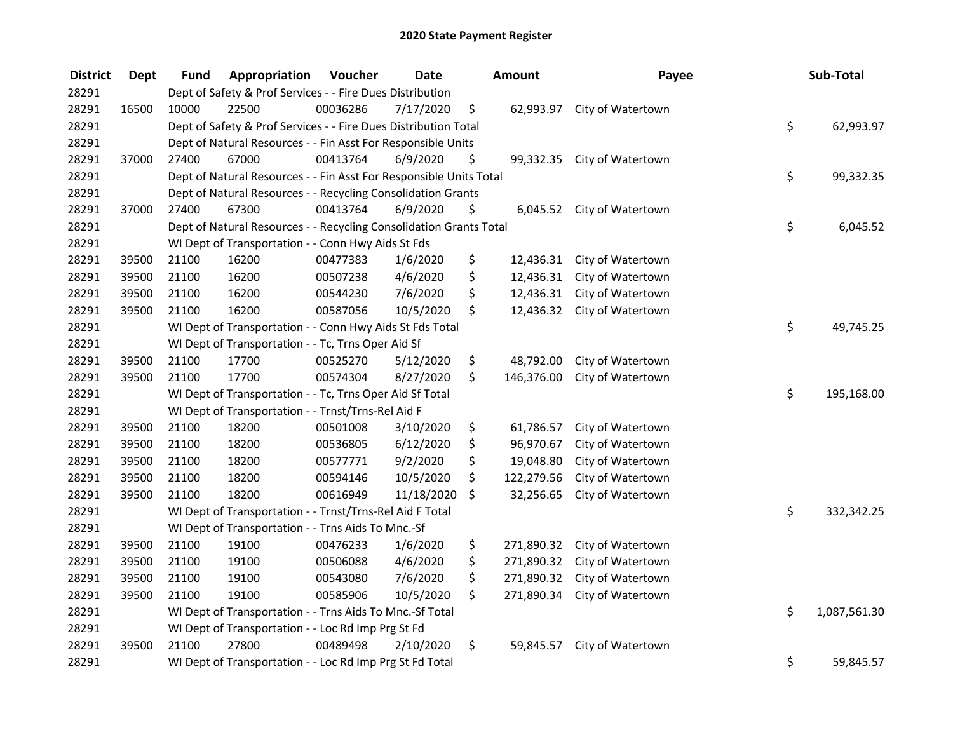| <b>District</b> | <b>Dept</b> | <b>Fund</b> | Appropriation                                                      | Voucher  | <b>Date</b> | Amount           | Payee                       | Sub-Total          |
|-----------------|-------------|-------------|--------------------------------------------------------------------|----------|-------------|------------------|-----------------------------|--------------------|
| 28291           |             |             | Dept of Safety & Prof Services - - Fire Dues Distribution          |          |             |                  |                             |                    |
| 28291           | 16500       | 10000       | 22500                                                              | 00036286 | 7/17/2020   | \$               | 62,993.97 City of Watertown |                    |
| 28291           |             |             | Dept of Safety & Prof Services - - Fire Dues Distribution Total    |          |             |                  |                             | \$<br>62,993.97    |
| 28291           |             |             | Dept of Natural Resources - - Fin Asst For Responsible Units       |          |             |                  |                             |                    |
| 28291           | 37000       | 27400       | 67000                                                              | 00413764 | 6/9/2020    | \$<br>99,332.35  | City of Watertown           |                    |
| 28291           |             |             | Dept of Natural Resources - - Fin Asst For Responsible Units Total |          |             |                  |                             | \$<br>99,332.35    |
| 28291           |             |             | Dept of Natural Resources - - Recycling Consolidation Grants       |          |             |                  |                             |                    |
| 28291           | 37000       | 27400       | 67300                                                              | 00413764 | 6/9/2020    | \$               | 6,045.52 City of Watertown  |                    |
| 28291           |             |             | Dept of Natural Resources - - Recycling Consolidation Grants Total |          |             |                  |                             | \$<br>6,045.52     |
| 28291           |             |             | WI Dept of Transportation - - Conn Hwy Aids St Fds                 |          |             |                  |                             |                    |
| 28291           | 39500       | 21100       | 16200                                                              | 00477383 | 1/6/2020    | \$<br>12,436.31  | City of Watertown           |                    |
| 28291           | 39500       | 21100       | 16200                                                              | 00507238 | 4/6/2020    | \$<br>12,436.31  | City of Watertown           |                    |
| 28291           | 39500       | 21100       | 16200                                                              | 00544230 | 7/6/2020    | \$<br>12,436.31  | City of Watertown           |                    |
| 28291           | 39500       | 21100       | 16200                                                              | 00587056 | 10/5/2020   | \$<br>12,436.32  | City of Watertown           |                    |
| 28291           |             |             | WI Dept of Transportation - - Conn Hwy Aids St Fds Total           |          |             |                  |                             | \$<br>49,745.25    |
| 28291           |             |             | WI Dept of Transportation - - Tc, Trns Oper Aid Sf                 |          |             |                  |                             |                    |
| 28291           | 39500       | 21100       | 17700                                                              | 00525270 | 5/12/2020   | \$<br>48,792.00  | City of Watertown           |                    |
| 28291           | 39500       | 21100       | 17700                                                              | 00574304 | 8/27/2020   | \$<br>146,376.00 | City of Watertown           |                    |
| 28291           |             |             | WI Dept of Transportation - - Tc, Trns Oper Aid Sf Total           |          |             |                  |                             | \$<br>195,168.00   |
| 28291           |             |             | WI Dept of Transportation - - Trnst/Trns-Rel Aid F                 |          |             |                  |                             |                    |
| 28291           | 39500       | 21100       | 18200                                                              | 00501008 | 3/10/2020   | \$<br>61,786.57  | City of Watertown           |                    |
| 28291           | 39500       | 21100       | 18200                                                              | 00536805 | 6/12/2020   | \$<br>96,970.67  | City of Watertown           |                    |
| 28291           | 39500       | 21100       | 18200                                                              | 00577771 | 9/2/2020    | \$<br>19,048.80  | City of Watertown           |                    |
| 28291           | 39500       | 21100       | 18200                                                              | 00594146 | 10/5/2020   | \$<br>122,279.56 | City of Watertown           |                    |
| 28291           | 39500       | 21100       | 18200                                                              | 00616949 | 11/18/2020  | \$<br>32,256.65  | City of Watertown           |                    |
| 28291           |             |             | WI Dept of Transportation - - Trnst/Trns-Rel Aid F Total           |          |             |                  |                             | \$<br>332,342.25   |
| 28291           |             |             | WI Dept of Transportation - - Trns Aids To Mnc.-Sf                 |          |             |                  |                             |                    |
| 28291           | 39500       | 21100       | 19100                                                              | 00476233 | 1/6/2020    | \$<br>271,890.32 | City of Watertown           |                    |
| 28291           | 39500       | 21100       | 19100                                                              | 00506088 | 4/6/2020    | \$<br>271,890.32 | City of Watertown           |                    |
| 28291           | 39500       | 21100       | 19100                                                              | 00543080 | 7/6/2020    | \$<br>271,890.32 | City of Watertown           |                    |
| 28291           | 39500       | 21100       | 19100                                                              | 00585906 | 10/5/2020   | \$<br>271,890.34 | City of Watertown           |                    |
| 28291           |             |             | WI Dept of Transportation - - Trns Aids To Mnc.-Sf Total           |          |             |                  |                             | \$<br>1,087,561.30 |
| 28291           |             |             | WI Dept of Transportation - - Loc Rd Imp Prg St Fd                 |          |             |                  |                             |                    |
| 28291           | 39500       | 21100       | 27800                                                              | 00489498 | 2/10/2020   | \$<br>59,845.57  | City of Watertown           |                    |
| 28291           |             |             | WI Dept of Transportation - - Loc Rd Imp Prg St Fd Total           |          |             |                  |                             | \$<br>59,845.57    |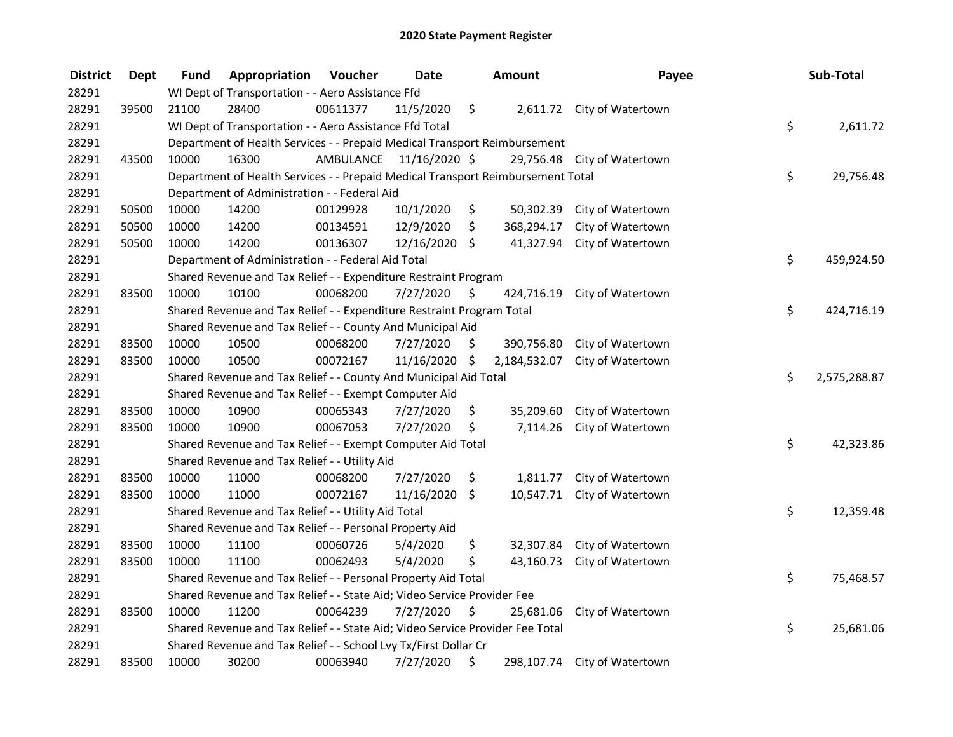| <b>District</b> | Dept  | <b>Fund</b> | Appropriation                                                                   | Voucher                 | <b>Date</b>   |     | Amount       | Payee                        | Sub-Total          |
|-----------------|-------|-------------|---------------------------------------------------------------------------------|-------------------------|---------------|-----|--------------|------------------------------|--------------------|
| 28291           |       |             | WI Dept of Transportation - - Aero Assistance Ffd                               |                         |               |     |              |                              |                    |
| 28291           | 39500 | 21100       | 28400                                                                           | 00611377                | 11/5/2020     | \$  |              | 2,611.72 City of Watertown   |                    |
| 28291           |       |             | WI Dept of Transportation - - Aero Assistance Ffd Total                         |                         |               |     |              |                              | \$<br>2,611.72     |
| 28291           |       |             | Department of Health Services - - Prepaid Medical Transport Reimbursement       |                         |               |     |              |                              |                    |
| 28291           | 43500 | 10000       | 16300                                                                           | AMBULANCE 11/16/2020 \$ |               |     |              | 29,756.48 City of Watertown  |                    |
| 28291           |       |             | Department of Health Services - - Prepaid Medical Transport Reimbursement Total |                         |               |     |              |                              | \$<br>29,756.48    |
| 28291           |       |             | Department of Administration - - Federal Aid                                    |                         |               |     |              |                              |                    |
| 28291           | 50500 | 10000       | 14200                                                                           | 00129928                | 10/1/2020     | \$  |              | 50,302.39 City of Watertown  |                    |
| 28291           | 50500 | 10000       | 14200                                                                           | 00134591                | 12/9/2020     | \$  |              | 368,294.17 City of Watertown |                    |
| 28291           | 50500 | 10000       | 14200                                                                           | 00136307                | 12/16/2020 \$ |     |              | 41,327.94 City of Watertown  |                    |
| 28291           |       |             | Department of Administration - - Federal Aid Total                              |                         |               |     |              |                              | \$<br>459,924.50   |
| 28291           |       |             | Shared Revenue and Tax Relief - - Expenditure Restraint Program                 |                         |               |     |              |                              |                    |
| 28291           | 83500 | 10000       | 10100                                                                           | 00068200                | 7/27/2020     | \$. | 424,716.19   | City of Watertown            |                    |
| 28291           |       |             | Shared Revenue and Tax Relief - - Expenditure Restraint Program Total           |                         |               |     |              |                              | \$<br>424,716.19   |
| 28291           |       |             | Shared Revenue and Tax Relief - - County And Municipal Aid                      |                         |               |     |              |                              |                    |
| 28291           | 83500 | 10000       | 10500                                                                           | 00068200                | 7/27/2020     | S.  | 390,756.80   | City of Watertown            |                    |
| 28291           | 83500 | 10000       | 10500                                                                           | 00072167                | 11/16/2020 \$ |     | 2,184,532.07 | City of Watertown            |                    |
| 28291           |       |             | Shared Revenue and Tax Relief - - County And Municipal Aid Total                |                         |               |     |              |                              | \$<br>2,575,288.87 |
| 28291           |       |             | Shared Revenue and Tax Relief - - Exempt Computer Aid                           |                         |               |     |              |                              |                    |
| 28291           | 83500 | 10000       | 10900                                                                           | 00065343                | 7/27/2020     | \$  | 35,209.60    | City of Watertown            |                    |
| 28291           | 83500 | 10000       | 10900                                                                           | 00067053                | 7/27/2020     | \$  |              | 7,114.26 City of Watertown   |                    |
| 28291           |       |             | Shared Revenue and Tax Relief - - Exempt Computer Aid Total                     |                         |               |     |              |                              | \$<br>42,323.86    |
| 28291           |       |             | Shared Revenue and Tax Relief - - Utility Aid                                   |                         |               |     |              |                              |                    |
| 28291           | 83500 | 10000       | 11000                                                                           | 00068200                | 7/27/2020     | \$  | 1,811.77     | City of Watertown            |                    |
| 28291           | 83500 | 10000       | 11000                                                                           | 00072167                | 11/16/2020    | \$  | 10,547.71    | City of Watertown            |                    |
| 28291           |       |             | Shared Revenue and Tax Relief - - Utility Aid Total                             |                         |               |     |              |                              | \$<br>12,359.48    |
| 28291           |       |             | Shared Revenue and Tax Relief - - Personal Property Aid                         |                         |               |     |              |                              |                    |
| 28291           | 83500 | 10000       | 11100                                                                           | 00060726                | 5/4/2020      | \$  |              | 32,307.84 City of Watertown  |                    |
| 28291           | 83500 | 10000       | 11100                                                                           | 00062493                | 5/4/2020      | \$  | 43,160.73    | City of Watertown            |                    |
| 28291           |       |             | Shared Revenue and Tax Relief - - Personal Property Aid Total                   |                         |               |     |              |                              | \$<br>75,468.57    |
| 28291           |       |             | Shared Revenue and Tax Relief - - State Aid; Video Service Provider Fee         |                         |               |     |              |                              |                    |
| 28291           | 83500 | 10000       | 11200                                                                           | 00064239                | 7/27/2020     | \$  |              | 25,681.06 City of Watertown  |                    |
| 28291           |       |             | Shared Revenue and Tax Relief - - State Aid; Video Service Provider Fee Total   |                         |               |     |              |                              | \$<br>25,681.06    |
| 28291           |       |             | Shared Revenue and Tax Relief - - School Lvy Tx/First Dollar Cr                 |                         |               |     |              |                              |                    |
| 28291           | 83500 | 10000       | 30200                                                                           | 00063940                | 7/27/2020     | \$  |              | 298,107.74 City of Watertown |                    |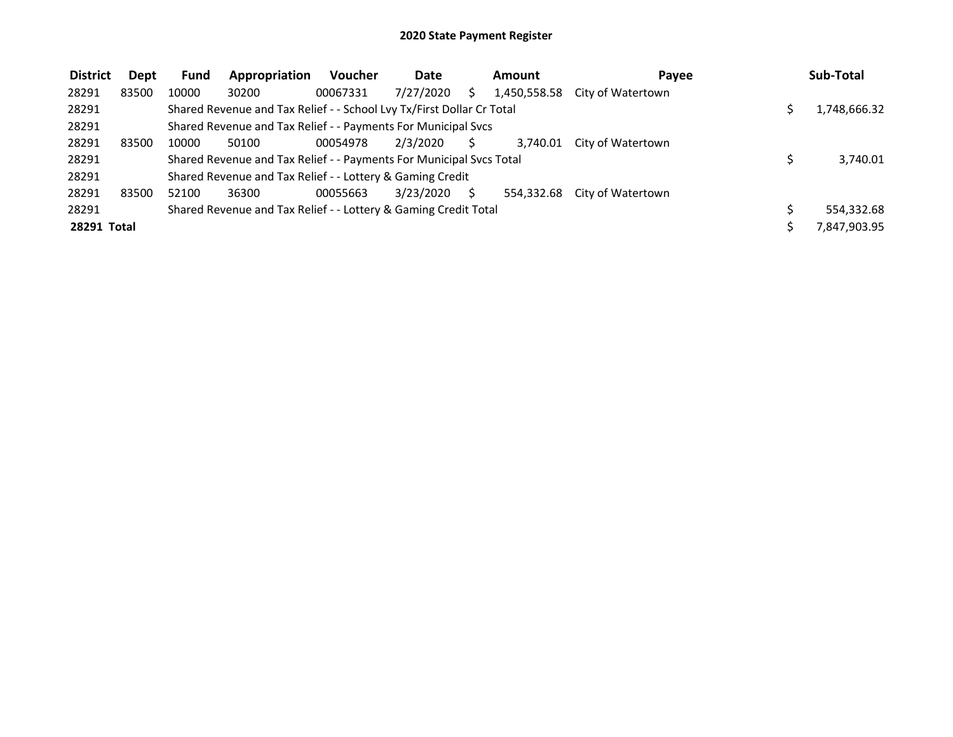| <b>District</b> | Dept  | <b>Fund</b> | Appropriation                                                         | <b>Voucher</b> | <b>Date</b> |   | <b>Amount</b> | Pavee             | Sub-Total    |
|-----------------|-------|-------------|-----------------------------------------------------------------------|----------------|-------------|---|---------------|-------------------|--------------|
| 28291           | 83500 | 10000       | 30200                                                                 | 00067331       | 7/27/2020   |   | 1,450,558.58  | City of Watertown |              |
| 28291           |       |             | Shared Revenue and Tax Relief - - School Lvy Tx/First Dollar Cr Total |                |             |   |               |                   | 1,748,666.32 |
| 28291           |       |             | Shared Revenue and Tax Relief - - Payments For Municipal Svcs         |                |             |   |               |                   |              |
| 28291           | 83500 | 10000       | 50100                                                                 | 00054978       | 2/3/2020    |   | 3.740.01      | City of Watertown |              |
| 28291           |       |             | Shared Revenue and Tax Relief - - Payments For Municipal Svcs Total   |                |             |   |               |                   | 3,740.01     |
| 28291           |       |             | Shared Revenue and Tax Relief - - Lottery & Gaming Credit             |                |             |   |               |                   |              |
| 28291           | 83500 | 52100       | 36300                                                                 | 00055663       | 3/23/2020   | S | 554.332.68    | City of Watertown |              |
| 28291           |       |             | Shared Revenue and Tax Relief - - Lottery & Gaming Credit Total       |                |             |   |               |                   | 554,332.68   |
| 28291 Total     |       |             |                                                                       |                |             |   |               |                   | 7,847,903.95 |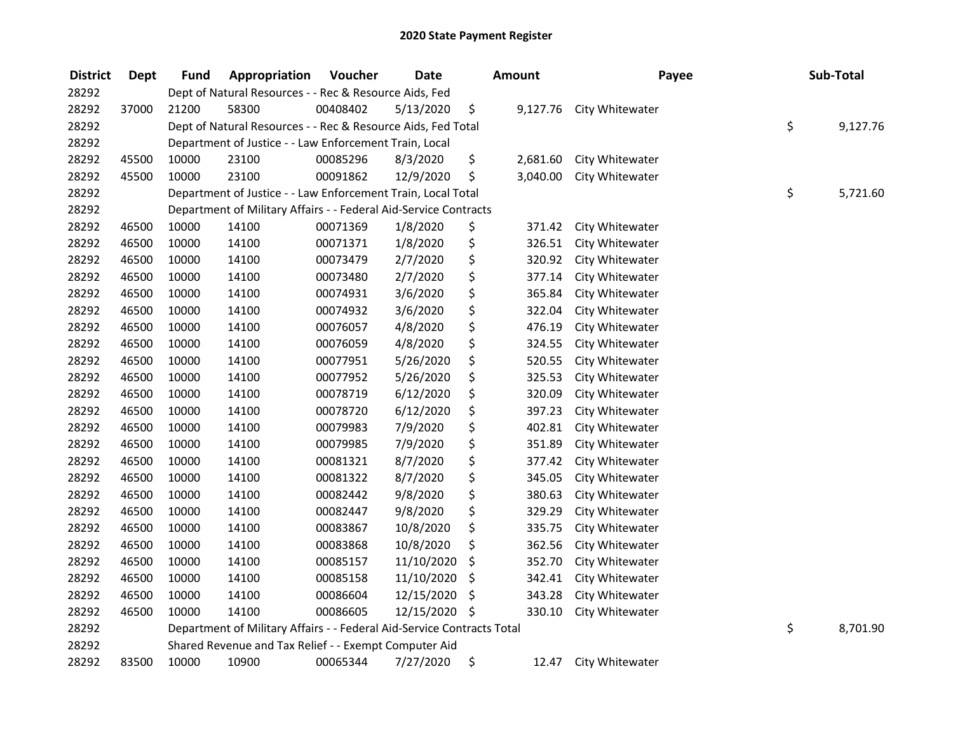| <b>District</b> | <b>Dept</b> | Fund  | Appropriation                                                          | Voucher  | <b>Date</b> | Amount |          | Payee           | Sub-Total      |
|-----------------|-------------|-------|------------------------------------------------------------------------|----------|-------------|--------|----------|-----------------|----------------|
| 28292           |             |       | Dept of Natural Resources - - Rec & Resource Aids, Fed                 |          |             |        |          |                 |                |
| 28292           | 37000       | 21200 | 58300                                                                  | 00408402 | 5/13/2020   | \$     | 9,127.76 | City Whitewater |                |
| 28292           |             |       | Dept of Natural Resources - - Rec & Resource Aids, Fed Total           |          |             |        |          |                 | \$<br>9,127.76 |
| 28292           |             |       | Department of Justice - - Law Enforcement Train, Local                 |          |             |        |          |                 |                |
| 28292           | 45500       | 10000 | 23100                                                                  | 00085296 | 8/3/2020    | \$     | 2,681.60 | City Whitewater |                |
| 28292           | 45500       | 10000 | 23100                                                                  | 00091862 | 12/9/2020   | \$     | 3,040.00 | City Whitewater |                |
| 28292           |             |       | Department of Justice - - Law Enforcement Train, Local Total           |          |             |        |          |                 | \$<br>5,721.60 |
| 28292           |             |       | Department of Military Affairs - - Federal Aid-Service Contracts       |          |             |        |          |                 |                |
| 28292           | 46500       | 10000 | 14100                                                                  | 00071369 | 1/8/2020    | \$     | 371.42   | City Whitewater |                |
| 28292           | 46500       | 10000 | 14100                                                                  | 00071371 | 1/8/2020    | \$     | 326.51   | City Whitewater |                |
| 28292           | 46500       | 10000 | 14100                                                                  | 00073479 | 2/7/2020    | \$     | 320.92   | City Whitewater |                |
| 28292           | 46500       | 10000 | 14100                                                                  | 00073480 | 2/7/2020    | \$     | 377.14   | City Whitewater |                |
| 28292           | 46500       | 10000 | 14100                                                                  | 00074931 | 3/6/2020    | \$     | 365.84   | City Whitewater |                |
| 28292           | 46500       | 10000 | 14100                                                                  | 00074932 | 3/6/2020    | \$     | 322.04   | City Whitewater |                |
| 28292           | 46500       | 10000 | 14100                                                                  | 00076057 | 4/8/2020    | \$     | 476.19   | City Whitewater |                |
| 28292           | 46500       | 10000 | 14100                                                                  | 00076059 | 4/8/2020    | \$     | 324.55   | City Whitewater |                |
| 28292           | 46500       | 10000 | 14100                                                                  | 00077951 | 5/26/2020   | \$     | 520.55   | City Whitewater |                |
| 28292           | 46500       | 10000 | 14100                                                                  | 00077952 | 5/26/2020   | \$     | 325.53   | City Whitewater |                |
| 28292           | 46500       | 10000 | 14100                                                                  | 00078719 | 6/12/2020   | \$     | 320.09   | City Whitewater |                |
| 28292           | 46500       | 10000 | 14100                                                                  | 00078720 | 6/12/2020   | \$     | 397.23   | City Whitewater |                |
| 28292           | 46500       | 10000 | 14100                                                                  | 00079983 | 7/9/2020    | \$     | 402.81   | City Whitewater |                |
| 28292           | 46500       | 10000 | 14100                                                                  | 00079985 | 7/9/2020    | \$     | 351.89   | City Whitewater |                |
| 28292           | 46500       | 10000 | 14100                                                                  | 00081321 | 8/7/2020    | \$     | 377.42   | City Whitewater |                |
| 28292           | 46500       | 10000 | 14100                                                                  | 00081322 | 8/7/2020    | \$     | 345.05   | City Whitewater |                |
| 28292           | 46500       | 10000 | 14100                                                                  | 00082442 | 9/8/2020    | \$     | 380.63   | City Whitewater |                |
| 28292           | 46500       | 10000 | 14100                                                                  | 00082447 | 9/8/2020    | \$     | 329.29   | City Whitewater |                |
| 28292           | 46500       | 10000 | 14100                                                                  | 00083867 | 10/8/2020   | \$     | 335.75   | City Whitewater |                |
| 28292           | 46500       | 10000 | 14100                                                                  | 00083868 | 10/8/2020   | \$     | 362.56   | City Whitewater |                |
| 28292           | 46500       | 10000 | 14100                                                                  | 00085157 | 11/10/2020  | \$     | 352.70   | City Whitewater |                |
| 28292           | 46500       | 10000 | 14100                                                                  | 00085158 | 11/10/2020  | \$     | 342.41   | City Whitewater |                |
| 28292           | 46500       | 10000 | 14100                                                                  | 00086604 | 12/15/2020  | \$     | 343.28   | City Whitewater |                |
| 28292           | 46500       | 10000 | 14100                                                                  | 00086605 | 12/15/2020  | \$     | 330.10   | City Whitewater |                |
| 28292           |             |       | Department of Military Affairs - - Federal Aid-Service Contracts Total |          |             |        |          |                 | \$<br>8,701.90 |
| 28292           |             |       | Shared Revenue and Tax Relief - - Exempt Computer Aid                  |          |             |        |          |                 |                |
| 28292           | 83500       | 10000 | 10900                                                                  | 00065344 | 7/27/2020   | \$     | 12.47    | City Whitewater |                |